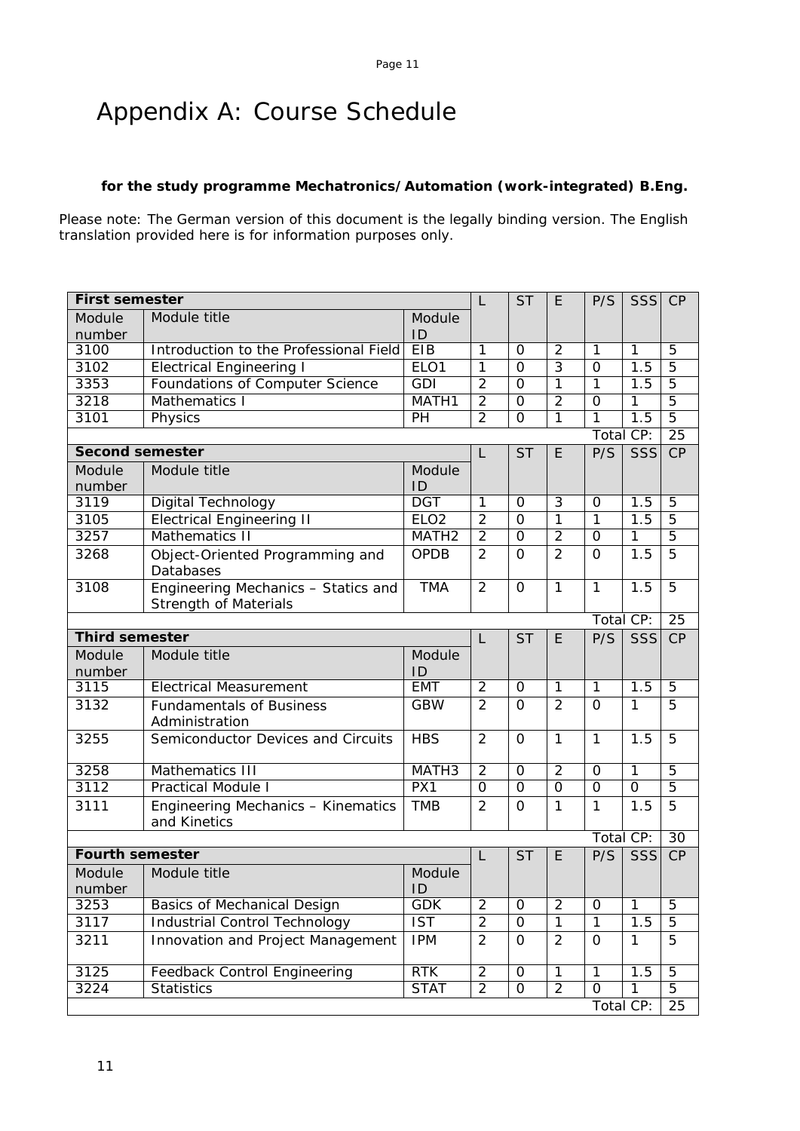# Appendix A: Course Schedule

## **for the study programme Mechatronics/Automation (work-integrated) B.Eng.**

Please note: The German version of this document is the legally binding version. The English translation provided here is for information purposes only.

| <b>First semester</b>  |                                                    |                         | L              | <b>ST</b>      | E              | P/S            | <b>SSS</b>       | CP              |
|------------------------|----------------------------------------------------|-------------------------|----------------|----------------|----------------|----------------|------------------|-----------------|
| Module                 | Module title                                       | Module                  |                |                |                |                |                  |                 |
| number                 |                                                    | ID                      |                |                |                |                |                  |                 |
| 3100                   | Introduction to the Professional Field             | <b>EIB</b>              | 1              | $\Omega$       | $\overline{2}$ | $\mathbf{1}$   | 1                | 5               |
| 3102                   | <b>Electrical Engineering I</b>                    | ELO <sub>1</sub>        | $\overline{1}$ | $\overline{0}$ | $\overline{3}$ | $\overline{0}$ | 1.5              | $\overline{5}$  |
| 3353                   | Foundations of Computer Science                    | GDI                     | $\overline{2}$ | $\overline{0}$ | $\overline{1}$ | $\overline{1}$ | $\overline{1.5}$ | $\overline{5}$  |
| 3218                   | Mathematics I                                      | MATH1                   | $\overline{2}$ | $\overline{0}$ | $\overline{2}$ | $\overline{O}$ | 1                | $\overline{5}$  |
| 3101                   | Physics                                            | PH                      | $\overline{2}$ | $\Omega$       | 1              | 1              | 1.5              | $\overline{5}$  |
|                        |                                                    |                         |                |                |                | Total CP:      |                  | 25              |
| <b>Second semester</b> |                                                    |                         | L              | <b>ST</b>      | E              | P/S            | <b>SSS</b>       | CP              |
| Module                 | Module title                                       | Module                  |                |                |                |                |                  |                 |
| number                 |                                                    | ID                      |                |                |                |                |                  |                 |
| 3119                   | <b>Digital Technology</b>                          | <b>DGT</b>              | 1              | $\overline{O}$ | $\overline{3}$ | $\overline{O}$ | 1.5              | $\overline{5}$  |
| 3105                   | <b>Electrical Engineering II</b>                   | ELO <sub>2</sub>        | $\overline{2}$ | $\overline{O}$ | 1              | $\overline{1}$ | $\overline{1.5}$ | $\overline{5}$  |
| 3257                   | Mathematics II                                     | MATH <sub>2</sub>       | $\overline{2}$ | $\overline{0}$ | $\overline{2}$ | $\overline{O}$ | 1                | $\overline{5}$  |
| 3268                   | Object-Oriented Programming and                    | <b>OPDB</b>             | $\overline{2}$ | $\Omega$       | $\overline{2}$ | $\Omega$       | 1.5              | 5               |
|                        | Databases                                          |                         |                |                |                |                |                  |                 |
| 3108                   | Engineering Mechanics - Statics and                | <b>TMA</b>              | $\overline{2}$ | $\Omega$       | 1              | 1              | 1.5              | 5               |
|                        | <b>Strength of Materials</b>                       |                         |                |                |                |                |                  |                 |
|                        |                                                    |                         |                |                |                | Total CP:      |                  | 25              |
| <b>Third semester</b>  |                                                    |                         | $\mathsf{L}$   | <b>ST</b>      | E              | P/S            | SSS              | CP              |
| Module                 | Module title                                       | Module                  |                |                |                |                |                  |                 |
| number                 |                                                    | ID                      |                |                |                |                |                  |                 |
| 3115                   | <b>Electrical Measurement</b>                      | <b>EMT</b>              | $\overline{2}$ | $\Omega$       | $\mathbf{1}$   | $\overline{1}$ | 1.5              | $\overline{5}$  |
| 3132                   | <b>Fundamentals of Business</b>                    | <b>GBW</b>              | $\overline{2}$ | $\overline{O}$ | $\overline{2}$ | $\overline{O}$ | 1                | 5               |
|                        | Administration                                     |                         |                |                |                |                |                  |                 |
| 3255                   | Semiconductor Devices and Circuits                 | <b>HBS</b>              | $\overline{2}$ | $\overline{O}$ | $\mathbf{1}$   | $\mathbf{1}$   | 1.5              | 5               |
| 3258                   | Mathematics III                                    | MATH <sub>3</sub>       | $\overline{2}$ | $\overline{0}$ | $\overline{2}$ | $\Omega$       | $\overline{1}$   | $\overline{5}$  |
| 3112                   | <b>Practical Module I</b>                          | PX1                     | $\overline{0}$ | $\overline{0}$ | $\overline{0}$ | $\Omega$       | $\Omega$         | $\overline{5}$  |
|                        |                                                    |                         |                |                |                |                |                  | 5               |
| 3111                   | Engineering Mechanics - Kinematics<br>and Kinetics | <b>TMB</b>              | $\overline{2}$ | $\Omega$       | 1              | 1              | 1.5              |                 |
|                        |                                                    |                         |                |                |                |                | Total CP:        | $\overline{30}$ |
| <b>Fourth semester</b> |                                                    |                         | L              | <b>ST</b>      | E              | P/S            | <b>SSS</b>       | CP              |
| Module                 | Module title                                       | Module                  |                |                |                |                |                  |                 |
| number                 |                                                    | ID                      |                |                |                |                |                  |                 |
| 3253                   | <b>Basics of Mechanical Design</b>                 | <b>GDK</b>              | $\overline{2}$ | $\mathbf 0$    | $\overline{2}$ | $\mathbf 0$    | $\overline{1}$   | $\overline{5}$  |
| 3117                   | <b>Industrial Control Technology</b>               | $\overline{\text{IST}}$ | $\overline{2}$ | $\overline{0}$ | $\overline{1}$ | $\overline{1}$ | 1.5              | $\overline{5}$  |
| 3211                   | Innovation and Project Management                  | <b>IPM</b>              | $\overline{2}$ | $\mathbf 0$    | $\overline{2}$ | $\mathbf 0$    | $\mathbf{1}$     | 5               |
|                        |                                                    |                         |                |                |                |                |                  |                 |
| 3125                   | <b>Feedback Control Engineering</b>                | RTK                     | $\overline{2}$ | $\overline{0}$ | $\overline{1}$ | $\overline{1}$ | 1.5              | $\overline{5}$  |
| 3224                   | <b>Statistics</b>                                  | <b>STAT</b>             | $\overline{2}$ | 0              | $\overline{2}$ | 0              | 1                | 5               |
|                        |                                                    |                         |                |                |                |                | Total CP:        | 25              |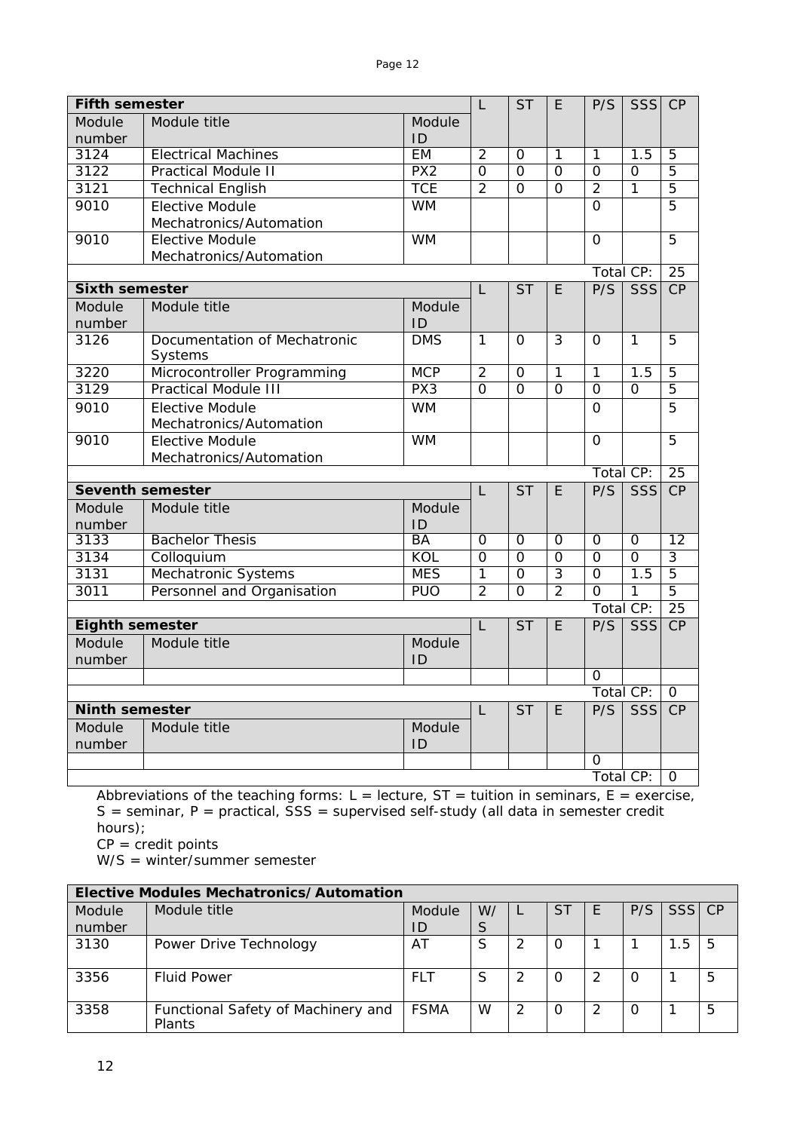| Module title<br>Module<br>Module<br>number<br>ID<br><b>EM</b><br>3124<br><b>Electrical Machines</b><br>$\overline{2}$<br>1<br>1.5<br>1<br>5<br>$\Omega$<br>3122<br>PX2<br>$\overline{0}$<br>$\overline{0}$<br>$\overline{0}$<br>$\overline{0}$<br>$\overline{0}$<br>$\overline{5}$<br><b>Practical Module II</b><br><b>TCE</b><br>3121<br>$\overline{2}$<br>$\overline{5}$<br><b>Technical English</b><br>$\mathcal{P}$<br>$\overline{1}$<br>$\Omega$<br>$\Omega$<br>$\overline{5}$<br>9010<br><b>Elective Module</b><br><b>WM</b><br>$\overline{O}$<br>Mechatronics/Automation<br>9010<br><b>Elective Module</b><br><b>WM</b><br>5<br>$\overline{0}$<br>Mechatronics/Automation<br>Total CP:<br>25<br><b>Sixth semester</b><br>$\overline{\mathsf{ST}}$<br>P/S<br>SSS<br>CP<br>E<br>L<br>Module title<br>Module<br>Module<br>number<br>ID<br><b>DMS</b><br>$\mathbf{1}$<br>3126<br>Documentation of Mechatronic<br>$\mathbf{1}$<br>3<br>5<br>$\Omega$<br>0<br>Systems<br>3220<br><b>MCP</b><br>Microcontroller Programming<br>$\overline{2}$<br>1<br>1<br>1.5<br>$\overline{5}$<br>O<br>3129<br><b>Practical Module III</b><br>PX3<br>$\overline{0}$<br>$\overline{5}$<br>$\Omega$<br>0<br>$\Omega$<br>$\Omega$<br>$\overline{5}$<br><b>WM</b><br>9010<br><b>Elective Module</b><br>0<br>Mechatronics/Automation<br><b>WM</b><br>9010<br><b>Elective Module</b><br>$\mathbf 0$<br>5<br>Mechatronics/Automation<br>Total CP:<br>$\overline{25}$<br><b>Seventh semester</b><br>SSS<br><b>ST</b><br>E<br>P/S<br>CP<br>L<br>Module title<br>Module<br>Module<br>number<br>ID<br><b>Bachelor Thesis</b><br><b>BA</b><br>3133<br>$\overline{0}$<br>$\overline{0}$<br>$\overline{12}$<br>O<br>0<br>0<br>KOL<br>$\overline{0}$<br>$\overline{0}$<br>$\overline{0}$<br>$\overline{3}$<br>3134<br>$\overline{0}$<br>$\overline{0}$<br>Colloquium<br><b>MES</b><br>$\overline{5}$<br>3131<br>Mechatronic Systems<br>1<br>$\overline{3}$<br>1.5<br>$\overline{O}$<br>0<br>$\overline{2}$<br>$\overline{2}$<br>3011<br>Personnel and Organisation<br><b>PUO</b><br>$\Omega$<br>$\overline{5}$<br>$\Omega$<br>$\mathbf{1}$<br>Total CP:<br>$\overline{25}$<br><b>Eighth semester</b><br>P/S<br>SSS<br>CP<br>L<br><b>ST</b><br>E<br>Module title<br>Module<br>Module<br>number<br>ID<br>$\Omega$<br>Total CP:<br>$\overline{0}$<br><b>Ninth semester</b><br><b>ST</b><br>P/S<br><b>SSS</b><br>CP<br>E<br>L<br>Module title<br>Module<br>Module<br>number<br>ID<br>Ο<br>Total CP: | <b>Fifth semester</b> |  |  | L | <b>ST</b> | E. | P/S | SSS | CP       |
|--------------------------------------------------------------------------------------------------------------------------------------------------------------------------------------------------------------------------------------------------------------------------------------------------------------------------------------------------------------------------------------------------------------------------------------------------------------------------------------------------------------------------------------------------------------------------------------------------------------------------------------------------------------------------------------------------------------------------------------------------------------------------------------------------------------------------------------------------------------------------------------------------------------------------------------------------------------------------------------------------------------------------------------------------------------------------------------------------------------------------------------------------------------------------------------------------------------------------------------------------------------------------------------------------------------------------------------------------------------------------------------------------------------------------------------------------------------------------------------------------------------------------------------------------------------------------------------------------------------------------------------------------------------------------------------------------------------------------------------------------------------------------------------------------------------------------------------------------------------------------------------------------------------------------------------------------------------------------------------------------------------------------------------------------------------------------------------------------------------------------------------------------------------------------------------------------------------------------------------------------------------------------------------------------------------------------------------------------------------------------------------------------------------------------------------------------------------------|-----------------------|--|--|---|-----------|----|-----|-----|----------|
|                                                                                                                                                                                                                                                                                                                                                                                                                                                                                                                                                                                                                                                                                                                                                                                                                                                                                                                                                                                                                                                                                                                                                                                                                                                                                                                                                                                                                                                                                                                                                                                                                                                                                                                                                                                                                                                                                                                                                                                                                                                                                                                                                                                                                                                                                                                                                                                                                                                                    |                       |  |  |   |           |    |     |     |          |
|                                                                                                                                                                                                                                                                                                                                                                                                                                                                                                                                                                                                                                                                                                                                                                                                                                                                                                                                                                                                                                                                                                                                                                                                                                                                                                                                                                                                                                                                                                                                                                                                                                                                                                                                                                                                                                                                                                                                                                                                                                                                                                                                                                                                                                                                                                                                                                                                                                                                    |                       |  |  |   |           |    |     |     |          |
|                                                                                                                                                                                                                                                                                                                                                                                                                                                                                                                                                                                                                                                                                                                                                                                                                                                                                                                                                                                                                                                                                                                                                                                                                                                                                                                                                                                                                                                                                                                                                                                                                                                                                                                                                                                                                                                                                                                                                                                                                                                                                                                                                                                                                                                                                                                                                                                                                                                                    |                       |  |  |   |           |    |     |     |          |
|                                                                                                                                                                                                                                                                                                                                                                                                                                                                                                                                                                                                                                                                                                                                                                                                                                                                                                                                                                                                                                                                                                                                                                                                                                                                                                                                                                                                                                                                                                                                                                                                                                                                                                                                                                                                                                                                                                                                                                                                                                                                                                                                                                                                                                                                                                                                                                                                                                                                    |                       |  |  |   |           |    |     |     |          |
|                                                                                                                                                                                                                                                                                                                                                                                                                                                                                                                                                                                                                                                                                                                                                                                                                                                                                                                                                                                                                                                                                                                                                                                                                                                                                                                                                                                                                                                                                                                                                                                                                                                                                                                                                                                                                                                                                                                                                                                                                                                                                                                                                                                                                                                                                                                                                                                                                                                                    |                       |  |  |   |           |    |     |     |          |
|                                                                                                                                                                                                                                                                                                                                                                                                                                                                                                                                                                                                                                                                                                                                                                                                                                                                                                                                                                                                                                                                                                                                                                                                                                                                                                                                                                                                                                                                                                                                                                                                                                                                                                                                                                                                                                                                                                                                                                                                                                                                                                                                                                                                                                                                                                                                                                                                                                                                    |                       |  |  |   |           |    |     |     |          |
|                                                                                                                                                                                                                                                                                                                                                                                                                                                                                                                                                                                                                                                                                                                                                                                                                                                                                                                                                                                                                                                                                                                                                                                                                                                                                                                                                                                                                                                                                                                                                                                                                                                                                                                                                                                                                                                                                                                                                                                                                                                                                                                                                                                                                                                                                                                                                                                                                                                                    |                       |  |  |   |           |    |     |     |          |
|                                                                                                                                                                                                                                                                                                                                                                                                                                                                                                                                                                                                                                                                                                                                                                                                                                                                                                                                                                                                                                                                                                                                                                                                                                                                                                                                                                                                                                                                                                                                                                                                                                                                                                                                                                                                                                                                                                                                                                                                                                                                                                                                                                                                                                                                                                                                                                                                                                                                    |                       |  |  |   |           |    |     |     |          |
|                                                                                                                                                                                                                                                                                                                                                                                                                                                                                                                                                                                                                                                                                                                                                                                                                                                                                                                                                                                                                                                                                                                                                                                                                                                                                                                                                                                                                                                                                                                                                                                                                                                                                                                                                                                                                                                                                                                                                                                                                                                                                                                                                                                                                                                                                                                                                                                                                                                                    |                       |  |  |   |           |    |     |     |          |
|                                                                                                                                                                                                                                                                                                                                                                                                                                                                                                                                                                                                                                                                                                                                                                                                                                                                                                                                                                                                                                                                                                                                                                                                                                                                                                                                                                                                                                                                                                                                                                                                                                                                                                                                                                                                                                                                                                                                                                                                                                                                                                                                                                                                                                                                                                                                                                                                                                                                    |                       |  |  |   |           |    |     |     |          |
|                                                                                                                                                                                                                                                                                                                                                                                                                                                                                                                                                                                                                                                                                                                                                                                                                                                                                                                                                                                                                                                                                                                                                                                                                                                                                                                                                                                                                                                                                                                                                                                                                                                                                                                                                                                                                                                                                                                                                                                                                                                                                                                                                                                                                                                                                                                                                                                                                                                                    |                       |  |  |   |           |    |     |     |          |
|                                                                                                                                                                                                                                                                                                                                                                                                                                                                                                                                                                                                                                                                                                                                                                                                                                                                                                                                                                                                                                                                                                                                                                                                                                                                                                                                                                                                                                                                                                                                                                                                                                                                                                                                                                                                                                                                                                                                                                                                                                                                                                                                                                                                                                                                                                                                                                                                                                                                    |                       |  |  |   |           |    |     |     |          |
|                                                                                                                                                                                                                                                                                                                                                                                                                                                                                                                                                                                                                                                                                                                                                                                                                                                                                                                                                                                                                                                                                                                                                                                                                                                                                                                                                                                                                                                                                                                                                                                                                                                                                                                                                                                                                                                                                                                                                                                                                                                                                                                                                                                                                                                                                                                                                                                                                                                                    |                       |  |  |   |           |    |     |     |          |
|                                                                                                                                                                                                                                                                                                                                                                                                                                                                                                                                                                                                                                                                                                                                                                                                                                                                                                                                                                                                                                                                                                                                                                                                                                                                                                                                                                                                                                                                                                                                                                                                                                                                                                                                                                                                                                                                                                                                                                                                                                                                                                                                                                                                                                                                                                                                                                                                                                                                    |                       |  |  |   |           |    |     |     |          |
|                                                                                                                                                                                                                                                                                                                                                                                                                                                                                                                                                                                                                                                                                                                                                                                                                                                                                                                                                                                                                                                                                                                                                                                                                                                                                                                                                                                                                                                                                                                                                                                                                                                                                                                                                                                                                                                                                                                                                                                                                                                                                                                                                                                                                                                                                                                                                                                                                                                                    |                       |  |  |   |           |    |     |     |          |
|                                                                                                                                                                                                                                                                                                                                                                                                                                                                                                                                                                                                                                                                                                                                                                                                                                                                                                                                                                                                                                                                                                                                                                                                                                                                                                                                                                                                                                                                                                                                                                                                                                                                                                                                                                                                                                                                                                                                                                                                                                                                                                                                                                                                                                                                                                                                                                                                                                                                    |                       |  |  |   |           |    |     |     |          |
|                                                                                                                                                                                                                                                                                                                                                                                                                                                                                                                                                                                                                                                                                                                                                                                                                                                                                                                                                                                                                                                                                                                                                                                                                                                                                                                                                                                                                                                                                                                                                                                                                                                                                                                                                                                                                                                                                                                                                                                                                                                                                                                                                                                                                                                                                                                                                                                                                                                                    |                       |  |  |   |           |    |     |     |          |
|                                                                                                                                                                                                                                                                                                                                                                                                                                                                                                                                                                                                                                                                                                                                                                                                                                                                                                                                                                                                                                                                                                                                                                                                                                                                                                                                                                                                                                                                                                                                                                                                                                                                                                                                                                                                                                                                                                                                                                                                                                                                                                                                                                                                                                                                                                                                                                                                                                                                    |                       |  |  |   |           |    |     |     |          |
|                                                                                                                                                                                                                                                                                                                                                                                                                                                                                                                                                                                                                                                                                                                                                                                                                                                                                                                                                                                                                                                                                                                                                                                                                                                                                                                                                                                                                                                                                                                                                                                                                                                                                                                                                                                                                                                                                                                                                                                                                                                                                                                                                                                                                                                                                                                                                                                                                                                                    |                       |  |  |   |           |    |     |     |          |
|                                                                                                                                                                                                                                                                                                                                                                                                                                                                                                                                                                                                                                                                                                                                                                                                                                                                                                                                                                                                                                                                                                                                                                                                                                                                                                                                                                                                                                                                                                                                                                                                                                                                                                                                                                                                                                                                                                                                                                                                                                                                                                                                                                                                                                                                                                                                                                                                                                                                    |                       |  |  |   |           |    |     |     |          |
|                                                                                                                                                                                                                                                                                                                                                                                                                                                                                                                                                                                                                                                                                                                                                                                                                                                                                                                                                                                                                                                                                                                                                                                                                                                                                                                                                                                                                                                                                                                                                                                                                                                                                                                                                                                                                                                                                                                                                                                                                                                                                                                                                                                                                                                                                                                                                                                                                                                                    |                       |  |  |   |           |    |     |     |          |
|                                                                                                                                                                                                                                                                                                                                                                                                                                                                                                                                                                                                                                                                                                                                                                                                                                                                                                                                                                                                                                                                                                                                                                                                                                                                                                                                                                                                                                                                                                                                                                                                                                                                                                                                                                                                                                                                                                                                                                                                                                                                                                                                                                                                                                                                                                                                                                                                                                                                    |                       |  |  |   |           |    |     |     |          |
|                                                                                                                                                                                                                                                                                                                                                                                                                                                                                                                                                                                                                                                                                                                                                                                                                                                                                                                                                                                                                                                                                                                                                                                                                                                                                                                                                                                                                                                                                                                                                                                                                                                                                                                                                                                                                                                                                                                                                                                                                                                                                                                                                                                                                                                                                                                                                                                                                                                                    |                       |  |  |   |           |    |     |     |          |
|                                                                                                                                                                                                                                                                                                                                                                                                                                                                                                                                                                                                                                                                                                                                                                                                                                                                                                                                                                                                                                                                                                                                                                                                                                                                                                                                                                                                                                                                                                                                                                                                                                                                                                                                                                                                                                                                                                                                                                                                                                                                                                                                                                                                                                                                                                                                                                                                                                                                    |                       |  |  |   |           |    |     |     |          |
|                                                                                                                                                                                                                                                                                                                                                                                                                                                                                                                                                                                                                                                                                                                                                                                                                                                                                                                                                                                                                                                                                                                                                                                                                                                                                                                                                                                                                                                                                                                                                                                                                                                                                                                                                                                                                                                                                                                                                                                                                                                                                                                                                                                                                                                                                                                                                                                                                                                                    |                       |  |  |   |           |    |     |     |          |
|                                                                                                                                                                                                                                                                                                                                                                                                                                                                                                                                                                                                                                                                                                                                                                                                                                                                                                                                                                                                                                                                                                                                                                                                                                                                                                                                                                                                                                                                                                                                                                                                                                                                                                                                                                                                                                                                                                                                                                                                                                                                                                                                                                                                                                                                                                                                                                                                                                                                    |                       |  |  |   |           |    |     |     |          |
|                                                                                                                                                                                                                                                                                                                                                                                                                                                                                                                                                                                                                                                                                                                                                                                                                                                                                                                                                                                                                                                                                                                                                                                                                                                                                                                                                                                                                                                                                                                                                                                                                                                                                                                                                                                                                                                                                                                                                                                                                                                                                                                                                                                                                                                                                                                                                                                                                                                                    |                       |  |  |   |           |    |     |     |          |
|                                                                                                                                                                                                                                                                                                                                                                                                                                                                                                                                                                                                                                                                                                                                                                                                                                                                                                                                                                                                                                                                                                                                                                                                                                                                                                                                                                                                                                                                                                                                                                                                                                                                                                                                                                                                                                                                                                                                                                                                                                                                                                                                                                                                                                                                                                                                                                                                                                                                    |                       |  |  |   |           |    |     |     |          |
|                                                                                                                                                                                                                                                                                                                                                                                                                                                                                                                                                                                                                                                                                                                                                                                                                                                                                                                                                                                                                                                                                                                                                                                                                                                                                                                                                                                                                                                                                                                                                                                                                                                                                                                                                                                                                                                                                                                                                                                                                                                                                                                                                                                                                                                                                                                                                                                                                                                                    |                       |  |  |   |           |    |     |     |          |
|                                                                                                                                                                                                                                                                                                                                                                                                                                                                                                                                                                                                                                                                                                                                                                                                                                                                                                                                                                                                                                                                                                                                                                                                                                                                                                                                                                                                                                                                                                                                                                                                                                                                                                                                                                                                                                                                                                                                                                                                                                                                                                                                                                                                                                                                                                                                                                                                                                                                    |                       |  |  |   |           |    |     |     |          |
|                                                                                                                                                                                                                                                                                                                                                                                                                                                                                                                                                                                                                                                                                                                                                                                                                                                                                                                                                                                                                                                                                                                                                                                                                                                                                                                                                                                                                                                                                                                                                                                                                                                                                                                                                                                                                                                                                                                                                                                                                                                                                                                                                                                                                                                                                                                                                                                                                                                                    |                       |  |  |   |           |    |     |     |          |
|                                                                                                                                                                                                                                                                                                                                                                                                                                                                                                                                                                                                                                                                                                                                                                                                                                                                                                                                                                                                                                                                                                                                                                                                                                                                                                                                                                                                                                                                                                                                                                                                                                                                                                                                                                                                                                                                                                                                                                                                                                                                                                                                                                                                                                                                                                                                                                                                                                                                    |                       |  |  |   |           |    |     |     |          |
|                                                                                                                                                                                                                                                                                                                                                                                                                                                                                                                                                                                                                                                                                                                                                                                                                                                                                                                                                                                                                                                                                                                                                                                                                                                                                                                                                                                                                                                                                                                                                                                                                                                                                                                                                                                                                                                                                                                                                                                                                                                                                                                                                                                                                                                                                                                                                                                                                                                                    |                       |  |  |   |           |    |     |     |          |
|                                                                                                                                                                                                                                                                                                                                                                                                                                                                                                                                                                                                                                                                                                                                                                                                                                                                                                                                                                                                                                                                                                                                                                                                                                                                                                                                                                                                                                                                                                                                                                                                                                                                                                                                                                                                                                                                                                                                                                                                                                                                                                                                                                                                                                                                                                                                                                                                                                                                    |                       |  |  |   |           |    |     |     |          |
|                                                                                                                                                                                                                                                                                                                                                                                                                                                                                                                                                                                                                                                                                                                                                                                                                                                                                                                                                                                                                                                                                                                                                                                                                                                                                                                                                                                                                                                                                                                                                                                                                                                                                                                                                                                                                                                                                                                                                                                                                                                                                                                                                                                                                                                                                                                                                                                                                                                                    |                       |  |  |   |           |    |     |     |          |
|                                                                                                                                                                                                                                                                                                                                                                                                                                                                                                                                                                                                                                                                                                                                                                                                                                                                                                                                                                                                                                                                                                                                                                                                                                                                                                                                                                                                                                                                                                                                                                                                                                                                                                                                                                                                                                                                                                                                                                                                                                                                                                                                                                                                                                                                                                                                                                                                                                                                    |                       |  |  |   |           |    |     |     |          |
|                                                                                                                                                                                                                                                                                                                                                                                                                                                                                                                                                                                                                                                                                                                                                                                                                                                                                                                                                                                                                                                                                                                                                                                                                                                                                                                                                                                                                                                                                                                                                                                                                                                                                                                                                                                                                                                                                                                                                                                                                                                                                                                                                                                                                                                                                                                                                                                                                                                                    |                       |  |  |   |           |    |     |     | $\Omega$ |

Abbreviations of the teaching forms:  $L =$  lecture,  $ST =$  tuition in seminars,  $E =$  exercise,  $S =$  seminar,  $P =$  practical,  $SS =$  supervised self-study (all data in semester credit hours);  $CP = \text{credit points}$ 

W/S = winter/summer semester

|        | Elective Modules Mechatronics/Automation     |             |    |   |           |  |     |        |   |  |  |  |
|--------|----------------------------------------------|-------------|----|---|-----------|--|-----|--------|---|--|--|--|
| Module | Module title                                 | Module      | W/ |   | <b>ST</b> |  | P/S | SSS CP |   |  |  |  |
| number |                                              | ID          | S  |   |           |  |     |        |   |  |  |  |
| 3130   | Power Drive Technology                       | AT          | S  | 2 | O         |  |     | 1.5    | 5 |  |  |  |
| 3356   | <b>Fluid Power</b>                           | <b>FLT</b>  | S  | 2 | $\Omega$  |  |     |        | 5 |  |  |  |
| 3358   | Functional Safety of Machinery and<br>Plants | <b>FSMA</b> | W  | 2 | 0         |  |     |        | 5 |  |  |  |

г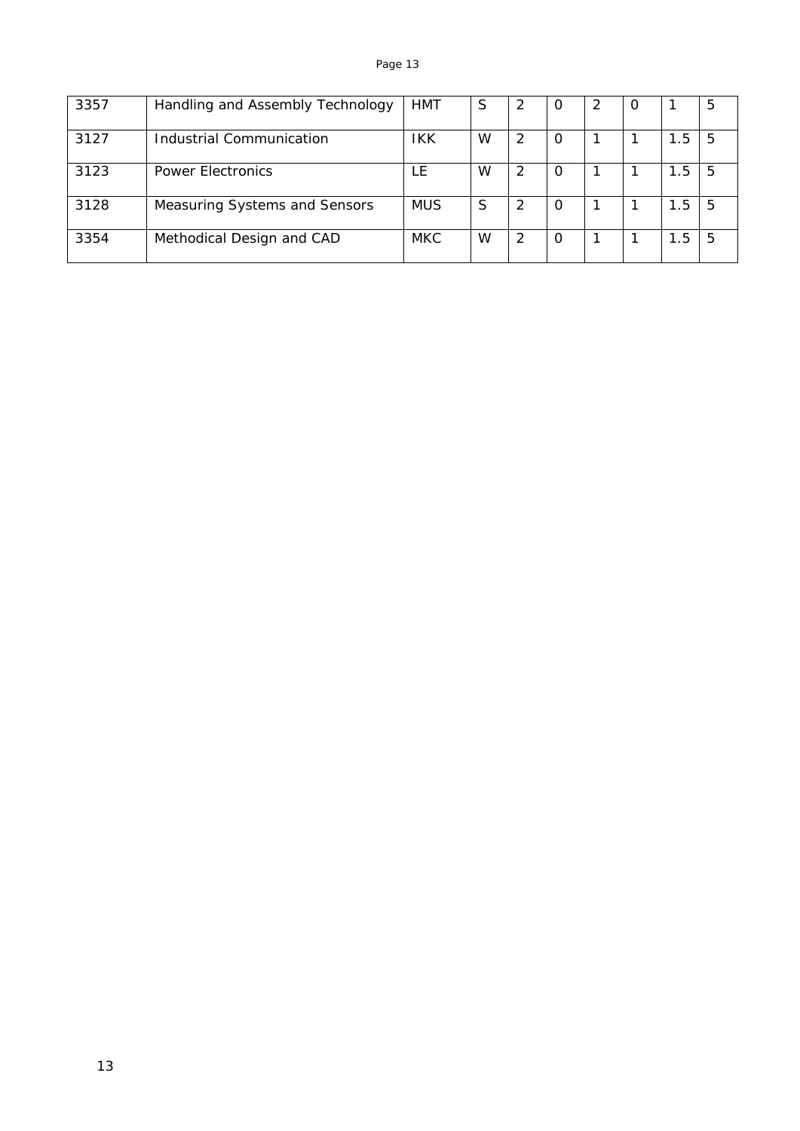| 3357 | Handling and Assembly Technology | <b>HMT</b> | S | 2 | Ő |  |     | 5  |
|------|----------------------------------|------------|---|---|---|--|-----|----|
| 3127 | Industrial Communication         | IKK        | W | 2 | 0 |  | 1.5 | 5  |
| 3123 | <b>Power Electronics</b>         | l F        | W | 2 | O |  | 1.5 | 5  |
| 3128 | Measuring Systems and Sensors    | <b>MUS</b> | S | 2 | O |  | 1.5 | -5 |
| 3354 | Methodical Design and CAD        | <b>MKC</b> | W | 2 | O |  | 1.5 | 5  |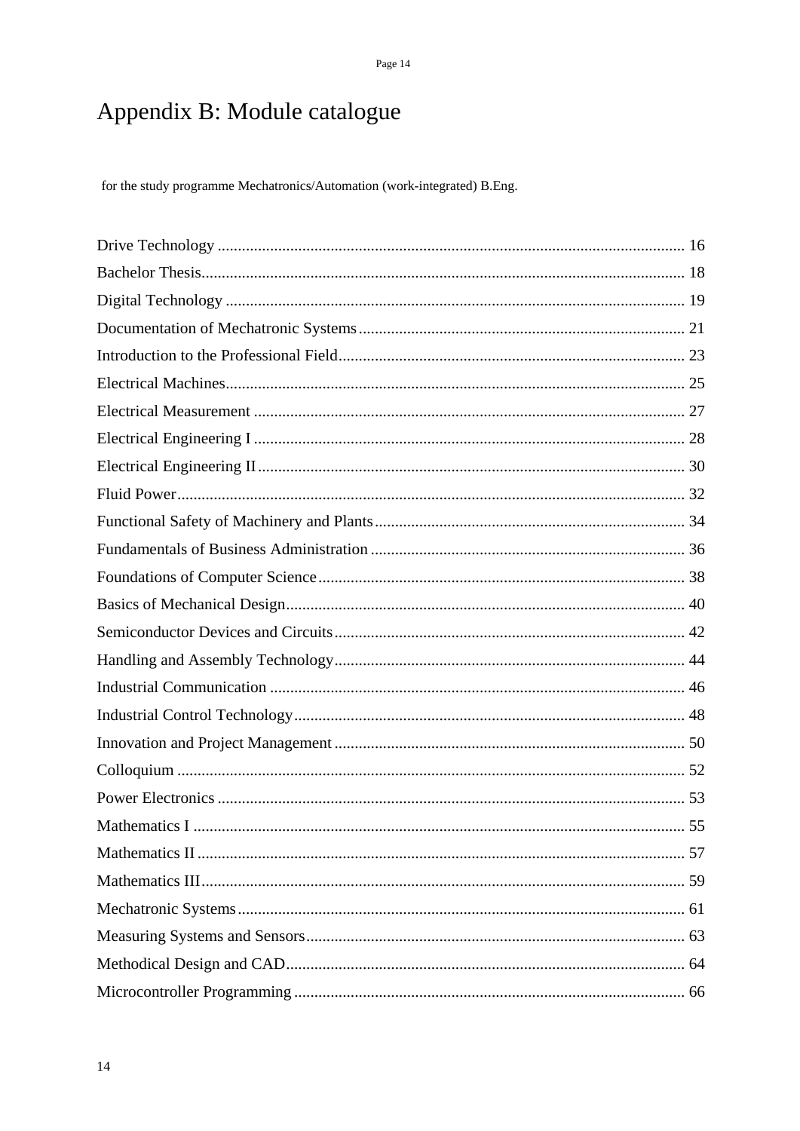# Appendix B: Module catalogue

for the study programme Mechatronics/Automation (work-integrated) B.Eng.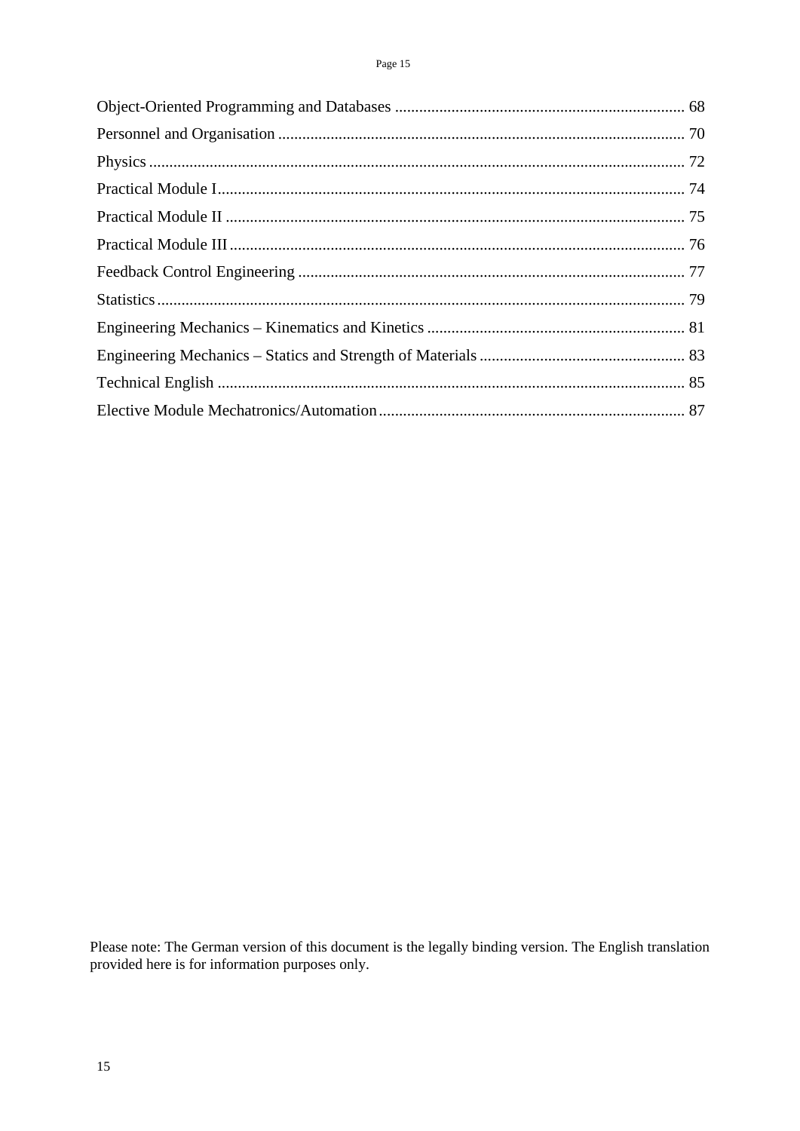Please note: The German version of this document is the legally binding version. The English translation provided here is for information purposes only.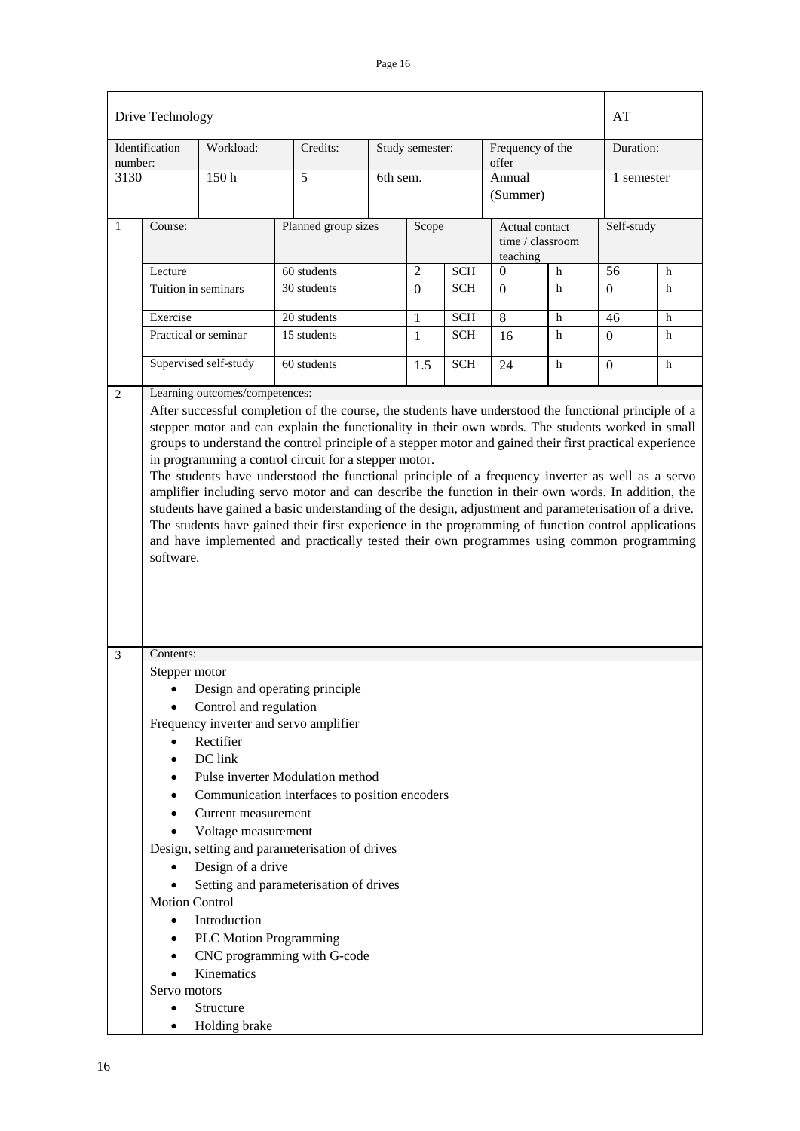|                 | Drive Technology                                                                                                                                                                                                                                                                                                                                                                                                                                                                                                                                                                                                                                                                                                                                                                                                                                                                                                    |                                                                                                                                                                                                                |                                                                                                                                                                                                                                                                                          |          |                 |            |                             |                  | AT         |   |
|-----------------|---------------------------------------------------------------------------------------------------------------------------------------------------------------------------------------------------------------------------------------------------------------------------------------------------------------------------------------------------------------------------------------------------------------------------------------------------------------------------------------------------------------------------------------------------------------------------------------------------------------------------------------------------------------------------------------------------------------------------------------------------------------------------------------------------------------------------------------------------------------------------------------------------------------------|----------------------------------------------------------------------------------------------------------------------------------------------------------------------------------------------------------------|------------------------------------------------------------------------------------------------------------------------------------------------------------------------------------------------------------------------------------------------------------------------------------------|----------|-----------------|------------|-----------------------------|------------------|------------|---|
|                 | Identification                                                                                                                                                                                                                                                                                                                                                                                                                                                                                                                                                                                                                                                                                                                                                                                                                                                                                                      | Workload:                                                                                                                                                                                                      | Credits:                                                                                                                                                                                                                                                                                 |          | Study semester: |            | Frequency of the            |                  | Duration:  |   |
| number:<br>3130 |                                                                                                                                                                                                                                                                                                                                                                                                                                                                                                                                                                                                                                                                                                                                                                                                                                                                                                                     | 150 <sub>h</sub>                                                                                                                                                                                               | 5                                                                                                                                                                                                                                                                                        | 6th sem. |                 |            | offer<br>Annual<br>(Summer) |                  | 1 semester |   |
| $\mathbf{1}$    | Course:                                                                                                                                                                                                                                                                                                                                                                                                                                                                                                                                                                                                                                                                                                                                                                                                                                                                                                             |                                                                                                                                                                                                                | Planned group sizes                                                                                                                                                                                                                                                                      |          | Scope           |            | Actual contact<br>teaching  | time / classroom | Self-study |   |
|                 | Lecture                                                                                                                                                                                                                                                                                                                                                                                                                                                                                                                                                                                                                                                                                                                                                                                                                                                                                                             |                                                                                                                                                                                                                | 60 students                                                                                                                                                                                                                                                                              |          | $\overline{2}$  | <b>SCH</b> | 0                           | h                | 56         | h |
|                 | Tuition in seminars                                                                                                                                                                                                                                                                                                                                                                                                                                                                                                                                                                                                                                                                                                                                                                                                                                                                                                 |                                                                                                                                                                                                                | 30 students                                                                                                                                                                                                                                                                              |          | $\Omega$        | <b>SCH</b> | $\Omega$                    | h                | $\Omega$   | h |
|                 | Exercise                                                                                                                                                                                                                                                                                                                                                                                                                                                                                                                                                                                                                                                                                                                                                                                                                                                                                                            |                                                                                                                                                                                                                | 20 students                                                                                                                                                                                                                                                                              |          | 1               | <b>SCH</b> | $\overline{8}$              | h                | 46         | h |
|                 |                                                                                                                                                                                                                                                                                                                                                                                                                                                                                                                                                                                                                                                                                                                                                                                                                                                                                                                     | Practical or seminar                                                                                                                                                                                           | 15 students                                                                                                                                                                                                                                                                              |          | $\mathbf{1}$    | <b>SCH</b> | 16                          | h                | $\Omega$   | h |
|                 |                                                                                                                                                                                                                                                                                                                                                                                                                                                                                                                                                                                                                                                                                                                                                                                                                                                                                                                     | Supervised self-study                                                                                                                                                                                          | 60 students                                                                                                                                                                                                                                                                              |          | 1.5             | <b>SCH</b> | 24                          | h                | $\Omega$   | h |
|                 | After successful completion of the course, the students have understood the functional principle of a<br>stepper motor and can explain the functionality in their own words. The students worked in small<br>groups to understand the control principle of a stepper motor and gained their first practical experience<br>in programming a control circuit for a stepper motor.<br>The students have understood the functional principle of a frequency inverter as well as a servo<br>amplifier including servo motor and can describe the function in their own words. In addition, the<br>students have gained a basic understanding of the design, adjustment and parameterisation of a drive.<br>The students have gained their first experience in the programming of function control applications<br>and have implemented and practically tested their own programmes using common programming<br>software. |                                                                                                                                                                                                                |                                                                                                                                                                                                                                                                                          |          |                 |            |                             |                  |            |   |
| 3               | Contents:<br>Stepper motor<br><b>Motion Control</b><br>$\bullet$<br>٠<br>Servo motors<br>٠                                                                                                                                                                                                                                                                                                                                                                                                                                                                                                                                                                                                                                                                                                                                                                                                                          | Control and regulation<br>Rectifier<br>DC link<br>Current measurement<br>Voltage measurement<br>Design of a drive<br>Introduction<br><b>PLC Motion Programming</b><br>Kinematics<br>Structure<br>Holding brake | Design and operating principle<br>Frequency inverter and servo amplifier<br>Pulse inverter Modulation method<br>Communication interfaces to position encoders<br>Design, setting and parameterisation of drives<br>Setting and parameterisation of drives<br>CNC programming with G-code |          |                 |            |                             |                  |            |   |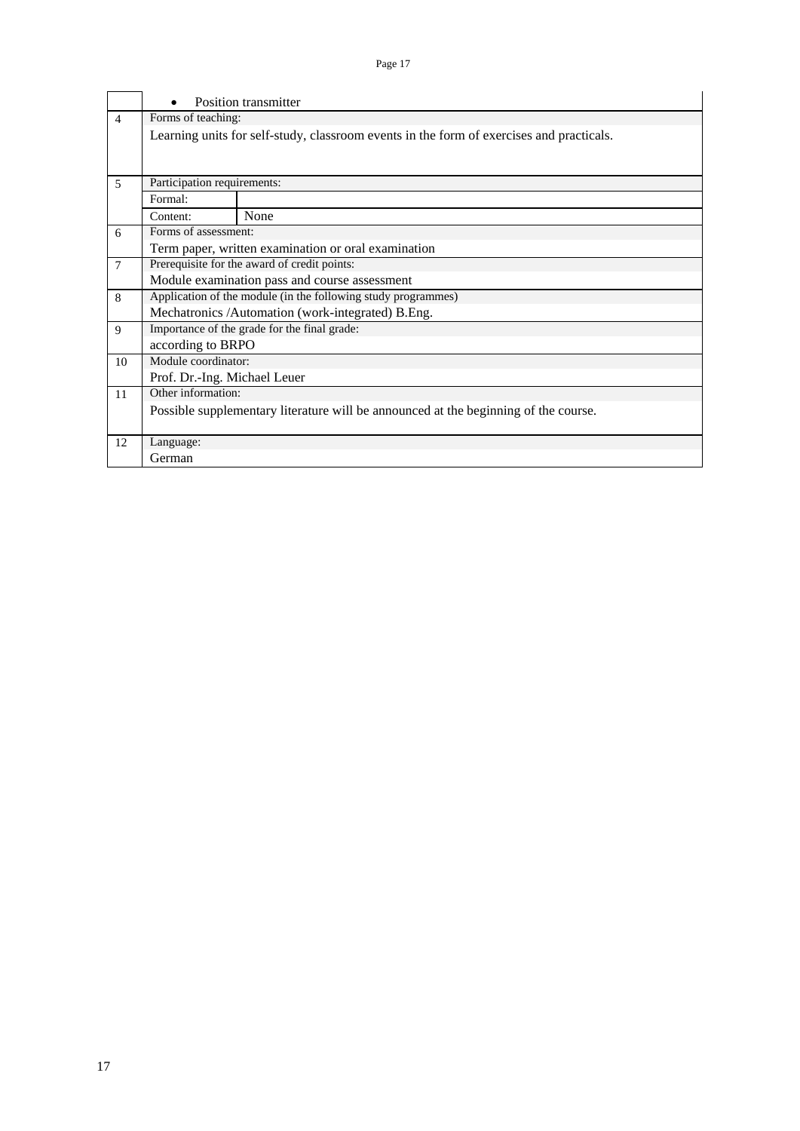|                |                              | Position transmitter                                                                     |  |  |  |  |  |  |  |  |  |  |
|----------------|------------------------------|------------------------------------------------------------------------------------------|--|--|--|--|--|--|--|--|--|--|
| $\overline{4}$ | Forms of teaching:           |                                                                                          |  |  |  |  |  |  |  |  |  |  |
|                |                              | Learning units for self-study, classroom events in the form of exercises and practicals. |  |  |  |  |  |  |  |  |  |  |
|                |                              |                                                                                          |  |  |  |  |  |  |  |  |  |  |
| 5              |                              | Participation requirements:                                                              |  |  |  |  |  |  |  |  |  |  |
|                | Formal:                      |                                                                                          |  |  |  |  |  |  |  |  |  |  |
|                | Content:                     | None                                                                                     |  |  |  |  |  |  |  |  |  |  |
| 6              | Forms of assessment:         |                                                                                          |  |  |  |  |  |  |  |  |  |  |
|                |                              | Term paper, written examination or oral examination                                      |  |  |  |  |  |  |  |  |  |  |
| $\overline{7}$ |                              | Prerequisite for the award of credit points:                                             |  |  |  |  |  |  |  |  |  |  |
|                |                              | Module examination pass and course assessment                                            |  |  |  |  |  |  |  |  |  |  |
| 8              |                              | Application of the module (in the following study programmes)                            |  |  |  |  |  |  |  |  |  |  |
|                |                              | Mechatronics /Automation (work-integrated) B.Eng.                                        |  |  |  |  |  |  |  |  |  |  |
| 9              |                              | Importance of the grade for the final grade:                                             |  |  |  |  |  |  |  |  |  |  |
|                | according to BRPO            |                                                                                          |  |  |  |  |  |  |  |  |  |  |
| 10             | Module coordinator:          |                                                                                          |  |  |  |  |  |  |  |  |  |  |
|                | Prof. Dr.-Ing. Michael Leuer |                                                                                          |  |  |  |  |  |  |  |  |  |  |
| 11             | Other information:           |                                                                                          |  |  |  |  |  |  |  |  |  |  |
|                |                              | Possible supplementary literature will be announced at the beginning of the course.      |  |  |  |  |  |  |  |  |  |  |
| 12             | Language:                    |                                                                                          |  |  |  |  |  |  |  |  |  |  |
|                | German                       |                                                                                          |  |  |  |  |  |  |  |  |  |  |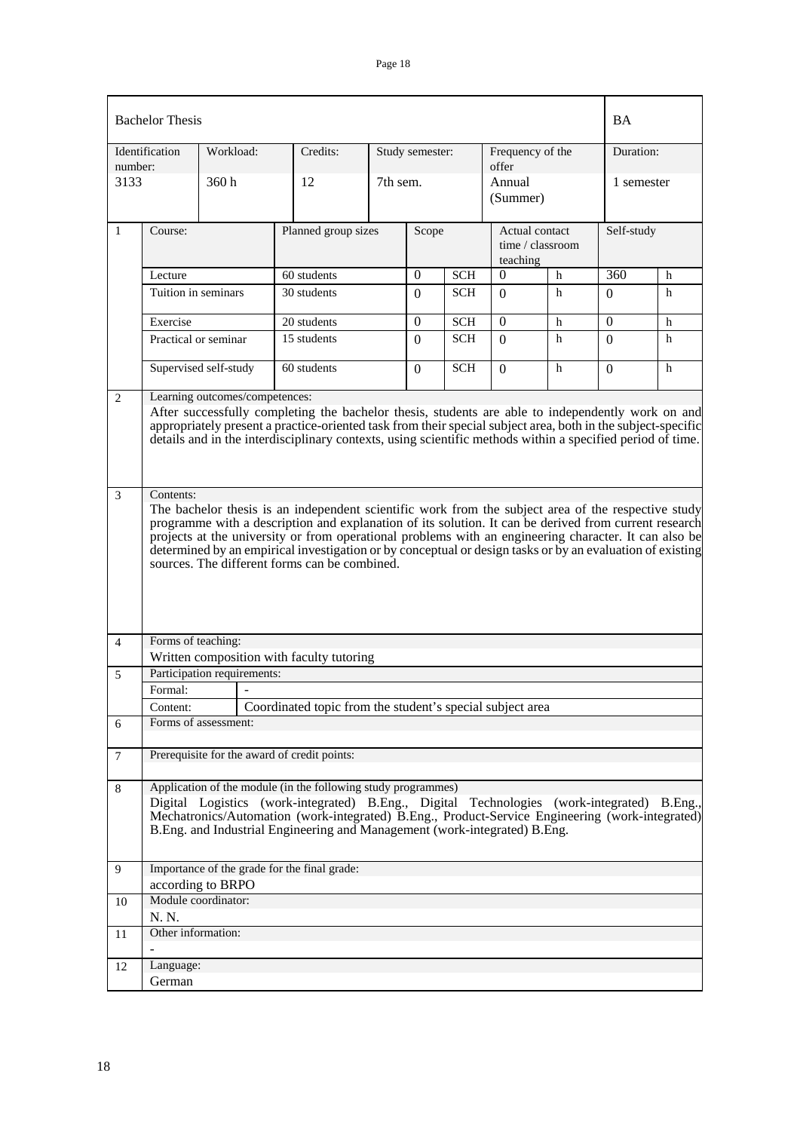|                | <b>Bachelor Thesis</b>                                                                                                                                                                                                                                                                                                                      |                                          |                                                                                                                                                                                                                                                                                                                                                                              |          |                 |            |                                                |   | <b>BA</b>  |   |
|----------------|---------------------------------------------------------------------------------------------------------------------------------------------------------------------------------------------------------------------------------------------------------------------------------------------------------------------------------------------|------------------------------------------|------------------------------------------------------------------------------------------------------------------------------------------------------------------------------------------------------------------------------------------------------------------------------------------------------------------------------------------------------------------------------|----------|-----------------|------------|------------------------------------------------|---|------------|---|
| number:        | Identification                                                                                                                                                                                                                                                                                                                              | Workload:                                | Credits:                                                                                                                                                                                                                                                                                                                                                                     |          | Study semester: |            | Frequency of the<br>offer                      |   | Duration:  |   |
| 3133           |                                                                                                                                                                                                                                                                                                                                             | 360h                                     | 12                                                                                                                                                                                                                                                                                                                                                                           | 7th sem. |                 |            | Annual<br>(Summer)                             |   | 1 semester |   |
| 1              | Course:                                                                                                                                                                                                                                                                                                                                     |                                          | Planned group sizes                                                                                                                                                                                                                                                                                                                                                          |          | Scope           |            | Actual contact<br>time / classroom<br>teaching |   | Self-study |   |
|                | $\theta$<br>60 students<br>$\overline{0}$<br><b>SCH</b><br>h<br>Lecture                                                                                                                                                                                                                                                                     |                                          |                                                                                                                                                                                                                                                                                                                                                                              |          |                 |            |                                                |   | 360        | h |
|                | Tuition in seminars                                                                                                                                                                                                                                                                                                                         |                                          | 30 students                                                                                                                                                                                                                                                                                                                                                                  |          | $\Omega$        | <b>SCH</b> | $\Omega$                                       | h | $\Omega$   | h |
|                | Exercise                                                                                                                                                                                                                                                                                                                                    |                                          | 20 students                                                                                                                                                                                                                                                                                                                                                                  |          | $\overline{0}$  | <b>SCH</b> | $\Omega$                                       | h | $\theta$   | h |
|                | Practical or seminar                                                                                                                                                                                                                                                                                                                        |                                          | 15 students                                                                                                                                                                                                                                                                                                                                                                  |          | $\Omega$        | <b>SCH</b> | $\Omega$                                       | h | $\Omega$   | h |
|                |                                                                                                                                                                                                                                                                                                                                             | Supervised self-study                    | 60 students                                                                                                                                                                                                                                                                                                                                                                  |          | $\Omega$        | <b>SCH</b> | $\Omega$                                       | h | $\Omega$   | h |
| 2              |                                                                                                                                                                                                                                                                                                                                             | Learning outcomes/competences:           | After successfully completing the bachelor thesis, students are able to independently work on and<br>appropriately present a practice-oriented task from their special subject area, both in the subject-specific<br>details and in the interdisciplinary contexts, using scientific methods within a specified period of time.                                              |          |                 |            |                                                |   |            |   |
| $\mathfrak{Z}$ | Contents:                                                                                                                                                                                                                                                                                                                                   |                                          | The bachelor thesis is an independent scientific work from the subject area of the respective study                                                                                                                                                                                                                                                                          |          |                 |            |                                                |   |            |   |
|                |                                                                                                                                                                                                                                                                                                                                             |                                          | programme with a description and explanation of its solution. It can be derived from current research<br>projects at the university or from operational problems with an engineering character. It can also be<br>determined by an empirical investigation or by conceptual or design tasks or by an evaluation of existing<br>sources. The different forms can be combined. |          |                 |            |                                                |   |            |   |
| $\overline{4}$ | Forms of teaching:                                                                                                                                                                                                                                                                                                                          |                                          |                                                                                                                                                                                                                                                                                                                                                                              |          |                 |            |                                                |   |            |   |
|                |                                                                                                                                                                                                                                                                                                                                             | Participation requirements:              | Written composition with faculty tutoring                                                                                                                                                                                                                                                                                                                                    |          |                 |            |                                                |   |            |   |
| 5              | Formal:                                                                                                                                                                                                                                                                                                                                     | $\overline{\phantom{a}}$                 |                                                                                                                                                                                                                                                                                                                                                                              |          |                 |            |                                                |   |            |   |
|                | Content:                                                                                                                                                                                                                                                                                                                                    |                                          | Coordinated topic from the student's special subject area                                                                                                                                                                                                                                                                                                                    |          |                 |            |                                                |   |            |   |
| 6              |                                                                                                                                                                                                                                                                                                                                             | Forms of assessment:                     |                                                                                                                                                                                                                                                                                                                                                                              |          |                 |            |                                                |   |            |   |
| $\tau$         |                                                                                                                                                                                                                                                                                                                                             |                                          | Prerequisite for the award of credit points:                                                                                                                                                                                                                                                                                                                                 |          |                 |            |                                                |   |            |   |
| 8              | Application of the module (in the following study programmes)<br>Digital Logistics (work-integrated) B.Eng., Digital Technologies (work-integrated) B.Eng.,<br>Mechatronics/Automation (work-integrated) B.Eng., Product-Service Engineering (work-integrated)<br>B.Eng. and Industrial Engineering and Management (work-integrated) B.Eng. |                                          |                                                                                                                                                                                                                                                                                                                                                                              |          |                 |            |                                                |   |            |   |
| 9              |                                                                                                                                                                                                                                                                                                                                             |                                          | Importance of the grade for the final grade:                                                                                                                                                                                                                                                                                                                                 |          |                 |            |                                                |   |            |   |
|                |                                                                                                                                                                                                                                                                                                                                             | according to BRPO<br>Module coordinator: |                                                                                                                                                                                                                                                                                                                                                                              |          |                 |            |                                                |   |            |   |
| 10             | N. N.                                                                                                                                                                                                                                                                                                                                       |                                          |                                                                                                                                                                                                                                                                                                                                                                              |          |                 |            |                                                |   |            |   |
| 11             | Other information:                                                                                                                                                                                                                                                                                                                          |                                          |                                                                                                                                                                                                                                                                                                                                                                              |          |                 |            |                                                |   |            |   |
| 12             | Language:<br>German                                                                                                                                                                                                                                                                                                                         |                                          |                                                                                                                                                                                                                                                                                                                                                                              |          |                 |            |                                                |   |            |   |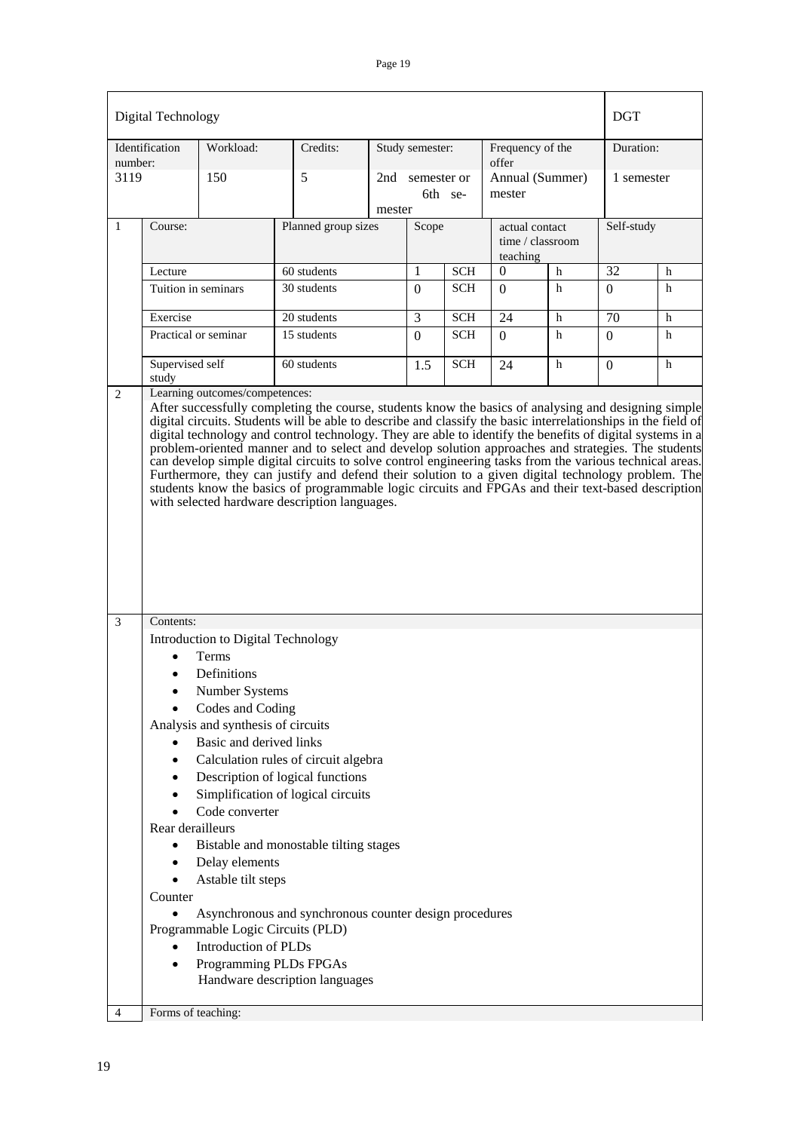| Identification<br>Workload:<br>Credits:<br>Duration:<br>Study semester:<br>Frequency of the<br>number:<br>offer<br>3119<br>5<br>150<br>Annual (Summer)<br>1 semester<br>2nd<br>semester or<br>6th se-<br>mester<br>mester<br>$\mathbf{1}$<br>Planned group sizes<br>Self-study<br>Course:<br>Scope<br>actual contact<br>time / classroom<br>teaching<br>$\overline{32}$<br>1<br>$\Omega$<br>60 students<br><b>SCH</b><br>Lecture<br>h<br>h<br>Tuition in seminars<br>30 students<br><b>SCH</b><br>h<br>h<br>$\Omega$<br>$\Omega$<br>$\Omega$<br>3<br>24<br>20 students<br><b>SCH</b><br>70<br>Exercise<br>h<br>h<br>15 students<br><b>SCH</b><br>h<br>Practical or seminar<br>$\Omega$<br>$\Omega$<br>h<br>$\Omega$<br>Supervised self<br>60 students<br><b>SCH</b><br>h<br>1.5<br>24<br>h<br>$\overline{0}$<br>study<br>Learning outcomes/competences:<br>2<br>After successfully completing the course, students know the basics of analysing and designing simple<br>digital circuits. Students will be able to describe and classify the basic interrelationships in the field of<br>digital technology and control technology. They are able to identify the benefits of digital systems in a<br>problem-oriented manner and to select and develop solution approaches and strategies. The students<br>can develop simple digital circuits to solve control engineering tasks from the various technical areas.<br>Furthermore, they can justify and defend their solution to a given digital technology problem. The<br>students know the basics of programmable logic circuits and FPGAs and their text-based description<br>with selected hardware description languages.<br>$\overline{3}$<br>Contents:<br>Introduction to Digital Technology<br>Terms<br>Definitions<br>Number Systems<br>Codes and Coding<br>Analysis and synthesis of circuits<br>Basic and derived links<br>Calculation rules of circuit algebra<br>Description of logical functions<br>٠<br>Simplification of logical circuits<br>$\bullet$<br>Code converter<br>Rear derailleurs<br>Bistable and monostable tilting stages<br>Delay elements<br>Astable tilt steps<br>Counter<br>Asynchronous and synchronous counter design procedures<br>$\bullet$<br>Programmable Logic Circuits (PLD)<br><b>Introduction of PLDs</b><br>$\bullet$ | Digital Technology |  |  |  |  |  |  |  | <b>DGT</b> |  |  |
|----------------------------------------------------------------------------------------------------------------------------------------------------------------------------------------------------------------------------------------------------------------------------------------------------------------------------------------------------------------------------------------------------------------------------------------------------------------------------------------------------------------------------------------------------------------------------------------------------------------------------------------------------------------------------------------------------------------------------------------------------------------------------------------------------------------------------------------------------------------------------------------------------------------------------------------------------------------------------------------------------------------------------------------------------------------------------------------------------------------------------------------------------------------------------------------------------------------------------------------------------------------------------------------------------------------------------------------------------------------------------------------------------------------------------------------------------------------------------------------------------------------------------------------------------------------------------------------------------------------------------------------------------------------------------------------------------------------------------------------------------------------------------------------------------------------------------------------------------------------------------------------------------------------------------------------------------------------------------------------------------------------------------------------------------------------------------------------------------------------------------------------------------------------------------------------------------------------------------------------------------------------------------------------------------------------------|--------------------|--|--|--|--|--|--|--|------------|--|--|
|                                                                                                                                                                                                                                                                                                                                                                                                                                                                                                                                                                                                                                                                                                                                                                                                                                                                                                                                                                                                                                                                                                                                                                                                                                                                                                                                                                                                                                                                                                                                                                                                                                                                                                                                                                                                                                                                                                                                                                                                                                                                                                                                                                                                                                                                                                                      |                    |  |  |  |  |  |  |  |            |  |  |
|                                                                                                                                                                                                                                                                                                                                                                                                                                                                                                                                                                                                                                                                                                                                                                                                                                                                                                                                                                                                                                                                                                                                                                                                                                                                                                                                                                                                                                                                                                                                                                                                                                                                                                                                                                                                                                                                                                                                                                                                                                                                                                                                                                                                                                                                                                                      |                    |  |  |  |  |  |  |  |            |  |  |
|                                                                                                                                                                                                                                                                                                                                                                                                                                                                                                                                                                                                                                                                                                                                                                                                                                                                                                                                                                                                                                                                                                                                                                                                                                                                                                                                                                                                                                                                                                                                                                                                                                                                                                                                                                                                                                                                                                                                                                                                                                                                                                                                                                                                                                                                                                                      |                    |  |  |  |  |  |  |  |            |  |  |
|                                                                                                                                                                                                                                                                                                                                                                                                                                                                                                                                                                                                                                                                                                                                                                                                                                                                                                                                                                                                                                                                                                                                                                                                                                                                                                                                                                                                                                                                                                                                                                                                                                                                                                                                                                                                                                                                                                                                                                                                                                                                                                                                                                                                                                                                                                                      |                    |  |  |  |  |  |  |  |            |  |  |
|                                                                                                                                                                                                                                                                                                                                                                                                                                                                                                                                                                                                                                                                                                                                                                                                                                                                                                                                                                                                                                                                                                                                                                                                                                                                                                                                                                                                                                                                                                                                                                                                                                                                                                                                                                                                                                                                                                                                                                                                                                                                                                                                                                                                                                                                                                                      |                    |  |  |  |  |  |  |  |            |  |  |
|                                                                                                                                                                                                                                                                                                                                                                                                                                                                                                                                                                                                                                                                                                                                                                                                                                                                                                                                                                                                                                                                                                                                                                                                                                                                                                                                                                                                                                                                                                                                                                                                                                                                                                                                                                                                                                                                                                                                                                                                                                                                                                                                                                                                                                                                                                                      |                    |  |  |  |  |  |  |  |            |  |  |
|                                                                                                                                                                                                                                                                                                                                                                                                                                                                                                                                                                                                                                                                                                                                                                                                                                                                                                                                                                                                                                                                                                                                                                                                                                                                                                                                                                                                                                                                                                                                                                                                                                                                                                                                                                                                                                                                                                                                                                                                                                                                                                                                                                                                                                                                                                                      |                    |  |  |  |  |  |  |  |            |  |  |
|                                                                                                                                                                                                                                                                                                                                                                                                                                                                                                                                                                                                                                                                                                                                                                                                                                                                                                                                                                                                                                                                                                                                                                                                                                                                                                                                                                                                                                                                                                                                                                                                                                                                                                                                                                                                                                                                                                                                                                                                                                                                                                                                                                                                                                                                                                                      |                    |  |  |  |  |  |  |  |            |  |  |
|                                                                                                                                                                                                                                                                                                                                                                                                                                                                                                                                                                                                                                                                                                                                                                                                                                                                                                                                                                                                                                                                                                                                                                                                                                                                                                                                                                                                                                                                                                                                                                                                                                                                                                                                                                                                                                                                                                                                                                                                                                                                                                                                                                                                                                                                                                                      |                    |  |  |  |  |  |  |  |            |  |  |
| Programming PLDs FPGAs<br>$\bullet$<br>Handware description languages                                                                                                                                                                                                                                                                                                                                                                                                                                                                                                                                                                                                                                                                                                                                                                                                                                                                                                                                                                                                                                                                                                                                                                                                                                                                                                                                                                                                                                                                                                                                                                                                                                                                                                                                                                                                                                                                                                                                                                                                                                                                                                                                                                                                                                                |                    |  |  |  |  |  |  |  |            |  |  |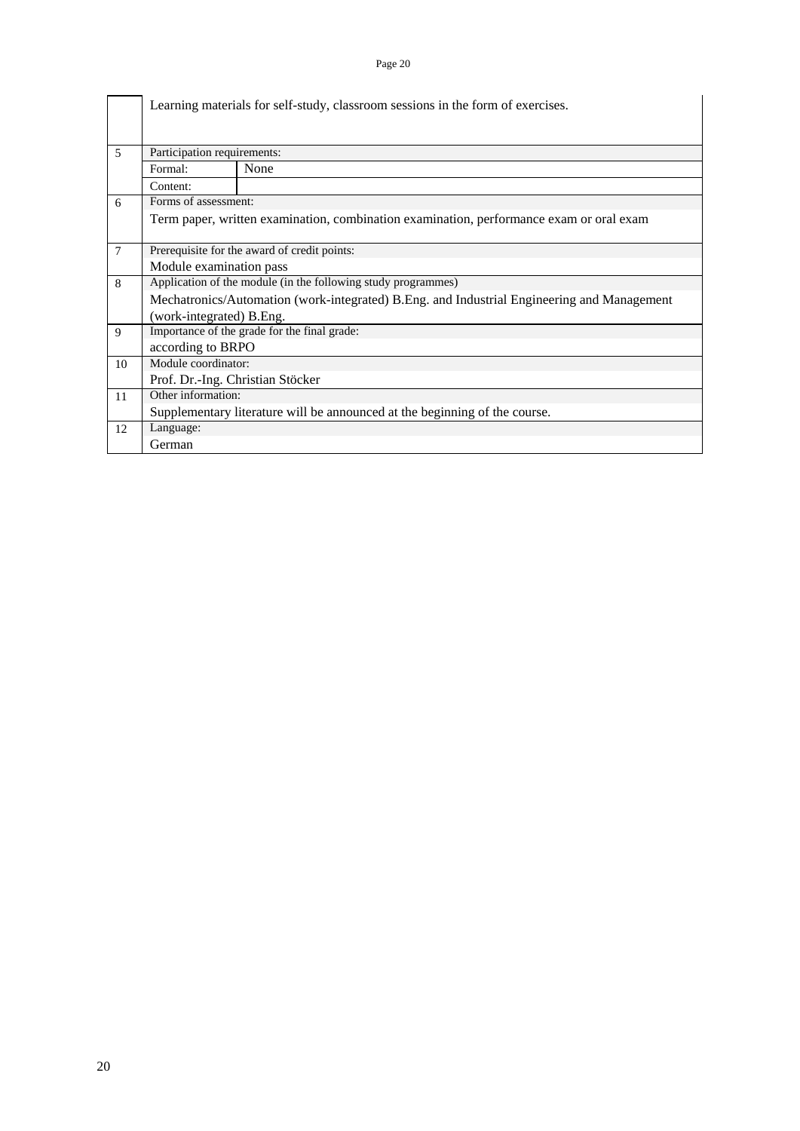|                |                                  | Learning materials for self-study, classroom sessions in the form of exercises.            |  |  |  |  |  |  |  |  |  |  |  |
|----------------|----------------------------------|--------------------------------------------------------------------------------------------|--|--|--|--|--|--|--|--|--|--|--|
| 5              | Participation requirements:      |                                                                                            |  |  |  |  |  |  |  |  |  |  |  |
|                | None<br>Formal:                  |                                                                                            |  |  |  |  |  |  |  |  |  |  |  |
|                | Content:                         |                                                                                            |  |  |  |  |  |  |  |  |  |  |  |
| 6              | Forms of assessment:             |                                                                                            |  |  |  |  |  |  |  |  |  |  |  |
|                |                                  | Term paper, written examination, combination examination, performance exam or oral exam    |  |  |  |  |  |  |  |  |  |  |  |
| $\overline{7}$ |                                  | Prerequisite for the award of credit points:                                               |  |  |  |  |  |  |  |  |  |  |  |
|                | Module examination pass          |                                                                                            |  |  |  |  |  |  |  |  |  |  |  |
| 8              |                                  | Application of the module (in the following study programmes)                              |  |  |  |  |  |  |  |  |  |  |  |
|                |                                  | Mechatronics/Automation (work-integrated) B.Eng. and Industrial Engineering and Management |  |  |  |  |  |  |  |  |  |  |  |
|                | (work-integrated) B.Eng.         |                                                                                            |  |  |  |  |  |  |  |  |  |  |  |
| 9              |                                  | Importance of the grade for the final grade:                                               |  |  |  |  |  |  |  |  |  |  |  |
|                | according to BRPO                |                                                                                            |  |  |  |  |  |  |  |  |  |  |  |
| 10             | Module coordinator:              |                                                                                            |  |  |  |  |  |  |  |  |  |  |  |
|                | Prof. Dr.-Ing. Christian Stöcker |                                                                                            |  |  |  |  |  |  |  |  |  |  |  |
| 11             | Other information:               |                                                                                            |  |  |  |  |  |  |  |  |  |  |  |
|                |                                  | Supplementary literature will be announced at the beginning of the course.                 |  |  |  |  |  |  |  |  |  |  |  |
| 12             | Language:                        |                                                                                            |  |  |  |  |  |  |  |  |  |  |  |
|                | German                           |                                                                                            |  |  |  |  |  |  |  |  |  |  |  |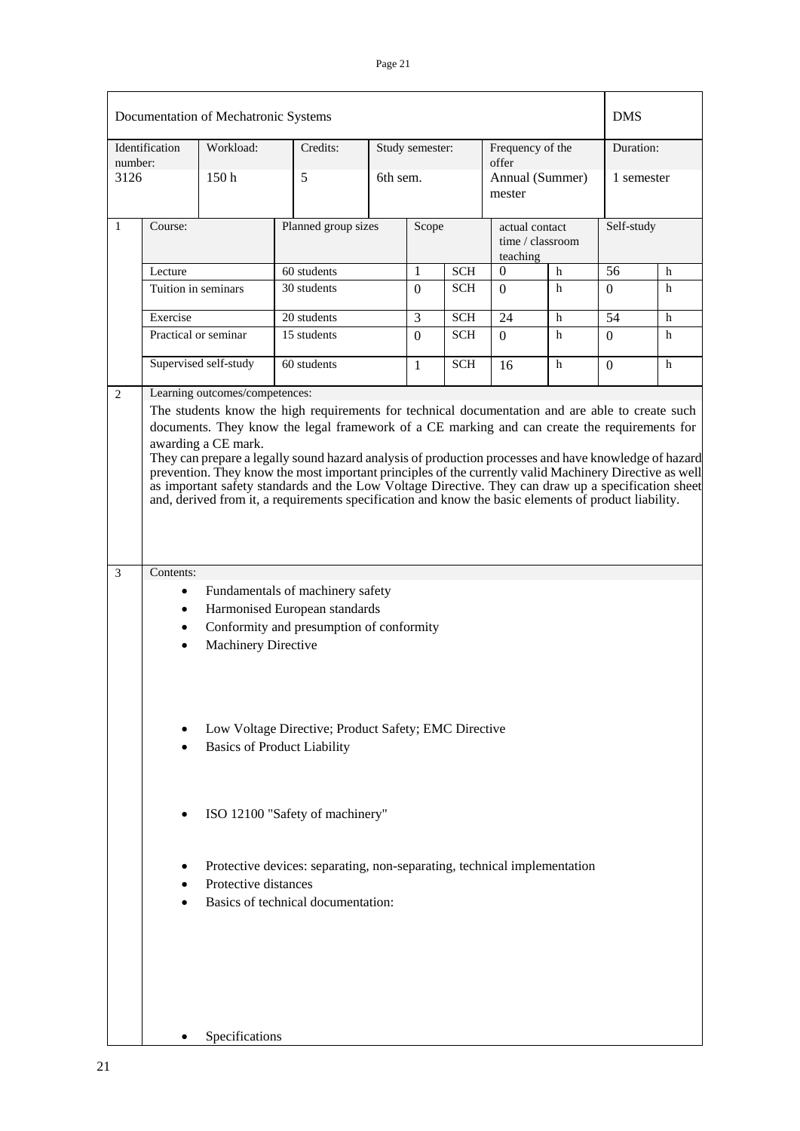|         |                                                                                                                                                                                                                                                                                                                                                                                                                                                                                                                                                                                                                                                          | Documentation of Mechatronic Systems |                                                                                                               |                 |                           |            |                            |                  | <b>DMS</b>     |   |  |
|---------|----------------------------------------------------------------------------------------------------------------------------------------------------------------------------------------------------------------------------------------------------------------------------------------------------------------------------------------------------------------------------------------------------------------------------------------------------------------------------------------------------------------------------------------------------------------------------------------------------------------------------------------------------------|--------------------------------------|---------------------------------------------------------------------------------------------------------------|-----------------|---------------------------|------------|----------------------------|------------------|----------------|---|--|
| number: | Identification                                                                                                                                                                                                                                                                                                                                                                                                                                                                                                                                                                                                                                           | Workload:                            | Credits:                                                                                                      | Study semester: | Frequency of the<br>offer |            | Duration:                  |                  |                |   |  |
| 3126    |                                                                                                                                                                                                                                                                                                                                                                                                                                                                                                                                                                                                                                                          | 150 <sub>h</sub>                     | 5                                                                                                             | 6th sem.        |                           |            | Annual (Summer)<br>mester  |                  | 1 semester     |   |  |
| 1       | Course:                                                                                                                                                                                                                                                                                                                                                                                                                                                                                                                                                                                                                                                  |                                      | Planned group sizes                                                                                           |                 | Scope                     |            | actual contact<br>teaching | time / classroom | Self-study     |   |  |
|         | Lecture                                                                                                                                                                                                                                                                                                                                                                                                                                                                                                                                                                                                                                                  |                                      | 60 students                                                                                                   |                 | 1                         | <b>SCH</b> | $\Omega$                   | h                | 56             | h |  |
|         | Tuition in seminars                                                                                                                                                                                                                                                                                                                                                                                                                                                                                                                                                                                                                                      |                                      | 30 students                                                                                                   |                 |                           | <b>SCH</b> | $\Omega$                   | h                | $\Omega$       | h |  |
|         | Exercise                                                                                                                                                                                                                                                                                                                                                                                                                                                                                                                                                                                                                                                 |                                      | 20 students                                                                                                   |                 | 3                         | <b>SCH</b> | 24                         | h                | 54             | h |  |
|         |                                                                                                                                                                                                                                                                                                                                                                                                                                                                                                                                                                                                                                                          | Practical or seminar                 | 15 students                                                                                                   |                 | $\Omega$                  | <b>SCH</b> | $\Omega$                   | h                | $\Omega$       | h |  |
|         |                                                                                                                                                                                                                                                                                                                                                                                                                                                                                                                                                                                                                                                          | Supervised self-study                | 60 students                                                                                                   |                 | $\mathbf{1}$              | <b>SCH</b> | 16                         | h                | $\overline{0}$ | h |  |
|         | The students know the high requirements for technical documentation and are able to create such<br>documents. They know the legal framework of a CE marking and can create the requirements for<br>awarding a CE mark.<br>They can prepare a legally sound hazard analysis of production processes and have knowledge of hazard<br>prevention. They know the most important principles of the currently valid Machinery Directive as well<br>as important safety standards and the Low Voltage Directive. They can draw up a specification sheet<br>and, derived from it, a requirements specification and know the basic elements of product liability. |                                      |                                                                                                               |                 |                           |            |                            |                  |                |   |  |
| 3       | Contents:                                                                                                                                                                                                                                                                                                                                                                                                                                                                                                                                                                                                                                                |                                      |                                                                                                               |                 |                           |            |                            |                  |                |   |  |
|         | $\bullet$<br>$\bullet$                                                                                                                                                                                                                                                                                                                                                                                                                                                                                                                                                                                                                                   | <b>Machinery Directive</b>           | Fundamentals of machinery safety<br>Harmonised European standards<br>Conformity and presumption of conformity |                 |                           |            |                            |                  |                |   |  |
|         |                                                                                                                                                                                                                                                                                                                                                                                                                                                                                                                                                                                                                                                          |                                      | Low Voltage Directive; Product Safety; EMC Directive<br><b>Basics of Product Liability</b>                    |                 |                           |            |                            |                  |                |   |  |
|         |                                                                                                                                                                                                                                                                                                                                                                                                                                                                                                                                                                                                                                                          |                                      | ISO 12100 "Safety of machinery"                                                                               |                 |                           |            |                            |                  |                |   |  |
|         | Protective devices: separating, non-separating, technical implementation<br>Protective distances<br>Basics of technical documentation:                                                                                                                                                                                                                                                                                                                                                                                                                                                                                                                   |                                      |                                                                                                               |                 |                           |            |                            |                  |                |   |  |
|         |                                                                                                                                                                                                                                                                                                                                                                                                                                                                                                                                                                                                                                                          | Specifications                       |                                                                                                               |                 |                           |            |                            |                  |                |   |  |

ŕ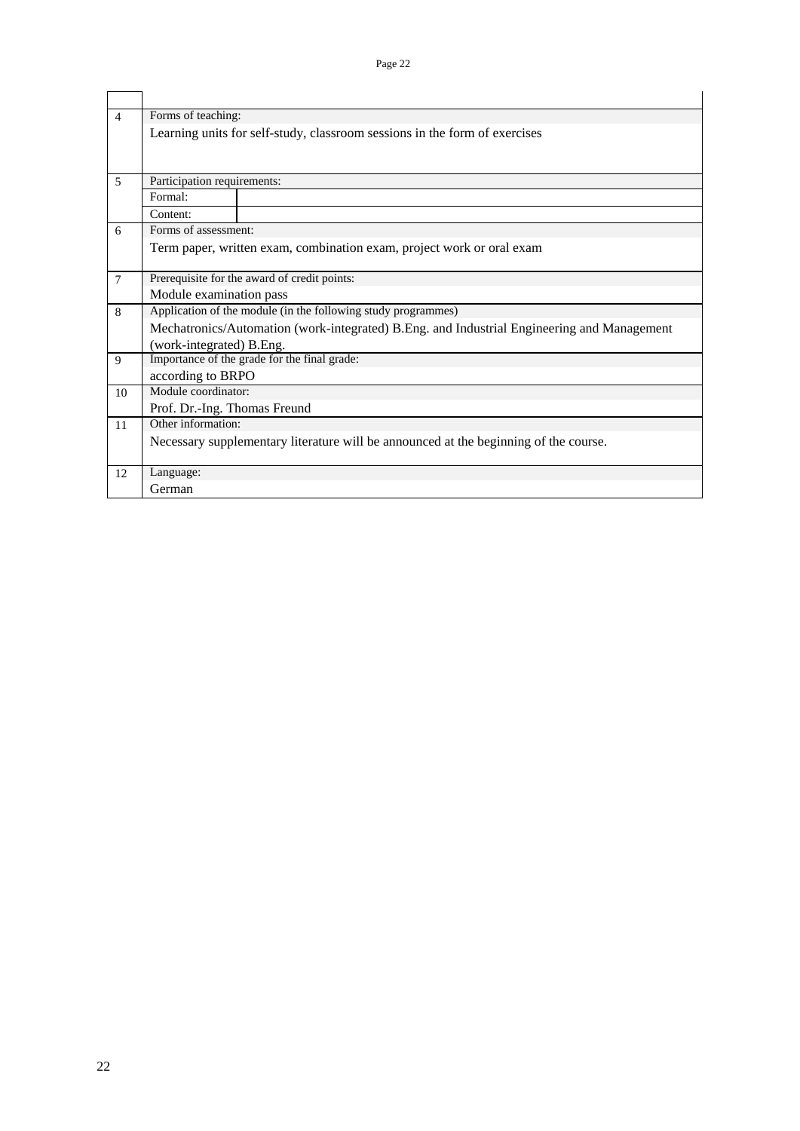| $\overline{\mathcal{A}}$ | Forms of teaching:                                                                         |                                                                                      |  |  |  |  |  |  |  |
|--------------------------|--------------------------------------------------------------------------------------------|--------------------------------------------------------------------------------------|--|--|--|--|--|--|--|
|                          |                                                                                            | Learning units for self-study, classroom sessions in the form of exercises           |  |  |  |  |  |  |  |
| 5                        | Participation requirements:                                                                |                                                                                      |  |  |  |  |  |  |  |
|                          | Formal:                                                                                    |                                                                                      |  |  |  |  |  |  |  |
|                          | Content:                                                                                   |                                                                                      |  |  |  |  |  |  |  |
| 6                        | Forms of assessment:                                                                       |                                                                                      |  |  |  |  |  |  |  |
|                          |                                                                                            | Term paper, written exam, combination exam, project work or oral exam                |  |  |  |  |  |  |  |
| $\overline{7}$           | Prerequisite for the award of credit points:                                               |                                                                                      |  |  |  |  |  |  |  |
|                          | Module examination pass                                                                    |                                                                                      |  |  |  |  |  |  |  |
| 8                        | Application of the module (in the following study programmes)                              |                                                                                      |  |  |  |  |  |  |  |
|                          | Mechatronics/Automation (work-integrated) B.Eng. and Industrial Engineering and Management |                                                                                      |  |  |  |  |  |  |  |
|                          | (work-integrated) B.Eng.                                                                   |                                                                                      |  |  |  |  |  |  |  |
| 9                        | Importance of the grade for the final grade:                                               |                                                                                      |  |  |  |  |  |  |  |
|                          | according to BRPO                                                                          |                                                                                      |  |  |  |  |  |  |  |
| 10                       | Module coordinator:                                                                        |                                                                                      |  |  |  |  |  |  |  |
|                          | Prof. Dr.-Ing. Thomas Freund                                                               |                                                                                      |  |  |  |  |  |  |  |
| 11                       | Other information:                                                                         |                                                                                      |  |  |  |  |  |  |  |
|                          |                                                                                            | Necessary supplementary literature will be announced at the beginning of the course. |  |  |  |  |  |  |  |
| 12                       | Language:                                                                                  |                                                                                      |  |  |  |  |  |  |  |
|                          | German                                                                                     |                                                                                      |  |  |  |  |  |  |  |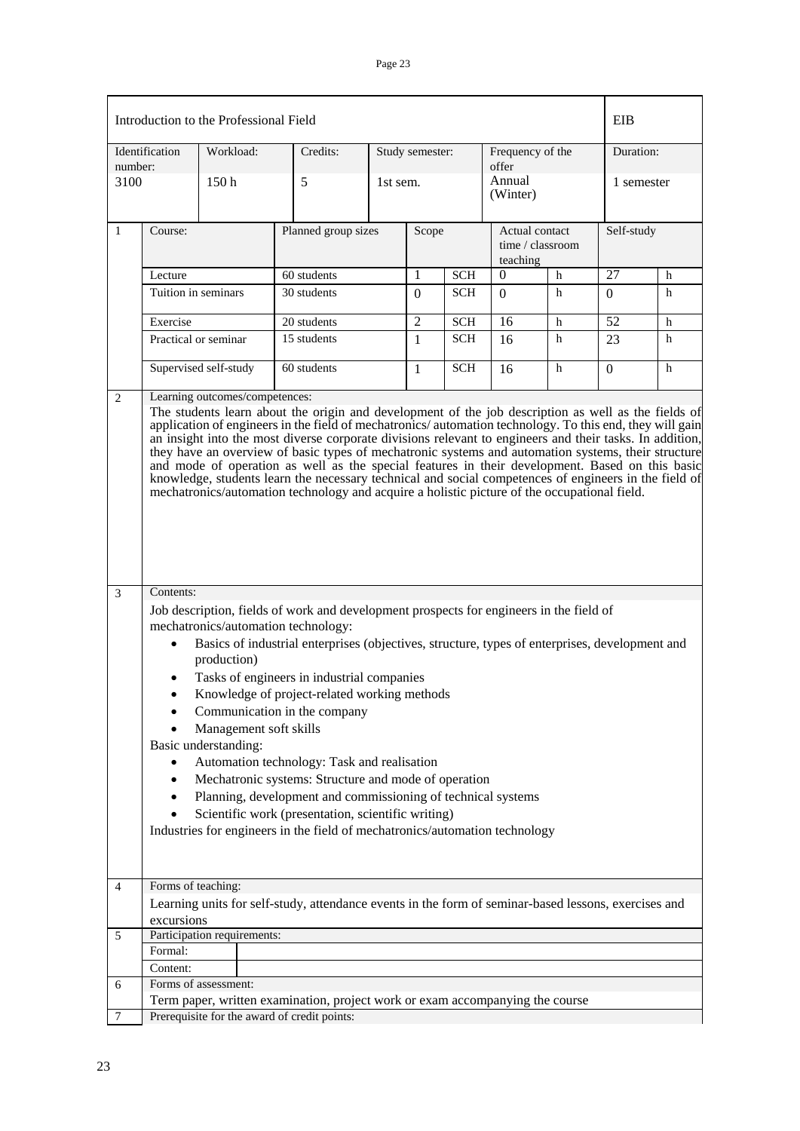|                |                                                                                                                                                                                                                                                                                                                                                                                                                                                                                                                                                                                                                                                                                                                                                                                  | Introduction to the Professional Field |                                                                                                      |            |                 |            |                                                |                    |            | EIB        |  |
|----------------|----------------------------------------------------------------------------------------------------------------------------------------------------------------------------------------------------------------------------------------------------------------------------------------------------------------------------------------------------------------------------------------------------------------------------------------------------------------------------------------------------------------------------------------------------------------------------------------------------------------------------------------------------------------------------------------------------------------------------------------------------------------------------------|----------------------------------------|------------------------------------------------------------------------------------------------------|------------|-----------------|------------|------------------------------------------------|--------------------|------------|------------|--|
| number:        | Identification                                                                                                                                                                                                                                                                                                                                                                                                                                                                                                                                                                                                                                                                                                                                                                   | Workload:                              | Credits:                                                                                             |            | Study semester: |            | Frequency of the<br>offer                      |                    | Duration:  |            |  |
| 3100           |                                                                                                                                                                                                                                                                                                                                                                                                                                                                                                                                                                                                                                                                                                                                                                                  | 150 <sub>h</sub>                       | 5                                                                                                    | 1st sem.   |                 |            |                                                | Annual<br>(Winter) |            | 1 semester |  |
| 1              | Course:                                                                                                                                                                                                                                                                                                                                                                                                                                                                                                                                                                                                                                                                                                                                                                          |                                        | Planned group sizes                                                                                  |            | Scope           |            | Actual contact<br>time / classroom<br>teaching |                    | Self-study |            |  |
|                | Lecture                                                                                                                                                                                                                                                                                                                                                                                                                                                                                                                                                                                                                                                                                                                                                                          |                                        | 60 students                                                                                          |            | 1               | <b>SCH</b> | $\mathbf{0}$                                   | $\mathbf h$        | 27         | h          |  |
|                | Tuition in seminars                                                                                                                                                                                                                                                                                                                                                                                                                                                                                                                                                                                                                                                                                                                                                              |                                        | 30 students                                                                                          |            | $\Omega$        | <b>SCH</b> | $\Omega$                                       | h                  | $\Omega$   | h          |  |
|                | Exercise                                                                                                                                                                                                                                                                                                                                                                                                                                                                                                                                                                                                                                                                                                                                                                         |                                        | 20 students                                                                                          |            | $\overline{2}$  | <b>SCH</b> | 16                                             | h                  | 52         | h          |  |
|                | Practical or seminar                                                                                                                                                                                                                                                                                                                                                                                                                                                                                                                                                                                                                                                                                                                                                             |                                        | 15 students                                                                                          |            | $\mathbf{1}$    | <b>SCH</b> | 16                                             | h                  | 23         | h          |  |
|                | Supervised self-study<br>60 students                                                                                                                                                                                                                                                                                                                                                                                                                                                                                                                                                                                                                                                                                                                                             |                                        | 1                                                                                                    | <b>SCH</b> | 16              | h          | 0                                              | h                  |            |            |  |
| $\overline{2}$ | Learning outcomes/competences:<br>The students learn about the origin and development of the job description as well as the fields of<br>application of engineers in the field of mechatronics/automation technology. To this end, they will gain<br>an insight into the most diverse corporate divisions relevant to engineers and their tasks. In addition,<br>they have an overview of basic types of mechatronic systems and automation systems, their structure<br>and mode of operation as well as the special features in their development. Based on this basic<br>knowledge, students learn the necessary technical and social competences of engineers in the field of<br>mechatronics/automation technology and acquire a holistic picture of the occupational field. |                                        |                                                                                                      |            |                 |            |                                                |                    |            |            |  |
| 3              | Contents:                                                                                                                                                                                                                                                                                                                                                                                                                                                                                                                                                                                                                                                                                                                                                                        |                                        |                                                                                                      |            |                 |            |                                                |                    |            |            |  |
|                | Job description, fields of work and development prospects for engineers in the field of<br>mechatronics/automation technology:<br>Basics of industrial enterprises (objectives, structure, types of enterprises, development and<br>$\bullet$<br>production)<br>Tasks of engineers in industrial companies<br>Knowledge of project-related working methods<br>Communication in the company                                                                                                                                                                                                                                                                                                                                                                                       |                                        |                                                                                                      |            |                 |            |                                                |                    |            |            |  |
|                | Management soft skills<br>Basic understanding:<br>Automation technology: Task and realisation<br>Mechatronic systems: Structure and mode of operation<br>٠<br>Planning, development and commissioning of technical systems<br>$\bullet$<br>Scientific work (presentation, scientific writing)<br>Industries for engineers in the field of mechatronics/automation technology                                                                                                                                                                                                                                                                                                                                                                                                     |                                        |                                                                                                      |            |                 |            |                                                |                    |            |            |  |
| 4              | Forms of teaching:<br>excursions                                                                                                                                                                                                                                                                                                                                                                                                                                                                                                                                                                                                                                                                                                                                                 |                                        | Learning units for self-study, attendance events in the form of seminar-based lessons, exercises and |            |                 |            |                                                |                    |            |            |  |
| 5              |                                                                                                                                                                                                                                                                                                                                                                                                                                                                                                                                                                                                                                                                                                                                                                                  | Participation requirements:            |                                                                                                      |            |                 |            |                                                |                    |            |            |  |
|                | Formal:                                                                                                                                                                                                                                                                                                                                                                                                                                                                                                                                                                                                                                                                                                                                                                          |                                        |                                                                                                      |            |                 |            |                                                |                    |            |            |  |
|                | Content:                                                                                                                                                                                                                                                                                                                                                                                                                                                                                                                                                                                                                                                                                                                                                                         |                                        |                                                                                                      |            |                 |            |                                                |                    |            |            |  |
| 6              |                                                                                                                                                                                                                                                                                                                                                                                                                                                                                                                                                                                                                                                                                                                                                                                  | Forms of assessment:                   |                                                                                                      |            |                 |            |                                                |                    |            |            |  |
|                |                                                                                                                                                                                                                                                                                                                                                                                                                                                                                                                                                                                                                                                                                                                                                                                  |                                        |                                                                                                      |            |                 |            |                                                |                    |            |            |  |
| 7              | Term paper, written examination, project work or exam accompanying the course<br>Prerequisite for the award of credit points:                                                                                                                                                                                                                                                                                                                                                                                                                                                                                                                                                                                                                                                    |                                        |                                                                                                      |            |                 |            |                                                |                    |            |            |  |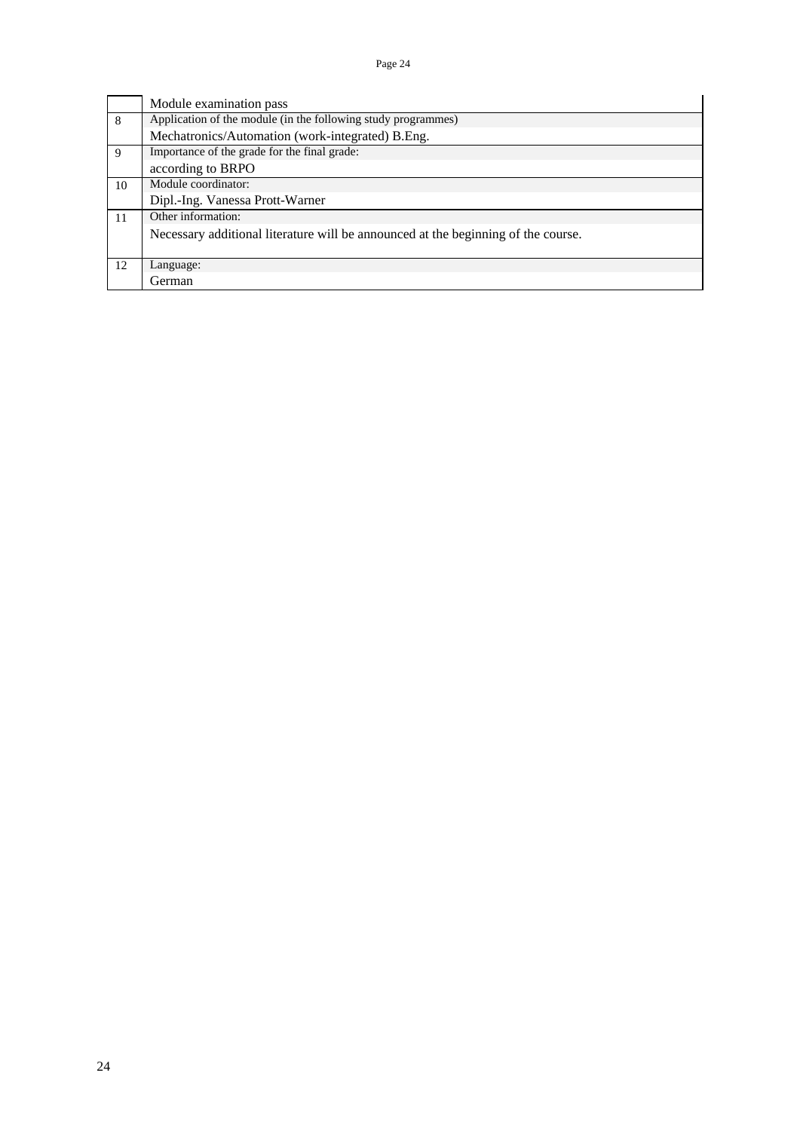|    | Module examination pass                                                           |  |  |  |  |  |  |
|----|-----------------------------------------------------------------------------------|--|--|--|--|--|--|
| 8  | Application of the module (in the following study programmes)                     |  |  |  |  |  |  |
|    | Mechatronics/Automation (work-integrated) B.Eng.                                  |  |  |  |  |  |  |
| 9  | Importance of the grade for the final grade:                                      |  |  |  |  |  |  |
|    | according to BRPO                                                                 |  |  |  |  |  |  |
| 10 | Module coordinator:                                                               |  |  |  |  |  |  |
|    | Dipl.-Ing. Vanessa Prott-Warner                                                   |  |  |  |  |  |  |
| 11 | Other information:                                                                |  |  |  |  |  |  |
|    | Necessary additional literature will be announced at the beginning of the course. |  |  |  |  |  |  |
|    |                                                                                   |  |  |  |  |  |  |
| 12 | Language:                                                                         |  |  |  |  |  |  |
|    | Cierman)                                                                          |  |  |  |  |  |  |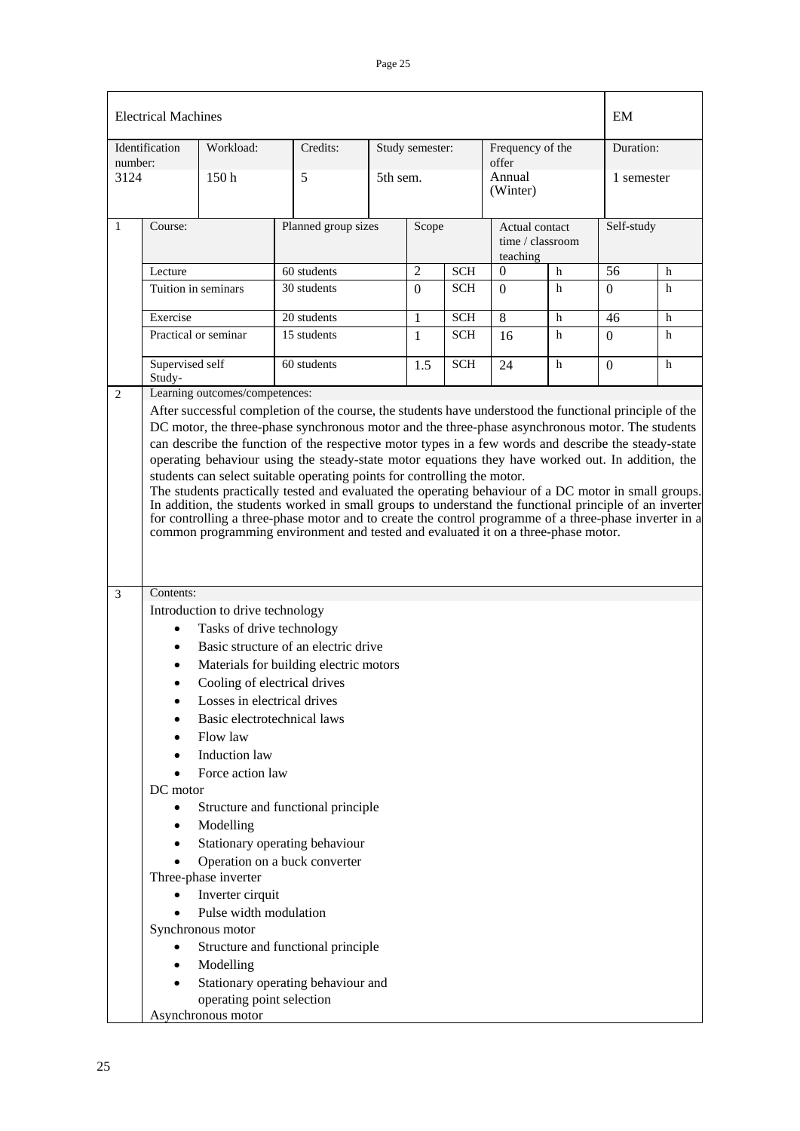|                                     | <b>Electrical Machines</b>                                                                                                  |                                                                                                                                                                                              |  |                 |            |                    |                                    | EM         |           |  |
|-------------------------------------|-----------------------------------------------------------------------------------------------------------------------------|----------------------------------------------------------------------------------------------------------------------------------------------------------------------------------------------|--|-----------------|------------|--------------------|------------------------------------|------------|-----------|--|
| Identification<br>number:           | Workload:                                                                                                                   | Credits:                                                                                                                                                                                     |  | Study semester: |            |                    | Frequency of the<br>offer          |            | Duration: |  |
| 3124                                | 150 <sub>h</sub>                                                                                                            | 5                                                                                                                                                                                            |  | 5th sem.        |            | Annual<br>(Winter) |                                    | 1 semester |           |  |
| Course:<br>1                        |                                                                                                                             | Planned group sizes                                                                                                                                                                          |  | Scope           |            | teaching           | Actual contact<br>time / classroom | Self-study |           |  |
| Lecture                             |                                                                                                                             | 60 students                                                                                                                                                                                  |  | $\overline{2}$  | <b>SCH</b> | 0                  | h                                  | 56         | h         |  |
|                                     | Tuition in seminars                                                                                                         | 30 students                                                                                                                                                                                  |  | $\overline{0}$  | SCH        | $\Omega$           | h                                  | $\Omega$   | h         |  |
| Exercise                            |                                                                                                                             | 20 students                                                                                                                                                                                  |  | $\mathbf{1}$    | <b>SCH</b> | 8                  | h                                  | 46         | h         |  |
|                                     | Practical or seminar                                                                                                        | 15 students                                                                                                                                                                                  |  | $\mathbf{1}$    | <b>SCH</b> | 16                 | h                                  | $\Omega$   | h         |  |
| Study-                              | Supervised self<br>60 students                                                                                              |                                                                                                                                                                                              |  | 1.5             | <b>SCH</b> | 24                 | h                                  | $\theta$   | h         |  |
| Contents:<br>3                      |                                                                                                                             | for controlling a three-phase motor and to create the control programme of a three-phase inverter in a<br>common programming environment and tested and evaluated it on a three-phase motor. |  |                 |            |                    |                                    |            |           |  |
| $\bullet$<br>$\bullet$<br>$\bullet$ | Introduction to drive technology<br>Tasks of drive technology<br>Losses in electrical drives<br>Basic electrotechnical laws | Basic structure of an electric drive<br>Materials for building electric motors<br>Cooling of electrical drives                                                                               |  |                 |            |                    |                                    |            |           |  |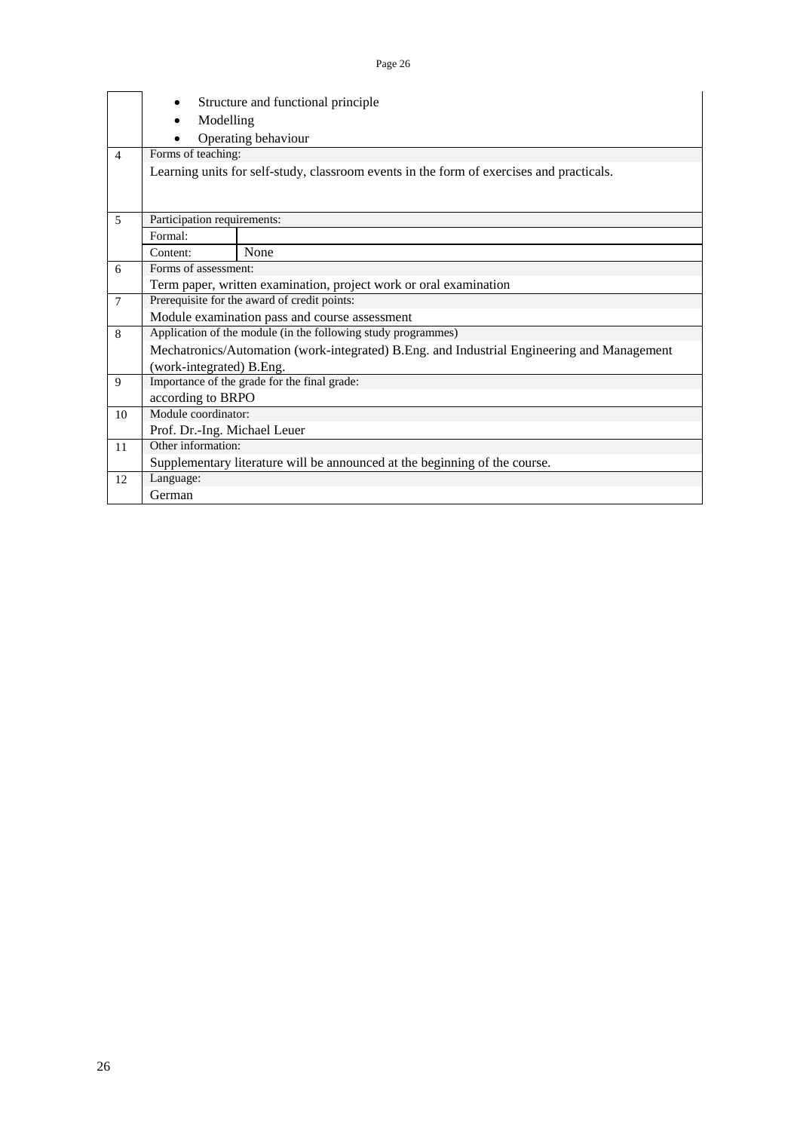|                |                                                                                          | Structure and functional principle                                                         |  |  |  |  |  |  |  |  |
|----------------|------------------------------------------------------------------------------------------|--------------------------------------------------------------------------------------------|--|--|--|--|--|--|--|--|
|                | Modelling<br>$\bullet$                                                                   |                                                                                            |  |  |  |  |  |  |  |  |
|                |                                                                                          | Operating behaviour                                                                        |  |  |  |  |  |  |  |  |
| $\overline{4}$ | Forms of teaching:                                                                       |                                                                                            |  |  |  |  |  |  |  |  |
|                | Learning units for self-study, classroom events in the form of exercises and practicals. |                                                                                            |  |  |  |  |  |  |  |  |
|                |                                                                                          |                                                                                            |  |  |  |  |  |  |  |  |
|                |                                                                                          |                                                                                            |  |  |  |  |  |  |  |  |
| 5              | Participation requirements:                                                              |                                                                                            |  |  |  |  |  |  |  |  |
|                | Formal:                                                                                  |                                                                                            |  |  |  |  |  |  |  |  |
|                | None<br>Content:                                                                         |                                                                                            |  |  |  |  |  |  |  |  |
| 6              | Forms of assessment:                                                                     |                                                                                            |  |  |  |  |  |  |  |  |
|                | Term paper, written examination, project work or oral examination                        |                                                                                            |  |  |  |  |  |  |  |  |
| $\overline{7}$ |                                                                                          | Prerequisite for the award of credit points:                                               |  |  |  |  |  |  |  |  |
|                |                                                                                          | Module examination pass and course assessment                                              |  |  |  |  |  |  |  |  |
| 8              |                                                                                          | Application of the module (in the following study programmes)                              |  |  |  |  |  |  |  |  |
|                |                                                                                          | Mechatronics/Automation (work-integrated) B.Eng. and Industrial Engineering and Management |  |  |  |  |  |  |  |  |
|                | (work-integrated) B.Eng.                                                                 |                                                                                            |  |  |  |  |  |  |  |  |
| 9              |                                                                                          | Importance of the grade for the final grade:                                               |  |  |  |  |  |  |  |  |
|                | according to BRPO                                                                        |                                                                                            |  |  |  |  |  |  |  |  |
| 10             | Module coordinator:                                                                      |                                                                                            |  |  |  |  |  |  |  |  |
|                | Prof. Dr.-Ing. Michael Leuer                                                             |                                                                                            |  |  |  |  |  |  |  |  |
| 11             | Other information:                                                                       |                                                                                            |  |  |  |  |  |  |  |  |
|                |                                                                                          | Supplementary literature will be announced at the beginning of the course.                 |  |  |  |  |  |  |  |  |
| 12             | Language:                                                                                |                                                                                            |  |  |  |  |  |  |  |  |
|                | German                                                                                   |                                                                                            |  |  |  |  |  |  |  |  |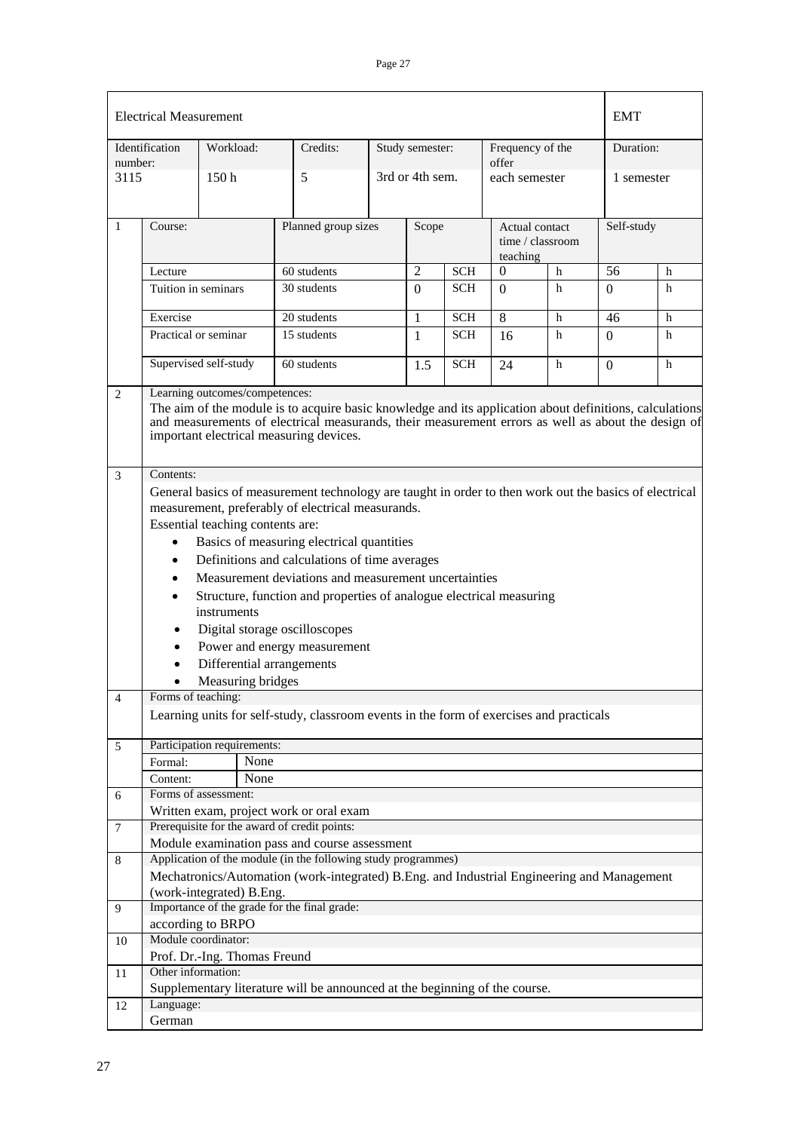|                     | <b>Electrical Measurement</b>                                                                                                                                                                                                                                                                                                                                                                                                                                                                                                                                                                                                                         |                              |                                                                                            |   |                 |            |                                                | EMT           |            |            |  |
|---------------------|-------------------------------------------------------------------------------------------------------------------------------------------------------------------------------------------------------------------------------------------------------------------------------------------------------------------------------------------------------------------------------------------------------------------------------------------------------------------------------------------------------------------------------------------------------------------------------------------------------------------------------------------------------|------------------------------|--------------------------------------------------------------------------------------------|---|-----------------|------------|------------------------------------------------|---------------|------------|------------|--|
|                     | Identification                                                                                                                                                                                                                                                                                                                                                                                                                                                                                                                                                                                                                                        | Workload:                    | Credits:                                                                                   |   | Study semester: |            | Frequency of the                               |               | Duration:  |            |  |
| number:<br>3115     |                                                                                                                                                                                                                                                                                                                                                                                                                                                                                                                                                                                                                                                       | 150 <sub>h</sub>             | 5                                                                                          |   | 3rd or 4th sem. |            | offer                                          | each semester |            | 1 semester |  |
| 1                   | Course:                                                                                                                                                                                                                                                                                                                                                                                                                                                                                                                                                                                                                                               |                              | Planned group sizes                                                                        |   | Scope           |            | Actual contact<br>time / classroom<br>teaching |               | Self-study |            |  |
|                     | Lecture                                                                                                                                                                                                                                                                                                                                                                                                                                                                                                                                                                                                                                               |                              | 60 students                                                                                |   | $\overline{2}$  | <b>SCH</b> | $\Omega$                                       | h             | 56         | h          |  |
|                     | Tuition in seminars                                                                                                                                                                                                                                                                                                                                                                                                                                                                                                                                                                                                                                   |                              | 30 students                                                                                |   | $\Omega$        | <b>SCH</b> | $\Omega$                                       | h             | 0          | h          |  |
|                     | Exercise                                                                                                                                                                                                                                                                                                                                                                                                                                                                                                                                                                                                                                              |                              | 20 students                                                                                |   | 1               | <b>SCH</b> | 8                                              | h             | 46         | h          |  |
|                     |                                                                                                                                                                                                                                                                                                                                                                                                                                                                                                                                                                                                                                                       | Practical or seminar         | 15 students                                                                                | 1 |                 | <b>SCH</b> | 16                                             | h             | 0          | h          |  |
|                     |                                                                                                                                                                                                                                                                                                                                                                                                                                                                                                                                                                                                                                                       | Supervised self-study        | 60 students                                                                                |   | 1.5             | <b>SCH</b> | 24                                             | h             | 0          | h          |  |
| $\overline{c}$<br>3 | Learning outcomes/competences:<br>The aim of the module is to acquire basic knowledge and its application about definitions, calculations<br>and measurements of electrical measurands, their measurement errors as well as about the design of<br>important electrical measuring devices.                                                                                                                                                                                                                                                                                                                                                            |                              |                                                                                            |   |                 |            |                                                |               |            |            |  |
| $\overline{4}$      | Contents:<br>General basics of measurement technology are taught in order to then work out the basics of electrical<br>measurement, preferably of electrical measurands.<br>Essential teaching contents are:<br>Basics of measuring electrical quantities<br>$\bullet$<br>Definitions and calculations of time averages<br>$\bullet$<br>Measurement deviations and measurement uncertainties<br>$\bullet$<br>Structure, function and properties of analogue electrical measuring<br>$\bullet$<br>instruments<br>Digital storage oscilloscopes<br>Power and energy measurement<br>Differential arrangements<br>Measuring bridges<br>Forms of teaching: |                              |                                                                                            |   |                 |            |                                                |               |            |            |  |
|                     |                                                                                                                                                                                                                                                                                                                                                                                                                                                                                                                                                                                                                                                       |                              | Learning units for self-study, classroom events in the form of exercises and practicals    |   |                 |            |                                                |               |            |            |  |
| 5                   |                                                                                                                                                                                                                                                                                                                                                                                                                                                                                                                                                                                                                                                       | Participation requirements:  |                                                                                            |   |                 |            |                                                |               |            |            |  |
|                     | Formal:                                                                                                                                                                                                                                                                                                                                                                                                                                                                                                                                                                                                                                               | None                         |                                                                                            |   |                 |            |                                                |               |            |            |  |
|                     | Content:                                                                                                                                                                                                                                                                                                                                                                                                                                                                                                                                                                                                                                              | None                         |                                                                                            |   |                 |            |                                                |               |            |            |  |
| 6                   |                                                                                                                                                                                                                                                                                                                                                                                                                                                                                                                                                                                                                                                       | Forms of assessment:         |                                                                                            |   |                 |            |                                                |               |            |            |  |
|                     |                                                                                                                                                                                                                                                                                                                                                                                                                                                                                                                                                                                                                                                       |                              | Written exam, project work or oral exam                                                    |   |                 |            |                                                |               |            |            |  |
| 7                   |                                                                                                                                                                                                                                                                                                                                                                                                                                                                                                                                                                                                                                                       |                              | Prerequisite for the award of credit points:                                               |   |                 |            |                                                |               |            |            |  |
|                     |                                                                                                                                                                                                                                                                                                                                                                                                                                                                                                                                                                                                                                                       |                              | Module examination pass and course assessment                                              |   |                 |            |                                                |               |            |            |  |
| 8                   |                                                                                                                                                                                                                                                                                                                                                                                                                                                                                                                                                                                                                                                       |                              | Application of the module (in the following study programmes)                              |   |                 |            |                                                |               |            |            |  |
|                     |                                                                                                                                                                                                                                                                                                                                                                                                                                                                                                                                                                                                                                                       |                              | Mechatronics/Automation (work-integrated) B.Eng. and Industrial Engineering and Management |   |                 |            |                                                |               |            |            |  |
|                     |                                                                                                                                                                                                                                                                                                                                                                                                                                                                                                                                                                                                                                                       | (work-integrated) B.Eng.     |                                                                                            |   |                 |            |                                                |               |            |            |  |
| 9                   |                                                                                                                                                                                                                                                                                                                                                                                                                                                                                                                                                                                                                                                       |                              | Importance of the grade for the final grade:                                               |   |                 |            |                                                |               |            |            |  |
|                     |                                                                                                                                                                                                                                                                                                                                                                                                                                                                                                                                                                                                                                                       | according to BRPO            |                                                                                            |   |                 |            |                                                |               |            |            |  |
| 10                  |                                                                                                                                                                                                                                                                                                                                                                                                                                                                                                                                                                                                                                                       | Module coordinator:          |                                                                                            |   |                 |            |                                                |               |            |            |  |
|                     |                                                                                                                                                                                                                                                                                                                                                                                                                                                                                                                                                                                                                                                       | Prof. Dr.-Ing. Thomas Freund |                                                                                            |   |                 |            |                                                |               |            |            |  |
| 11                  | Other information:                                                                                                                                                                                                                                                                                                                                                                                                                                                                                                                                                                                                                                    |                              |                                                                                            |   |                 |            |                                                |               |            |            |  |
|                     |                                                                                                                                                                                                                                                                                                                                                                                                                                                                                                                                                                                                                                                       |                              | Supplementary literature will be announced at the beginning of the course.                 |   |                 |            |                                                |               |            |            |  |
| 12                  | Language:                                                                                                                                                                                                                                                                                                                                                                                                                                                                                                                                                                                                                                             |                              |                                                                                            |   |                 |            |                                                |               |            |            |  |
|                     | German                                                                                                                                                                                                                                                                                                                                                                                                                                                                                                                                                                                                                                                |                              |                                                                                            |   |                 |            |                                                |               |            |            |  |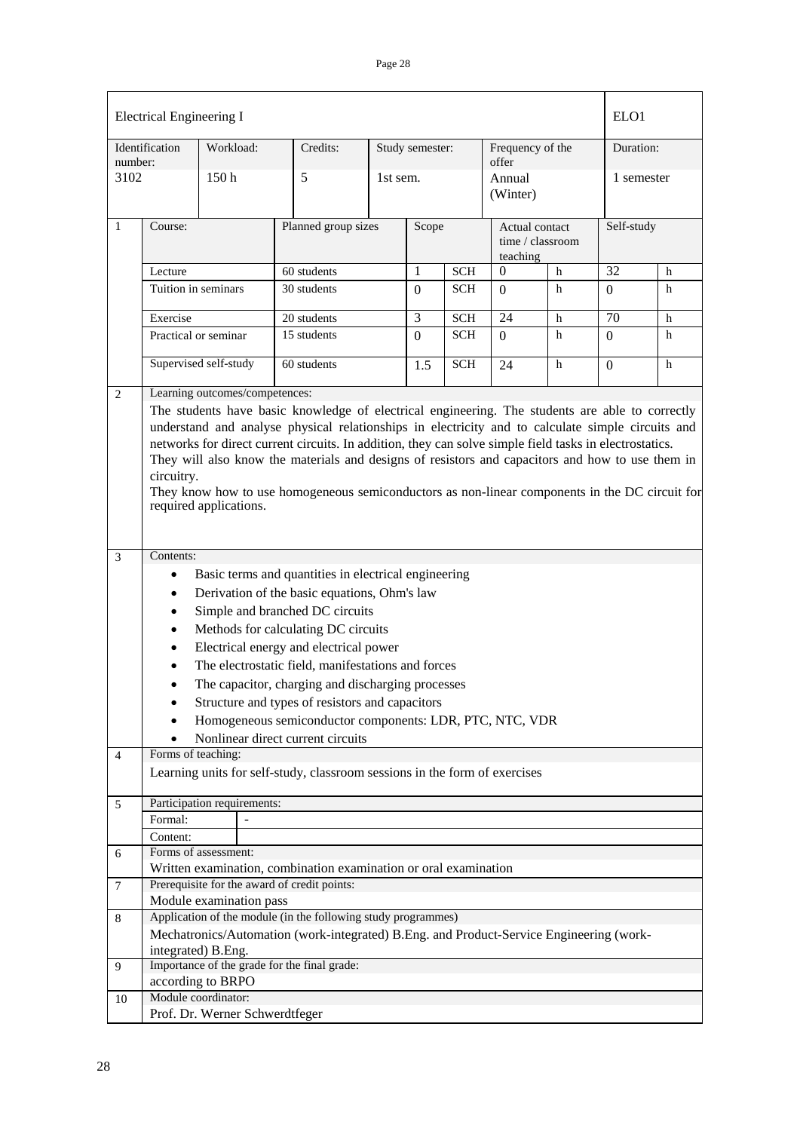|                | <b>Electrical Engineering I</b><br>ELO <sub>1</sub>                                                                                                                                                                                                                                                                                                                                                                                                                                                                                                           |                       |          |                                                                                         |          |                 |                      |                           |                                    |           |            |  |
|----------------|---------------------------------------------------------------------------------------------------------------------------------------------------------------------------------------------------------------------------------------------------------------------------------------------------------------------------------------------------------------------------------------------------------------------------------------------------------------------------------------------------------------------------------------------------------------|-----------------------|----------|-----------------------------------------------------------------------------------------|----------|-----------------|----------------------|---------------------------|------------------------------------|-----------|------------|--|
| number:        | Identification                                                                                                                                                                                                                                                                                                                                                                                                                                                                                                                                                | Workload:             |          | Credits:                                                                                |          | Study semester: |                      | Frequency of the<br>offer |                                    | Duration: |            |  |
| 3102           |                                                                                                                                                                                                                                                                                                                                                                                                                                                                                                                                                               | 150h                  |          | 5                                                                                       | 1st sem. |                 |                      | Annual<br>(Winter)        |                                    |           | 1 semester |  |
| 1              | Course:                                                                                                                                                                                                                                                                                                                                                                                                                                                                                                                                                       |                       |          | Planned group sizes                                                                     |          | Scope           |                      | teaching                  | Actual contact<br>time / classroom |           | Self-study |  |
|                | Lecture                                                                                                                                                                                                                                                                                                                                                                                                                                                                                                                                                       |                       |          | 60 students                                                                             |          | 1               | <b>SCH</b>           | $\boldsymbol{0}$          | h                                  | 32        | h          |  |
|                | Tuition in seminars                                                                                                                                                                                                                                                                                                                                                                                                                                                                                                                                           |                       |          | 30 students                                                                             |          | $\Omega$        | <b>SCH</b>           | $\Omega$                  | h                                  | $\Omega$  | h          |  |
|                | Exercise                                                                                                                                                                                                                                                                                                                                                                                                                                                                                                                                                      |                       |          | 20 students                                                                             |          | $\overline{3}$  | $\operatorname{SCH}$ | 24                        | h                                  | 70        | h          |  |
|                | 15 students<br>Practical or seminar                                                                                                                                                                                                                                                                                                                                                                                                                                                                                                                           |                       | $\Omega$ | <b>SCH</b>                                                                              | $\Omega$ | h               | $\theta$             | h                         |                                    |           |            |  |
|                |                                                                                                                                                                                                                                                                                                                                                                                                                                                                                                                                                               | Supervised self-study |          | 60 students                                                                             |          | 1.5             | <b>SCH</b>           | 24                        | h                                  | $\Omega$  | h          |  |
| $\overline{2}$ | Learning outcomes/competences:                                                                                                                                                                                                                                                                                                                                                                                                                                                                                                                                |                       |          |                                                                                         |          |                 |                      |                           |                                    |           |            |  |
|                | The students have basic knowledge of electrical engineering. The students are able to correctly<br>understand and analyse physical relationships in electricity and to calculate simple circuits and<br>networks for direct current circuits. In addition, they can solve simple field tasks in electrostatics.<br>They will also know the materials and designs of resistors and capacitors and how to use them in<br>circuitry.<br>They know how to use homogeneous semiconductors as non-linear components in the DC circuit for<br>required applications. |                       |          |                                                                                         |          |                 |                      |                           |                                    |           |            |  |
|                |                                                                                                                                                                                                                                                                                                                                                                                                                                                                                                                                                               |                       |          |                                                                                         |          |                 |                      |                           |                                    |           |            |  |
| 3              | Contents:<br>Basic terms and quantities in electrical engineering<br>$\bullet$<br>Derivation of the basic equations, Ohm's law<br>$\bullet$<br>Simple and branched DC circuits<br>$\bullet$<br>Methods for calculating DC circuits<br>$\bullet$<br>Electrical energy and electrical power<br>$\bullet$<br>The electrostatic field, manifestations and forces<br>The capacitor, charging and discharging processes<br>Structure and types of resistors and capacitors<br>٠<br>Homogeneous semiconductor components: LDR, PTC, NTC, VDR<br>$\bullet$            |                       |          |                                                                                         |          |                 |                      |                           |                                    |           |            |  |
|                | Forms of teaching:                                                                                                                                                                                                                                                                                                                                                                                                                                                                                                                                            |                       |          | Nonlinear direct current circuits                                                       |          |                 |                      |                           |                                    |           |            |  |
| 4              |                                                                                                                                                                                                                                                                                                                                                                                                                                                                                                                                                               |                       |          | Learning units for self-study, classroom sessions in the form of exercises              |          |                 |                      |                           |                                    |           |            |  |
|                |                                                                                                                                                                                                                                                                                                                                                                                                                                                                                                                                                               |                       |          |                                                                                         |          |                 |                      |                           |                                    |           |            |  |
| 5              | Participation requirements:<br>Formal:                                                                                                                                                                                                                                                                                                                                                                                                                                                                                                                        |                       |          |                                                                                         |          |                 |                      |                           |                                    |           |            |  |
|                |                                                                                                                                                                                                                                                                                                                                                                                                                                                                                                                                                               |                       |          |                                                                                         |          |                 |                      |                           |                                    |           |            |  |
|                | Content:<br>Forms of assessment:                                                                                                                                                                                                                                                                                                                                                                                                                                                                                                                              |                       |          |                                                                                         |          |                 |                      |                           |                                    |           |            |  |
| 6              |                                                                                                                                                                                                                                                                                                                                                                                                                                                                                                                                                               |                       |          | Written examination, combination examination or oral examination                        |          |                 |                      |                           |                                    |           |            |  |
| 7              |                                                                                                                                                                                                                                                                                                                                                                                                                                                                                                                                                               |                       |          | Prerequisite for the award of credit points:                                            |          |                 |                      |                           |                                    |           |            |  |
|                | Module examination pass                                                                                                                                                                                                                                                                                                                                                                                                                                                                                                                                       |                       |          |                                                                                         |          |                 |                      |                           |                                    |           |            |  |
| 8              |                                                                                                                                                                                                                                                                                                                                                                                                                                                                                                                                                               |                       |          | Application of the module (in the following study programmes)                           |          |                 |                      |                           |                                    |           |            |  |
|                |                                                                                                                                                                                                                                                                                                                                                                                                                                                                                                                                                               |                       |          | Mechatronics/Automation (work-integrated) B.Eng. and Product-Service Engineering (work- |          |                 |                      |                           |                                    |           |            |  |
|                | integrated) B.Eng.                                                                                                                                                                                                                                                                                                                                                                                                                                                                                                                                            |                       |          |                                                                                         |          |                 |                      |                           |                                    |           |            |  |
| 9              |                                                                                                                                                                                                                                                                                                                                                                                                                                                                                                                                                               |                       |          | Importance of the grade for the final grade:                                            |          |                 |                      |                           |                                    |           |            |  |
|                | according to BRPO                                                                                                                                                                                                                                                                                                                                                                                                                                                                                                                                             |                       |          |                                                                                         |          |                 |                      |                           |                                    |           |            |  |
| 10             | Module coordinator:                                                                                                                                                                                                                                                                                                                                                                                                                                                                                                                                           |                       |          |                                                                                         |          |                 |                      |                           |                                    |           |            |  |
|                | Prof. Dr. Werner Schwerdtfeger                                                                                                                                                                                                                                                                                                                                                                                                                                                                                                                                |                       |          |                                                                                         |          |                 |                      |                           |                                    |           |            |  |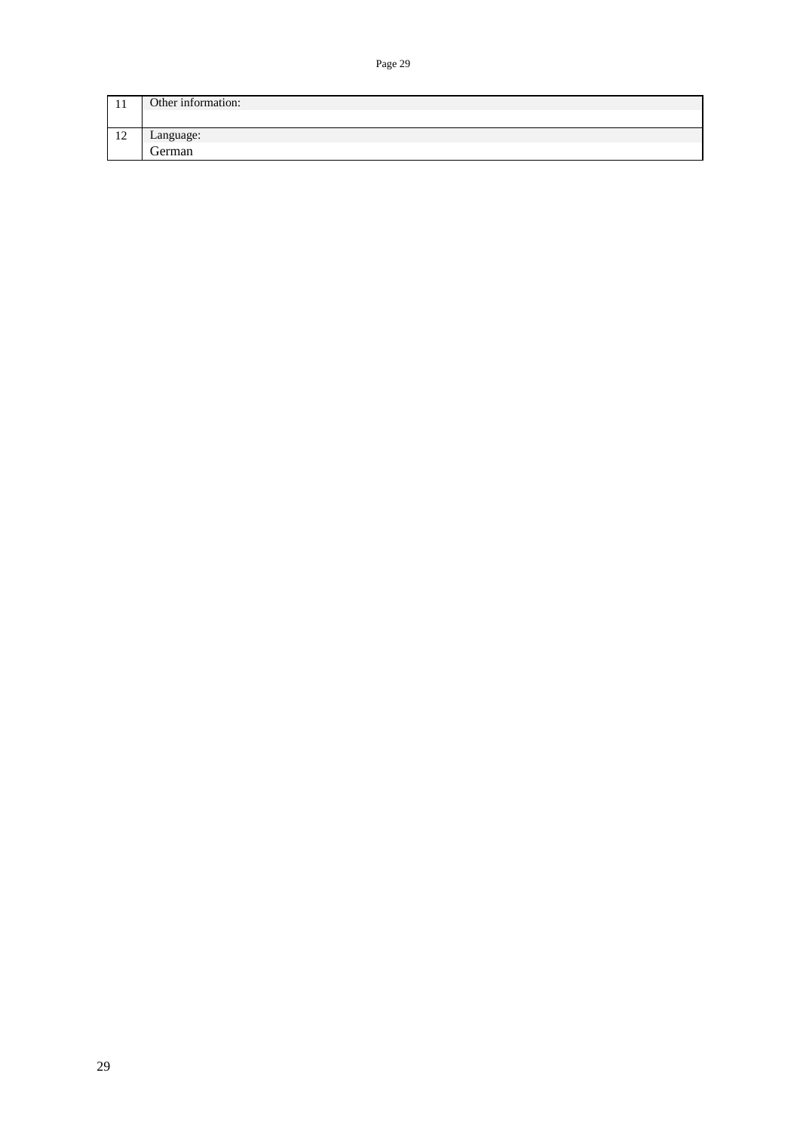| 1 T                  | Other information: |
|----------------------|--------------------|
|                      |                    |
| 1 <sub>0</sub><br>14 | Language:          |
|                      | German             |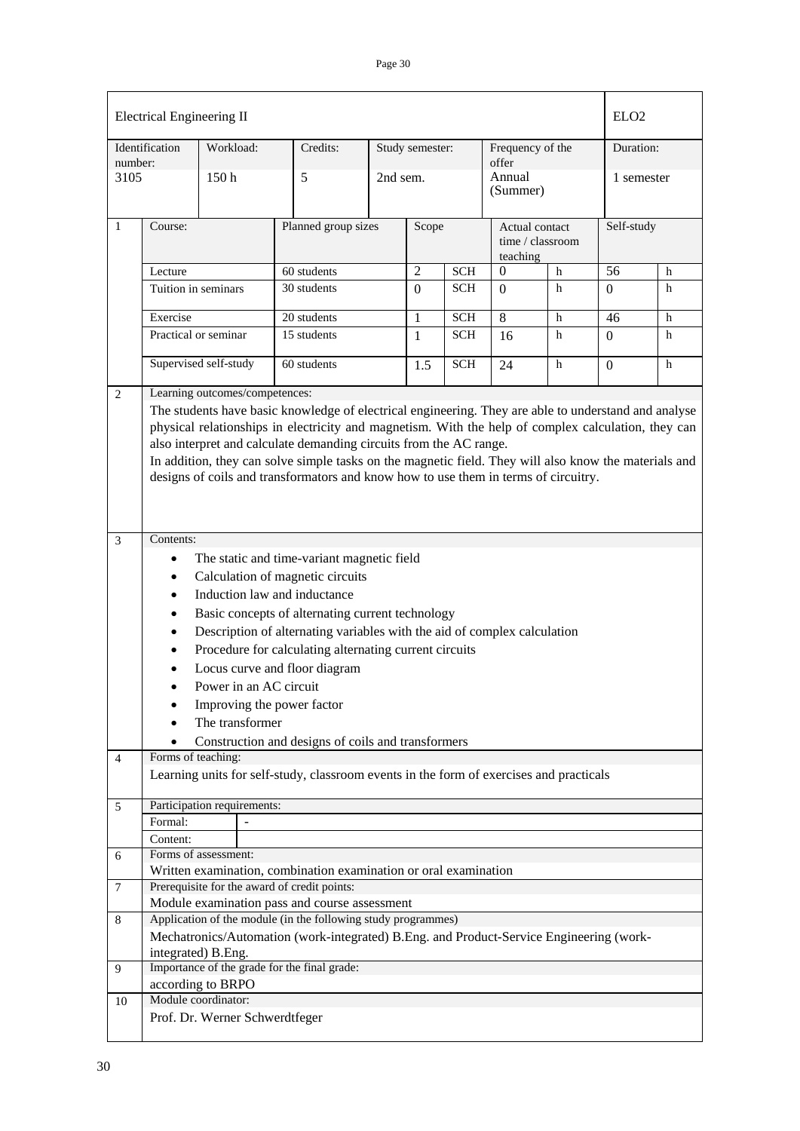|                | <b>Electrical Engineering II</b>                                                                                                                                                                                                                                                                                                                                                                                                                                                                                    |                                                       |                                                                                                                                                                                                           |                              |                 |            |                                                |   | ELO <sub>2</sub> |           |  |
|----------------|---------------------------------------------------------------------------------------------------------------------------------------------------------------------------------------------------------------------------------------------------------------------------------------------------------------------------------------------------------------------------------------------------------------------------------------------------------------------------------------------------------------------|-------------------------------------------------------|-----------------------------------------------------------------------------------------------------------------------------------------------------------------------------------------------------------|------------------------------|-----------------|------------|------------------------------------------------|---|------------------|-----------|--|
| number:        | Identification                                                                                                                                                                                                                                                                                                                                                                                                                                                                                                      | Workload:                                             | Credits:                                                                                                                                                                                                  |                              | Study semester: |            | Frequency of the<br>offer                      |   |                  | Duration: |  |
| 3105           |                                                                                                                                                                                                                                                                                                                                                                                                                                                                                                                     | 150 <sub>h</sub>                                      | 5                                                                                                                                                                                                         | 2nd sem.                     |                 |            | Annual<br>(Summer)                             |   | 1 semester       |           |  |
| 1              | Course:                                                                                                                                                                                                                                                                                                                                                                                                                                                                                                             |                                                       |                                                                                                                                                                                                           | Planned group sizes<br>Scope |                 |            | Actual contact<br>time / classroom<br>teaching |   | Self-study       |           |  |
|                | Lecture                                                                                                                                                                                                                                                                                                                                                                                                                                                                                                             |                                                       | 60 students                                                                                                                                                                                               |                              | $\overline{2}$  | <b>SCH</b> | $\mathbf{0}$                                   | h | 56               | h         |  |
|                |                                                                                                                                                                                                                                                                                                                                                                                                                                                                                                                     | Tuition in seminars                                   | 30 students                                                                                                                                                                                               |                              | $\overline{0}$  | <b>SCH</b> | $\Omega$                                       | h | $\Omega$         | h         |  |
|                | Exercise                                                                                                                                                                                                                                                                                                                                                                                                                                                                                                            |                                                       | 20 students                                                                                                                                                                                               |                              | 1               | <b>SCH</b> | 8                                              | h | 46               | h         |  |
|                |                                                                                                                                                                                                                                                                                                                                                                                                                                                                                                                     | Practical or seminar                                  | 15 students                                                                                                                                                                                               |                              | $\mathbf{1}$    | <b>SCH</b> | 16                                             | h | $\Omega$         | h         |  |
|                |                                                                                                                                                                                                                                                                                                                                                                                                                                                                                                                     | Supervised self-study                                 | 60 students                                                                                                                                                                                               |                              | 1.5             | <b>SCH</b> | 24                                             | h | $\overline{0}$   | h         |  |
|                | Learning outcomes/competences:<br>The students have basic knowledge of electrical engineering. They are able to understand and analyse<br>physical relationships in electricity and magnetism. With the help of complex calculation, they can<br>also interpret and calculate demanding circuits from the AC range.<br>In addition, they can solve simple tasks on the magnetic field. They will also know the materials and<br>designs of coils and transformators and know how to use them in terms of circuitry. |                                                       |                                                                                                                                                                                                           |                              |                 |            |                                                |   |                  |           |  |
|                | Contents:<br>The static and time-variant magnetic field<br>Calculation of magnetic circuits<br>Induction law and inductance<br>$\bullet$<br>Basic concepts of alternating current technology<br>$\bullet$<br>Description of alternating variables with the aid of complex calculation<br>Procedure for calculating alternating current circuits<br>Locus curve and floor diagram<br>Power in an AC circuit<br>Improving the power factor<br>The transformer                                                         |                                                       |                                                                                                                                                                                                           |                              |                 |            |                                                |   |                  |           |  |
|                |                                                                                                                                                                                                                                                                                                                                                                                                                                                                                                                     |                                                       | Construction and designs of coils and transformers                                                                                                                                                        |                              |                 |            |                                                |   |                  |           |  |
| $\overline{4}$ | Forms of teaching:                                                                                                                                                                                                                                                                                                                                                                                                                                                                                                  |                                                       | Learning units for self-study, classroom events in the form of exercises and practicals                                                                                                                   |                              |                 |            |                                                |   |                  |           |  |
| 5              | Formal:                                                                                                                                                                                                                                                                                                                                                                                                                                                                                                             | Participation requirements:                           |                                                                                                                                                                                                           |                              |                 |            |                                                |   |                  |           |  |
| 6              | Content:                                                                                                                                                                                                                                                                                                                                                                                                                                                                                                            | Forms of assessment:                                  |                                                                                                                                                                                                           |                              |                 |            |                                                |   |                  |           |  |
| $\tau$         |                                                                                                                                                                                                                                                                                                                                                                                                                                                                                                                     |                                                       | Written examination, combination examination or oral examination<br>Prerequisite for the award of credit points:                                                                                          |                              |                 |            |                                                |   |                  |           |  |
| $\,8\,$        |                                                                                                                                                                                                                                                                                                                                                                                                                                                                                                                     |                                                       | Module examination pass and course assessment<br>Application of the module (in the following study programmes)<br>Mechatronics/Automation (work-integrated) B.Eng. and Product-Service Engineering (work- |                              |                 |            |                                                |   |                  |           |  |
| 9              |                                                                                                                                                                                                                                                                                                                                                                                                                                                                                                                     | integrated) B.Eng.<br>according to BRPO               | Importance of the grade for the final grade:                                                                                                                                                              |                              |                 |            |                                                |   |                  |           |  |
| 10             |                                                                                                                                                                                                                                                                                                                                                                                                                                                                                                                     | Module coordinator:<br>Prof. Dr. Werner Schwerdtfeger |                                                                                                                                                                                                           |                              |                 |            |                                                |   |                  |           |  |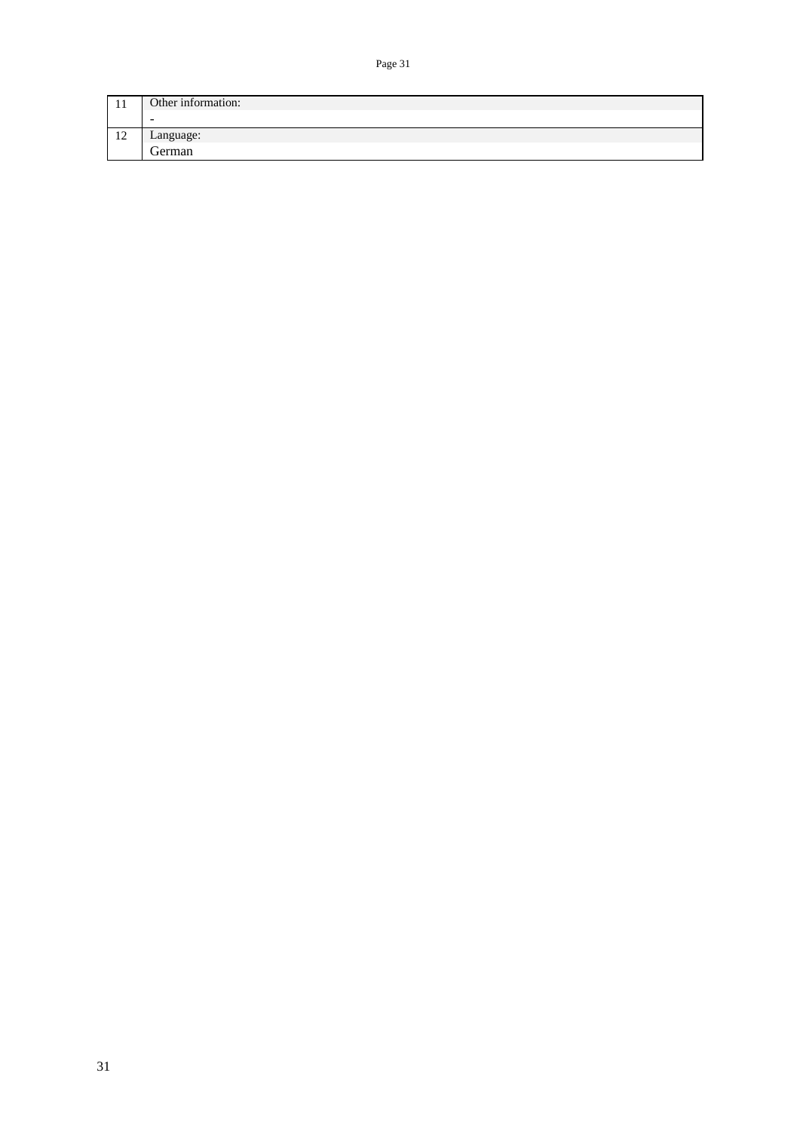| 1 T               | Other information:       |
|-------------------|--------------------------|
|                   | $\overline{\phantom{a}}$ |
| $\sim$<br>$\perp$ | Language:                |
|                   | eerman                   |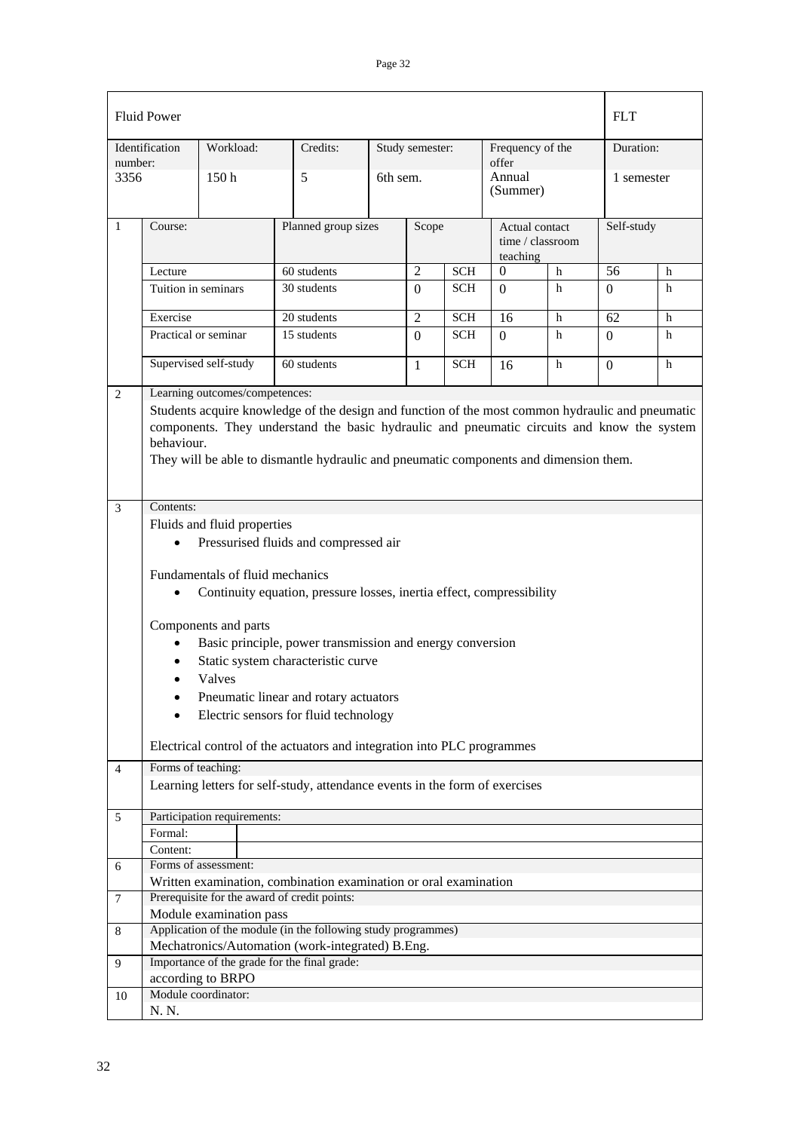| <b>Fluid Power</b> |                                                                                                                                                                                                                                                                                                                                         |                                 |                                                                             |  |                 |            | <b>FLT</b>                  |                  |                 |   |
|--------------------|-----------------------------------------------------------------------------------------------------------------------------------------------------------------------------------------------------------------------------------------------------------------------------------------------------------------------------------------|---------------------------------|-----------------------------------------------------------------------------|--|-----------------|------------|-----------------------------|------------------|-----------------|---|
|                    | Identification                                                                                                                                                                                                                                                                                                                          | Workload:                       | Credits:                                                                    |  | Study semester: |            | Frequency of the            |                  | Duration:       |   |
| number:<br>3356    |                                                                                                                                                                                                                                                                                                                                         | 150 <sub>h</sub>                | 5                                                                           |  | 6th sem.        |            | offer<br>Annual<br>(Summer) |                  | 1 semester      |   |
| $\mathbf{1}$       | Course:                                                                                                                                                                                                                                                                                                                                 |                                 | Planned group sizes                                                         |  | Scope           |            | Actual contact<br>teaching  | time / classroom | Self-study      |   |
|                    | Lecture                                                                                                                                                                                                                                                                                                                                 |                                 | 60 students                                                                 |  | $\overline{2}$  | <b>SCH</b> | $\Omega$                    | h                | $\overline{56}$ | h |
|                    | Tuition in seminars                                                                                                                                                                                                                                                                                                                     |                                 | 30 students                                                                 |  | $\Omega$        | <b>SCH</b> | $\Omega$                    | h                | $\Omega$        | h |
|                    | Exercise                                                                                                                                                                                                                                                                                                                                |                                 | 20 students                                                                 |  | $\overline{2}$  | <b>SCH</b> | 16                          | h                | 62              | h |
|                    |                                                                                                                                                                                                                                                                                                                                         | Practical or seminar            | 15 students                                                                 |  | $\Omega$        | <b>SCH</b> | $\Omega$                    | h                | $\Omega$        | h |
|                    |                                                                                                                                                                                                                                                                                                                                         | Supervised self-study           | 60 students                                                                 |  | 1               | <b>SCH</b> | 16                          | h                | $\Omega$        | h |
| $\overline{c}$     | Learning outcomes/competences:<br>Students acquire knowledge of the design and function of the most common hydraulic and pneumatic<br>components. They understand the basic hydraulic and pneumatic circuits and know the system<br>behaviour.<br>They will be able to dismantle hydraulic and pneumatic components and dimension them. |                                 |                                                                             |  |                 |            |                             |                  |                 |   |
|                    |                                                                                                                                                                                                                                                                                                                                         |                                 |                                                                             |  |                 |            |                             |                  |                 |   |
| 3                  | Contents:<br>Fluids and fluid properties<br>Pressurised fluids and compressed air                                                                                                                                                                                                                                                       |                                 |                                                                             |  |                 |            |                             |                  |                 |   |
|                    |                                                                                                                                                                                                                                                                                                                                         | Fundamentals of fluid mechanics | Continuity equation, pressure losses, inertia effect, compressibility       |  |                 |            |                             |                  |                 |   |
|                    | Components and parts<br>Basic principle, power transmission and energy conversion<br>Static system characteristic curve<br>Valves<br>Pneumatic linear and rotary actuators<br>٠<br>Electric sensors for fluid technology                                                                                                                |                                 |                                                                             |  |                 |            |                             |                  |                 |   |
|                    |                                                                                                                                                                                                                                                                                                                                         |                                 | Electrical control of the actuators and integration into PLC programmes     |  |                 |            |                             |                  |                 |   |
| 4                  | Forms of teaching:                                                                                                                                                                                                                                                                                                                      |                                 | Learning letters for self-study, attendance events in the form of exercises |  |                 |            |                             |                  |                 |   |
| 5                  |                                                                                                                                                                                                                                                                                                                                         | Participation requirements:     |                                                                             |  |                 |            |                             |                  |                 |   |
|                    | Formal:                                                                                                                                                                                                                                                                                                                                 |                                 |                                                                             |  |                 |            |                             |                  |                 |   |
|                    | Content:                                                                                                                                                                                                                                                                                                                                |                                 |                                                                             |  |                 |            |                             |                  |                 |   |
| 6                  |                                                                                                                                                                                                                                                                                                                                         | Forms of assessment:            |                                                                             |  |                 |            |                             |                  |                 |   |
|                    |                                                                                                                                                                                                                                                                                                                                         |                                 | Written examination, combination examination or oral examination            |  |                 |            |                             |                  |                 |   |
| 7                  |                                                                                                                                                                                                                                                                                                                                         | Module examination pass         | Prerequisite for the award of credit points:                                |  |                 |            |                             |                  |                 |   |
| 8                  |                                                                                                                                                                                                                                                                                                                                         |                                 | Application of the module (in the following study programmes)               |  |                 |            |                             |                  |                 |   |
|                    |                                                                                                                                                                                                                                                                                                                                         |                                 | Mechatronics/Automation (work-integrated) B.Eng.                            |  |                 |            |                             |                  |                 |   |
| 9                  |                                                                                                                                                                                                                                                                                                                                         | according to BRPO               | Importance of the grade for the final grade:                                |  |                 |            |                             |                  |                 |   |
| 10                 |                                                                                                                                                                                                                                                                                                                                         | Module coordinator:             |                                                                             |  |                 |            |                             |                  |                 |   |
|                    | N. N.                                                                                                                                                                                                                                                                                                                                   |                                 |                                                                             |  |                 |            |                             |                  |                 |   |
|                    |                                                                                                                                                                                                                                                                                                                                         |                                 |                                                                             |  |                 |            |                             |                  |                 |   |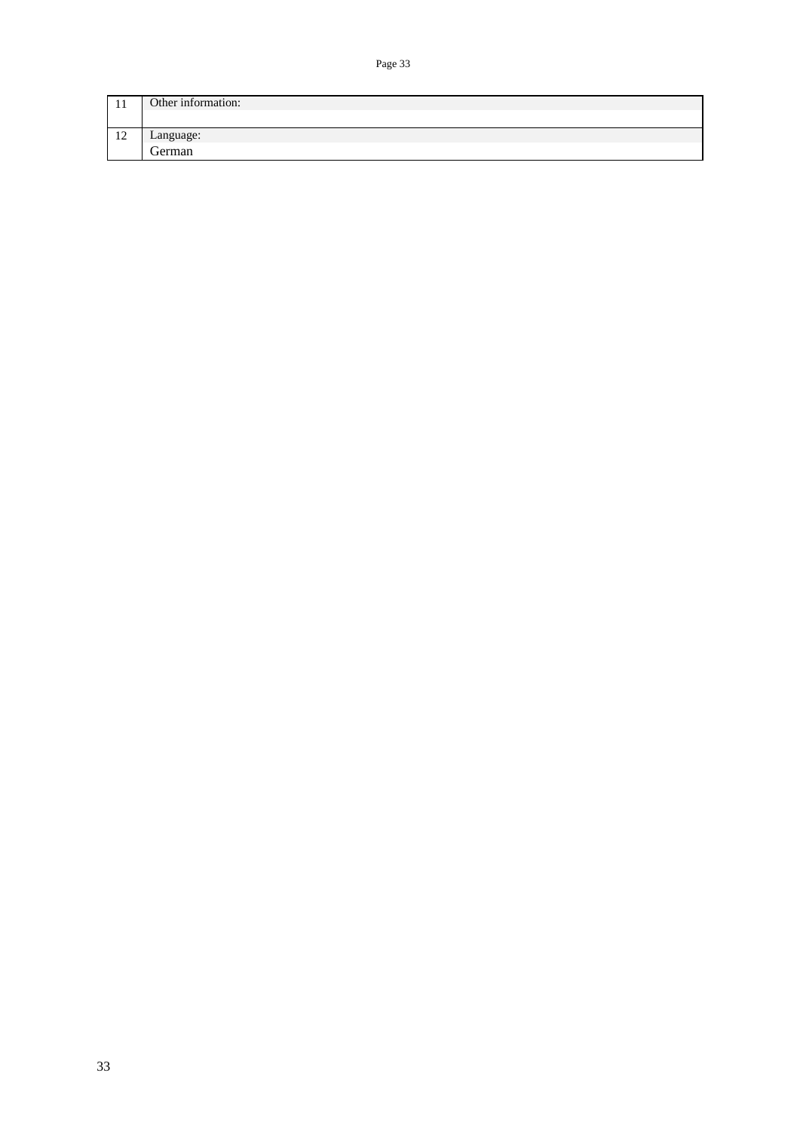| 1 T                  | Other information: |
|----------------------|--------------------|
|                      |                    |
| 1 <sub>2</sub><br>14 | Language:          |
|                      | $\sim$<br>German   |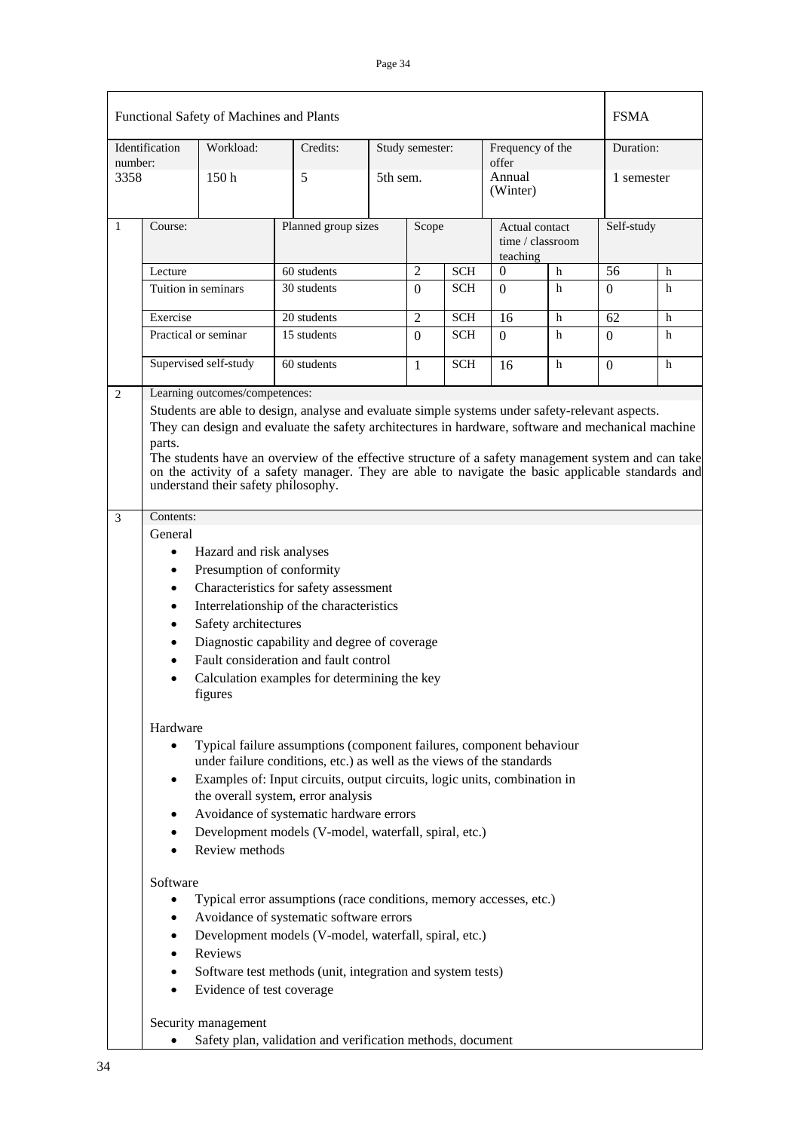|         | Identification         | Functional Safety of Machines and Plants<br>Workload:                 | Credits:                                                                                                                                                                                                                                                                                                                                                                                                          |                     | Study semester: |            | Frequency of the   |                                    | <b>FSMA</b><br>Duration: |            |
|---------|------------------------|-----------------------------------------------------------------------|-------------------------------------------------------------------------------------------------------------------------------------------------------------------------------------------------------------------------------------------------------------------------------------------------------------------------------------------------------------------------------------------------------------------|---------------------|-----------------|------------|--------------------|------------------------------------|--------------------------|------------|
| number: |                        |                                                                       |                                                                                                                                                                                                                                                                                                                                                                                                                   |                     |                 |            | offer              |                                    |                          |            |
| 3358    |                        | 150h                                                                  | 5                                                                                                                                                                                                                                                                                                                                                                                                                 |                     | 5th sem.        |            | Annual<br>(Winter) |                                    | 1 semester               |            |
| 1       | Course:                |                                                                       |                                                                                                                                                                                                                                                                                                                                                                                                                   | Planned group sizes |                 | Scope      | teaching           | Actual contact<br>time / classroom |                          | Self-study |
|         | Lecture                |                                                                       | 60 students                                                                                                                                                                                                                                                                                                                                                                                                       |                     | $\overline{2}$  | <b>SCH</b> | $\theta$           | $\mathbf h$                        | 56                       | h          |
|         |                        | Tuition in seminars                                                   | 30 students                                                                                                                                                                                                                                                                                                                                                                                                       |                     | $\Omega$        | <b>SCH</b> | $\Omega$           | h                                  | 0                        | h          |
|         | Exercise               |                                                                       | 20 students                                                                                                                                                                                                                                                                                                                                                                                                       |                     | $\overline{2}$  | <b>SCH</b> | 16                 | h                                  | 62                       | h          |
|         |                        | Practical or seminar                                                  | 15 students                                                                                                                                                                                                                                                                                                                                                                                                       |                     | $\overline{0}$  | <b>SCH</b> | $\Omega$           | h                                  | $\Omega$                 | h          |
|         |                        | Supervised self-study                                                 | 60 students                                                                                                                                                                                                                                                                                                                                                                                                       |                     | 1               | <b>SCH</b> | 16                 | $\mathbf h$                        | $\Omega$                 | h          |
| 2       | parts.                 | Learning outcomes/competences:<br>understand their safety philosophy. | Students are able to design, analyse and evaluate simple systems under safety-relevant aspects.<br>They can design and evaluate the safety architectures in hardware, software and mechanical machine<br>The students have an overview of the effective structure of a safety management system and can take<br>on the activity of a safety manager. They are able to navigate the basic applicable standards and |                     |                 |            |                    |                                    |                          |            |
| 3       | Contents:              |                                                                       |                                                                                                                                                                                                                                                                                                                                                                                                                   |                     |                 |            |                    |                                    |                          |            |
|         | General                |                                                                       |                                                                                                                                                                                                                                                                                                                                                                                                                   |                     |                 |            |                    |                                    |                          |            |
|         | $\bullet$              | Hazard and risk analyses                                              |                                                                                                                                                                                                                                                                                                                                                                                                                   |                     |                 |            |                    |                                    |                          |            |
|         | $\bullet$              | Presumption of conformity                                             |                                                                                                                                                                                                                                                                                                                                                                                                                   |                     |                 |            |                    |                                    |                          |            |
|         |                        |                                                                       | Characteristics for safety assessment                                                                                                                                                                                                                                                                                                                                                                             |                     |                 |            |                    |                                    |                          |            |
|         | $\bullet$              |                                                                       | Interrelationship of the characteristics                                                                                                                                                                                                                                                                                                                                                                          |                     |                 |            |                    |                                    |                          |            |
|         | ٠                      | Safety architectures                                                  |                                                                                                                                                                                                                                                                                                                                                                                                                   |                     |                 |            |                    |                                    |                          |            |
|         |                        |                                                                       | Diagnostic capability and degree of coverage                                                                                                                                                                                                                                                                                                                                                                      |                     |                 |            |                    |                                    |                          |            |
|         |                        | figures                                                               | Fault consideration and fault control<br>Calculation examples for determining the key                                                                                                                                                                                                                                                                                                                             |                     |                 |            |                    |                                    |                          |            |
|         | Hardware               |                                                                       |                                                                                                                                                                                                                                                                                                                                                                                                                   |                     |                 |            |                    |                                    |                          |            |
|         | $\bullet$              |                                                                       | Typical failure assumptions (component failures, component behaviour                                                                                                                                                                                                                                                                                                                                              |                     |                 |            |                    |                                    |                          |            |
|         | $\bullet$              |                                                                       | under failure conditions, etc.) as well as the views of the standards<br>Examples of: Input circuits, output circuits, logic units, combination in                                                                                                                                                                                                                                                                |                     |                 |            |                    |                                    |                          |            |
|         |                        |                                                                       | the overall system, error analysis                                                                                                                                                                                                                                                                                                                                                                                |                     |                 |            |                    |                                    |                          |            |
|         | ٠                      |                                                                       | Avoidance of systematic hardware errors                                                                                                                                                                                                                                                                                                                                                                           |                     |                 |            |                    |                                    |                          |            |
|         | $\bullet$<br>$\bullet$ | Review methods                                                        | Development models (V-model, waterfall, spiral, etc.)                                                                                                                                                                                                                                                                                                                                                             |                     |                 |            |                    |                                    |                          |            |
|         | Software               |                                                                       |                                                                                                                                                                                                                                                                                                                                                                                                                   |                     |                 |            |                    |                                    |                          |            |
|         | $\bullet$              |                                                                       | Typical error assumptions (race conditions, memory accesses, etc.)                                                                                                                                                                                                                                                                                                                                                |                     |                 |            |                    |                                    |                          |            |
|         |                        |                                                                       | Avoidance of systematic software errors                                                                                                                                                                                                                                                                                                                                                                           |                     |                 |            |                    |                                    |                          |            |
|         | $\bullet$              |                                                                       | Development models (V-model, waterfall, spiral, etc.)                                                                                                                                                                                                                                                                                                                                                             |                     |                 |            |                    |                                    |                          |            |
|         | $\bullet$              | Reviews                                                               |                                                                                                                                                                                                                                                                                                                                                                                                                   |                     |                 |            |                    |                                    |                          |            |
|         | ٠                      |                                                                       | Software test methods (unit, integration and system tests)                                                                                                                                                                                                                                                                                                                                                        |                     |                 |            |                    |                                    |                          |            |
|         | $\bullet$              | Evidence of test coverage                                             |                                                                                                                                                                                                                                                                                                                                                                                                                   |                     |                 |            |                    |                                    |                          |            |
|         |                        | Security management                                                   |                                                                                                                                                                                                                                                                                                                                                                                                                   |                     |                 |            |                    |                                    |                          |            |
|         | ٠                      |                                                                       | Safety plan, validation and verification methods, document                                                                                                                                                                                                                                                                                                                                                        |                     |                 |            |                    |                                    |                          |            |

• Safety plan, validation and verification methods, document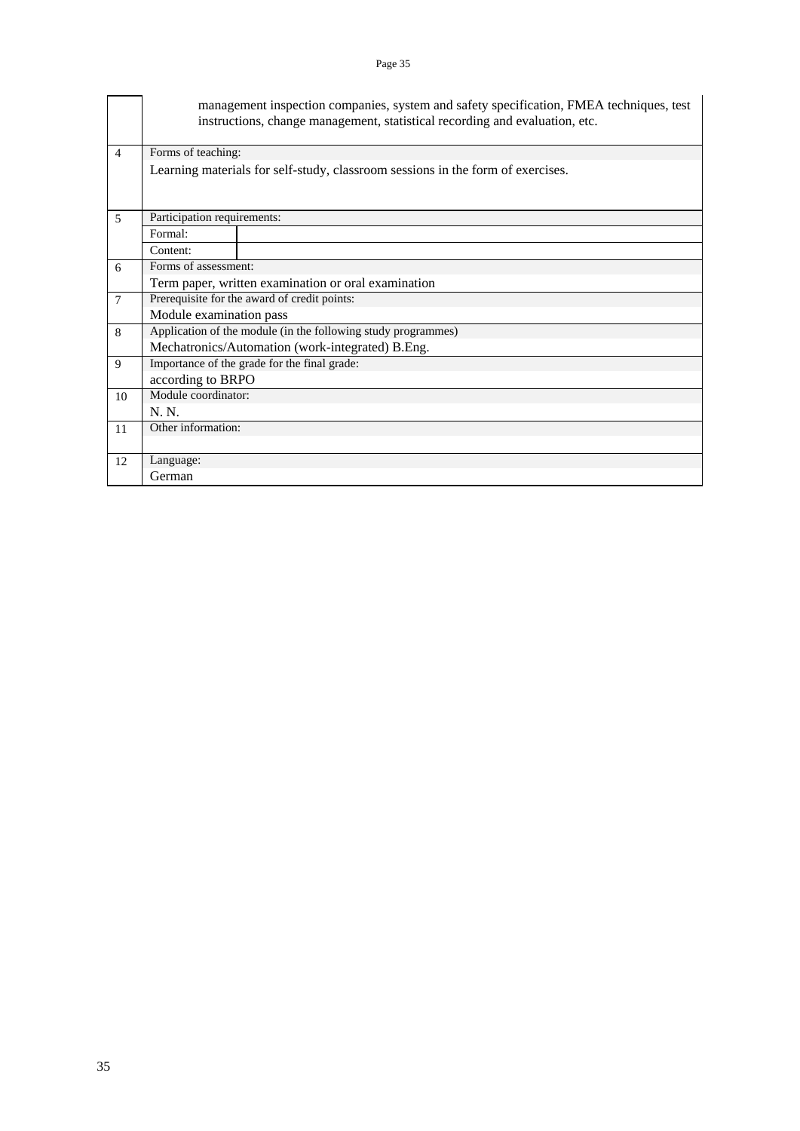|                          |                                                                                 | management inspection companies, system and safety specification, FMEA techniques, test<br>instructions, change management, statistical recording and evaluation, etc. |  |  |  |  |  |  |
|--------------------------|---------------------------------------------------------------------------------|------------------------------------------------------------------------------------------------------------------------------------------------------------------------|--|--|--|--|--|--|
| $\overline{4}$           | Forms of teaching:                                                              |                                                                                                                                                                        |  |  |  |  |  |  |
|                          | Learning materials for self-study, classroom sessions in the form of exercises. |                                                                                                                                                                        |  |  |  |  |  |  |
| $\overline{\phantom{1}}$ | Participation requirements:                                                     |                                                                                                                                                                        |  |  |  |  |  |  |
|                          | Formal:                                                                         |                                                                                                                                                                        |  |  |  |  |  |  |
|                          | Content:                                                                        |                                                                                                                                                                        |  |  |  |  |  |  |
| 6                        | Forms of assessment:                                                            |                                                                                                                                                                        |  |  |  |  |  |  |
|                          |                                                                                 | Term paper, written examination or oral examination                                                                                                                    |  |  |  |  |  |  |
| $\overline{7}$           |                                                                                 | Prerequisite for the award of credit points:                                                                                                                           |  |  |  |  |  |  |
|                          | Module examination pass                                                         |                                                                                                                                                                        |  |  |  |  |  |  |
| 8                        |                                                                                 | Application of the module (in the following study programmes)                                                                                                          |  |  |  |  |  |  |
|                          |                                                                                 | Mechatronics/Automation (work-integrated) B.Eng.                                                                                                                       |  |  |  |  |  |  |
| 9                        |                                                                                 | Importance of the grade for the final grade:                                                                                                                           |  |  |  |  |  |  |
|                          | according to BRPO                                                               |                                                                                                                                                                        |  |  |  |  |  |  |
| 10                       | Module coordinator:                                                             |                                                                                                                                                                        |  |  |  |  |  |  |
|                          | $N_{\cdot}$ $N_{\cdot}$                                                         |                                                                                                                                                                        |  |  |  |  |  |  |
| 11                       | Other information:                                                              |                                                                                                                                                                        |  |  |  |  |  |  |
|                          |                                                                                 |                                                                                                                                                                        |  |  |  |  |  |  |
| 12                       | Language:                                                                       |                                                                                                                                                                        |  |  |  |  |  |  |
|                          | German                                                                          |                                                                                                                                                                        |  |  |  |  |  |  |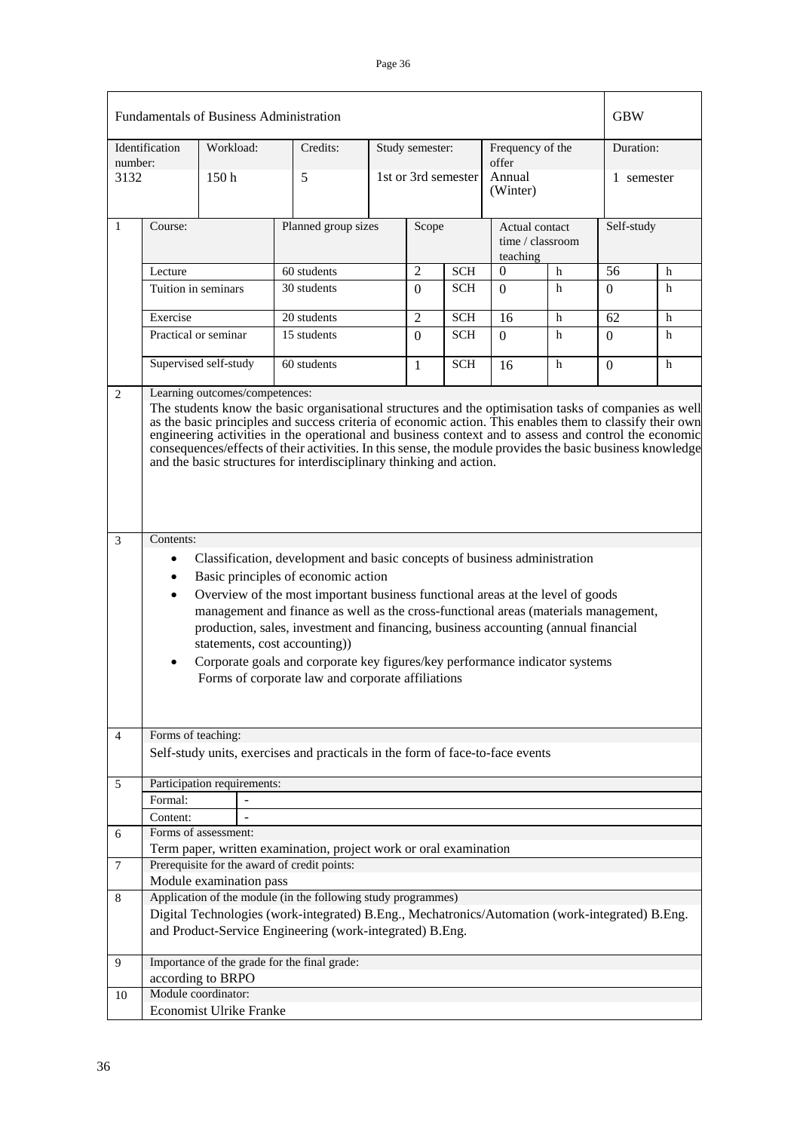| <b>Fundamentals of Business Administration</b> |                                     |                                |                                                                                                                                                                                                                                                                                                                                                                                                                                                                                                                                                      |                     |                 |                    |                                                |            | <b>GBW</b> |   |  |
|------------------------------------------------|-------------------------------------|--------------------------------|------------------------------------------------------------------------------------------------------------------------------------------------------------------------------------------------------------------------------------------------------------------------------------------------------------------------------------------------------------------------------------------------------------------------------------------------------------------------------------------------------------------------------------------------------|---------------------|-----------------|--------------------|------------------------------------------------|------------|------------|---|--|
| number:                                        | Identification                      | Workload:                      | Credits:                                                                                                                                                                                                                                                                                                                                                                                                                                                                                                                                             |                     | Study semester: |                    | Frequency of the<br>offer                      |            | Duration:  |   |  |
| 3132                                           |                                     | 150 <sub>h</sub>               | 5                                                                                                                                                                                                                                                                                                                                                                                                                                                                                                                                                    | 1st or 3rd semester |                 | Annual<br>(Winter) |                                                | 1 semester |            |   |  |
| 1                                              | Course:                             |                                |                                                                                                                                                                                                                                                                                                                                                                                                                                                                                                                                                      | Planned group sizes |                 | Scope              | Actual contact<br>time / classroom<br>teaching |            | Self-study |   |  |
|                                                | Lecture                             |                                | 60 students                                                                                                                                                                                                                                                                                                                                                                                                                                                                                                                                          |                     | $\overline{2}$  | <b>SCH</b>         | $\Omega$<br>h                                  |            | 56         | h |  |
|                                                | Tuition in seminars                 |                                | 30 students                                                                                                                                                                                                                                                                                                                                                                                                                                                                                                                                          |                     | $\Omega$        | <b>SCH</b>         | $\Omega$                                       | h          | 0          | h |  |
|                                                | Exercise                            |                                | 20 students                                                                                                                                                                                                                                                                                                                                                                                                                                                                                                                                          |                     | 2               | <b>SCH</b>         | 16                                             | h          | 62         | h |  |
|                                                | Practical or seminar                |                                | 15 students                                                                                                                                                                                                                                                                                                                                                                                                                                                                                                                                          |                     | $\Omega$        | <b>SCH</b>         | $\Omega$                                       | h          | 0          | h |  |
|                                                |                                     | Supervised self-study          | 60 students                                                                                                                                                                                                                                                                                                                                                                                                                                                                                                                                          |                     | 1               | <b>SCH</b>         | 16                                             | h          | 0          | h |  |
| $\overline{c}$                                 |                                     | Learning outcomes/competences: | The students know the basic organisational structures and the optimisation tasks of companies as well<br>as the basic principles and success criteria of economic action. This enables them to classify their own<br>engineering activities in the operational and business context and to assess and control the economic<br>consequences/effects of their activities. In this sense, the module provides the basic business knowledge<br>and the basic structures for interdisciplinary thinking and action.                                       |                     |                 |                    |                                                |            |            |   |  |
| 3                                              | Contents:<br>$\bullet$<br>$\bullet$ |                                | Classification, development and basic concepts of business administration<br>Basic principles of economic action<br>Overview of the most important business functional areas at the level of goods<br>management and finance as well as the cross-functional areas (materials management,<br>production, sales, investment and financing, business accounting (annual financial<br>statements, cost accounting))<br>Corporate goals and corporate key figures/key performance indicator systems<br>Forms of corporate law and corporate affiliations |                     |                 |                    |                                                |            |            |   |  |
| 4                                              | Forms of teaching:                  |                                | Self-study units, exercises and practicals in the form of face-to-face events                                                                                                                                                                                                                                                                                                                                                                                                                                                                        |                     |                 |                    |                                                |            |            |   |  |
|                                                |                                     |                                |                                                                                                                                                                                                                                                                                                                                                                                                                                                                                                                                                      |                     |                 |                    |                                                |            |            |   |  |
| 5                                              |                                     | Participation requirements:    |                                                                                                                                                                                                                                                                                                                                                                                                                                                                                                                                                      |                     |                 |                    |                                                |            |            |   |  |
|                                                | Formal:<br>Content:                 |                                |                                                                                                                                                                                                                                                                                                                                                                                                                                                                                                                                                      |                     |                 |                    |                                                |            |            |   |  |
| 6                                              |                                     | Forms of assessment:           |                                                                                                                                                                                                                                                                                                                                                                                                                                                                                                                                                      |                     |                 |                    |                                                |            |            |   |  |
|                                                |                                     |                                | Term paper, written examination, project work or oral examination                                                                                                                                                                                                                                                                                                                                                                                                                                                                                    |                     |                 |                    |                                                |            |            |   |  |
| 7                                              |                                     |                                | Prerequisite for the award of credit points:                                                                                                                                                                                                                                                                                                                                                                                                                                                                                                         |                     |                 |                    |                                                |            |            |   |  |
|                                                |                                     | Module examination pass        |                                                                                                                                                                                                                                                                                                                                                                                                                                                                                                                                                      |                     |                 |                    |                                                |            |            |   |  |
| 8                                              |                                     |                                | Application of the module (in the following study programmes)                                                                                                                                                                                                                                                                                                                                                                                                                                                                                        |                     |                 |                    |                                                |            |            |   |  |
|                                                |                                     |                                | Digital Technologies (work-integrated) B.Eng., Mechatronics/Automation (work-integrated) B.Eng.<br>and Product-Service Engineering (work-integrated) B.Eng.                                                                                                                                                                                                                                                                                                                                                                                          |                     |                 |                    |                                                |            |            |   |  |
| 9                                              |                                     | according to BRPO              | Importance of the grade for the final grade:                                                                                                                                                                                                                                                                                                                                                                                                                                                                                                         |                     |                 |                    |                                                |            |            |   |  |
| 10                                             |                                     | Module coordinator:            |                                                                                                                                                                                                                                                                                                                                                                                                                                                                                                                                                      |                     |                 |                    |                                                |            |            |   |  |
|                                                |                                     | <b>Economist Ulrike Franke</b> |                                                                                                                                                                                                                                                                                                                                                                                                                                                                                                                                                      |                     |                 |                    |                                                |            |            |   |  |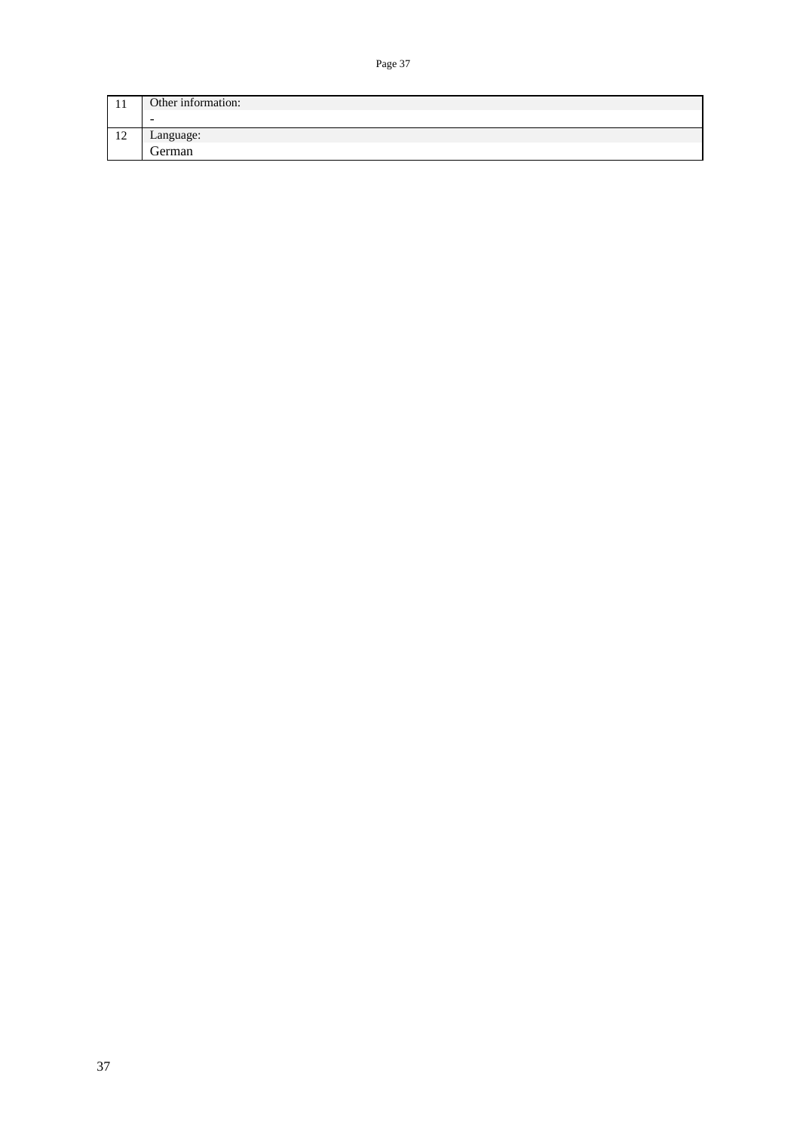| 1 T                       | Other information:       |
|---------------------------|--------------------------|
|                           | $\overline{\phantom{a}}$ |
| 1 <sub>0</sub><br>$\perp$ | Language:                |
|                           | German                   |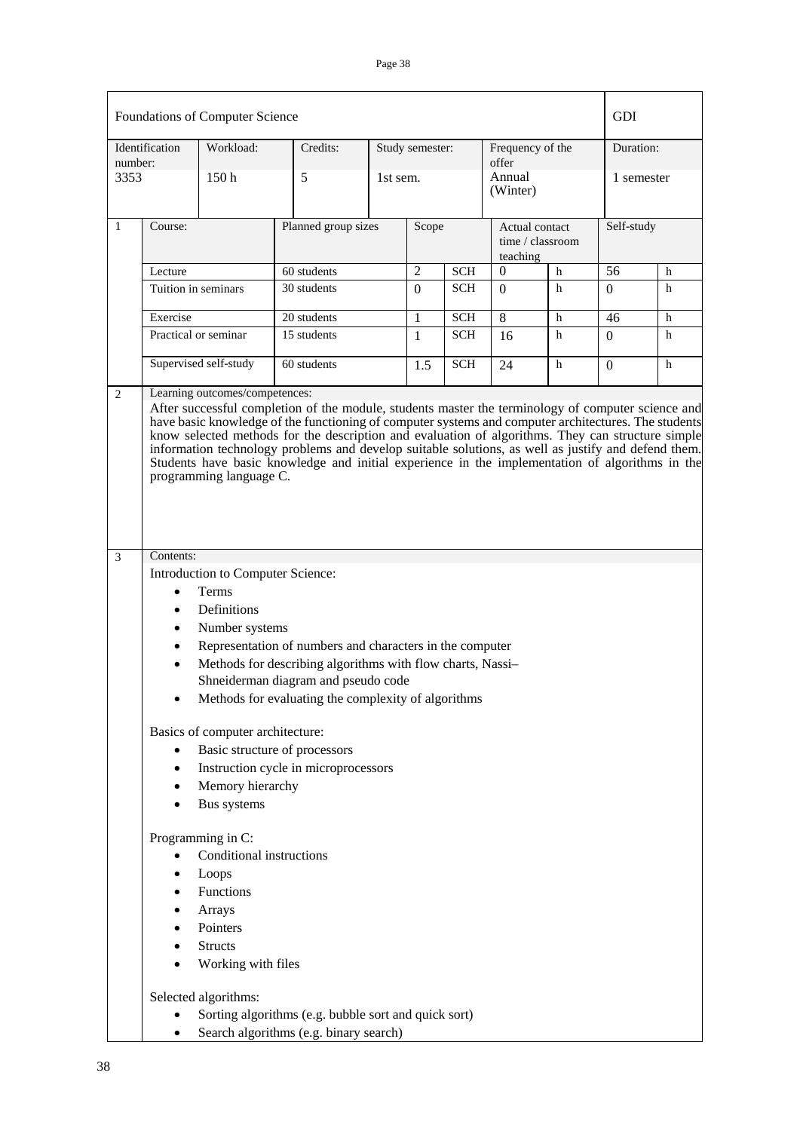|         |                                                       | Foundations of Computer Science                                                                                                   |                                                                                                   |          |                 |            |                           |                                    | GDI       |            |  |
|---------|-------------------------------------------------------|-----------------------------------------------------------------------------------------------------------------------------------|---------------------------------------------------------------------------------------------------|----------|-----------------|------------|---------------------------|------------------------------------|-----------|------------|--|
| number: | Identification                                        | Workload:                                                                                                                         | Credits:                                                                                          |          | Study semester: |            | Frequency of the<br>offer |                                    | Duration: |            |  |
| 3353    |                                                       | 150 <sub>h</sub>                                                                                                                  | 5                                                                                                 | 1st sem. |                 |            | Annual<br>(Winter)        |                                    |           | 1 semester |  |
| 1       | Course:                                               |                                                                                                                                   | Planned group sizes                                                                               |          | Scope           |            | teaching                  | Actual contact<br>time / classroom |           | Self-study |  |
|         | Lecture                                               |                                                                                                                                   | 60 students                                                                                       |          | $\overline{2}$  | <b>SCH</b> | $\Omega$                  | h                                  | 56        | h          |  |
|         |                                                       | Tuition in seminars                                                                                                               | 30 students                                                                                       |          | $\Omega$        | <b>SCH</b> | $\Omega$                  | h                                  | 0         | h          |  |
|         | Exercise                                              |                                                                                                                                   | 20 students                                                                                       |          | 1               | <b>SCH</b> | 8                         | h                                  | 46        | h          |  |
|         |                                                       | Practical or seminar                                                                                                              | 15 students                                                                                       |          | 1               | <b>SCH</b> | 16                        | h                                  | $\Omega$  | h          |  |
|         |                                                       | Supervised self-study                                                                                                             | 60 students                                                                                       |          | 1.5             | <b>SCH</b> | 24                        | h                                  | $\Omega$  | h          |  |
| 3       | Contents:                                             | programming language C.                                                                                                           | Students have basic knowledge and initial experience in the implementation of algorithms in the   |          |                 |            |                           |                                    |           |            |  |
|         |                                                       | Introduction to Computer Science:                                                                                                 |                                                                                                   |          |                 |            |                           |                                    |           |            |  |
|         | $\bullet$                                             | Terms                                                                                                                             |                                                                                                   |          |                 |            |                           |                                    |           |            |  |
|         | $\bullet$                                             | Definitions                                                                                                                       |                                                                                                   |          |                 |            |                           |                                    |           |            |  |
|         | $\bullet$                                             | Number systems                                                                                                                    |                                                                                                   |          |                 |            |                           |                                    |           |            |  |
|         | ٠                                                     |                                                                                                                                   | Representation of numbers and characters in the computer                                          |          |                 |            |                           |                                    |           |            |  |
|         | $\bullet$                                             |                                                                                                                                   | Methods for describing algorithms with flow charts, Nassi-<br>Shneiderman diagram and pseudo code |          |                 |            |                           |                                    |           |            |  |
|         |                                                       |                                                                                                                                   | Methods for evaluating the complexity of algorithms                                               |          |                 |            |                           |                                    |           |            |  |
|         |                                                       | Basics of computer architecture:                                                                                                  |                                                                                                   |          |                 |            |                           |                                    |           |            |  |
|         | $\bullet$                                             |                                                                                                                                   | Basic structure of processors                                                                     |          |                 |            |                           |                                    |           |            |  |
|         | $\bullet$                                             |                                                                                                                                   | Instruction cycle in microprocessors                                                              |          |                 |            |                           |                                    |           |            |  |
|         | $\bullet$                                             | Memory hierarchy<br>Bus systems                                                                                                   |                                                                                                   |          |                 |            |                           |                                    |           |            |  |
|         | $\bullet$<br>$\bullet$<br>٠<br>$\bullet$<br>$\bullet$ | Programming in C:<br>Conditional instructions<br>Loops<br>Functions<br>Arrays<br>Pointers<br><b>Structs</b><br>Working with files |                                                                                                   |          |                 |            |                           |                                    |           |            |  |
|         |                                                       | Selected algorithms:                                                                                                              | Sorting algorithms (e.g. bubble sort and quick sort)                                              |          |                 |            |                           |                                    |           |            |  |
|         | $\bullet$                                             |                                                                                                                                   | Search algorithms (e.g. binary search)                                                            |          |                 |            |                           |                                    |           |            |  |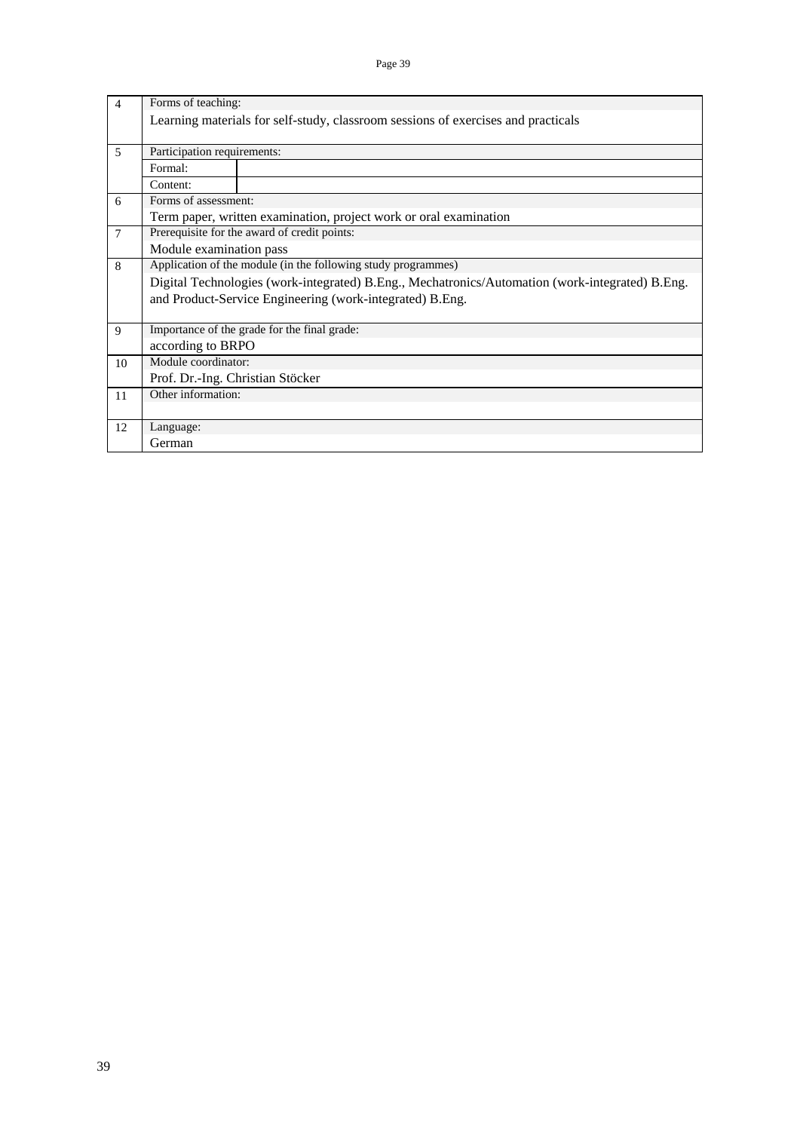| $\overline{4}$ | Forms of teaching:               |                                                                                                 |
|----------------|----------------------------------|-------------------------------------------------------------------------------------------------|
|                |                                  | Learning materials for self-study, classroom sessions of exercises and practicals               |
| 5              | Participation requirements:      |                                                                                                 |
|                | Formal:                          |                                                                                                 |
|                | Content:                         |                                                                                                 |
| 6              | Forms of assessment:             |                                                                                                 |
|                |                                  | Term paper, written examination, project work or oral examination                               |
| $\overline{7}$ |                                  | Prerequisite for the award of credit points:                                                    |
|                | Module examination pass          |                                                                                                 |
| 8              |                                  | Application of the module (in the following study programmes)                                   |
|                |                                  | Digital Technologies (work-integrated) B.Eng., Mechatronics/Automation (work-integrated) B.Eng. |
|                |                                  | and Product-Service Engineering (work-integrated) B.Eng.                                        |
|                |                                  |                                                                                                 |
| 9              |                                  | Importance of the grade for the final grade:                                                    |
|                | according to BRPO                |                                                                                                 |
| 10             | Module coordinator:              |                                                                                                 |
|                | Prof. Dr.-Ing. Christian Stöcker |                                                                                                 |
| 11             | Other information:               |                                                                                                 |
|                |                                  |                                                                                                 |
| 12             | Language:                        |                                                                                                 |
|                | German                           |                                                                                                 |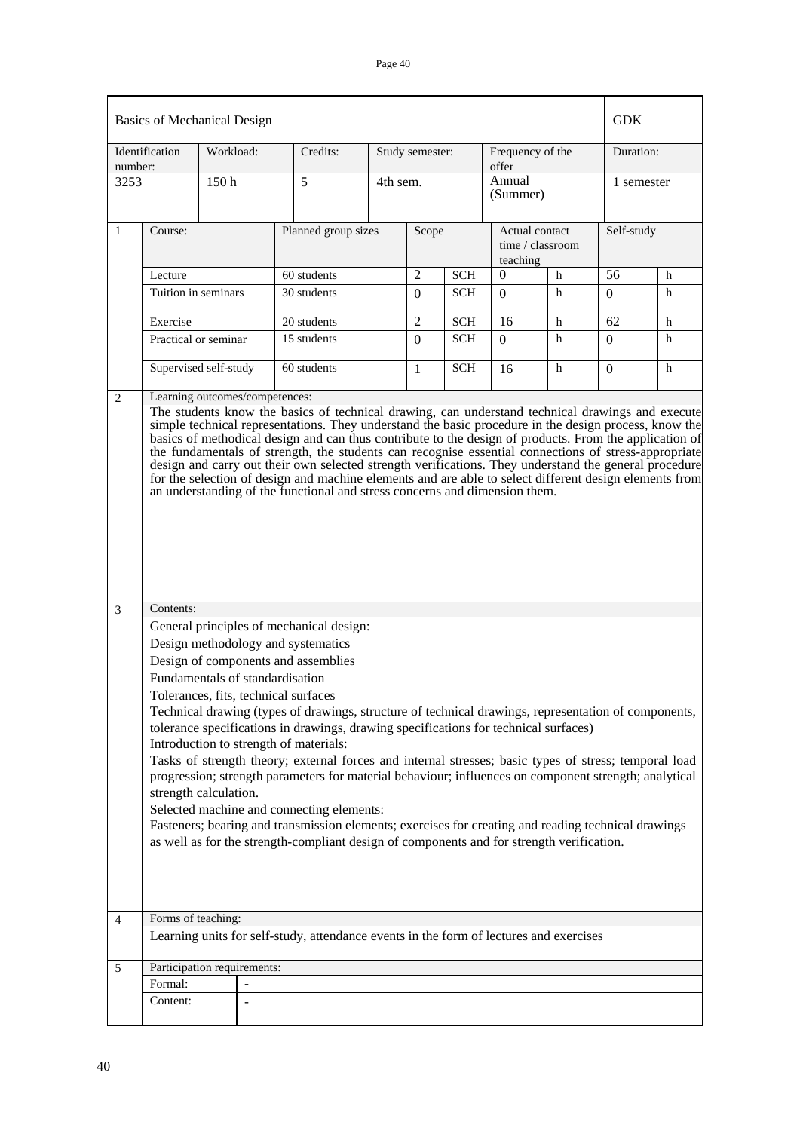|                 | Identification | Workload:                                                               | Credits:                                                                                                                                                                                                                                                                                                                                                                                                                                                                                                                                                                                                                                                                                                  | Study semester:                                                                                        |            | Frequency of the<br>offer |                                    | Duration:  |            |
|-----------------|----------------|-------------------------------------------------------------------------|-----------------------------------------------------------------------------------------------------------------------------------------------------------------------------------------------------------------------------------------------------------------------------------------------------------------------------------------------------------------------------------------------------------------------------------------------------------------------------------------------------------------------------------------------------------------------------------------------------------------------------------------------------------------------------------------------------------|--------------------------------------------------------------------------------------------------------|------------|---------------------------|------------------------------------|------------|------------|
| number:<br>3253 |                | 150 <sub>h</sub>                                                        | 5                                                                                                                                                                                                                                                                                                                                                                                                                                                                                                                                                                                                                                                                                                         | 4th sem.                                                                                               |            |                           | (Summer)                           | 1 semester |            |
| $\mathbf{1}$    | Course:        |                                                                         | Planned group sizes                                                                                                                                                                                                                                                                                                                                                                                                                                                                                                                                                                                                                                                                                       | Scope                                                                                                  |            | teaching                  | Actual contact<br>time / classroom |            | Self-study |
|                 | Lecture        |                                                                         | 60 students                                                                                                                                                                                                                                                                                                                                                                                                                                                                                                                                                                                                                                                                                               | $\overline{2}$                                                                                         | <b>SCH</b> | 0                         | h                                  | 56         | h          |
|                 |                | Tuition in seminars                                                     | 30 students                                                                                                                                                                                                                                                                                                                                                                                                                                                                                                                                                                                                                                                                                               | $\Omega$                                                                                               | <b>SCH</b> | $\Omega$                  | h                                  | $\Omega$   | h          |
|                 | Exercise       |                                                                         | 20 students                                                                                                                                                                                                                                                                                                                                                                                                                                                                                                                                                                                                                                                                                               | $\overline{2}$                                                                                         | <b>SCH</b> | 16                        | h                                  | 62         | h          |
|                 |                | Practical or seminar                                                    | 15 students                                                                                                                                                                                                                                                                                                                                                                                                                                                                                                                                                                                                                                                                                               | $\mathbf{0}$                                                                                           | <b>SCH</b> | $\Omega$                  | h                                  | $\Omega$   | h          |
|                 |                | Supervised self-study                                                   | 60 students                                                                                                                                                                                                                                                                                                                                                                                                                                                                                                                                                                                                                                                                                               | 1                                                                                                      | <b>SCH</b> | 16                        | h                                  | $\Omega$   | h          |
|                 |                |                                                                         | an understanding of the functional and stress concerns and dimension them.                                                                                                                                                                                                                                                                                                                                                                                                                                                                                                                                                                                                                                | for the selection of design and machine elements and are able to select different design elements from |            |                           |                                    |            |            |
| $\overline{3}$  | Contents:      |                                                                         |                                                                                                                                                                                                                                                                                                                                                                                                                                                                                                                                                                                                                                                                                                           |                                                                                                        |            |                           |                                    |            |            |
|                 |                | Fundamentals of standardisation<br>Tolerances, fits, technical surfaces | General principles of mechanical design:<br>Design methodology and systematics<br>Design of components and assemblies                                                                                                                                                                                                                                                                                                                                                                                                                                                                                                                                                                                     |                                                                                                        |            |                           |                                    |            |            |
|                 |                | strength calculation.                                                   | Technical drawing (types of drawings, structure of technical drawings, representation of components,<br>tolerance specifications in drawings, drawing specifications for technical surfaces)<br>Introduction to strength of materials:<br>Tasks of strength theory; external forces and internal stresses; basic types of stress; temporal load<br>progression; strength parameters for material behaviour; influences on component strength; analytical<br>Selected machine and connecting elements:<br>Fasteners; bearing and transmission elements; exercises for creating and reading technical drawings<br>as well as for the strength-compliant design of components and for strength verification. |                                                                                                        |            |                           |                                    |            |            |
| $\overline{4}$  |                | Forms of teaching:                                                      |                                                                                                                                                                                                                                                                                                                                                                                                                                                                                                                                                                                                                                                                                                           |                                                                                                        |            |                           |                                    |            |            |
|                 |                |                                                                         | Learning units for self-study, attendance events in the form of lectures and exercises                                                                                                                                                                                                                                                                                                                                                                                                                                                                                                                                                                                                                    |                                                                                                        |            |                           |                                    |            |            |
| 5               | Formal:        | Participation requirements:<br>$\blacksquare$                           |                                                                                                                                                                                                                                                                                                                                                                                                                                                                                                                                                                                                                                                                                                           |                                                                                                        |            |                           |                                    |            |            |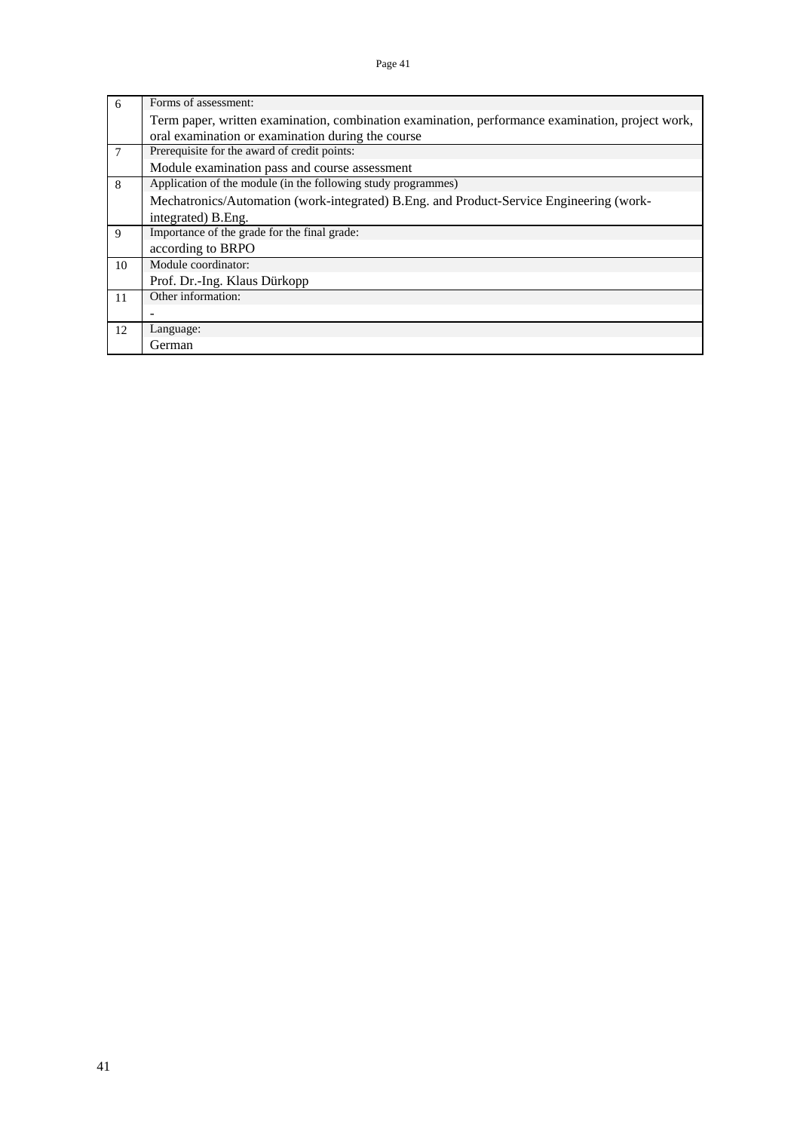| 6  | Forms of assessment:                                                                             |
|----|--------------------------------------------------------------------------------------------------|
|    | Term paper, written examination, combination examination, performance examination, project work, |
|    | oral examination or examination during the course                                                |
| 7  | Prerequisite for the award of credit points:                                                     |
|    | Module examination pass and course assessment                                                    |
| 8  | Application of the module (in the following study programmes)                                    |
|    | Mechatronics/Automation (work-integrated) B.Eng. and Product-Service Engineering (work-          |
|    | integrated) B. Eng.                                                                              |
| 9  | Importance of the grade for the final grade:                                                     |
|    | according to BRPO                                                                                |
| 10 | Module coordinator:                                                                              |
|    | Prof. Dr.-Ing. Klaus Dürkopp                                                                     |
| 11 | Other information:                                                                               |
|    | $\overline{\phantom{0}}$                                                                         |
| 12 | Language:                                                                                        |
|    | German                                                                                           |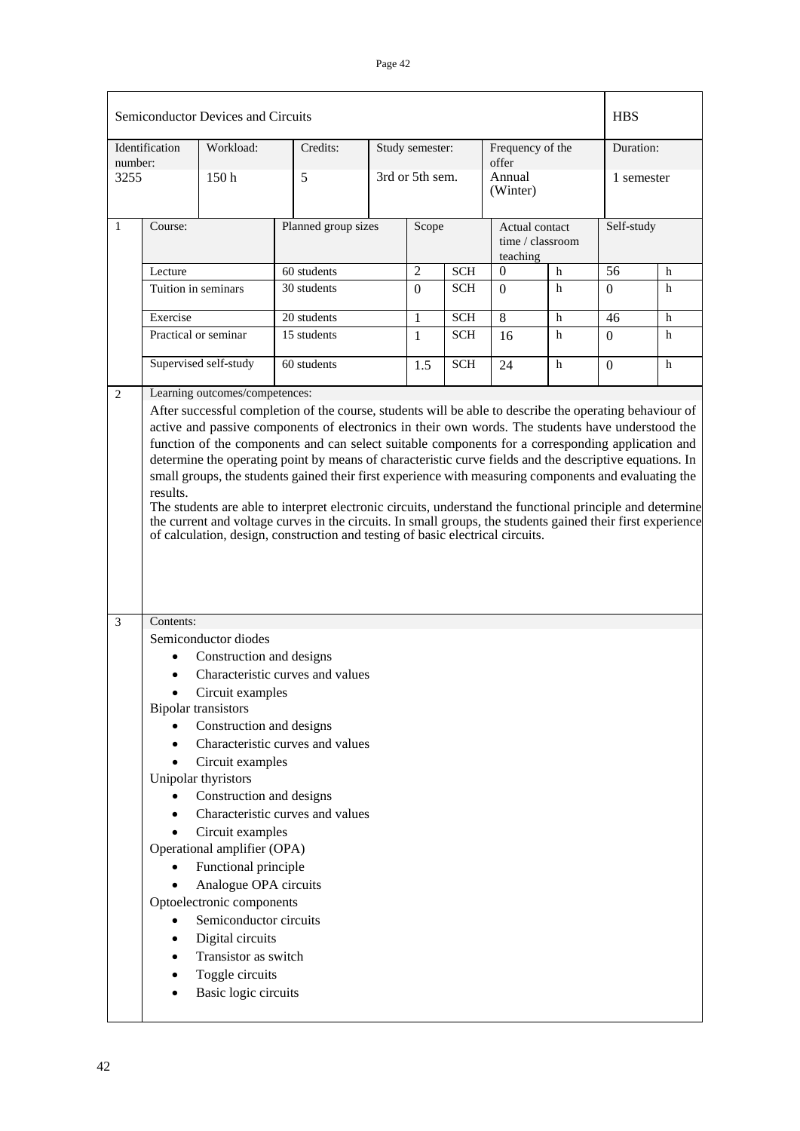|                 |                                                                                                                                                                                                                                                                                                                                                                                                                                                                                                                                                                                                                                                                                                                                                                                                                                                                                                   | Semiconductor Devices and Circuits                                                                                                                                                                                                                                                                                                                                                                           |                                                                                                          |                     |                 |            |                             |                                    | <b>HBS</b> |            |  |
|-----------------|---------------------------------------------------------------------------------------------------------------------------------------------------------------------------------------------------------------------------------------------------------------------------------------------------------------------------------------------------------------------------------------------------------------------------------------------------------------------------------------------------------------------------------------------------------------------------------------------------------------------------------------------------------------------------------------------------------------------------------------------------------------------------------------------------------------------------------------------------------------------------------------------------|--------------------------------------------------------------------------------------------------------------------------------------------------------------------------------------------------------------------------------------------------------------------------------------------------------------------------------------------------------------------------------------------------------------|----------------------------------------------------------------------------------------------------------|---------------------|-----------------|------------|-----------------------------|------------------------------------|------------|------------|--|
|                 | Identification                                                                                                                                                                                                                                                                                                                                                                                                                                                                                                                                                                                                                                                                                                                                                                                                                                                                                    | Workload:                                                                                                                                                                                                                                                                                                                                                                                                    | Credits:                                                                                                 |                     | Study semester: |            | Frequency of the            |                                    | Duration:  |            |  |
| number:<br>3255 |                                                                                                                                                                                                                                                                                                                                                                                                                                                                                                                                                                                                                                                                                                                                                                                                                                                                                                   | 5<br>150h                                                                                                                                                                                                                                                                                                                                                                                                    |                                                                                                          |                     | 3rd or 5th sem. |            | offer<br>Annual<br>(Winter) |                                    |            | 1 semester |  |
| $\mathbf{1}$    | Course:                                                                                                                                                                                                                                                                                                                                                                                                                                                                                                                                                                                                                                                                                                                                                                                                                                                                                           |                                                                                                                                                                                                                                                                                                                                                                                                              |                                                                                                          | Planned group sizes |                 | Scope      | teaching                    | Actual contact<br>time / classroom |            | Self-study |  |
|                 | Lecture                                                                                                                                                                                                                                                                                                                                                                                                                                                                                                                                                                                                                                                                                                                                                                                                                                                                                           |                                                                                                                                                                                                                                                                                                                                                                                                              | 60 students                                                                                              |                     | $\overline{2}$  | <b>SCH</b> | $\theta$                    | $\mathbf h$                        | 56         | h          |  |
|                 | Tuition in seminars                                                                                                                                                                                                                                                                                                                                                                                                                                                                                                                                                                                                                                                                                                                                                                                                                                                                               |                                                                                                                                                                                                                                                                                                                                                                                                              | 30 students                                                                                              |                     | $\Omega$        | <b>SCH</b> | $\Omega$                    | h                                  | $\Omega$   | h          |  |
|                 | Exercise                                                                                                                                                                                                                                                                                                                                                                                                                                                                                                                                                                                                                                                                                                                                                                                                                                                                                          |                                                                                                                                                                                                                                                                                                                                                                                                              | 20 students                                                                                              |                     | 1               | <b>SCH</b> | 8                           | $\mathbf h$                        | 46         | h          |  |
|                 |                                                                                                                                                                                                                                                                                                                                                                                                                                                                                                                                                                                                                                                                                                                                                                                                                                                                                                   | Practical or seminar                                                                                                                                                                                                                                                                                                                                                                                         | 15 students                                                                                              |                     | $\mathbf{1}$    | <b>SCH</b> | 16                          | h                                  | $\Omega$   | h          |  |
|                 |                                                                                                                                                                                                                                                                                                                                                                                                                                                                                                                                                                                                                                                                                                                                                                                                                                                                                                   | Supervised self-study                                                                                                                                                                                                                                                                                                                                                                                        | 60 students                                                                                              |                     | 1.5             | <b>SCH</b> | 24                          | h                                  | $\Omega$   | h          |  |
|                 | Learning outcomes/competences:<br>After successful completion of the course, students will be able to describe the operating behaviour of<br>active and passive components of electronics in their own words. The students have understood the<br>function of the components and can select suitable components for a corresponding application and<br>determine the operating point by means of characteristic curve fields and the descriptive equations. In<br>small groups, the students gained their first experience with measuring components and evaluating the<br>results.<br>The students are able to interpret electronic circuits, understand the functional principle and determine<br>the current and voltage curves in the circuits. In small groups, the students gained their first experience<br>of calculation, design, construction and testing of basic electrical circuits. |                                                                                                                                                                                                                                                                                                                                                                                                              |                                                                                                          |                     |                 |            |                             |                                    |            |            |  |
| $\overline{3}$  | Contents:                                                                                                                                                                                                                                                                                                                                                                                                                                                                                                                                                                                                                                                                                                                                                                                                                                                                                         |                                                                                                                                                                                                                                                                                                                                                                                                              |                                                                                                          |                     |                 |            |                             |                                    |            |            |  |
|                 |                                                                                                                                                                                                                                                                                                                                                                                                                                                                                                                                                                                                                                                                                                                                                                                                                                                                                                   | Semiconductor diodes<br>Construction and designs<br>Circuit examples<br><b>Bipolar transistors</b><br>Construction and designs<br>Circuit examples<br>Unipolar thyristors<br>Construction and designs<br>Circuit examples<br>Operational amplifier (OPA)<br>Functional principle<br>Analogue OPA circuits<br>Optoelectronic components<br>Semiconductor circuits<br>Digital circuits<br>Transistor as switch | Characteristic curves and values<br>Characteristic curves and values<br>Characteristic curves and values |                     |                 |            |                             |                                    |            |            |  |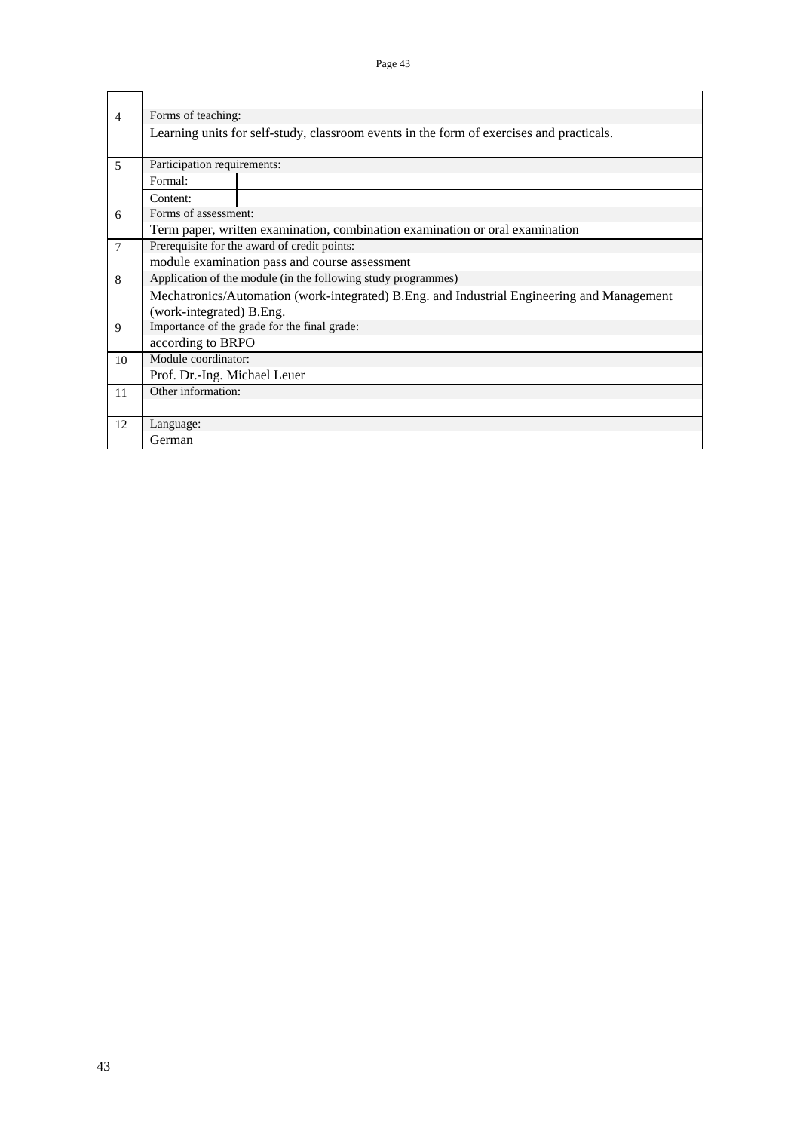| $\overline{4}$ | Forms of teaching:                                                                         |
|----------------|--------------------------------------------------------------------------------------------|
|                | Learning units for self-study, classroom events in the form of exercises and practicals.   |
| 5              | Participation requirements:                                                                |
|                | Formal:                                                                                    |
|                | Content:                                                                                   |
| 6              | Forms of assessment:                                                                       |
|                | Term paper, written examination, combination examination or oral examination               |
| $\tau$         | Prerequisite for the award of credit points:                                               |
|                | module examination pass and course assessment                                              |
| 8              | Application of the module (in the following study programmes)                              |
|                | Mechatronics/Automation (work-integrated) B.Eng. and Industrial Engineering and Management |
|                | (work-integrated) B.Eng.                                                                   |
| 9              | Importance of the grade for the final grade:                                               |
|                | according to BRPO                                                                          |
| 10             | Module coordinator:                                                                        |
|                | Prof. Dr.-Ing. Michael Leuer                                                               |
| 11             | Other information:                                                                         |
|                |                                                                                            |
| 12             | Language:                                                                                  |
|                | German                                                                                     |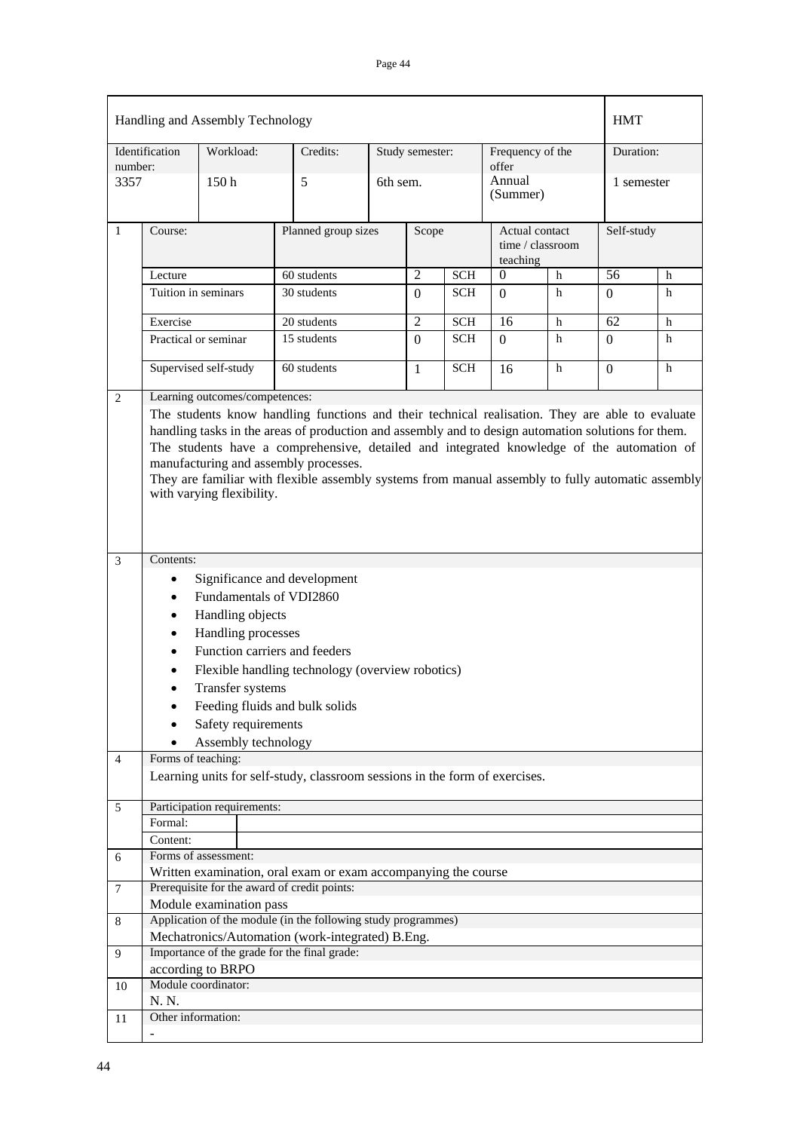|                |                                                                                                                                                                                                                                                                                                                                                                                                                                                                                                                  | Handling and Assembly Technology            |                                                                                                  |                     |                 |            |                            |                  | <b>HMT</b> |   |
|----------------|------------------------------------------------------------------------------------------------------------------------------------------------------------------------------------------------------------------------------------------------------------------------------------------------------------------------------------------------------------------------------------------------------------------------------------------------------------------------------------------------------------------|---------------------------------------------|--------------------------------------------------------------------------------------------------|---------------------|-----------------|------------|----------------------------|------------------|------------|---|
| number:        | Identification                                                                                                                                                                                                                                                                                                                                                                                                                                                                                                   | Workload:                                   | Credits:                                                                                         |                     | Study semester: |            | Frequency of the<br>offer  |                  | Duration:  |   |
| 3357           |                                                                                                                                                                                                                                                                                                                                                                                                                                                                                                                  | 150 <sub>h</sub>                            | 5                                                                                                | 6th sem.            |                 |            | Annual<br>(Summer)         |                  | 1 semester |   |
| $\mathbf{1}$   | Course:                                                                                                                                                                                                                                                                                                                                                                                                                                                                                                          |                                             |                                                                                                  | Planned group sizes |                 | Scope      | Actual contact<br>teaching | time / classroom | Self-study |   |
|                | Lecture                                                                                                                                                                                                                                                                                                                                                                                                                                                                                                          |                                             | 60 students                                                                                      |                     | 2               | <b>SCH</b> | $\boldsymbol{0}$           | h                | 56         | h |
|                |                                                                                                                                                                                                                                                                                                                                                                                                                                                                                                                  | Tuition in seminars                         | 30 students                                                                                      |                     | $\Omega$        | <b>SCH</b> | $\Omega$                   | h                | $\Omega$   | h |
|                | Exercise                                                                                                                                                                                                                                                                                                                                                                                                                                                                                                         |                                             | 20 students                                                                                      |                     | $\overline{2}$  | <b>SCH</b> | 16                         | h                | 62         | h |
|                |                                                                                                                                                                                                                                                                                                                                                                                                                                                                                                                  | Practical or seminar<br>15 students         |                                                                                                  |                     | $\Omega$        | <b>SCH</b> | $\Omega$                   | h                | $\Omega$   | h |
|                |                                                                                                                                                                                                                                                                                                                                                                                                                                                                                                                  | Supervised self-study                       | 60 students                                                                                      |                     | 1               | <b>SCH</b> | 16                         | h                | $\Omega$   | h |
|                | Learning outcomes/competences:<br>The students know handling functions and their technical realisation. They are able to evaluate<br>handling tasks in the areas of production and assembly and to design automation solutions for them.<br>The students have a comprehensive, detailed and integrated knowledge of the automation of<br>manufacturing and assembly processes.<br>They are familiar with flexible assembly systems from manual assembly to fully automatic assembly<br>with varying flexibility. |                                             |                                                                                                  |                     |                 |            |                            |                  |            |   |
| 3              | Contents:                                                                                                                                                                                                                                                                                                                                                                                                                                                                                                        |                                             |                                                                                                  |                     |                 |            |                            |                  |            |   |
|                | ٠                                                                                                                                                                                                                                                                                                                                                                                                                                                                                                                | Fundamentals of VDI2860<br>Handling objects | Significance and development                                                                     |                     |                 |            |                            |                  |            |   |
|                |                                                                                                                                                                                                                                                                                                                                                                                                                                                                                                                  | Handling processes                          |                                                                                                  |                     |                 |            |                            |                  |            |   |
|                |                                                                                                                                                                                                                                                                                                                                                                                                                                                                                                                  |                                             | Function carriers and feeders                                                                    |                     |                 |            |                            |                  |            |   |
|                |                                                                                                                                                                                                                                                                                                                                                                                                                                                                                                                  |                                             | Flexible handling technology (overview robotics)                                                 |                     |                 |            |                            |                  |            |   |
|                |                                                                                                                                                                                                                                                                                                                                                                                                                                                                                                                  | Transfer systems                            |                                                                                                  |                     |                 |            |                            |                  |            |   |
|                |                                                                                                                                                                                                                                                                                                                                                                                                                                                                                                                  |                                             | Feeding fluids and bulk solids                                                                   |                     |                 |            |                            |                  |            |   |
|                |                                                                                                                                                                                                                                                                                                                                                                                                                                                                                                                  | Safety requirements                         |                                                                                                  |                     |                 |            |                            |                  |            |   |
|                |                                                                                                                                                                                                                                                                                                                                                                                                                                                                                                                  | Assembly technology                         |                                                                                                  |                     |                 |            |                            |                  |            |   |
| $\overline{4}$ | Forms of teaching:                                                                                                                                                                                                                                                                                                                                                                                                                                                                                               |                                             | Learning units for self-study, classroom sessions in the form of exercises.                      |                     |                 |            |                            |                  |            |   |
| 5              | Formal:                                                                                                                                                                                                                                                                                                                                                                                                                                                                                                          | Participation requirements:                 |                                                                                                  |                     |                 |            |                            |                  |            |   |
| 6              | Content:                                                                                                                                                                                                                                                                                                                                                                                                                                                                                                         | Forms of assessment:                        |                                                                                                  |                     |                 |            |                            |                  |            |   |
|                |                                                                                                                                                                                                                                                                                                                                                                                                                                                                                                                  |                                             | Written examination, oral exam or exam accompanying the course                                   |                     |                 |            |                            |                  |            |   |
| $\tau$         |                                                                                                                                                                                                                                                                                                                                                                                                                                                                                                                  | Module examination pass                     | Prerequisite for the award of credit points:                                                     |                     |                 |            |                            |                  |            |   |
| 8              |                                                                                                                                                                                                                                                                                                                                                                                                                                                                                                                  |                                             | Application of the module (in the following study programmes)                                    |                     |                 |            |                            |                  |            |   |
| 9              |                                                                                                                                                                                                                                                                                                                                                                                                                                                                                                                  |                                             | Mechatronics/Automation (work-integrated) B.Eng.<br>Importance of the grade for the final grade: |                     |                 |            |                            |                  |            |   |
|                |                                                                                                                                                                                                                                                                                                                                                                                                                                                                                                                  | according to BRPO                           |                                                                                                  |                     |                 |            |                            |                  |            |   |
| 10             | N. N.                                                                                                                                                                                                                                                                                                                                                                                                                                                                                                            | Module coordinator:                         |                                                                                                  |                     |                 |            |                            |                  |            |   |
| 11             | Other information:                                                                                                                                                                                                                                                                                                                                                                                                                                                                                               |                                             |                                                                                                  |                     |                 |            |                            |                  |            |   |
|                |                                                                                                                                                                                                                                                                                                                                                                                                                                                                                                                  |                                             |                                                                                                  |                     |                 |            |                            |                  |            |   |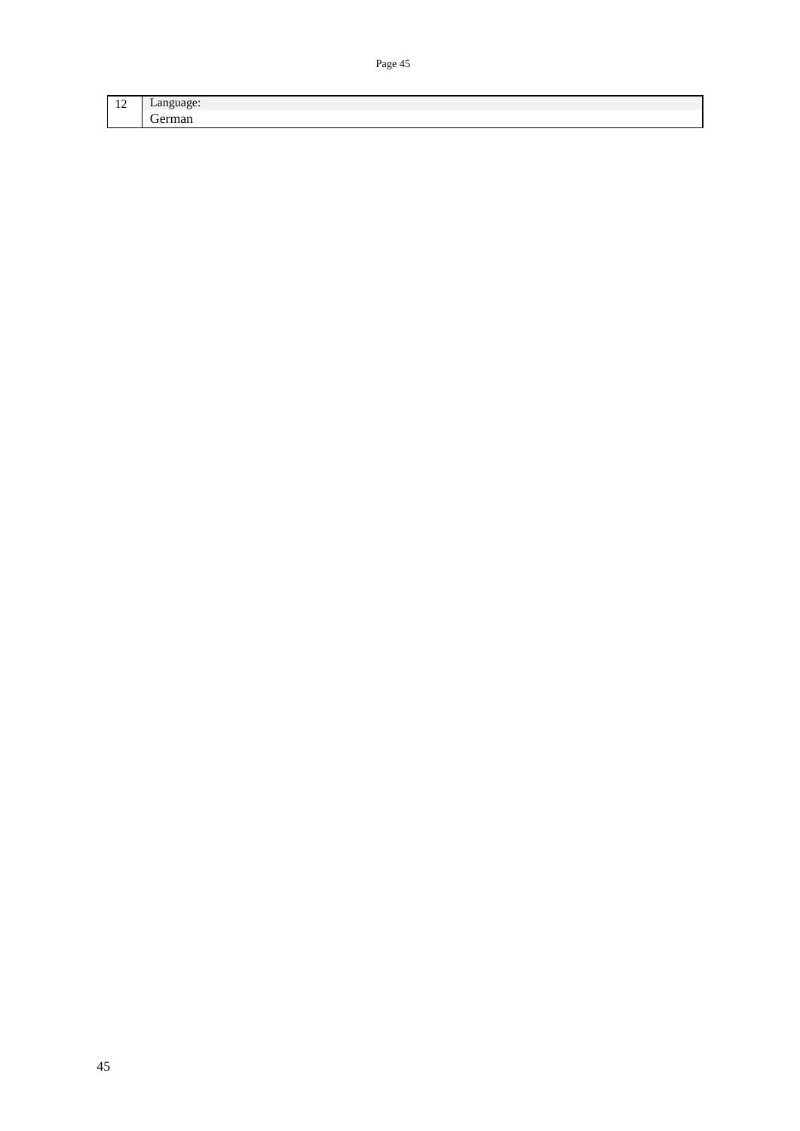12 Language: German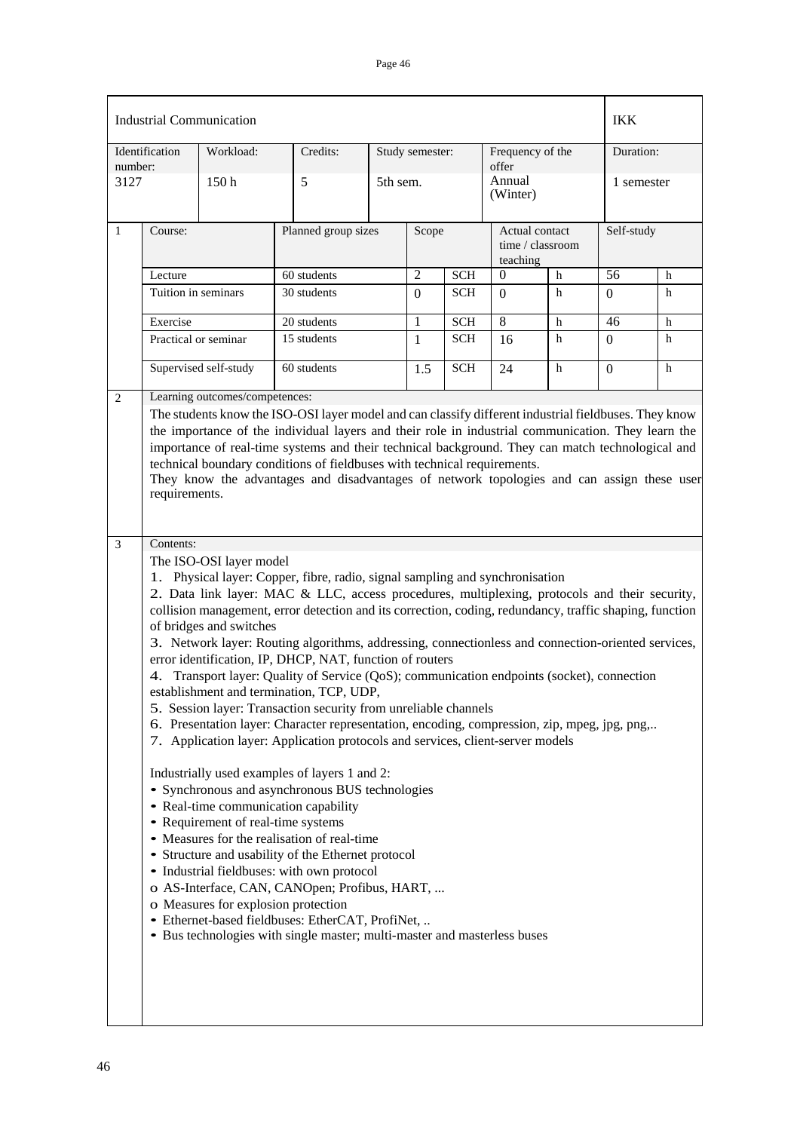|         |                                                                                                                                                                                                                                                                                                                                                                                                                                                                                                            | <b>Industrial Communication</b>                                                                                                 |                                                                                                                                                                                                                                                                                                                                                                                                                                                                                                                                                                                                                                                                                                                                                                                                                                                                                                                                                                                                                                                                                                                                                                                                                                                                                                                                        |  |                 |            |                                                |   | <b>IKK</b>     |   |
|---------|------------------------------------------------------------------------------------------------------------------------------------------------------------------------------------------------------------------------------------------------------------------------------------------------------------------------------------------------------------------------------------------------------------------------------------------------------------------------------------------------------------|---------------------------------------------------------------------------------------------------------------------------------|----------------------------------------------------------------------------------------------------------------------------------------------------------------------------------------------------------------------------------------------------------------------------------------------------------------------------------------------------------------------------------------------------------------------------------------------------------------------------------------------------------------------------------------------------------------------------------------------------------------------------------------------------------------------------------------------------------------------------------------------------------------------------------------------------------------------------------------------------------------------------------------------------------------------------------------------------------------------------------------------------------------------------------------------------------------------------------------------------------------------------------------------------------------------------------------------------------------------------------------------------------------------------------------------------------------------------------------|--|-----------------|------------|------------------------------------------------|---|----------------|---|
| number: | Identification                                                                                                                                                                                                                                                                                                                                                                                                                                                                                             | Workload:                                                                                                                       | Credits:                                                                                                                                                                                                                                                                                                                                                                                                                                                                                                                                                                                                                                                                                                                                                                                                                                                                                                                                                                                                                                                                                                                                                                                                                                                                                                                               |  | Study semester: |            | Frequency of the<br>offer                      |   | Duration:      |   |
| 3127    |                                                                                                                                                                                                                                                                                                                                                                                                                                                                                                            | 150h                                                                                                                            | 5                                                                                                                                                                                                                                                                                                                                                                                                                                                                                                                                                                                                                                                                                                                                                                                                                                                                                                                                                                                                                                                                                                                                                                                                                                                                                                                                      |  | 5th sem.        |            | Annual<br>(Winter)                             |   | 1 semester     |   |
| 1       | Course:                                                                                                                                                                                                                                                                                                                                                                                                                                                                                                    |                                                                                                                                 | Planned group sizes                                                                                                                                                                                                                                                                                                                                                                                                                                                                                                                                                                                                                                                                                                                                                                                                                                                                                                                                                                                                                                                                                                                                                                                                                                                                                                                    |  | Scope           |            | Actual contact<br>time / classroom<br>teaching |   | Self-study     |   |
|         | Lecture                                                                                                                                                                                                                                                                                                                                                                                                                                                                                                    |                                                                                                                                 | 60 students                                                                                                                                                                                                                                                                                                                                                                                                                                                                                                                                                                                                                                                                                                                                                                                                                                                                                                                                                                                                                                                                                                                                                                                                                                                                                                                            |  | $\overline{2}$  | <b>SCH</b> | 0                                              | h | 56             | h |
|         | Tuition in seminars                                                                                                                                                                                                                                                                                                                                                                                                                                                                                        |                                                                                                                                 | 30 students                                                                                                                                                                                                                                                                                                                                                                                                                                                                                                                                                                                                                                                                                                                                                                                                                                                                                                                                                                                                                                                                                                                                                                                                                                                                                                                            |  | $\Omega$        | <b>SCH</b> | $\Omega$                                       | h | $\Omega$       | h |
|         | Exercise                                                                                                                                                                                                                                                                                                                                                                                                                                                                                                   |                                                                                                                                 | 20 students                                                                                                                                                                                                                                                                                                                                                                                                                                                                                                                                                                                                                                                                                                                                                                                                                                                                                                                                                                                                                                                                                                                                                                                                                                                                                                                            |  | 1               | <b>SCH</b> | 8                                              | h | 46             | h |
|         |                                                                                                                                                                                                                                                                                                                                                                                                                                                                                                            | Practical or seminar                                                                                                            | 15 students                                                                                                                                                                                                                                                                                                                                                                                                                                                                                                                                                                                                                                                                                                                                                                                                                                                                                                                                                                                                                                                                                                                                                                                                                                                                                                                            |  | 1               | <b>SCH</b> | 16                                             | h | $\overline{0}$ | h |
|         |                                                                                                                                                                                                                                                                                                                                                                                                                                                                                                            | Supervised self-study                                                                                                           | 60 students                                                                                                                                                                                                                                                                                                                                                                                                                                                                                                                                                                                                                                                                                                                                                                                                                                                                                                                                                                                                                                                                                                                                                                                                                                                                                                                            |  | 1.5             | <b>SCH</b> | 24                                             | h | $\overline{0}$ | h |
| 2       |                                                                                                                                                                                                                                                                                                                                                                                                                                                                                                            | Learning outcomes/competences:                                                                                                  |                                                                                                                                                                                                                                                                                                                                                                                                                                                                                                                                                                                                                                                                                                                                                                                                                                                                                                                                                                                                                                                                                                                                                                                                                                                                                                                                        |  |                 |            |                                                |   |                |   |
|         | The students know the ISO-OSI layer model and can classify different industrial fieldbuses. They know<br>the importance of the individual layers and their role in industrial communication. They learn the<br>importance of real-time systems and their technical background. They can match technological and<br>technical boundary conditions of fieldbuses with technical requirements.<br>They know the advantages and disadvantages of network topologies and can assign these user<br>requirements. |                                                                                                                                 |                                                                                                                                                                                                                                                                                                                                                                                                                                                                                                                                                                                                                                                                                                                                                                                                                                                                                                                                                                                                                                                                                                                                                                                                                                                                                                                                        |  |                 |            |                                                |   |                |   |
| 3       | Contents:<br>4.                                                                                                                                                                                                                                                                                                                                                                                                                                                                                            | The ISO-OSI layer model<br>of bridges and switches<br>• Requirement of real-time systems<br>o Measures for explosion protection | 1. Physical layer: Copper, fibre, radio, signal sampling and synchronisation<br>2. Data link layer: MAC & LLC, access procedures, multiplexing, protocols and their security,<br>collision management, error detection and its correction, coding, redundancy, traffic shaping, function<br>3. Network layer: Routing algorithms, addressing, connectionless and connection-oriented services,<br>error identification, IP, DHCP, NAT, function of routers<br>Transport layer: Quality of Service (QoS); communication endpoints (socket), connection<br>establishment and termination, TCP, UDP,<br>5. Session layer: Transaction security from unreliable channels<br>6. Presentation layer: Character representation, encoding, compression, zip, mpeg, jpg, png,<br>7. Application layer: Application protocols and services, client-server models<br>Industrially used examples of layers 1 and 2:<br>• Synchronous and asynchronous BUS technologies<br>• Real-time communication capability<br>• Measures for the realisation of real-time<br>• Structure and usability of the Ethernet protocol<br>• Industrial fieldbuses: with own protocol<br>o AS-Interface, CAN, CANOpen; Profibus, HART,<br>· Ethernet-based fieldbuses: EtherCAT, ProfiNet,<br>• Bus technologies with single master; multi-master and masterless buses |  |                 |            |                                                |   |                |   |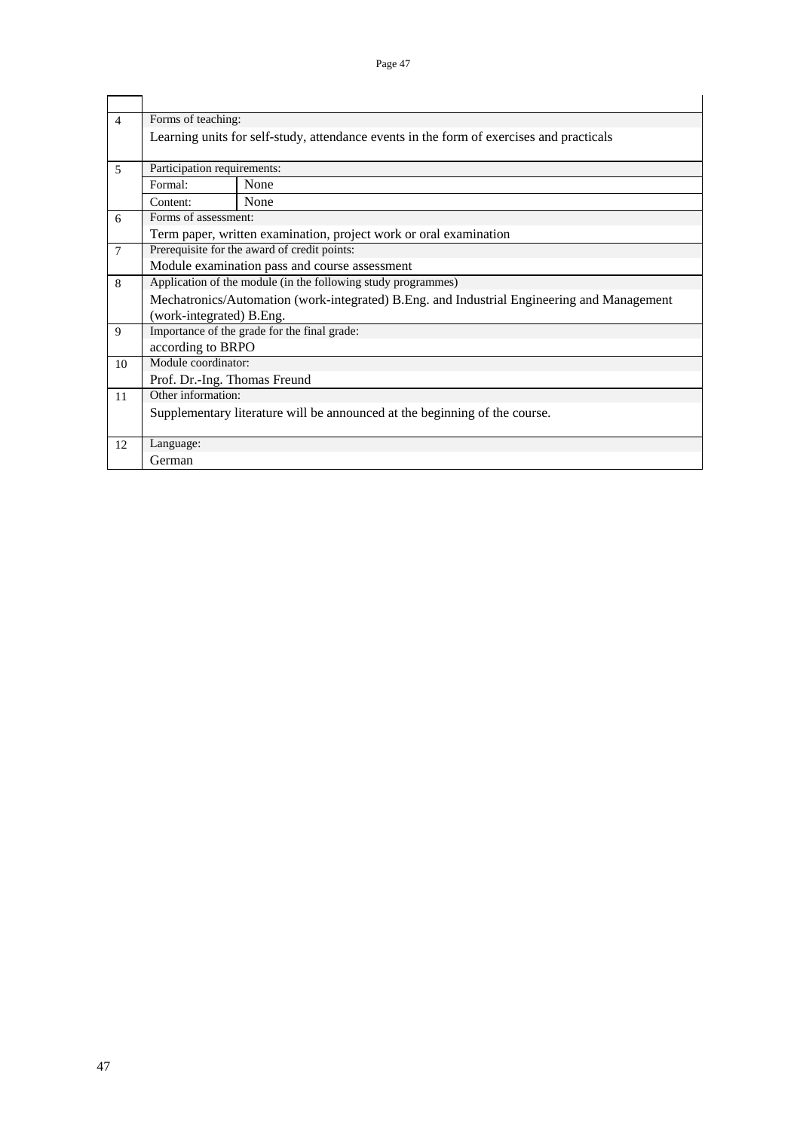| $\overline{4}$ | Forms of teaching:                                                                         |                                                                            |  |  |  |  |  |  |  |  |  |
|----------------|--------------------------------------------------------------------------------------------|----------------------------------------------------------------------------|--|--|--|--|--|--|--|--|--|
|                | Learning units for self-study, attendance events in the form of exercises and practicals   |                                                                            |  |  |  |  |  |  |  |  |  |
|                |                                                                                            |                                                                            |  |  |  |  |  |  |  |  |  |
| 5              | Participation requirements:                                                                |                                                                            |  |  |  |  |  |  |  |  |  |
|                | None<br>Formal:                                                                            |                                                                            |  |  |  |  |  |  |  |  |  |
|                | Content:                                                                                   | None                                                                       |  |  |  |  |  |  |  |  |  |
| 6              | Forms of assessment:                                                                       |                                                                            |  |  |  |  |  |  |  |  |  |
|                |                                                                                            | Term paper, written examination, project work or oral examination          |  |  |  |  |  |  |  |  |  |
| $\overline{7}$ | Prerequisite for the award of credit points:                                               |                                                                            |  |  |  |  |  |  |  |  |  |
|                | Module examination pass and course assessment                                              |                                                                            |  |  |  |  |  |  |  |  |  |
| 8              | Application of the module (in the following study programmes)                              |                                                                            |  |  |  |  |  |  |  |  |  |
|                | Mechatronics/Automation (work-integrated) B.Eng. and Industrial Engineering and Management |                                                                            |  |  |  |  |  |  |  |  |  |
|                | (work-integrated) B.Eng.                                                                   |                                                                            |  |  |  |  |  |  |  |  |  |
| 9              |                                                                                            | Importance of the grade for the final grade:                               |  |  |  |  |  |  |  |  |  |
|                | according to BRPO                                                                          |                                                                            |  |  |  |  |  |  |  |  |  |
| 10             | Module coordinator:                                                                        |                                                                            |  |  |  |  |  |  |  |  |  |
|                | Prof. Dr.-Ing. Thomas Freund                                                               |                                                                            |  |  |  |  |  |  |  |  |  |
| 11             | Other information:                                                                         |                                                                            |  |  |  |  |  |  |  |  |  |
|                |                                                                                            | Supplementary literature will be announced at the beginning of the course. |  |  |  |  |  |  |  |  |  |
|                |                                                                                            |                                                                            |  |  |  |  |  |  |  |  |  |
| 12             | Language:                                                                                  |                                                                            |  |  |  |  |  |  |  |  |  |
|                | German                                                                                     |                                                                            |  |  |  |  |  |  |  |  |  |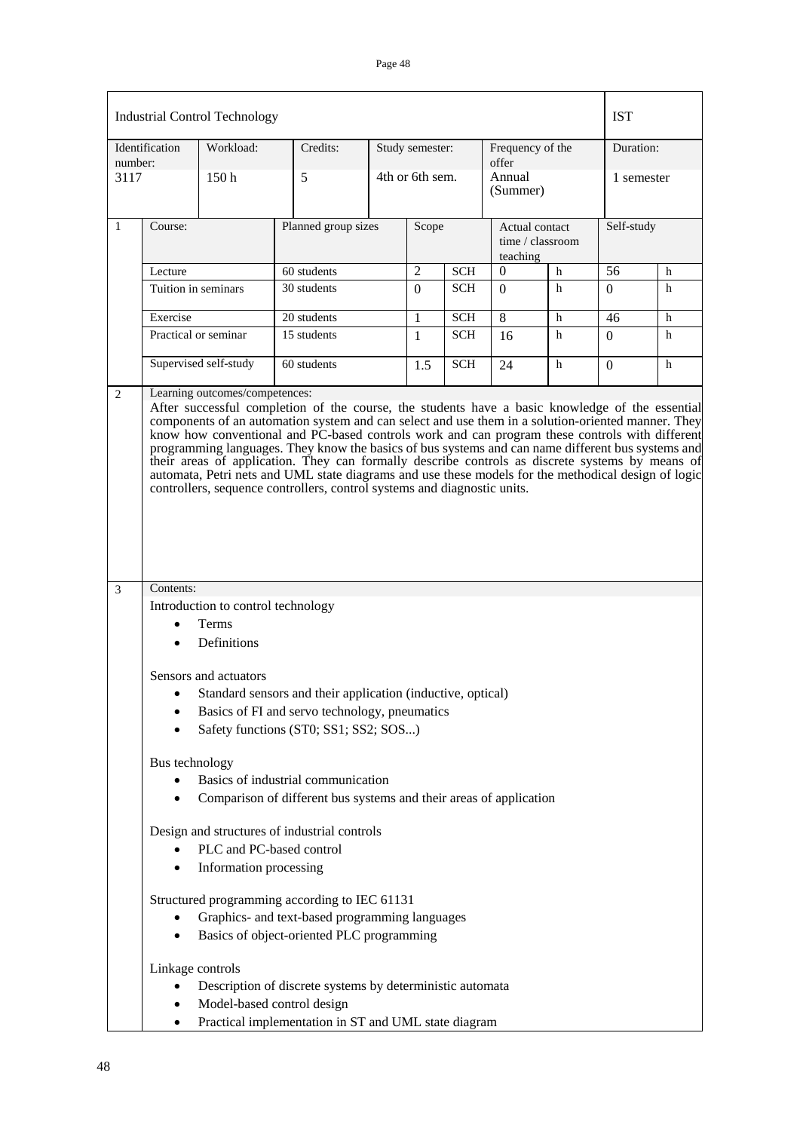|                           |                            | <b>Industrial Control Technology</b>                               |                                                                                             |                     |                 |                                                             |                                    |   | <b>IST</b> |            |  |
|---------------------------|----------------------------|--------------------------------------------------------------------|---------------------------------------------------------------------------------------------|---------------------|-----------------|-------------------------------------------------------------|------------------------------------|---|------------|------------|--|
| Identification<br>number: |                            | Workload:                                                          | Credits:                                                                                    |                     | Study semester: |                                                             | Frequency of the<br>offer          |   |            | Duration:  |  |
| 3117                      |                            | 150 <sub>h</sub>                                                   | 5                                                                                           | 4th or 6th sem.     |                 |                                                             | Annual<br>(Summer)                 |   |            | 1 semester |  |
| $\mathbf{1}$              | Course:                    |                                                                    |                                                                                             | Planned group sizes |                 |                                                             | Actual contact<br>time / classroom |   |            | Self-study |  |
|                           | Lecture                    |                                                                    | 60 students                                                                                 |                     | $\overline{2}$  | <b>SCH</b>                                                  | teaching<br>$\theta$<br>h          |   | 56         | h          |  |
|                           |                            | Tuition in seminars                                                | 30 students                                                                                 |                     | $\Omega$        | <b>SCH</b>                                                  | $\Omega$                           | h | $\Omega$   | h          |  |
|                           | Exercise                   |                                                                    | 20 students                                                                                 |                     | $\mathbf{1}$    | <b>SCH</b>                                                  | 8                                  | h | 46         | h          |  |
|                           |                            | Practical or seminar                                               | 15 students                                                                                 |                     | $\mathbf{1}$    | <b>SCH</b>                                                  | 16                                 | h | $\Omega$   | h          |  |
|                           |                            | Supervised self-study                                              | 60 students                                                                                 |                     | 1.5             | <b>SCH</b>                                                  | 24                                 | h | $\Omega$   | h          |  |
| 3                         | Contents:                  | Introduction to control technology                                 |                                                                                             |                     |                 |                                                             |                                    |   |            |            |  |
|                           |                            | Terms<br>Definitions                                               |                                                                                             |                     |                 |                                                             |                                    |   |            |            |  |
|                           |                            | Sensors and actuators                                              |                                                                                             |                     |                 |                                                             |                                    |   |            |            |  |
|                           |                            |                                                                    |                                                                                             |                     |                 | Standard sensors and their application (inductive, optical) |                                    |   |            |            |  |
|                           |                            |                                                                    | Basics of FI and servo technology, pneumatics<br>Safety functions (ST0; SS1; SS2; SOS)      |                     |                 |                                                             |                                    |   |            |            |  |
|                           |                            | Bus technology                                                     |                                                                                             |                     |                 |                                                             |                                    |   |            |            |  |
|                           |                            | Basics of industrial communication                                 |                                                                                             |                     |                 |                                                             |                                    |   |            |            |  |
|                           |                            | Comparison of different bus systems and their areas of application |                                                                                             |                     |                 |                                                             |                                    |   |            |            |  |
|                           |                            |                                                                    | Design and structures of industrial controls                                                |                     |                 |                                                             |                                    |   |            |            |  |
|                           |                            | Information processing                                             | PLC and PC-based control                                                                    |                     |                 |                                                             |                                    |   |            |            |  |
|                           |                            |                                                                    | Structured programming according to IEC 61131                                               |                     |                 |                                                             |                                    |   |            |            |  |
|                           |                            |                                                                    | Graphics- and text-based programming languages<br>Basics of object-oriented PLC programming |                     |                 |                                                             |                                    |   |            |            |  |
|                           |                            | Linkage controls                                                   |                                                                                             |                     |                 |                                                             |                                    |   |            |            |  |
|                           |                            |                                                                    | Description of discrete systems by deterministic automata                                   |                     |                 |                                                             |                                    |   |            |            |  |
|                           | Model-based control design |                                                                    |                                                                                             |                     |                 |                                                             |                                    |   |            |            |  |
|                           | ٠                          |                                                                    | Practical implementation in ST and UML state diagram                                        |                     |                 |                                                             |                                    |   |            |            |  |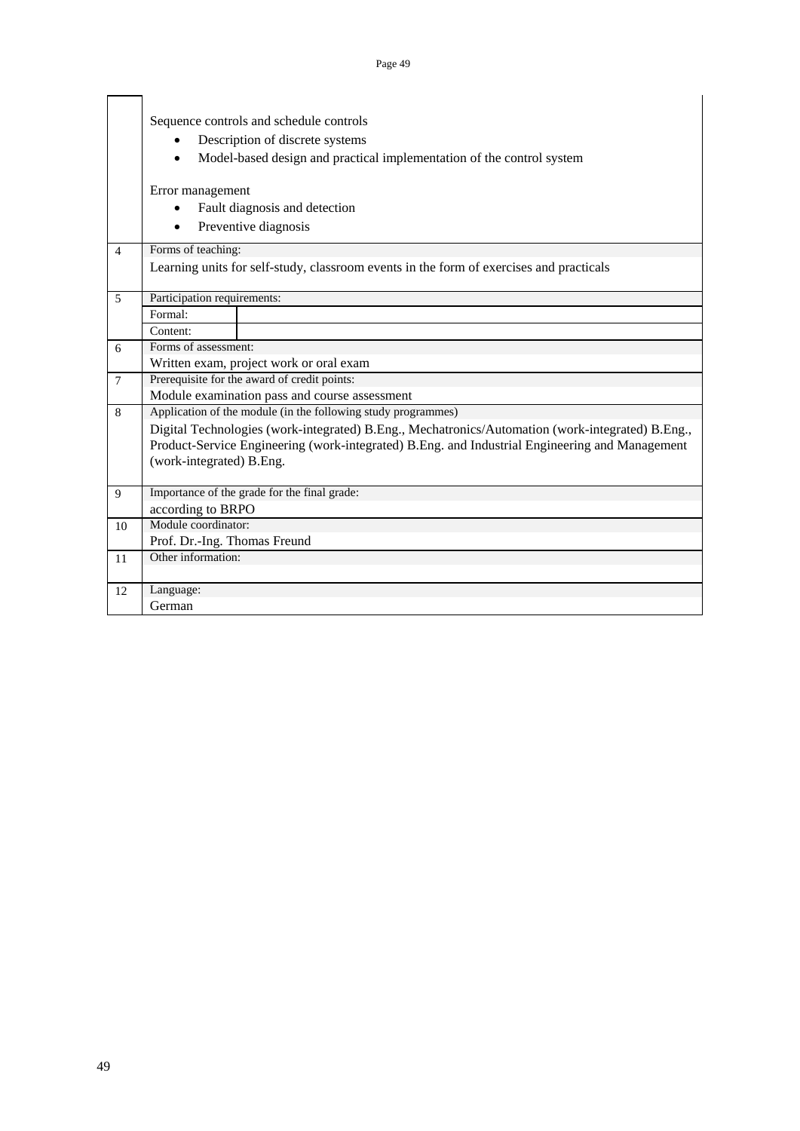|                          | Sequence controls and schedule controls                                                          |  |  |  |  |  |  |  |  |  |  |
|--------------------------|--------------------------------------------------------------------------------------------------|--|--|--|--|--|--|--|--|--|--|
|                          | Description of discrete systems                                                                  |  |  |  |  |  |  |  |  |  |  |
|                          | Model-based design and practical implementation of the control system                            |  |  |  |  |  |  |  |  |  |  |
|                          |                                                                                                  |  |  |  |  |  |  |  |  |  |  |
|                          | Error management                                                                                 |  |  |  |  |  |  |  |  |  |  |
|                          | Fault diagnosis and detection                                                                    |  |  |  |  |  |  |  |  |  |  |
|                          | Preventive diagnosis                                                                             |  |  |  |  |  |  |  |  |  |  |
|                          |                                                                                                  |  |  |  |  |  |  |  |  |  |  |
| $\overline{4}$           | Forms of teaching:                                                                               |  |  |  |  |  |  |  |  |  |  |
|                          | Learning units for self-study, classroom events in the form of exercises and practicals          |  |  |  |  |  |  |  |  |  |  |
| $\overline{\phantom{0}}$ | Participation requirements:                                                                      |  |  |  |  |  |  |  |  |  |  |
|                          | Formal:                                                                                          |  |  |  |  |  |  |  |  |  |  |
|                          | Content:                                                                                         |  |  |  |  |  |  |  |  |  |  |
| 6                        | Forms of assessment:                                                                             |  |  |  |  |  |  |  |  |  |  |
|                          | Written exam, project work or oral exam                                                          |  |  |  |  |  |  |  |  |  |  |
| $\overline{7}$           | Prerequisite for the award of credit points:                                                     |  |  |  |  |  |  |  |  |  |  |
|                          | Module examination pass and course assessment                                                    |  |  |  |  |  |  |  |  |  |  |
| 8                        | Application of the module (in the following study programmes)                                    |  |  |  |  |  |  |  |  |  |  |
|                          | Digital Technologies (work-integrated) B.Eng., Mechatronics/Automation (work-integrated) B.Eng., |  |  |  |  |  |  |  |  |  |  |
|                          | Product-Service Engineering (work-integrated) B.Eng. and Industrial Engineering and Management   |  |  |  |  |  |  |  |  |  |  |
|                          | (work-integrated) B.Eng.                                                                         |  |  |  |  |  |  |  |  |  |  |
|                          |                                                                                                  |  |  |  |  |  |  |  |  |  |  |
| $\mathbf Q$              | Importance of the grade for the final grade:                                                     |  |  |  |  |  |  |  |  |  |  |
|                          | according to BRPO                                                                                |  |  |  |  |  |  |  |  |  |  |
| 10                       | Module coordinator:                                                                              |  |  |  |  |  |  |  |  |  |  |
|                          | Prof. Dr.-Ing. Thomas Freund                                                                     |  |  |  |  |  |  |  |  |  |  |
| 11                       | Other information:                                                                               |  |  |  |  |  |  |  |  |  |  |
|                          |                                                                                                  |  |  |  |  |  |  |  |  |  |  |
| 12                       | Language:                                                                                        |  |  |  |  |  |  |  |  |  |  |
|                          | German                                                                                           |  |  |  |  |  |  |  |  |  |  |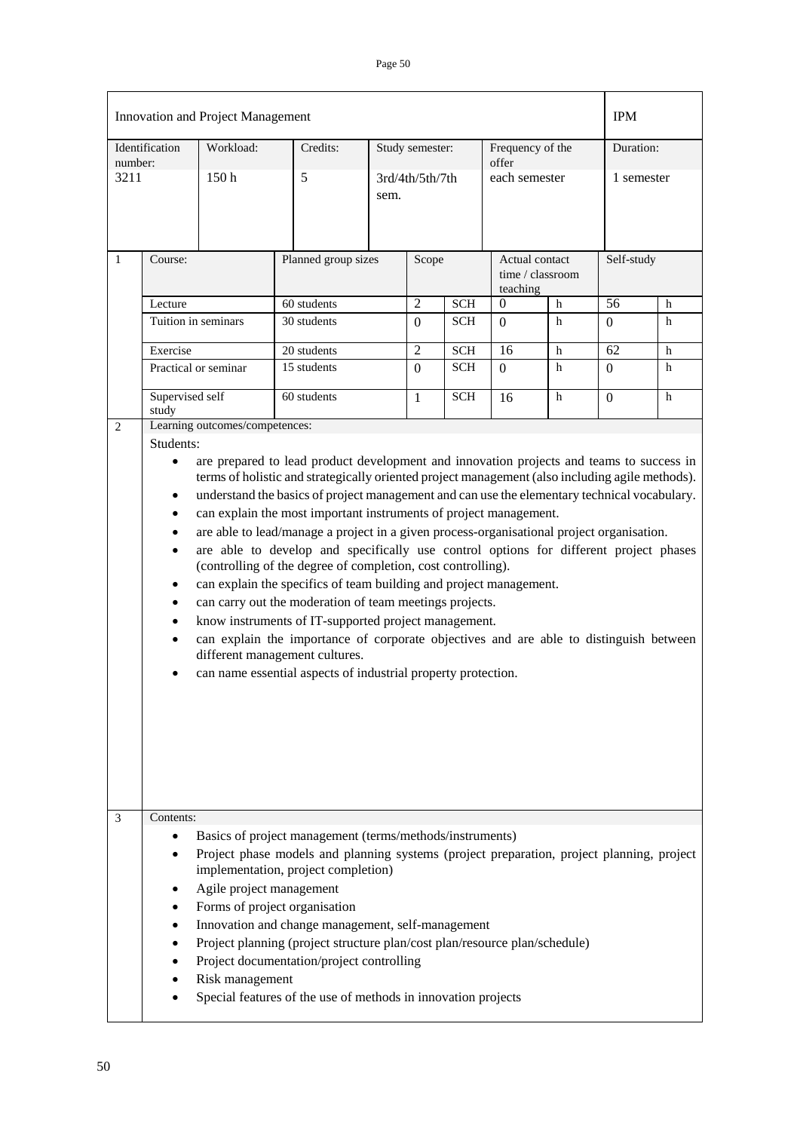|              |                                                                                                                                                                                                                                                                                                                                                                                                                                                                                                                                                                                                                                                                                                                                                                                                                                                                                                                                                                     | Innovation and Project Management           |                                                                                                                                                                                                                                                                                                                                                                                                                                                                                |                     |                 |                 |                           |                                    | <b>IPM</b> |            |  |
|--------------|---------------------------------------------------------------------------------------------------------------------------------------------------------------------------------------------------------------------------------------------------------------------------------------------------------------------------------------------------------------------------------------------------------------------------------------------------------------------------------------------------------------------------------------------------------------------------------------------------------------------------------------------------------------------------------------------------------------------------------------------------------------------------------------------------------------------------------------------------------------------------------------------------------------------------------------------------------------------|---------------------------------------------|--------------------------------------------------------------------------------------------------------------------------------------------------------------------------------------------------------------------------------------------------------------------------------------------------------------------------------------------------------------------------------------------------------------------------------------------------------------------------------|---------------------|-----------------|-----------------|---------------------------|------------------------------------|------------|------------|--|
| number:      | Identification                                                                                                                                                                                                                                                                                                                                                                                                                                                                                                                                                                                                                                                                                                                                                                                                                                                                                                                                                      | Workload:                                   | Credits:                                                                                                                                                                                                                                                                                                                                                                                                                                                                       |                     | Study semester: |                 | Frequency of the<br>offer |                                    |            | Duration:  |  |
| 3211         |                                                                                                                                                                                                                                                                                                                                                                                                                                                                                                                                                                                                                                                                                                                                                                                                                                                                                                                                                                     | 150 <sub>h</sub>                            | 5                                                                                                                                                                                                                                                                                                                                                                                                                                                                              | sem.                |                 | 3rd/4th/5th/7th |                           | each semester                      |            | 1 semester |  |
| $\mathbf{1}$ | Course:                                                                                                                                                                                                                                                                                                                                                                                                                                                                                                                                                                                                                                                                                                                                                                                                                                                                                                                                                             |                                             |                                                                                                                                                                                                                                                                                                                                                                                                                                                                                | Planned group sizes |                 |                 | teaching                  | Actual contact<br>time / classroom |            | Self-study |  |
|              | Lecture                                                                                                                                                                                                                                                                                                                                                                                                                                                                                                                                                                                                                                                                                                                                                                                                                                                                                                                                                             |                                             | 60 students                                                                                                                                                                                                                                                                                                                                                                                                                                                                    |                     | $\overline{2}$  | <b>SCH</b>      | $\Omega$                  | h                                  | 56         | h          |  |
|              |                                                                                                                                                                                                                                                                                                                                                                                                                                                                                                                                                                                                                                                                                                                                                                                                                                                                                                                                                                     | Tuition in seminars                         | 30 students                                                                                                                                                                                                                                                                                                                                                                                                                                                                    |                     | $\Omega$        | <b>SCH</b>      | $\Omega$                  | h                                  | $\Omega$   | h          |  |
|              | Exercise                                                                                                                                                                                                                                                                                                                                                                                                                                                                                                                                                                                                                                                                                                                                                                                                                                                                                                                                                            |                                             | 20 students                                                                                                                                                                                                                                                                                                                                                                                                                                                                    |                     | $\overline{2}$  | <b>SCH</b>      | 16                        | h                                  | 62         | h          |  |
|              |                                                                                                                                                                                                                                                                                                                                                                                                                                                                                                                                                                                                                                                                                                                                                                                                                                                                                                                                                                     | Practical or seminar                        | 15 students                                                                                                                                                                                                                                                                                                                                                                                                                                                                    |                     | $\theta$        | <b>SCH</b>      | $\theta$                  | h                                  | $\Omega$   | h          |  |
|              | Supervised self<br>study                                                                                                                                                                                                                                                                                                                                                                                                                                                                                                                                                                                                                                                                                                                                                                                                                                                                                                                                            |                                             | 60 students                                                                                                                                                                                                                                                                                                                                                                                                                                                                    |                     | 1               | <b>SCH</b>      | 16                        | h                                  | $\Omega$   | h          |  |
| 2            | Students:                                                                                                                                                                                                                                                                                                                                                                                                                                                                                                                                                                                                                                                                                                                                                                                                                                                                                                                                                           | Learning outcomes/competences:              |                                                                                                                                                                                                                                                                                                                                                                                                                                                                                |                     |                 |                 |                           |                                    |            |            |  |
| 3            | terms of holistic and strategically oriented project management (also including agile methods).<br>understand the basics of project management and can use the elementary technical vocabulary.<br>$\bullet$<br>can explain the most important instruments of project management.<br>٠<br>are able to lead/manage a project in a given process-organisational project organisation.<br>are able to develop and specifically use control options for different project phases<br>(controlling of the degree of completion, cost controlling).<br>can explain the specifics of team building and project management.<br>٠<br>can carry out the moderation of team meetings projects.<br>٠<br>know instruments of IT-supported project management.<br>$\bullet$<br>can explain the importance of corporate objectives and are able to distinguish between<br>٠<br>different management cultures.<br>can name essential aspects of industrial property protection.<br>٠ |                                             |                                                                                                                                                                                                                                                                                                                                                                                                                                                                                |                     |                 |                 |                           |                                    |            |            |  |
|              | Contents:<br>٠<br>٠                                                                                                                                                                                                                                                                                                                                                                                                                                                                                                                                                                                                                                                                                                                                                                                                                                                                                                                                                 | Agile project management<br>Risk management | Basics of project management (terms/methods/instruments)<br>Project phase models and planning systems (project preparation, project planning, project<br>implementation, project completion)<br>Forms of project organisation<br>Innovation and change management, self-management<br>Project planning (project structure plan/cost plan/resource plan/schedule)<br>Project documentation/project controlling<br>Special features of the use of methods in innovation projects |                     |                 |                 |                           |                                    |            |            |  |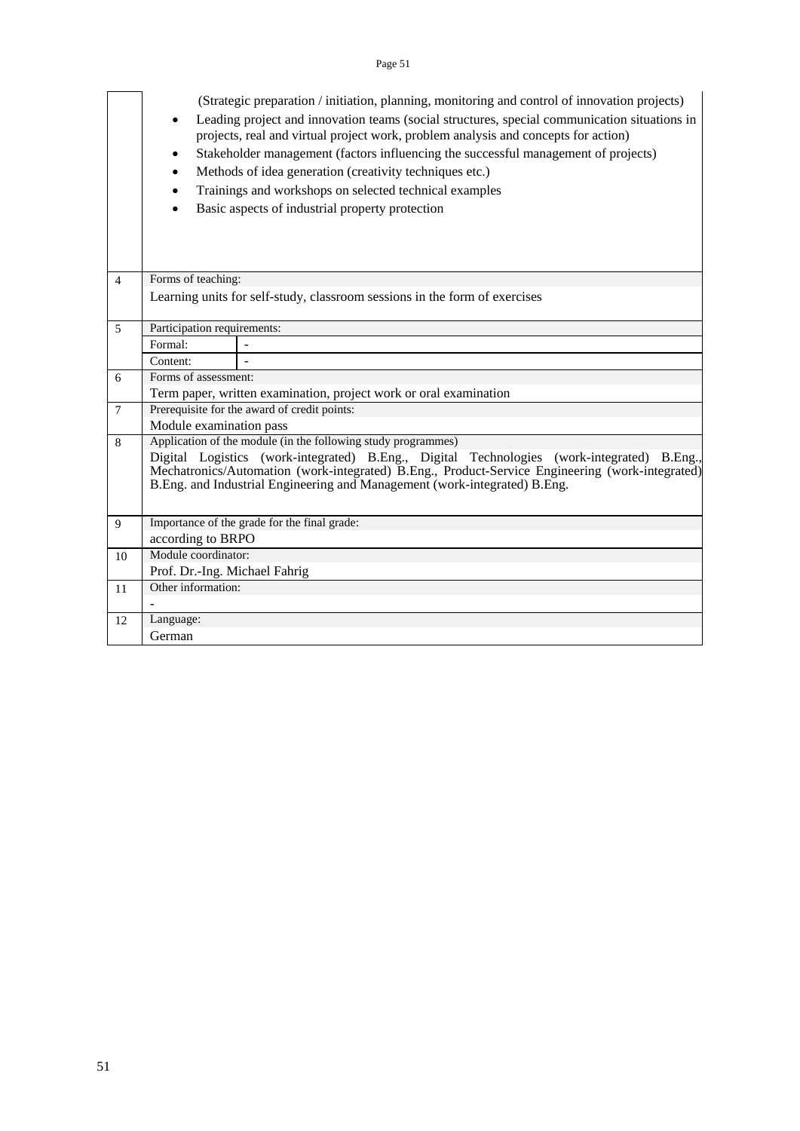|                | $\bullet$                     | (Strategic preparation / initiation, planning, monitoring and control of innovation projects)<br>Leading project and innovation teams (social structures, special communication situations in<br>projects, real and virtual project work, problem analysis and concepts for action)<br>Stakeholder management (factors influencing the successful management of projects)<br>Methods of idea generation (creativity techniques etc.)<br>Trainings and workshops on selected technical examples<br>Basic aspects of industrial property protection |
|----------------|-------------------------------|---------------------------------------------------------------------------------------------------------------------------------------------------------------------------------------------------------------------------------------------------------------------------------------------------------------------------------------------------------------------------------------------------------------------------------------------------------------------------------------------------------------------------------------------------|
| $\overline{4}$ | Forms of teaching:            |                                                                                                                                                                                                                                                                                                                                                                                                                                                                                                                                                   |
|                |                               | Learning units for self-study, classroom sessions in the form of exercises                                                                                                                                                                                                                                                                                                                                                                                                                                                                        |
| 5              | Participation requirements:   |                                                                                                                                                                                                                                                                                                                                                                                                                                                                                                                                                   |
|                | Formal:                       |                                                                                                                                                                                                                                                                                                                                                                                                                                                                                                                                                   |
|                | Content:                      |                                                                                                                                                                                                                                                                                                                                                                                                                                                                                                                                                   |
| 6              | Forms of assessment:          |                                                                                                                                                                                                                                                                                                                                                                                                                                                                                                                                                   |
|                |                               | Term paper, written examination, project work or oral examination                                                                                                                                                                                                                                                                                                                                                                                                                                                                                 |
| $\overline{7}$ |                               | Prerequisite for the award of credit points:                                                                                                                                                                                                                                                                                                                                                                                                                                                                                                      |
|                | Module examination pass       |                                                                                                                                                                                                                                                                                                                                                                                                                                                                                                                                                   |
| 8              |                               | Application of the module (in the following study programmes)                                                                                                                                                                                                                                                                                                                                                                                                                                                                                     |
|                |                               | Digital Logistics (work-integrated) B.Eng., Digital Technologies (work-integrated) B.Eng.,<br>Mechatronics/Automation (work-integrated) B.Eng., Product-Service Engineering (work-integrated)                                                                                                                                                                                                                                                                                                                                                     |
|                |                               | B.Eng. and Industrial Engineering and Management (work-integrated) B.Eng.                                                                                                                                                                                                                                                                                                                                                                                                                                                                         |
|                |                               |                                                                                                                                                                                                                                                                                                                                                                                                                                                                                                                                                   |
| 9              |                               | Importance of the grade for the final grade:                                                                                                                                                                                                                                                                                                                                                                                                                                                                                                      |
|                | according to BRPO             |                                                                                                                                                                                                                                                                                                                                                                                                                                                                                                                                                   |
| 10             | Module coordinator:           |                                                                                                                                                                                                                                                                                                                                                                                                                                                                                                                                                   |
|                | Prof. Dr.-Ing. Michael Fahrig |                                                                                                                                                                                                                                                                                                                                                                                                                                                                                                                                                   |
| 11             | Other information:            |                                                                                                                                                                                                                                                                                                                                                                                                                                                                                                                                                   |
|                |                               |                                                                                                                                                                                                                                                                                                                                                                                                                                                                                                                                                   |
| 12             | Language:                     |                                                                                                                                                                                                                                                                                                                                                                                                                                                                                                                                                   |
|                | German                        |                                                                                                                                                                                                                                                                                                                                                                                                                                                                                                                                                   |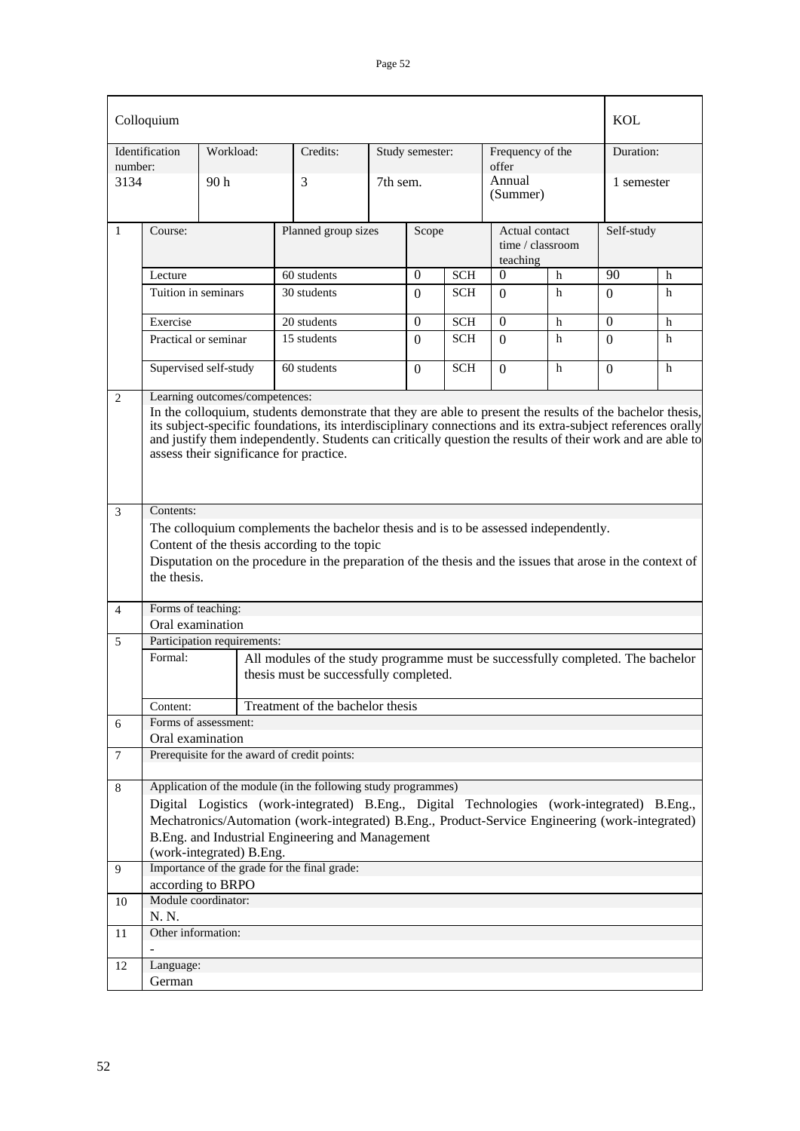|                | Colloquium                                                                                                                                                                                                                                                                                                                                                                                                          |                             |                                                                                                                           |          |                 |            |                    |                                    | <b>KOL</b>   |            |  |
|----------------|---------------------------------------------------------------------------------------------------------------------------------------------------------------------------------------------------------------------------------------------------------------------------------------------------------------------------------------------------------------------------------------------------------------------|-----------------------------|---------------------------------------------------------------------------------------------------------------------------|----------|-----------------|------------|--------------------|------------------------------------|--------------|------------|--|
| number:        | Identification                                                                                                                                                                                                                                                                                                                                                                                                      | Workload:                   | Credits:                                                                                                                  |          | Study semester: |            |                    | Frequency of the<br>offer          |              | Duration:  |  |
| 3134           |                                                                                                                                                                                                                                                                                                                                                                                                                     | 90 <sub>h</sub>             | 3                                                                                                                         | 7th sem. |                 |            | Annual<br>(Summer) |                                    |              | 1 semester |  |
| $\mathbf{1}$   | Course:                                                                                                                                                                                                                                                                                                                                                                                                             |                             | Planned group sizes                                                                                                       |          | Scope           |            | teaching           | Actual contact<br>time / classroom |              | Self-study |  |
|                | Lecture                                                                                                                                                                                                                                                                                                                                                                                                             |                             | 60 students                                                                                                               |          | $\theta$        | <b>SCH</b> | $\Omega$           | h                                  | 90           | h          |  |
|                | Tuition in seminars                                                                                                                                                                                                                                                                                                                                                                                                 |                             | 30 students                                                                                                               |          | $\Omega$        | <b>SCH</b> | $\Omega$           | h                                  | $\Omega$     | h          |  |
|                | Exercise                                                                                                                                                                                                                                                                                                                                                                                                            |                             | 20 students                                                                                                               |          | $\theta$        | <b>SCH</b> | $\theta$           | h                                  | $\mathbf{0}$ | h          |  |
|                | Practical or seminar                                                                                                                                                                                                                                                                                                                                                                                                |                             | 15 students                                                                                                               |          | $\Omega$        | <b>SCH</b> | $\Omega$           | h                                  | $\Omega$     | h          |  |
|                |                                                                                                                                                                                                                                                                                                                                                                                                                     | Supervised self-study       | 60 students                                                                                                               |          | $\Omega$        | <b>SCH</b> | $\Omega$           | h                                  | $\Omega$     | h          |  |
| 2              | Learning outcomes/competences:<br>In the colloquium, students demonstrate that they are able to present the results of the bachelor thesis,<br>its subject-specific foundations, its interdisciplinary connections and its extra-subject references orally<br>and justify them independently. Students can critically question the results of their work and are able to<br>assess their significance for practice. |                             |                                                                                                                           |          |                 |            |                    |                                    |              |            |  |
| 3              | Contents:                                                                                                                                                                                                                                                                                                                                                                                                           |                             |                                                                                                                           |          |                 |            |                    |                                    |              |            |  |
|                |                                                                                                                                                                                                                                                                                                                                                                                                                     |                             | The colloquium complements the bachelor thesis and is to be assessed independently.                                       |          |                 |            |                    |                                    |              |            |  |
|                |                                                                                                                                                                                                                                                                                                                                                                                                                     |                             | Content of the thesis according to the topic                                                                              |          |                 |            |                    |                                    |              |            |  |
|                | the thesis.                                                                                                                                                                                                                                                                                                                                                                                                         |                             | Disputation on the procedure in the preparation of the thesis and the issues that arose in the context of                 |          |                 |            |                    |                                    |              |            |  |
| 4              | Forms of teaching:                                                                                                                                                                                                                                                                                                                                                                                                  |                             |                                                                                                                           |          |                 |            |                    |                                    |              |            |  |
|                | Oral examination                                                                                                                                                                                                                                                                                                                                                                                                    |                             |                                                                                                                           |          |                 |            |                    |                                    |              |            |  |
| 5              |                                                                                                                                                                                                                                                                                                                                                                                                                     | Participation requirements: |                                                                                                                           |          |                 |            |                    |                                    |              |            |  |
|                | Formal:                                                                                                                                                                                                                                                                                                                                                                                                             |                             | All modules of the study programme must be successfully completed. The bachelor<br>thesis must be successfully completed. |          |                 |            |                    |                                    |              |            |  |
|                | Content:                                                                                                                                                                                                                                                                                                                                                                                                            |                             | Treatment of the bachelor thesis                                                                                          |          |                 |            |                    |                                    |              |            |  |
| 6              |                                                                                                                                                                                                                                                                                                                                                                                                                     | Forms of assessment:        |                                                                                                                           |          |                 |            |                    |                                    |              |            |  |
|                | Oral examination                                                                                                                                                                                                                                                                                                                                                                                                    |                             | Prerequisite for the award of credit points:                                                                              |          |                 |            |                    |                                    |              |            |  |
| $\overline{7}$ |                                                                                                                                                                                                                                                                                                                                                                                                                     |                             |                                                                                                                           |          |                 |            |                    |                                    |              |            |  |
| 8              |                                                                                                                                                                                                                                                                                                                                                                                                                     |                             | Application of the module (in the following study programmes)                                                             |          |                 |            |                    |                                    |              |            |  |
|                |                                                                                                                                                                                                                                                                                                                                                                                                                     |                             | Digital Logistics (work-integrated) B.Eng., Digital Technologies (work-integrated) B.Eng.,                                |          |                 |            |                    |                                    |              |            |  |
|                |                                                                                                                                                                                                                                                                                                                                                                                                                     |                             | Mechatronics/Automation (work-integrated) B.Eng., Product-Service Engineering (work-integrated)                           |          |                 |            |                    |                                    |              |            |  |
|                |                                                                                                                                                                                                                                                                                                                                                                                                                     |                             | B.Eng. and Industrial Engineering and Management                                                                          |          |                 |            |                    |                                    |              |            |  |
| 9              |                                                                                                                                                                                                                                                                                                                                                                                                                     | (work-integrated) B.Eng.    | Importance of the grade for the final grade:                                                                              |          |                 |            |                    |                                    |              |            |  |
|                |                                                                                                                                                                                                                                                                                                                                                                                                                     | according to BRPO           |                                                                                                                           |          |                 |            |                    |                                    |              |            |  |
| 10             |                                                                                                                                                                                                                                                                                                                                                                                                                     | Module coordinator:         |                                                                                                                           |          |                 |            |                    |                                    |              |            |  |
|                | N. N.                                                                                                                                                                                                                                                                                                                                                                                                               |                             |                                                                                                                           |          |                 |            |                    |                                    |              |            |  |
| 11             | Other information:                                                                                                                                                                                                                                                                                                                                                                                                  |                             |                                                                                                                           |          |                 |            |                    |                                    |              |            |  |
| 12             | Language:                                                                                                                                                                                                                                                                                                                                                                                                           |                             |                                                                                                                           |          |                 |            |                    |                                    |              |            |  |
|                | German                                                                                                                                                                                                                                                                                                                                                                                                              |                             |                                                                                                                           |          |                 |            |                    |                                    |              |            |  |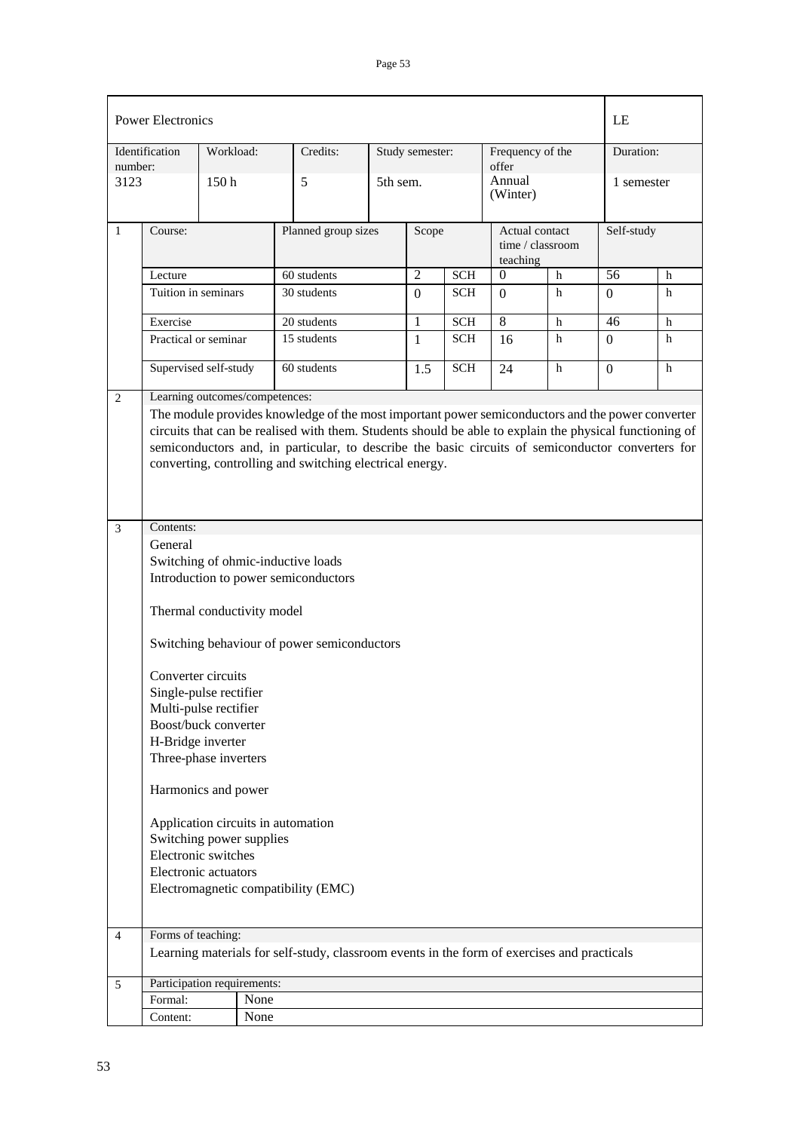|                | <b>Power Electronics</b>                                                                                                                                                                                                                                                                                                                                                                                                                                                                                      |                  |      |                                                                                             |          |                 |            |                                                |              | LE              |           |  |
|----------------|---------------------------------------------------------------------------------------------------------------------------------------------------------------------------------------------------------------------------------------------------------------------------------------------------------------------------------------------------------------------------------------------------------------------------------------------------------------------------------------------------------------|------------------|------|---------------------------------------------------------------------------------------------|----------|-----------------|------------|------------------------------------------------|--------------|-----------------|-----------|--|
| number:        | Identification                                                                                                                                                                                                                                                                                                                                                                                                                                                                                                | Workload:        |      | Credits:                                                                                    |          | Study semester: |            | Frequency of the<br>offer                      |              |                 | Duration: |  |
| 3123           |                                                                                                                                                                                                                                                                                                                                                                                                                                                                                                               | 150 <sub>h</sub> |      | 5                                                                                           | 5th sem. |                 |            | Annual<br>(Winter)                             |              | 1 semester      |           |  |
| $\mathbf{1}$   | Course:                                                                                                                                                                                                                                                                                                                                                                                                                                                                                                       |                  |      | Planned group sizes                                                                         |          | Scope           |            | Actual contact<br>time / classroom<br>teaching |              | Self-study      |           |  |
|                | Lecture                                                                                                                                                                                                                                                                                                                                                                                                                                                                                                       |                  |      | 60 students                                                                                 |          | $\overline{2}$  | <b>SCH</b> | $\Omega$                                       | $\mathbf{h}$ | $\overline{56}$ | h         |  |
|                | Tuition in seminars                                                                                                                                                                                                                                                                                                                                                                                                                                                                                           |                  |      | 30 students                                                                                 |          | $\theta$        | <b>SCH</b> | $\Omega$                                       | h            | $\Omega$        | h         |  |
|                | Exercise                                                                                                                                                                                                                                                                                                                                                                                                                                                                                                      |                  |      | 20 students                                                                                 |          | $\mathbf{1}$    | <b>SCH</b> | 8                                              | h            | 46              | h         |  |
|                | Practical or seminar                                                                                                                                                                                                                                                                                                                                                                                                                                                                                          |                  |      | 15 students                                                                                 |          | $\mathbf{1}$    | <b>SCH</b> | 16                                             | h            | $\Omega$        | h         |  |
|                | Supervised self-study                                                                                                                                                                                                                                                                                                                                                                                                                                                                                         |                  |      | 60 students                                                                                 |          | 1.5             | <b>SCH</b> | 24                                             | h            | $\overline{0}$  | h         |  |
| 3              | The module provides knowledge of the most important power semiconductors and the power converter<br>circuits that can be realised with them. Students should be able to explain the physical functioning of<br>semiconductors and, in particular, to describe the basic circuits of semiconductor converters for<br>converting, controlling and switching electrical energy.                                                                                                                                  |                  |      |                                                                                             |          |                 |            |                                                |              |                 |           |  |
|                | Contents:<br>General<br>Switching of ohmic-inductive loads<br>Introduction to power semiconductors<br>Thermal conductivity model<br>Switching behaviour of power semiconductors<br>Converter circuits<br>Single-pulse rectifier<br>Multi-pulse rectifier<br>Boost/buck converter<br>H-Bridge inverter<br>Three-phase inverters<br>Harmonics and power<br>Application circuits in automation<br>Switching power supplies<br>Electronic switches<br>Electronic actuators<br>Electromagnetic compatibility (EMC) |                  |      |                                                                                             |          |                 |            |                                                |              |                 |           |  |
| $\overline{4}$ | Forms of teaching:                                                                                                                                                                                                                                                                                                                                                                                                                                                                                            |                  |      |                                                                                             |          |                 |            |                                                |              |                 |           |  |
|                |                                                                                                                                                                                                                                                                                                                                                                                                                                                                                                               |                  |      | Learning materials for self-study, classroom events in the form of exercises and practicals |          |                 |            |                                                |              |                 |           |  |
| 5              | Participation requirements:                                                                                                                                                                                                                                                                                                                                                                                                                                                                                   |                  |      |                                                                                             |          |                 |            |                                                |              |                 |           |  |
|                | Formal:                                                                                                                                                                                                                                                                                                                                                                                                                                                                                                       |                  | None |                                                                                             |          |                 |            |                                                |              |                 |           |  |
|                | Content:                                                                                                                                                                                                                                                                                                                                                                                                                                                                                                      |                  | None |                                                                                             |          |                 |            |                                                |              |                 |           |  |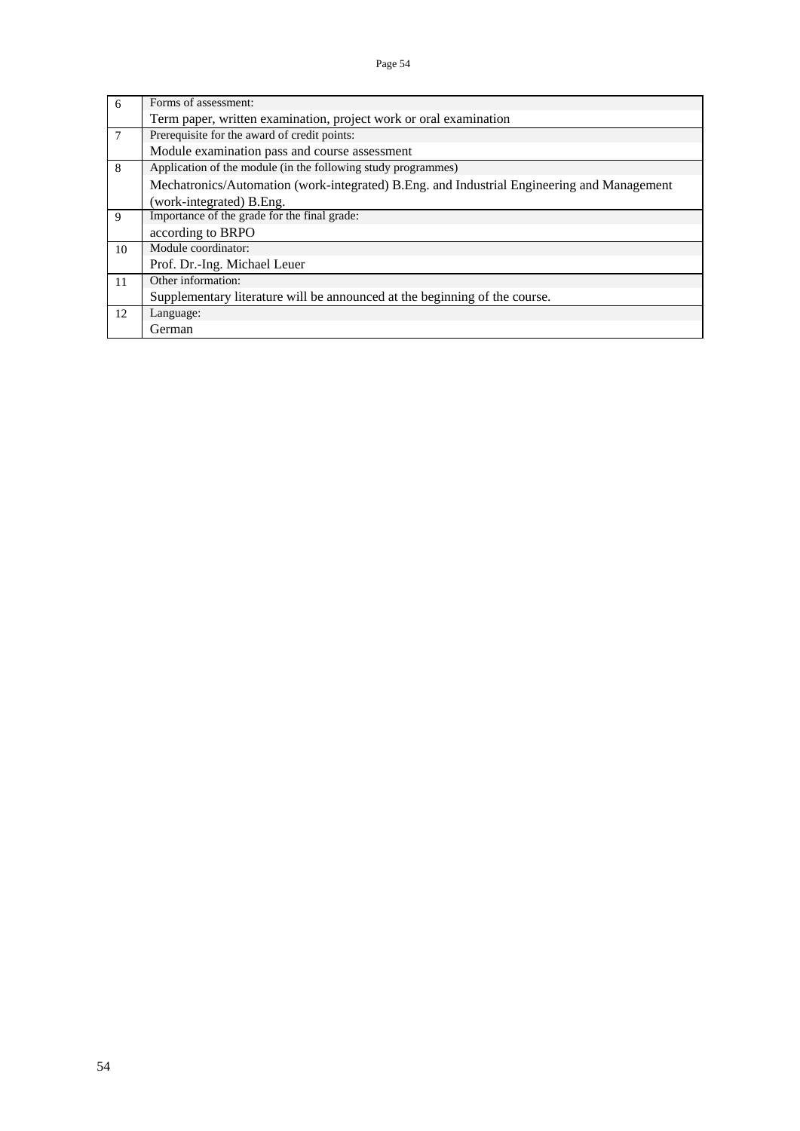| 6      | Forms of assessment:                                                                       |
|--------|--------------------------------------------------------------------------------------------|
|        | Term paper, written examination, project work or oral examination                          |
| $\tau$ | Prerequisite for the award of credit points:                                               |
|        | Module examination pass and course assessment                                              |
| 8      | Application of the module (in the following study programmes)                              |
|        | Mechatronics/Automation (work-integrated) B.Eng. and Industrial Engineering and Management |
|        | (work-integrated) B.Eng.                                                                   |
| 9      | Importance of the grade for the final grade:                                               |
|        | according to BRPO                                                                          |
| 10     | Module coordinator:                                                                        |
|        | Prof. Dr.-Ing. Michael Leuer                                                               |
| 11     | Other information:                                                                         |
|        | Supplementary literature will be announced at the beginning of the course.                 |
| 12     | Language:                                                                                  |
|        | German                                                                                     |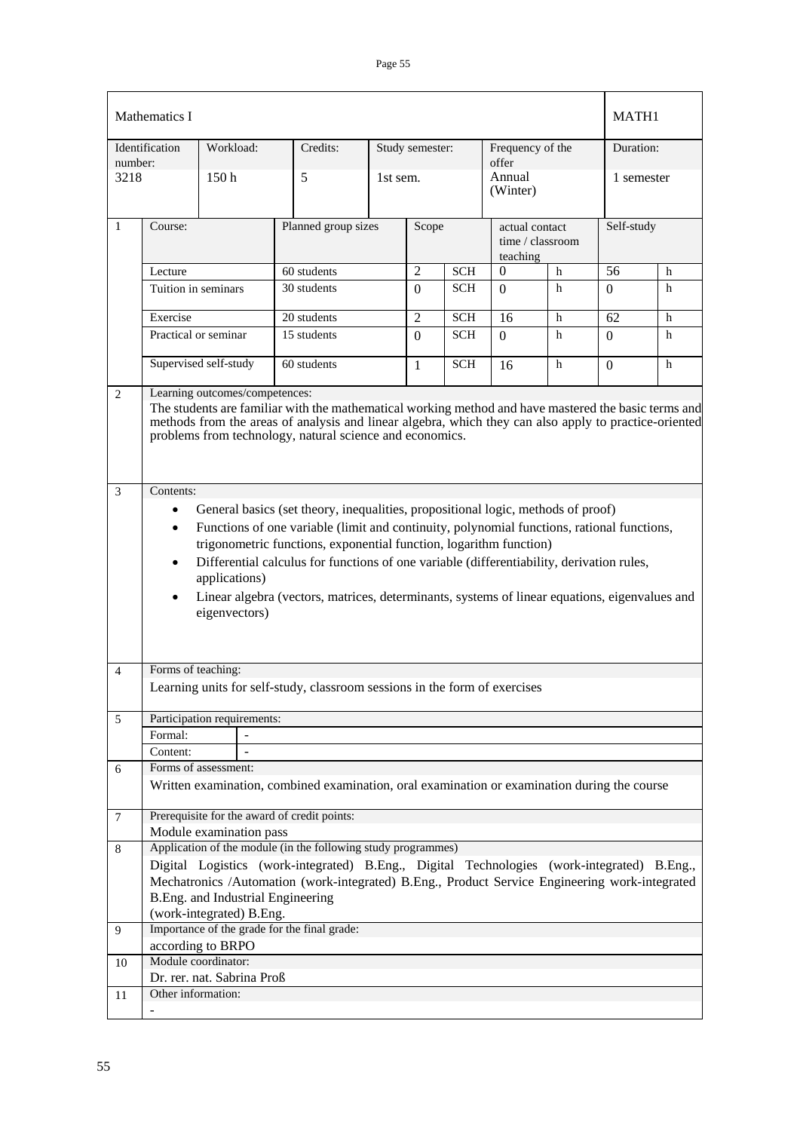|                | Mathematics I                                                                                                                                                                                                                                                                                                                                                                                                                                                                                                                            |                                                                         |  |                                                                                                                                                                                              |            |                 |                                                |                           |             | MATH1           |           |  |
|----------------|------------------------------------------------------------------------------------------------------------------------------------------------------------------------------------------------------------------------------------------------------------------------------------------------------------------------------------------------------------------------------------------------------------------------------------------------------------------------------------------------------------------------------------------|-------------------------------------------------------------------------|--|----------------------------------------------------------------------------------------------------------------------------------------------------------------------------------------------|------------|-----------------|------------------------------------------------|---------------------------|-------------|-----------------|-----------|--|
| number:        | Identification                                                                                                                                                                                                                                                                                                                                                                                                                                                                                                                           | Workload:                                                               |  | Credits:                                                                                                                                                                                     |            | Study semester: |                                                | Frequency of the<br>offer |             |                 | Duration: |  |
| 3218           |                                                                                                                                                                                                                                                                                                                                                                                                                                                                                                                                          | 150h                                                                    |  | 5                                                                                                                                                                                            | 1st sem.   |                 |                                                | Annual<br>(Winter)        |             | 1 semester      |           |  |
| $\mathbf{1}$   | Course:                                                                                                                                                                                                                                                                                                                                                                                                                                                                                                                                  |                                                                         |  | Planned group sizes                                                                                                                                                                          | Scope      |                 | actual contact<br>time / classroom<br>teaching |                           | Self-study  |                 |           |  |
|                | Lecture                                                                                                                                                                                                                                                                                                                                                                                                                                                                                                                                  |                                                                         |  | 60 students                                                                                                                                                                                  |            | $\overline{2}$  | <b>SCH</b>                                     | $\boldsymbol{0}$<br>h     |             | $\overline{56}$ | h         |  |
|                | Tuition in seminars                                                                                                                                                                                                                                                                                                                                                                                                                                                                                                                      |                                                                         |  | 30 students                                                                                                                                                                                  |            | $\Omega$        | <b>SCH</b>                                     | $\Omega$                  | h           | 0               | h         |  |
|                |                                                                                                                                                                                                                                                                                                                                                                                                                                                                                                                                          |                                                                         |  |                                                                                                                                                                                              |            |                 |                                                |                           |             |                 |           |  |
|                | Exercise                                                                                                                                                                                                                                                                                                                                                                                                                                                                                                                                 |                                                                         |  | 20 students                                                                                                                                                                                  |            | $\overline{2}$  | <b>SCH</b>                                     | 16                        | $\mathbf h$ | 62              | h         |  |
|                | Practical or seminar                                                                                                                                                                                                                                                                                                                                                                                                                                                                                                                     |                                                                         |  | 15 students                                                                                                                                                                                  |            | $\Omega$        | <b>SCH</b>                                     | $\Omega$                  | h           | $\Omega$        | h         |  |
|                | Supervised self-study<br>60 students                                                                                                                                                                                                                                                                                                                                                                                                                                                                                                     |                                                                         |  | $\mathbf{1}$                                                                                                                                                                                 | <b>SCH</b> | 16              | h                                              | $\Omega$                  | h           |                 |           |  |
| $\overline{2}$ | Learning outcomes/competences:<br>The students are familiar with the mathematical working method and have mastered the basic terms and<br>methods from the areas of analysis and linear algebra, which they can also apply to practice-oriented<br>problems from technology, natural science and economics.                                                                                                                                                                                                                              |                                                                         |  |                                                                                                                                                                                              |            |                 |                                                |                           |             |                 |           |  |
|                | General basics (set theory, inequalities, propositional logic, methods of proof)<br>$\bullet$<br>Functions of one variable (limit and continuity, polynomial functions, rational functions,<br>$\bullet$<br>trigonometric functions, exponential function, logarithm function)<br>Differential calculus for functions of one variable (differentiability, derivation rules,<br>$\bullet$<br>applications)<br>Linear algebra (vectors, matrices, determinants, systems of linear equations, eigenvalues and<br>$\bullet$<br>eigenvectors) |                                                                         |  |                                                                                                                                                                                              |            |                 |                                                |                           |             |                 |           |  |
| 4              | Forms of teaching:                                                                                                                                                                                                                                                                                                                                                                                                                                                                                                                       |                                                                         |  |                                                                                                                                                                                              |            |                 |                                                |                           |             |                 |           |  |
|                |                                                                                                                                                                                                                                                                                                                                                                                                                                                                                                                                          |                                                                         |  | Learning units for self-study, classroom sessions in the form of exercises                                                                                                                   |            |                 |                                                |                           |             |                 |           |  |
|                |                                                                                                                                                                                                                                                                                                                                                                                                                                                                                                                                          |                                                                         |  |                                                                                                                                                                                              |            |                 |                                                |                           |             |                 |           |  |
| 5              |                                                                                                                                                                                                                                                                                                                                                                                                                                                                                                                                          | Participation requirements:                                             |  |                                                                                                                                                                                              |            |                 |                                                |                           |             |                 |           |  |
|                | Formal:                                                                                                                                                                                                                                                                                                                                                                                                                                                                                                                                  |                                                                         |  |                                                                                                                                                                                              |            |                 |                                                |                           |             |                 |           |  |
|                | Content:                                                                                                                                                                                                                                                                                                                                                                                                                                                                                                                                 | Forms of assessment:                                                    |  |                                                                                                                                                                                              |            |                 |                                                |                           |             |                 |           |  |
| 6              |                                                                                                                                                                                                                                                                                                                                                                                                                                                                                                                                          |                                                                         |  | Written examination, combined examination, oral examination or examination during the course                                                                                                 |            |                 |                                                |                           |             |                 |           |  |
| 7              |                                                                                                                                                                                                                                                                                                                                                                                                                                                                                                                                          | Prerequisite for the award of credit points:<br>Module examination pass |  |                                                                                                                                                                                              |            |                 |                                                |                           |             |                 |           |  |
| 8              |                                                                                                                                                                                                                                                                                                                                                                                                                                                                                                                                          |                                                                         |  | Application of the module (in the following study programmes)                                                                                                                                |            |                 |                                                |                           |             |                 |           |  |
|                |                                                                                                                                                                                                                                                                                                                                                                                                                                                                                                                                          | B.Eng. and Industrial Engineering<br>(work-integrated) B.Eng.           |  | Digital Logistics (work-integrated) B.Eng., Digital Technologies (work-integrated) B.Eng.,<br>Mechatronics /Automation (work-integrated) B.Eng., Product Service Engineering work-integrated |            |                 |                                                |                           |             |                 |           |  |
| 9              |                                                                                                                                                                                                                                                                                                                                                                                                                                                                                                                                          |                                                                         |  | Importance of the grade for the final grade:                                                                                                                                                 |            |                 |                                                |                           |             |                 |           |  |
|                |                                                                                                                                                                                                                                                                                                                                                                                                                                                                                                                                          | according to BRPO                                                       |  |                                                                                                                                                                                              |            |                 |                                                |                           |             |                 |           |  |
| 10             |                                                                                                                                                                                                                                                                                                                                                                                                                                                                                                                                          | Module coordinator:                                                     |  |                                                                                                                                                                                              |            |                 |                                                |                           |             |                 |           |  |
|                |                                                                                                                                                                                                                                                                                                                                                                                                                                                                                                                                          | Dr. rer. nat. Sabrina Proß                                              |  |                                                                                                                                                                                              |            |                 |                                                |                           |             |                 |           |  |
| 11             | Other information:                                                                                                                                                                                                                                                                                                                                                                                                                                                                                                                       |                                                                         |  |                                                                                                                                                                                              |            |                 |                                                |                           |             |                 |           |  |
|                |                                                                                                                                                                                                                                                                                                                                                                                                                                                                                                                                          |                                                                         |  |                                                                                                                                                                                              |            |                 |                                                |                           |             |                 |           |  |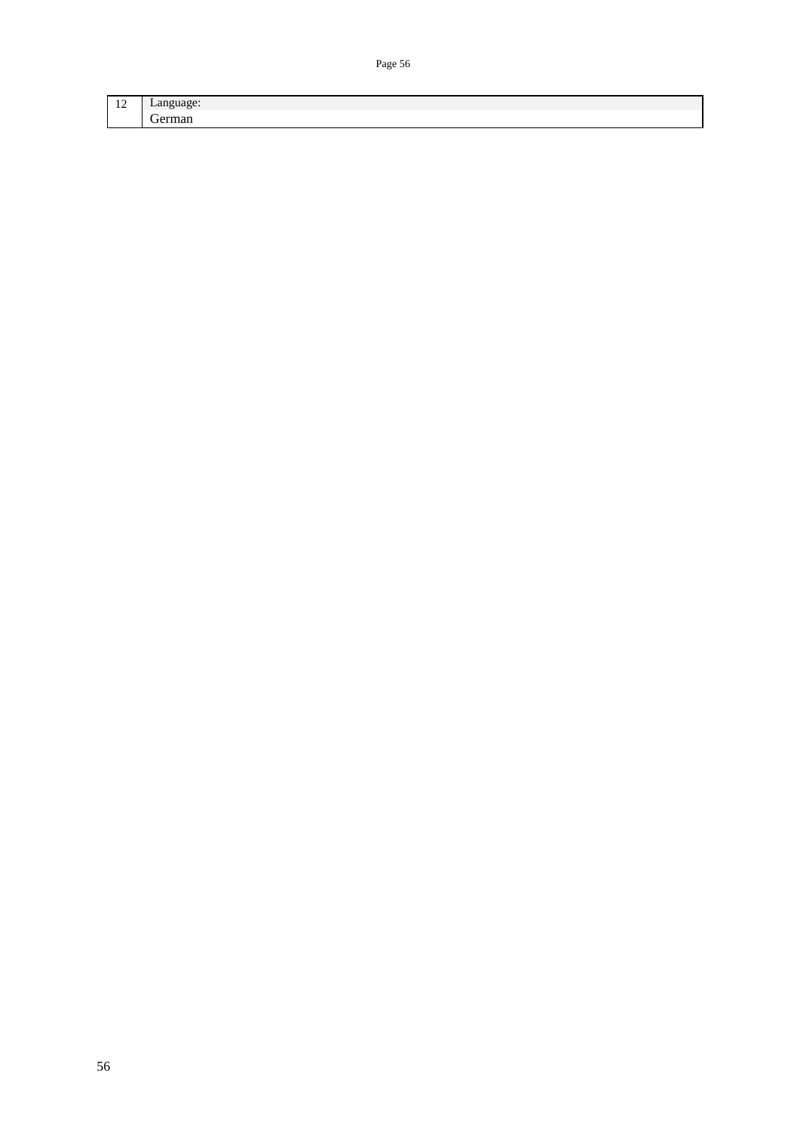| $\sim$<br>-- |   |
|--------------|---|
|              | - |
|              |   |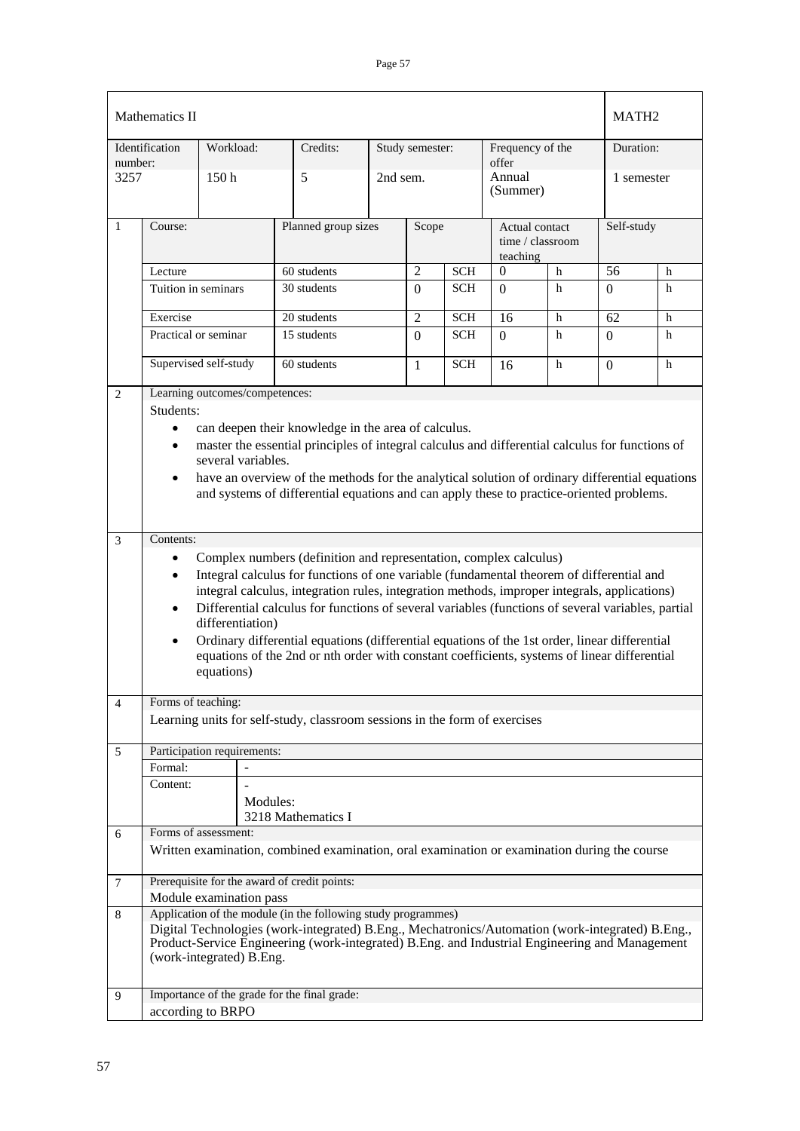|                 | Mathematics II                                                                                                                                                                                                                                                                                                                                                                                                                                                                                                                                                                                                                                            |                                |                                                                                                                                                                                                    |                     |                |            |                                                |             | MATH <sub>2</sub> |   |
|-----------------|-----------------------------------------------------------------------------------------------------------------------------------------------------------------------------------------------------------------------------------------------------------------------------------------------------------------------------------------------------------------------------------------------------------------------------------------------------------------------------------------------------------------------------------------------------------------------------------------------------------------------------------------------------------|--------------------------------|----------------------------------------------------------------------------------------------------------------------------------------------------------------------------------------------------|---------------------|----------------|------------|------------------------------------------------|-------------|-------------------|---|
|                 | Identification                                                                                                                                                                                                                                                                                                                                                                                                                                                                                                                                                                                                                                            | Workload:                      | Credits:                                                                                                                                                                                           | Study semester:     |                |            | Frequency of the                               |             | Duration:         |   |
| number:<br>3257 |                                                                                                                                                                                                                                                                                                                                                                                                                                                                                                                                                                                                                                                           | 150 <sub>h</sub>               | 5                                                                                                                                                                                                  | 2nd sem.            |                |            | offer<br>Annual<br>(Summer)                    |             | 1 semester        |   |
| $\mathbf{1}$    | Course:                                                                                                                                                                                                                                                                                                                                                                                                                                                                                                                                                                                                                                                   |                                |                                                                                                                                                                                                    | Planned group sizes |                | Scope      | Actual contact<br>time / classroom<br>teaching |             | Self-study        |   |
|                 | Lecture                                                                                                                                                                                                                                                                                                                                                                                                                                                                                                                                                                                                                                                   |                                | 60 students                                                                                                                                                                                        |                     | $\overline{2}$ | <b>SCH</b> | $\Omega$                                       | $\mathbf h$ | $\overline{56}$   | h |
|                 | Tuition in seminars                                                                                                                                                                                                                                                                                                                                                                                                                                                                                                                                                                                                                                       |                                | 30 students                                                                                                                                                                                        |                     | $\Omega$       | <b>SCH</b> | $\Omega$                                       | h           | 0                 | h |
|                 | Exercise<br>$20$ students                                                                                                                                                                                                                                                                                                                                                                                                                                                                                                                                                                                                                                 |                                |                                                                                                                                                                                                    | $\overline{2}$      | <b>SCH</b>     | 16         | h                                              | 62          | h                 |   |
|                 | Practical or seminar                                                                                                                                                                                                                                                                                                                                                                                                                                                                                                                                                                                                                                      |                                | 15 students                                                                                                                                                                                        |                     | $\Omega$       | <b>SCH</b> | $\theta$                                       | h           | $\Omega$          | h |
|                 |                                                                                                                                                                                                                                                                                                                                                                                                                                                                                                                                                                                                                                                           | Supervised self-study          | 60 students                                                                                                                                                                                        |                     | $\mathbf{1}$   | <b>SCH</b> | 16                                             | h           | $\Omega$          | h |
| $\mathbf{2}$    |                                                                                                                                                                                                                                                                                                                                                                                                                                                                                                                                                                                                                                                           | Learning outcomes/competences: |                                                                                                                                                                                                    |                     |                |            |                                                |             |                   |   |
|                 | Students:<br>can deepen their knowledge in the area of calculus.<br>$\bullet$<br>master the essential principles of integral calculus and differential calculus for functions of<br>$\bullet$<br>several variables.<br>have an overview of the methods for the analytical solution of ordinary differential equations<br>$\bullet$<br>and systems of differential equations and can apply these to practice-oriented problems.                                                                                                                                                                                                                            |                                |                                                                                                                                                                                                    |                     |                |            |                                                |             |                   |   |
| $\overline{3}$  | Contents:                                                                                                                                                                                                                                                                                                                                                                                                                                                                                                                                                                                                                                                 |                                |                                                                                                                                                                                                    |                     |                |            |                                                |             |                   |   |
|                 | Complex numbers (definition and representation, complex calculus)<br>$\bullet$<br>Integral calculus for functions of one variable (fundamental theorem of differential and<br>$\bullet$<br>integral calculus, integration rules, integration methods, improper integrals, applications)<br>Differential calculus for functions of several variables (functions of several variables, partial<br>$\bullet$<br>differentiation)<br>Ordinary differential equations (differential equations of the 1st order, linear differential<br>$\bullet$<br>equations of the 2nd or nth order with constant coefficients, systems of linear differential<br>equations) |                                |                                                                                                                                                                                                    |                     |                |            |                                                |             |                   |   |
| $\overline{4}$  | Forms of teaching:                                                                                                                                                                                                                                                                                                                                                                                                                                                                                                                                                                                                                                        |                                |                                                                                                                                                                                                    |                     |                |            |                                                |             |                   |   |
|                 |                                                                                                                                                                                                                                                                                                                                                                                                                                                                                                                                                                                                                                                           |                                | Learning units for self-study, classroom sessions in the form of exercises                                                                                                                         |                     |                |            |                                                |             |                   |   |
| 5               |                                                                                                                                                                                                                                                                                                                                                                                                                                                                                                                                                                                                                                                           | Participation requirements:    |                                                                                                                                                                                                    |                     |                |            |                                                |             |                   |   |
|                 | Formal:<br>Content:                                                                                                                                                                                                                                                                                                                                                                                                                                                                                                                                                                                                                                       |                                |                                                                                                                                                                                                    |                     |                |            |                                                |             |                   |   |
|                 |                                                                                                                                                                                                                                                                                                                                                                                                                                                                                                                                                                                                                                                           | Modules:                       | 3218 Mathematics I                                                                                                                                                                                 |                     |                |            |                                                |             |                   |   |
| 6               |                                                                                                                                                                                                                                                                                                                                                                                                                                                                                                                                                                                                                                                           | Forms of assessment:           |                                                                                                                                                                                                    |                     |                |            |                                                |             |                   |   |
|                 |                                                                                                                                                                                                                                                                                                                                                                                                                                                                                                                                                                                                                                                           |                                | Written examination, combined examination, oral examination or examination during the course                                                                                                       |                     |                |            |                                                |             |                   |   |
| $\tau$          |                                                                                                                                                                                                                                                                                                                                                                                                                                                                                                                                                                                                                                                           |                                | Prerequisite for the award of credit points:                                                                                                                                                       |                     |                |            |                                                |             |                   |   |
| 8               |                                                                                                                                                                                                                                                                                                                                                                                                                                                                                                                                                                                                                                                           | Module examination pass        | Application of the module (in the following study programmes)                                                                                                                                      |                     |                |            |                                                |             |                   |   |
|                 |                                                                                                                                                                                                                                                                                                                                                                                                                                                                                                                                                                                                                                                           | (work-integrated) B.Eng.       | Digital Technologies (work-integrated) B.Eng., Mechatronics/Automation (work-integrated) B.Eng.,<br>Product-Service Engineering (work-integrated) B.Eng. and Industrial Engineering and Management |                     |                |            |                                                |             |                   |   |
| 9               |                                                                                                                                                                                                                                                                                                                                                                                                                                                                                                                                                                                                                                                           | according to BRPO              | Importance of the grade for the final grade:                                                                                                                                                       |                     |                |            |                                                |             |                   |   |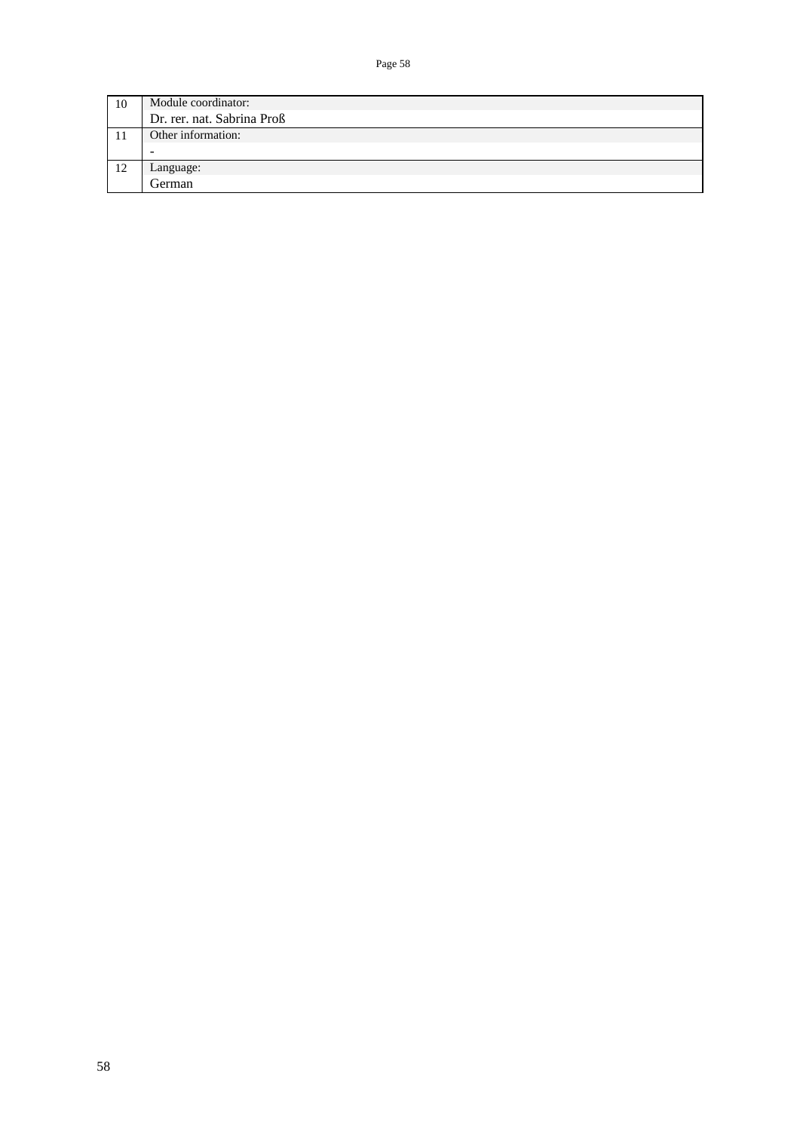| 10 | Module coordinator:        |  |  |  |  |  |
|----|----------------------------|--|--|--|--|--|
|    | Dr. rer. nat. Sabrina Proß |  |  |  |  |  |
|    | Other information:         |  |  |  |  |  |
|    | -                          |  |  |  |  |  |
| 12 | Language:                  |  |  |  |  |  |
|    | German                     |  |  |  |  |  |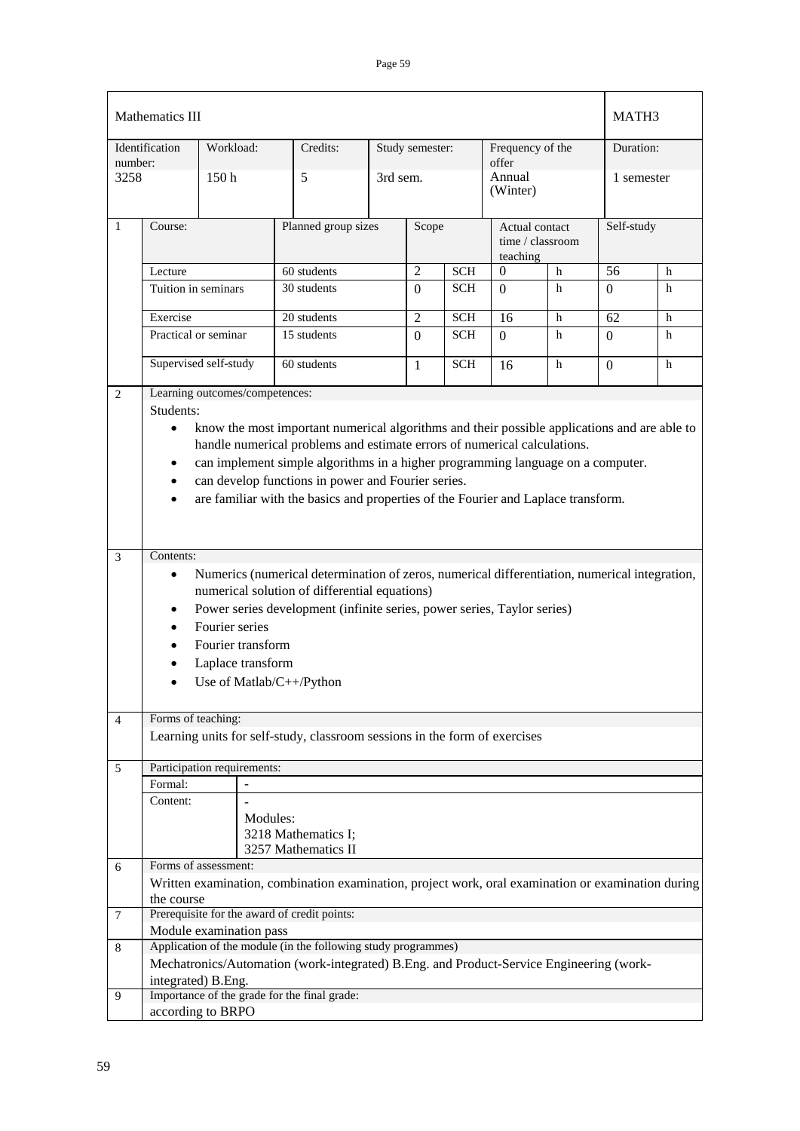|                 | Mathematics III                                                                                                                                                                                                                                                                                                                                                                                                                                            |                                |                                                                                                    |  |                 |            |                                                |             | MATH3        |   |
|-----------------|------------------------------------------------------------------------------------------------------------------------------------------------------------------------------------------------------------------------------------------------------------------------------------------------------------------------------------------------------------------------------------------------------------------------------------------------------------|--------------------------------|----------------------------------------------------------------------------------------------------|--|-----------------|------------|------------------------------------------------|-------------|--------------|---|
|                 | Identification                                                                                                                                                                                                                                                                                                                                                                                                                                             | Workload:                      | Credits:                                                                                           |  | Study semester: |            | Frequency of the                               |             | Duration:    |   |
| number:<br>3258 |                                                                                                                                                                                                                                                                                                                                                                                                                                                            | 150 <sub>h</sub>               | 5                                                                                                  |  | 3rd sem.        |            | offer<br>Annual<br>(Winter)                    |             | 1 semester   |   |
| $\mathbf{1}$    | Course:                                                                                                                                                                                                                                                                                                                                                                                                                                                    |                                | Planned group sizes                                                                                |  | Scope           |            | Actual contact<br>time / classroom<br>teaching |             | Self-study   |   |
|                 | Lecture                                                                                                                                                                                                                                                                                                                                                                                                                                                    |                                | 60 students                                                                                        |  | $\overline{2}$  | <b>SCH</b> | $\mathbf{0}$                                   | $\mathbf h$ | 56           | h |
|                 | Tuition in seminars                                                                                                                                                                                                                                                                                                                                                                                                                                        |                                | 30 students                                                                                        |  | $\Omega$        | <b>SCH</b> | $\Omega$                                       | h           | $\Omega$     | h |
|                 | Exercise                                                                                                                                                                                                                                                                                                                                                                                                                                                   |                                | 20 students                                                                                        |  | $\overline{2}$  | <b>SCH</b> | 16                                             | h           | 62           | h |
|                 |                                                                                                                                                                                                                                                                                                                                                                                                                                                            | Practical or seminar           | 15 students                                                                                        |  | $\Omega$        | <b>SCH</b> | $\Omega$                                       | h           | $\Omega$     | h |
|                 |                                                                                                                                                                                                                                                                                                                                                                                                                                                            | Supervised self-study          | 60 students                                                                                        |  | 1               | <b>SCH</b> | 16                                             | h           | $\mathbf{0}$ | h |
| $\overline{2}$  |                                                                                                                                                                                                                                                                                                                                                                                                                                                            | Learning outcomes/competences: |                                                                                                    |  |                 |            |                                                |             |              |   |
|                 | Students:<br>know the most important numerical algorithms and their possible applications and are able to<br>$\bullet$<br>handle numerical problems and estimate errors of numerical calculations.<br>can implement simple algorithms in a higher programming language on a computer.<br>$\bullet$<br>can develop functions in power and Fourier series.<br>$\bullet$<br>are familiar with the basics and properties of the Fourier and Laplace transform. |                                |                                                                                                    |  |                 |            |                                                |             |              |   |
| $\mathfrak{Z}$  | Contents:<br>Numerics (numerical determination of zeros, numerical differentiation, numerical integration,<br>$\bullet$<br>numerical solution of differential equations)<br>Power series development (infinite series, power series, Taylor series)<br>$\bullet$<br>Fourier series<br>$\bullet$<br>Fourier transform<br>Laplace transform<br>Use of Matlab/C++/Python                                                                                      |                                |                                                                                                    |  |                 |            |                                                |             |              |   |
| $\overline{4}$  | Forms of teaching:                                                                                                                                                                                                                                                                                                                                                                                                                                         |                                | Learning units for self-study, classroom sessions in the form of exercises                         |  |                 |            |                                                |             |              |   |
| 5               |                                                                                                                                                                                                                                                                                                                                                                                                                                                            | Participation requirements:    |                                                                                                    |  |                 |            |                                                |             |              |   |
|                 | Formal:                                                                                                                                                                                                                                                                                                                                                                                                                                                    |                                |                                                                                                    |  |                 |            |                                                |             |              |   |
|                 | Content:                                                                                                                                                                                                                                                                                                                                                                                                                                                   | Modules:                       | 3218 Mathematics I;<br>3257 Mathematics II                                                         |  |                 |            |                                                |             |              |   |
| 6               |                                                                                                                                                                                                                                                                                                                                                                                                                                                            | Forms of assessment:           | Written examination, combination examination, project work, oral examination or examination during |  |                 |            |                                                |             |              |   |
|                 | the course                                                                                                                                                                                                                                                                                                                                                                                                                                                 |                                |                                                                                                    |  |                 |            |                                                |             |              |   |
| 7               |                                                                                                                                                                                                                                                                                                                                                                                                                                                            |                                | Prerequisite for the award of credit points:                                                       |  |                 |            |                                                |             |              |   |
|                 |                                                                                                                                                                                                                                                                                                                                                                                                                                                            | Module examination pass        |                                                                                                    |  |                 |            |                                                |             |              |   |
| 8               |                                                                                                                                                                                                                                                                                                                                                                                                                                                            |                                | Application of the module (in the following study programmes)                                      |  |                 |            |                                                |             |              |   |
|                 |                                                                                                                                                                                                                                                                                                                                                                                                                                                            | integrated) B.Eng.             | Mechatronics/Automation (work-integrated) B.Eng. and Product-Service Engineering (work-            |  |                 |            |                                                |             |              |   |
| 9               |                                                                                                                                                                                                                                                                                                                                                                                                                                                            | according to BRPO              | Importance of the grade for the final grade:                                                       |  |                 |            |                                                |             |              |   |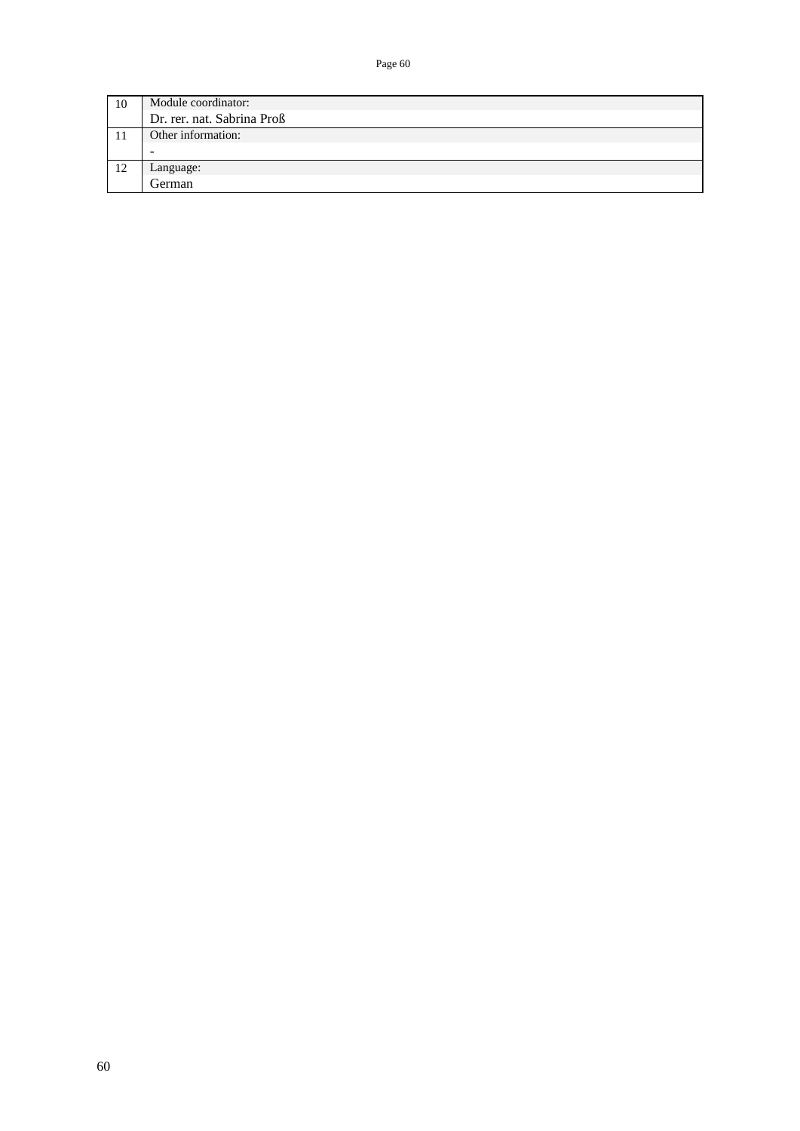| 10 | Module coordinator:        |
|----|----------------------------|
|    | Dr. rer. nat. Sabrina Proß |
|    | Other information:         |
|    | $\overline{\phantom{a}}$   |
| 12 | Language:                  |
|    | German                     |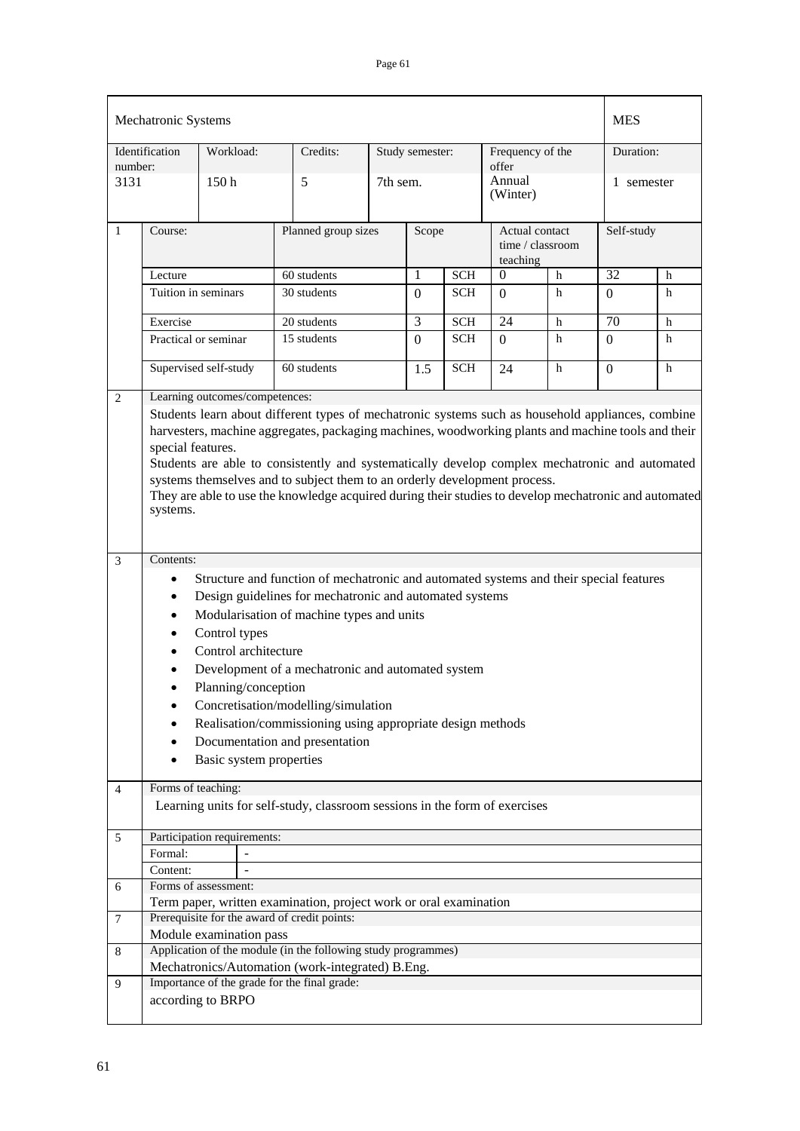|                | Mechatronic Systems                                                                                                                                                                                                                                                                                                                                                                                                                                                                                                              |                                |  |                                                                                        |          |                 |            |                                                |   |                | <b>MES</b> |  |
|----------------|----------------------------------------------------------------------------------------------------------------------------------------------------------------------------------------------------------------------------------------------------------------------------------------------------------------------------------------------------------------------------------------------------------------------------------------------------------------------------------------------------------------------------------|--------------------------------|--|----------------------------------------------------------------------------------------|----------|-----------------|------------|------------------------------------------------|---|----------------|------------|--|
| number:        | Identification                                                                                                                                                                                                                                                                                                                                                                                                                                                                                                                   | Workload:                      |  | Credits:                                                                               |          | Study semester: |            | Frequency of the<br>offer                      |   | Duration:      |            |  |
| 3131           |                                                                                                                                                                                                                                                                                                                                                                                                                                                                                                                                  | 150 <sub>h</sub>               |  | 5                                                                                      | 7th sem. |                 |            | Annual<br>(Winter)                             |   | 1 semester     |            |  |
| 1              | Course:                                                                                                                                                                                                                                                                                                                                                                                                                                                                                                                          |                                |  | Planned group sizes                                                                    |          |                 | Scope      | Actual contact<br>time / classroom<br>teaching |   | Self-study     |            |  |
|                | Lecture                                                                                                                                                                                                                                                                                                                                                                                                                                                                                                                          |                                |  | 60 students                                                                            |          | 1               | <b>SCH</b> | $\theta$                                       | h | 32             | h          |  |
|                | Tuition in seminars                                                                                                                                                                                                                                                                                                                                                                                                                                                                                                              |                                |  | 30 students                                                                            |          | $\Omega$        | SCH        | $\Omega$                                       | h | $\overline{0}$ | h          |  |
|                | Exercise                                                                                                                                                                                                                                                                                                                                                                                                                                                                                                                         |                                |  | 20 students                                                                            |          | 3               | <b>SCH</b> | 24                                             | h | 70             | h          |  |
|                | Practical or seminar                                                                                                                                                                                                                                                                                                                                                                                                                                                                                                             |                                |  | 15 students                                                                            |          | $\Omega$        | <b>SCH</b> | $\Omega$                                       | h | $\Omega$       | h          |  |
|                |                                                                                                                                                                                                                                                                                                                                                                                                                                                                                                                                  | Supervised self-study          |  | 60 students                                                                            |          | 1.5             | <b>SCH</b> | 24                                             | h | $\theta$       | h          |  |
| 2              |                                                                                                                                                                                                                                                                                                                                                                                                                                                                                                                                  | Learning outcomes/competences: |  |                                                                                        |          |                 |            |                                                |   |                |            |  |
|                | Students learn about different types of mechatronic systems such as household appliances, combine<br>harvesters, machine aggregates, packaging machines, woodworking plants and machine tools and their<br>special features.<br>Students are able to consistently and systematically develop complex mechatronic and automated<br>systems themselves and to subject them to an orderly development process.<br>They are able to use the knowledge acquired during their studies to develop mechatronic and automated<br>systems. |                                |  |                                                                                        |          |                 |            |                                                |   |                |            |  |
|                |                                                                                                                                                                                                                                                                                                                                                                                                                                                                                                                                  |                                |  |                                                                                        |          |                 |            |                                                |   |                |            |  |
| $\mathfrak{Z}$ | Contents:                                                                                                                                                                                                                                                                                                                                                                                                                                                                                                                        |                                |  |                                                                                        |          |                 |            |                                                |   |                |            |  |
|                | $\bullet$                                                                                                                                                                                                                                                                                                                                                                                                                                                                                                                        |                                |  | Structure and function of mechatronic and automated systems and their special features |          |                 |            |                                                |   |                |            |  |
|                | $\bullet$                                                                                                                                                                                                                                                                                                                                                                                                                                                                                                                        |                                |  | Design guidelines for mechatronic and automated systems                                |          |                 |            |                                                |   |                |            |  |
|                | $\bullet$                                                                                                                                                                                                                                                                                                                                                                                                                                                                                                                        |                                |  | Modularisation of machine types and units                                              |          |                 |            |                                                |   |                |            |  |
|                | $\bullet$                                                                                                                                                                                                                                                                                                                                                                                                                                                                                                                        | Control types                  |  |                                                                                        |          |                 |            |                                                |   |                |            |  |
|                | ٠                                                                                                                                                                                                                                                                                                                                                                                                                                                                                                                                | Control architecture           |  |                                                                                        |          |                 |            |                                                |   |                |            |  |
|                | $\bullet$                                                                                                                                                                                                                                                                                                                                                                                                                                                                                                                        |                                |  | Development of a mechatronic and automated system                                      |          |                 |            |                                                |   |                |            |  |
|                | $\bullet$                                                                                                                                                                                                                                                                                                                                                                                                                                                                                                                        | Planning/conception            |  |                                                                                        |          |                 |            |                                                |   |                |            |  |
|                |                                                                                                                                                                                                                                                                                                                                                                                                                                                                                                                                  |                                |  | Concretisation/modelling/simulation                                                    |          |                 |            |                                                |   |                |            |  |
|                |                                                                                                                                                                                                                                                                                                                                                                                                                                                                                                                                  |                                |  | Realisation/commissioning using appropriate design methods                             |          |                 |            |                                                |   |                |            |  |
|                |                                                                                                                                                                                                                                                                                                                                                                                                                                                                                                                                  |                                |  | Documentation and presentation                                                         |          |                 |            |                                                |   |                |            |  |
|                | ٠                                                                                                                                                                                                                                                                                                                                                                                                                                                                                                                                | Basic system properties        |  |                                                                                        |          |                 |            |                                                |   |                |            |  |
|                | $\bullet$                                                                                                                                                                                                                                                                                                                                                                                                                                                                                                                        |                                |  |                                                                                        |          |                 |            |                                                |   |                |            |  |
| 4              | Forms of teaching:                                                                                                                                                                                                                                                                                                                                                                                                                                                                                                               |                                |  |                                                                                        |          |                 |            |                                                |   |                |            |  |
|                |                                                                                                                                                                                                                                                                                                                                                                                                                                                                                                                                  |                                |  | Learning units for self-study, classroom sessions in the form of exercises             |          |                 |            |                                                |   |                |            |  |
| 5              |                                                                                                                                                                                                                                                                                                                                                                                                                                                                                                                                  | Participation requirements:    |  |                                                                                        |          |                 |            |                                                |   |                |            |  |
|                | Formal:                                                                                                                                                                                                                                                                                                                                                                                                                                                                                                                          |                                |  |                                                                                        |          |                 |            |                                                |   |                |            |  |
|                | Content:                                                                                                                                                                                                                                                                                                                                                                                                                                                                                                                         |                                |  |                                                                                        |          |                 |            |                                                |   |                |            |  |
| 6              |                                                                                                                                                                                                                                                                                                                                                                                                                                                                                                                                  | Forms of assessment:           |  |                                                                                        |          |                 |            |                                                |   |                |            |  |
|                |                                                                                                                                                                                                                                                                                                                                                                                                                                                                                                                                  |                                |  | Term paper, written examination, project work or oral examination                      |          |                 |            |                                                |   |                |            |  |
| 7              |                                                                                                                                                                                                                                                                                                                                                                                                                                                                                                                                  |                                |  | Prerequisite for the award of credit points:                                           |          |                 |            |                                                |   |                |            |  |
|                |                                                                                                                                                                                                                                                                                                                                                                                                                                                                                                                                  | Module examination pass        |  | Application of the module (in the following study programmes)                          |          |                 |            |                                                |   |                |            |  |
| 8              |                                                                                                                                                                                                                                                                                                                                                                                                                                                                                                                                  |                                |  | Mechatronics/Automation (work-integrated) B.Eng.                                       |          |                 |            |                                                |   |                |            |  |
| 9              |                                                                                                                                                                                                                                                                                                                                                                                                                                                                                                                                  |                                |  | Importance of the grade for the final grade:                                           |          |                 |            |                                                |   |                |            |  |
|                |                                                                                                                                                                                                                                                                                                                                                                                                                                                                                                                                  | according to BRPO              |  |                                                                                        |          |                 |            |                                                |   |                |            |  |
|                |                                                                                                                                                                                                                                                                                                                                                                                                                                                                                                                                  |                                |  |                                                                                        |          |                 |            |                                                |   |                |            |  |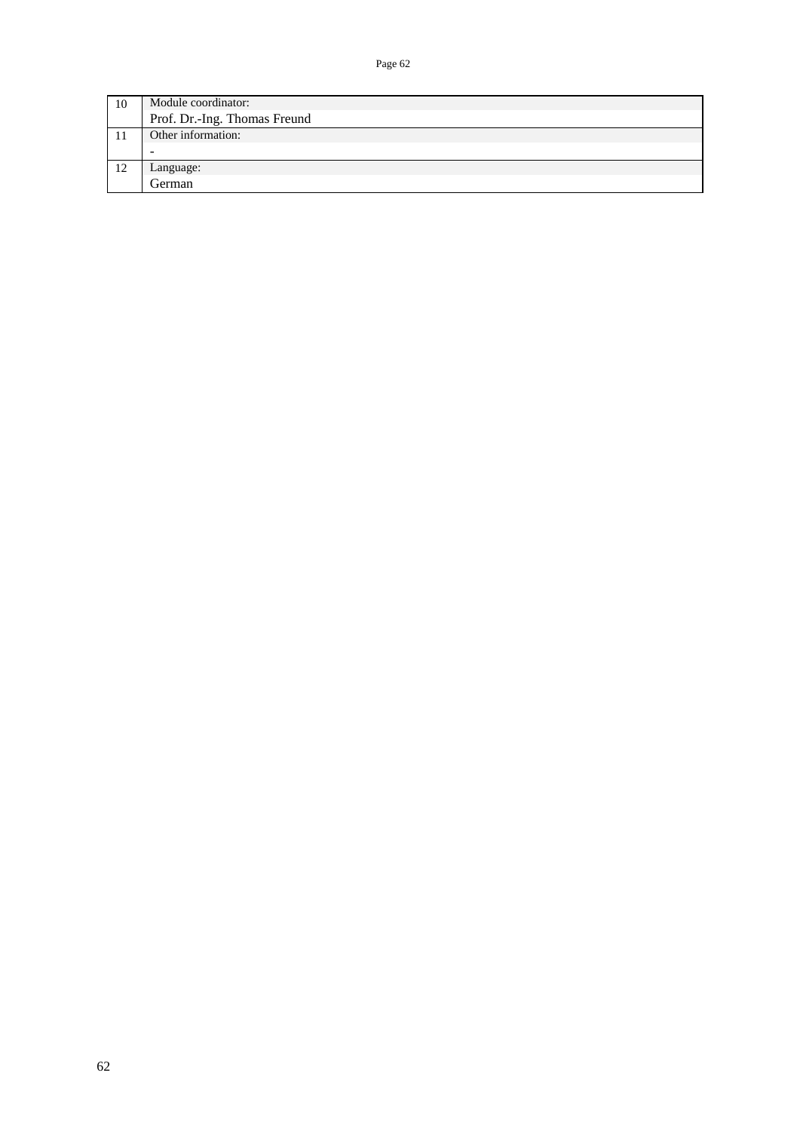| 10 | Module coordinator:          |
|----|------------------------------|
|    | Prof. Dr.-Ing. Thomas Freund |
|    | Other information:           |
|    | -                            |
| 12 | Language:                    |
|    | German                       |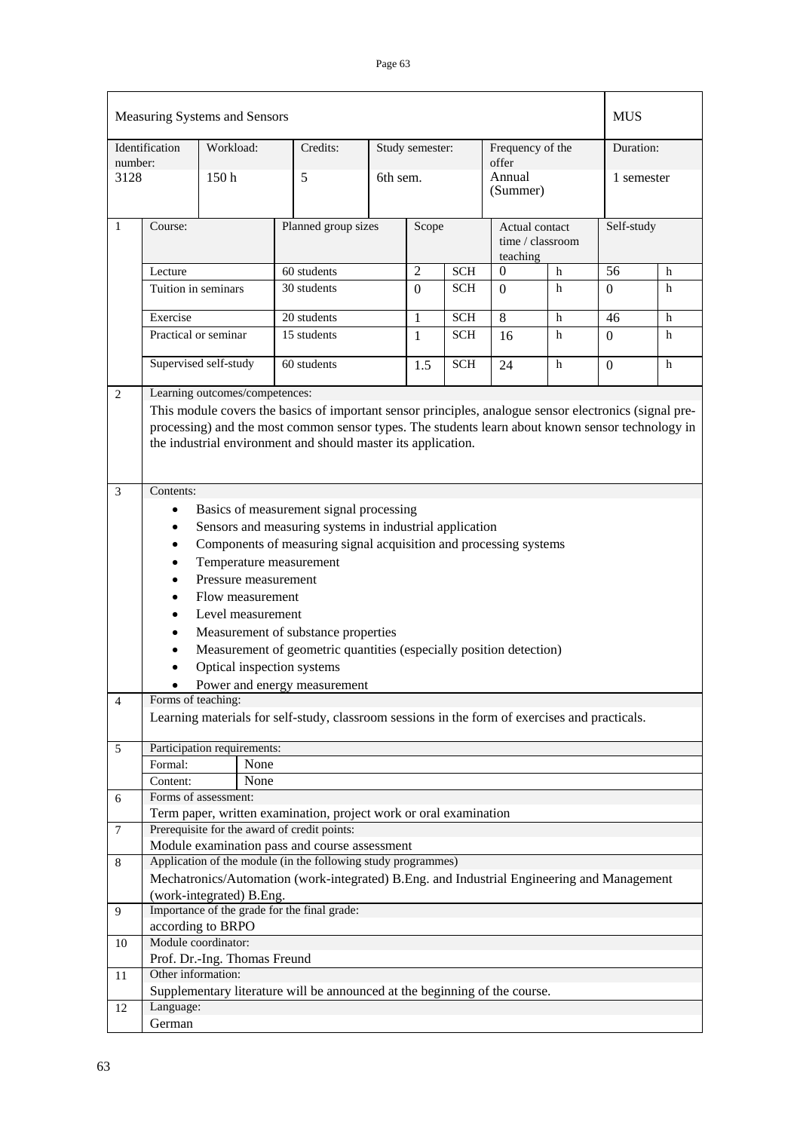|              |                                                                                                                                                                                                                                                                                                                                                                                                                                                                                                                                                                                                                                            | Measuring Systems and Sensors  |                                                                                                                   |                     |                 |            |                                                |             | <b>MUS</b> |   |
|--------------|--------------------------------------------------------------------------------------------------------------------------------------------------------------------------------------------------------------------------------------------------------------------------------------------------------------------------------------------------------------------------------------------------------------------------------------------------------------------------------------------------------------------------------------------------------------------------------------------------------------------------------------------|--------------------------------|-------------------------------------------------------------------------------------------------------------------|---------------------|-----------------|------------|------------------------------------------------|-------------|------------|---|
| number:      | Identification                                                                                                                                                                                                                                                                                                                                                                                                                                                                                                                                                                                                                             | Workload:                      | Credits:                                                                                                          |                     | Study semester: |            | Frequency of the<br>offer                      |             | Duration:  |   |
| 3128         |                                                                                                                                                                                                                                                                                                                                                                                                                                                                                                                                                                                                                                            | 150 <sub>h</sub>               | 5                                                                                                                 | 6th sem.            |                 |            | Annual<br>(Summer)                             |             | 1 semester |   |
| $\mathbf{1}$ | Course:                                                                                                                                                                                                                                                                                                                                                                                                                                                                                                                                                                                                                                    |                                |                                                                                                                   | Planned group sizes |                 |            | Actual contact<br>time / classroom<br>teaching |             | Self-study |   |
|              | Lecture                                                                                                                                                                                                                                                                                                                                                                                                                                                                                                                                                                                                                                    |                                | 60 students                                                                                                       | $\overline{2}$      |                 |            | $\theta$                                       | $\mathbf h$ | 56         | h |
|              | Tuition in seminars                                                                                                                                                                                                                                                                                                                                                                                                                                                                                                                                                                                                                        |                                | 30 students                                                                                                       |                     | $\Omega$        | SCH        | $\theta$                                       | h           | $\Omega$   | h |
|              | Exercise                                                                                                                                                                                                                                                                                                                                                                                                                                                                                                                                                                                                                                   |                                | 20 students                                                                                                       |                     | 1               | <b>SCH</b> | 8                                              | h           | 46         | h |
|              | Practical or seminar                                                                                                                                                                                                                                                                                                                                                                                                                                                                                                                                                                                                                       |                                | 15 students                                                                                                       |                     | 1               | <b>SCH</b> | 16                                             | h           | $\Omega$   | h |
|              |                                                                                                                                                                                                                                                                                                                                                                                                                                                                                                                                                                                                                                            | Supervised self-study          | 60 students                                                                                                       |                     | 1.5             | <b>SCH</b> | 24                                             | h           | $\Omega$   | h |
| $\mathbf{2}$ |                                                                                                                                                                                                                                                                                                                                                                                                                                                                                                                                                                                                                                            | Learning outcomes/competences: |                                                                                                                   |                     |                 |            |                                                |             |            |   |
| 3            | This module covers the basics of important sensor principles, analogue sensor electronics (signal pre-<br>processing) and the most common sensor types. The students learn about known sensor technology in<br>the industrial environment and should master its application.                                                                                                                                                                                                                                                                                                                                                               |                                |                                                                                                                   |                     |                 |            |                                                |             |            |   |
| 4            | Basics of measurement signal processing<br>$\bullet$<br>Sensors and measuring systems in industrial application<br>٠<br>Components of measuring signal acquisition and processing systems<br>٠<br>Temperature measurement<br>$\bullet$<br>Pressure measurement<br>$\bullet$<br>Flow measurement<br>Level measurement<br>Measurement of substance properties<br>٠<br>Measurement of geometric quantities (especially position detection)<br>$\bullet$<br>Optical inspection systems<br>Power and energy measurement<br>Forms of teaching:<br>Learning materials for self-study, classroom sessions in the form of exercises and practicals. |                                |                                                                                                                   |                     |                 |            |                                                |             |            |   |
| 5            |                                                                                                                                                                                                                                                                                                                                                                                                                                                                                                                                                                                                                                            | Participation requirements:    |                                                                                                                   |                     |                 |            |                                                |             |            |   |
|              | Formal:                                                                                                                                                                                                                                                                                                                                                                                                                                                                                                                                                                                                                                    | None                           |                                                                                                                   |                     |                 |            |                                                |             |            |   |
|              | Content:                                                                                                                                                                                                                                                                                                                                                                                                                                                                                                                                                                                                                                   | None                           |                                                                                                                   |                     |                 |            |                                                |             |            |   |
| 6            |                                                                                                                                                                                                                                                                                                                                                                                                                                                                                                                                                                                                                                            | Forms of assessment:           |                                                                                                                   |                     |                 |            |                                                |             |            |   |
|              |                                                                                                                                                                                                                                                                                                                                                                                                                                                                                                                                                                                                                                            |                                | Term paper, written examination, project work or oral examination<br>Prerequisite for the award of credit points: |                     |                 |            |                                                |             |            |   |
| 7            |                                                                                                                                                                                                                                                                                                                                                                                                                                                                                                                                                                                                                                            |                                | Module examination pass and course assessment                                                                     |                     |                 |            |                                                |             |            |   |
| 8            |                                                                                                                                                                                                                                                                                                                                                                                                                                                                                                                                                                                                                                            |                                | Application of the module (in the following study programmes)                                                     |                     |                 |            |                                                |             |            |   |
|              |                                                                                                                                                                                                                                                                                                                                                                                                                                                                                                                                                                                                                                            |                                | Mechatronics/Automation (work-integrated) B.Eng. and Industrial Engineering and Management                        |                     |                 |            |                                                |             |            |   |
|              |                                                                                                                                                                                                                                                                                                                                                                                                                                                                                                                                                                                                                                            | (work-integrated) B.Eng.       | Importance of the grade for the final grade:                                                                      |                     |                 |            |                                                |             |            |   |
| 9            |                                                                                                                                                                                                                                                                                                                                                                                                                                                                                                                                                                                                                                            | according to BRPO              |                                                                                                                   |                     |                 |            |                                                |             |            |   |
| 10           |                                                                                                                                                                                                                                                                                                                                                                                                                                                                                                                                                                                                                                            | Module coordinator:            |                                                                                                                   |                     |                 |            |                                                |             |            |   |
|              |                                                                                                                                                                                                                                                                                                                                                                                                                                                                                                                                                                                                                                            | Prof. Dr.-Ing. Thomas Freund   |                                                                                                                   |                     |                 |            |                                                |             |            |   |
| 11           | Other information:                                                                                                                                                                                                                                                                                                                                                                                                                                                                                                                                                                                                                         |                                |                                                                                                                   |                     |                 |            |                                                |             |            |   |
|              |                                                                                                                                                                                                                                                                                                                                                                                                                                                                                                                                                                                                                                            |                                | Supplementary literature will be announced at the beginning of the course.                                        |                     |                 |            |                                                |             |            |   |
| 12           | Language:                                                                                                                                                                                                                                                                                                                                                                                                                                                                                                                                                                                                                                  |                                |                                                                                                                   |                     |                 |            |                                                |             |            |   |
|              | German                                                                                                                                                                                                                                                                                                                                                                                                                                                                                                                                                                                                                                     |                                |                                                                                                                   |                     |                 |            |                                                |             |            |   |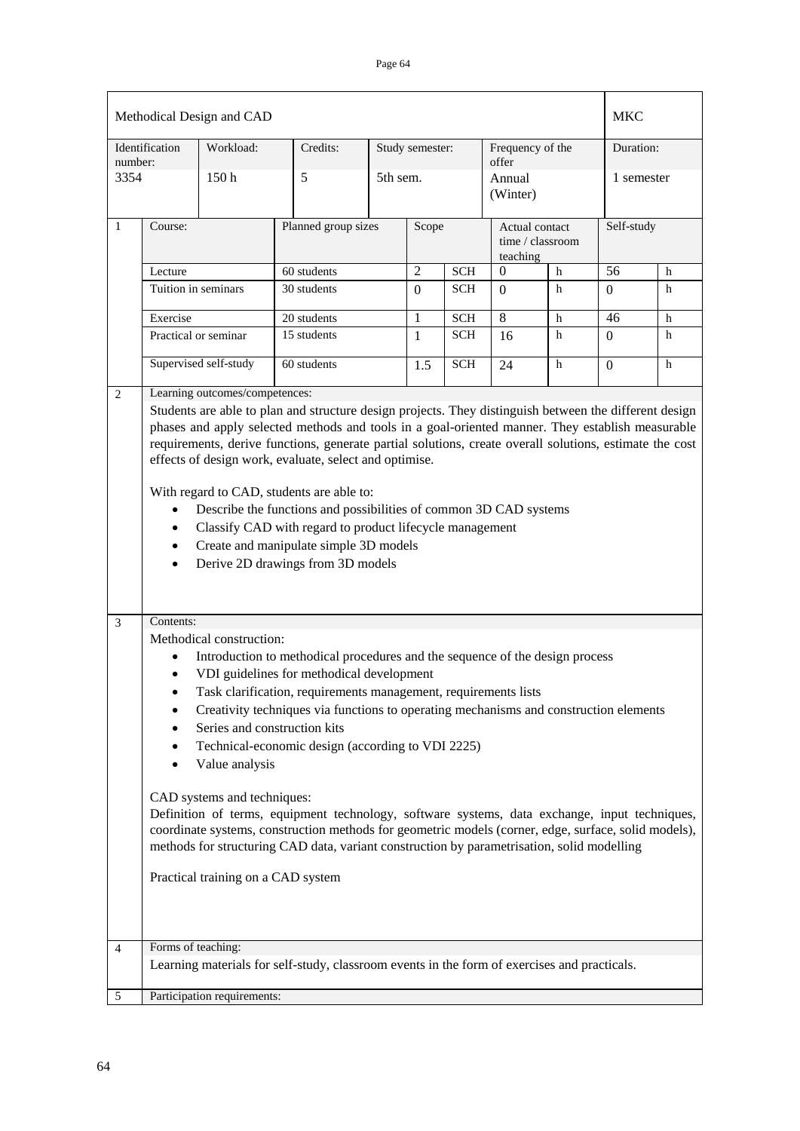|              |                             | Methodical Design and CAD          |                                                                                                                                                                                                                                                                                                                     |                 |            |                            |                        | <b>MKC</b>     |             |
|--------------|-----------------------------|------------------------------------|---------------------------------------------------------------------------------------------------------------------------------------------------------------------------------------------------------------------------------------------------------------------------------------------------------------------|-----------------|------------|----------------------------|------------------------|----------------|-------------|
| number:      | Identification              | Workload:                          | Credits:                                                                                                                                                                                                                                                                                                            | Study semester: |            | Frequency of the<br>offer  |                        | Duration:      |             |
| 3354         |                             | 150h                               | 5                                                                                                                                                                                                                                                                                                                   | 5th sem.        |            | Annual<br>(Winter)         |                        | 1 semester     |             |
| $\mathbf{1}$ | Course:                     |                                    | Planned group sizes                                                                                                                                                                                                                                                                                                 | Scope           |            | Actual contact<br>teaching | time / classroom       | Self-study     |             |
|              | Lecture                     |                                    | 60 students                                                                                                                                                                                                                                                                                                         | $\overline{2}$  | <b>SCH</b> |                            | $\mathbf{0}$<br>$\,$ h |                | $\,$ h      |
|              |                             | Tuition in seminars                | 30 students                                                                                                                                                                                                                                                                                                         | $\overline{0}$  | <b>SCH</b> | $\Omega$                   | $\mathbf h$            | $\Omega$       | h           |
|              | Exercise                    |                                    | 20 students                                                                                                                                                                                                                                                                                                         | 1               | <b>SCH</b> | $\overline{8}$             | $\mathbf h$            | 46             | $\,$ h      |
|              |                             | Practical or seminar               | 15 students                                                                                                                                                                                                                                                                                                         | $\mathbf{1}$    | <b>SCH</b> | 16                         | h                      | $\Omega$       | h           |
|              |                             | Supervised self-study              | 60 students                                                                                                                                                                                                                                                                                                         | 1.5             | <b>SCH</b> | 24                         | $\mathbf h$            | $\overline{0}$ | $\mathbf h$ |
| 2            |                             | Learning outcomes/competences:     | Students are able to plan and structure design projects. They distinguish between the different design                                                                                                                                                                                                              |                 |            |                            |                        |                |             |
|              | $\bullet$<br>$\bullet$<br>٠ |                                    | effects of design work, evaluate, select and optimise.<br>With regard to CAD, students are able to:<br>Describe the functions and possibilities of common 3D CAD systems<br>Classify CAD with regard to product lifecycle management<br>Create and manipulate simple 3D models<br>Derive 2D drawings from 3D models |                 |            |                            |                        |                |             |
| 3            | Contents:                   |                                    |                                                                                                                                                                                                                                                                                                                     |                 |            |                            |                        |                |             |
|              |                             | Methodical construction:           | Introduction to methodical procedures and the sequence of the design process                                                                                                                                                                                                                                        |                 |            |                            |                        |                |             |
|              | $\bullet$                   |                                    | VDI guidelines for methodical development                                                                                                                                                                                                                                                                           |                 |            |                            |                        |                |             |
|              |                             |                                    | Task clarification, requirements management, requirements lists                                                                                                                                                                                                                                                     |                 |            |                            |                        |                |             |
|              | ٠                           |                                    | Creativity techniques via functions to operating mechanisms and construction elements                                                                                                                                                                                                                               |                 |            |                            |                        |                |             |
|              |                             |                                    | Series and construction kits<br>Technical-economic design (according to VDI 2225)                                                                                                                                                                                                                                   |                 |            |                            |                        |                |             |
|              |                             | Value analysis                     |                                                                                                                                                                                                                                                                                                                     |                 |            |                            |                        |                |             |
|              |                             | CAD systems and techniques:        | Definition of terms, equipment technology, software systems, data exchange, input techniques,<br>coordinate systems, construction methods for geometric models (corner, edge, surface, solid models),<br>methods for structuring CAD data, variant construction by parametrisation, solid modelling                 |                 |            |                            |                        |                |             |
|              |                             | Practical training on a CAD system |                                                                                                                                                                                                                                                                                                                     |                 |            |                            |                        |                |             |
| 4            |                             | Forms of teaching:                 |                                                                                                                                                                                                                                                                                                                     |                 |            |                            |                        |                |             |
|              |                             |                                    | Learning materials for self-study, classroom events in the form of exercises and practicals.                                                                                                                                                                                                                        |                 |            |                            |                        |                |             |
| 5            |                             | Participation requirements:        |                                                                                                                                                                                                                                                                                                                     |                 |            |                            |                        |                |             |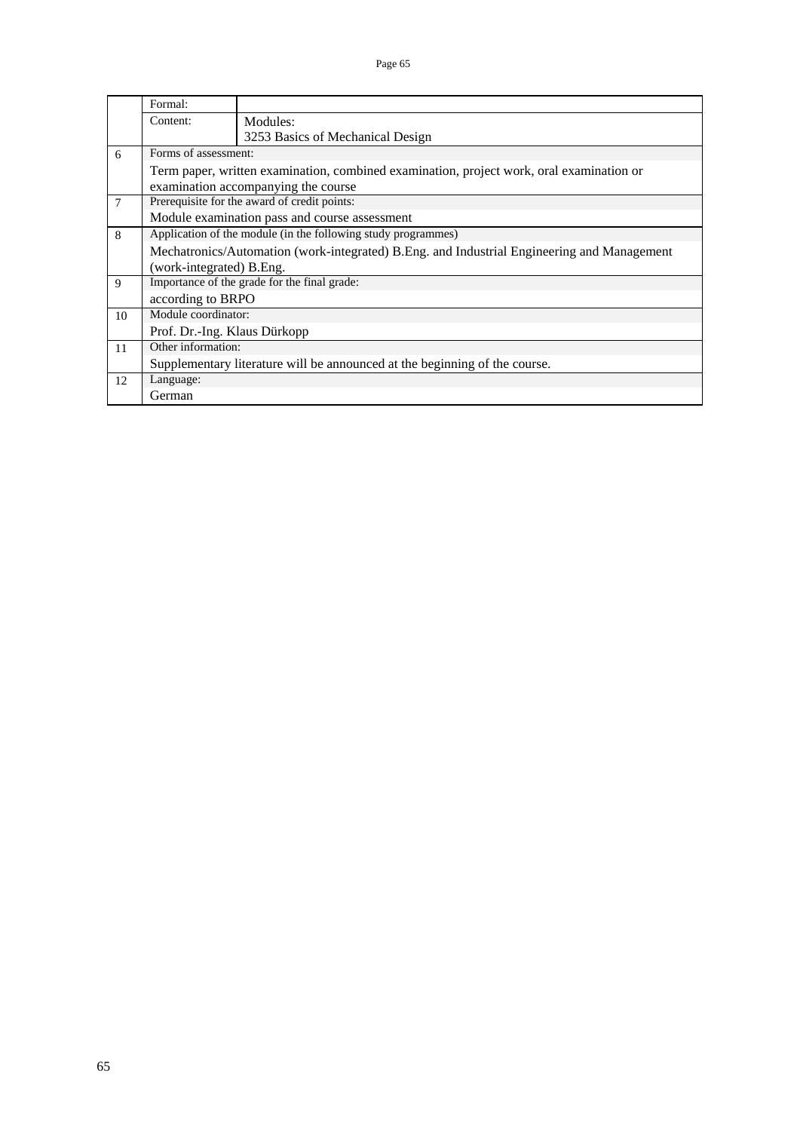|        | Formal:                      |                                                                                            |
|--------|------------------------------|--------------------------------------------------------------------------------------------|
|        | Content:                     | Modules:                                                                                   |
|        |                              | 3253 Basics of Mechanical Design                                                           |
| 6      | Forms of assessment:         |                                                                                            |
|        |                              | Term paper, written examination, combined examination, project work, oral examination or   |
|        |                              | examination accompanying the course                                                        |
| $\tau$ |                              | Prerequisite for the award of credit points:                                               |
|        |                              | Module examination pass and course assessment                                              |
| 8      |                              | Application of the module (in the following study programmes)                              |
|        |                              | Mechatronics/Automation (work-integrated) B.Eng. and Industrial Engineering and Management |
|        | (work-integrated) B.Eng.     |                                                                                            |
| 9      |                              | Importance of the grade for the final grade:                                               |
|        | according to BRPO            |                                                                                            |
| 10     | Module coordinator:          |                                                                                            |
|        | Prof. Dr.-Ing. Klaus Dürkopp |                                                                                            |
| 11     | Other information:           |                                                                                            |
|        |                              | Supplementary literature will be announced at the beginning of the course.                 |
| 12     | Language:                    |                                                                                            |
|        | German                       |                                                                                            |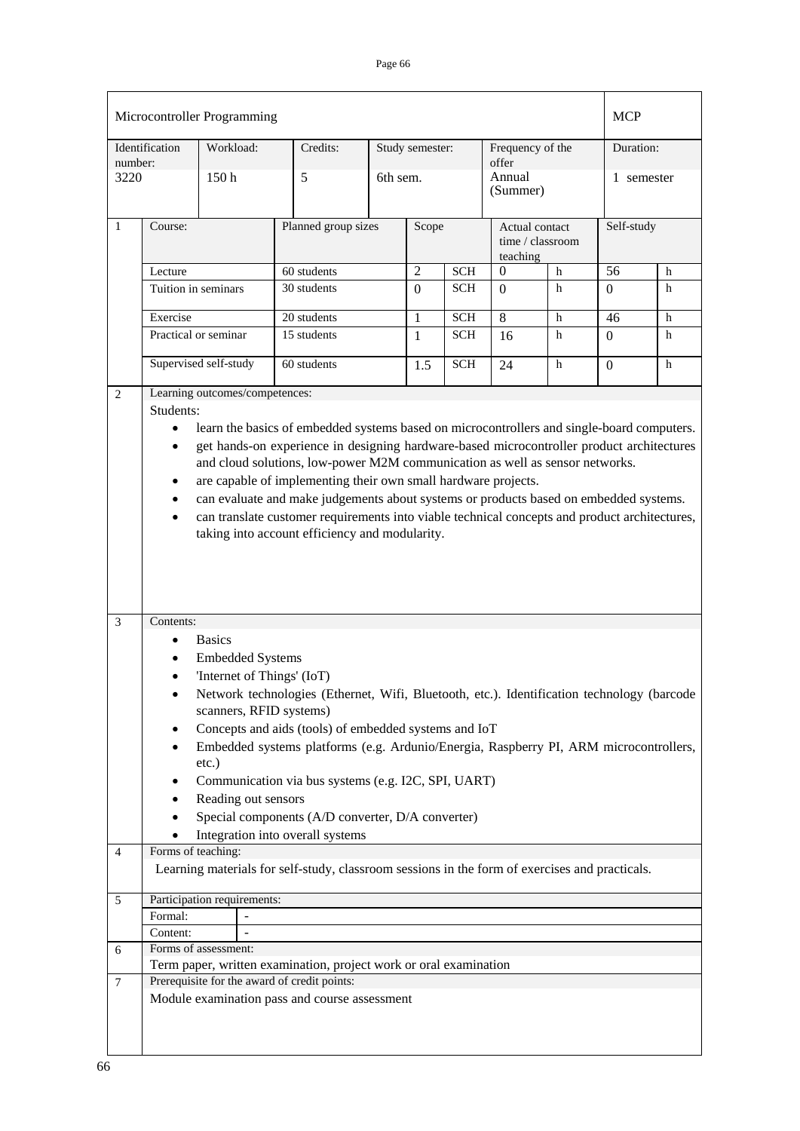|                |                                                                                                                                                                                                                                                                                                                                                                                                                                                                                                                                                                                                                                                                                          | Microcontroller Programming                                            |                                                                                                                                                |          |                 |            |                                                |   | <b>MCP</b>   |   |
|----------------|------------------------------------------------------------------------------------------------------------------------------------------------------------------------------------------------------------------------------------------------------------------------------------------------------------------------------------------------------------------------------------------------------------------------------------------------------------------------------------------------------------------------------------------------------------------------------------------------------------------------------------------------------------------------------------------|------------------------------------------------------------------------|------------------------------------------------------------------------------------------------------------------------------------------------|----------|-----------------|------------|------------------------------------------------|---|--------------|---|
| number:        | Identification                                                                                                                                                                                                                                                                                                                                                                                                                                                                                                                                                                                                                                                                           | Workload:                                                              | Credits:                                                                                                                                       |          | Study semester: |            | Frequency of the<br>offer                      |   | Duration:    |   |
| 3220           |                                                                                                                                                                                                                                                                                                                                                                                                                                                                                                                                                                                                                                                                                          | 150h                                                                   | 5                                                                                                                                              | 6th sem. |                 |            | Annual<br>(Summer)                             |   | 1 semester   |   |
| $\mathbf{1}$   | Course:                                                                                                                                                                                                                                                                                                                                                                                                                                                                                                                                                                                                                                                                                  |                                                                        | Planned group sizes                                                                                                                            | Scope    |                 |            | Actual contact<br>time / classroom<br>teaching |   | Self-study   |   |
|                | Lecture                                                                                                                                                                                                                                                                                                                                                                                                                                                                                                                                                                                                                                                                                  |                                                                        | 60 students                                                                                                                                    |          | $\overline{2}$  | <b>SCH</b> | $\boldsymbol{0}$                               | h | 56           | h |
|                | Tuition in seminars                                                                                                                                                                                                                                                                                                                                                                                                                                                                                                                                                                                                                                                                      |                                                                        | 30 students                                                                                                                                    |          | $\overline{0}$  | <b>SCH</b> | $\Omega$                                       | h | $\Omega$     | h |
|                | Exercise                                                                                                                                                                                                                                                                                                                                                                                                                                                                                                                                                                                                                                                                                 |                                                                        | 20 students                                                                                                                                    |          | 1               | <b>SCH</b> | 8                                              | h | 46           | h |
|                |                                                                                                                                                                                                                                                                                                                                                                                                                                                                                                                                                                                                                                                                                          | Practical or seminar                                                   | 15 students                                                                                                                                    |          |                 | <b>SCH</b> | 16                                             | h | $\Omega$     | h |
|                |                                                                                                                                                                                                                                                                                                                                                                                                                                                                                                                                                                                                                                                                                          | Supervised self-study                                                  | 60 students                                                                                                                                    |          | 1.5             | <b>SCH</b> | 24                                             | h | $\mathbf{0}$ | h |
| $\overline{2}$ | Learning outcomes/competences:<br>Students:<br>learn the basics of embedded systems based on microcontrollers and single-board computers.<br>get hands-on experience in designing hardware-based microcontroller product architectures<br>$\bullet$<br>and cloud solutions, low-power M2M communication as well as sensor networks.<br>are capable of implementing their own small hardware projects.<br>$\bullet$<br>can evaluate and make judgements about systems or products based on embedded systems.<br>$\bullet$<br>can translate customer requirements into viable technical concepts and product architectures,<br>$\bullet$<br>taking into account efficiency and modularity. |                                                                        |                                                                                                                                                |          |                 |            |                                                |   |              |   |
| 3              | Contents:<br>$\bullet$<br>$\bullet$<br>$\bullet$                                                                                                                                                                                                                                                                                                                                                                                                                                                                                                                                                                                                                                         | <b>Basics</b><br><b>Embedded Systems</b><br>'Internet of Things' (IoT) | Network technologies (Ethernet, Wifi, Bluetooth, etc.). Identification technology (barcode                                                     |          |                 |            |                                                |   |              |   |
|                | $\bullet$<br>$\bullet$                                                                                                                                                                                                                                                                                                                                                                                                                                                                                                                                                                                                                                                                   | scanners, RFID systems)<br>$etc.$ )                                    | Concepts and aids (tools) of embedded systems and IoT<br>Embedded systems platforms (e.g. Ardunio/Energia, Raspberry PI, ARM microcontrollers, |          |                 |            |                                                |   |              |   |
|                | $\bullet$                                                                                                                                                                                                                                                                                                                                                                                                                                                                                                                                                                                                                                                                                | Reading out sensors                                                    | Communication via bus systems (e.g. I2C, SPI, UART)<br>Special components (A/D converter, D/A converter)<br>Integration into overall systems   |          |                 |            |                                                |   |              |   |
| $\overline{4}$ | Forms of teaching:                                                                                                                                                                                                                                                                                                                                                                                                                                                                                                                                                                                                                                                                       |                                                                        |                                                                                                                                                |          |                 |            |                                                |   |              |   |
|                |                                                                                                                                                                                                                                                                                                                                                                                                                                                                                                                                                                                                                                                                                          |                                                                        | Learning materials for self-study, classroom sessions in the form of exercises and practicals.                                                 |          |                 |            |                                                |   |              |   |
| 5              | Formal:<br>Content:                                                                                                                                                                                                                                                                                                                                                                                                                                                                                                                                                                                                                                                                      | Participation requirements:                                            |                                                                                                                                                |          |                 |            |                                                |   |              |   |
| 6              |                                                                                                                                                                                                                                                                                                                                                                                                                                                                                                                                                                                                                                                                                          | Forms of assessment:                                                   | Term paper, written examination, project work or oral examination                                                                              |          |                 |            |                                                |   |              |   |
| $\tau$         |                                                                                                                                                                                                                                                                                                                                                                                                                                                                                                                                                                                                                                                                                          |                                                                        | Prerequisite for the award of credit points:<br>Module examination pass and course assessment                                                  |          |                 |            |                                                |   |              |   |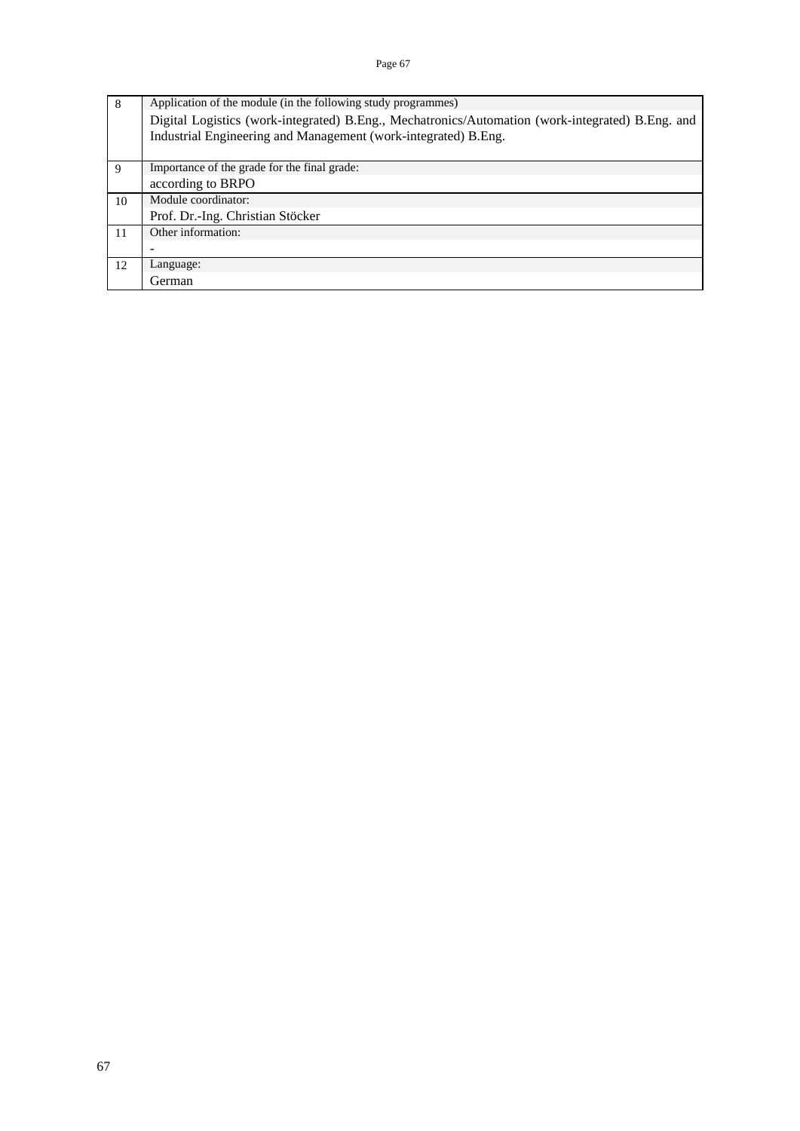| 8  | Application of the module (in the following study programmes)                                    |
|----|--------------------------------------------------------------------------------------------------|
|    | Digital Logistics (work-integrated) B.Eng., Mechatronics/Automation (work-integrated) B.Eng. and |
|    | Industrial Engineering and Management (work-integrated) B.Eng.                                   |
|    |                                                                                                  |
| 9  | Importance of the grade for the final grade:                                                     |
|    | according to BRPO                                                                                |
| 10 | Module coordinator:                                                                              |
|    | Prof. Dr.-Ing. Christian Stöcker                                                                 |
| 11 | Other information:                                                                               |
|    |                                                                                                  |
| 12 | Language:                                                                                        |
|    | German                                                                                           |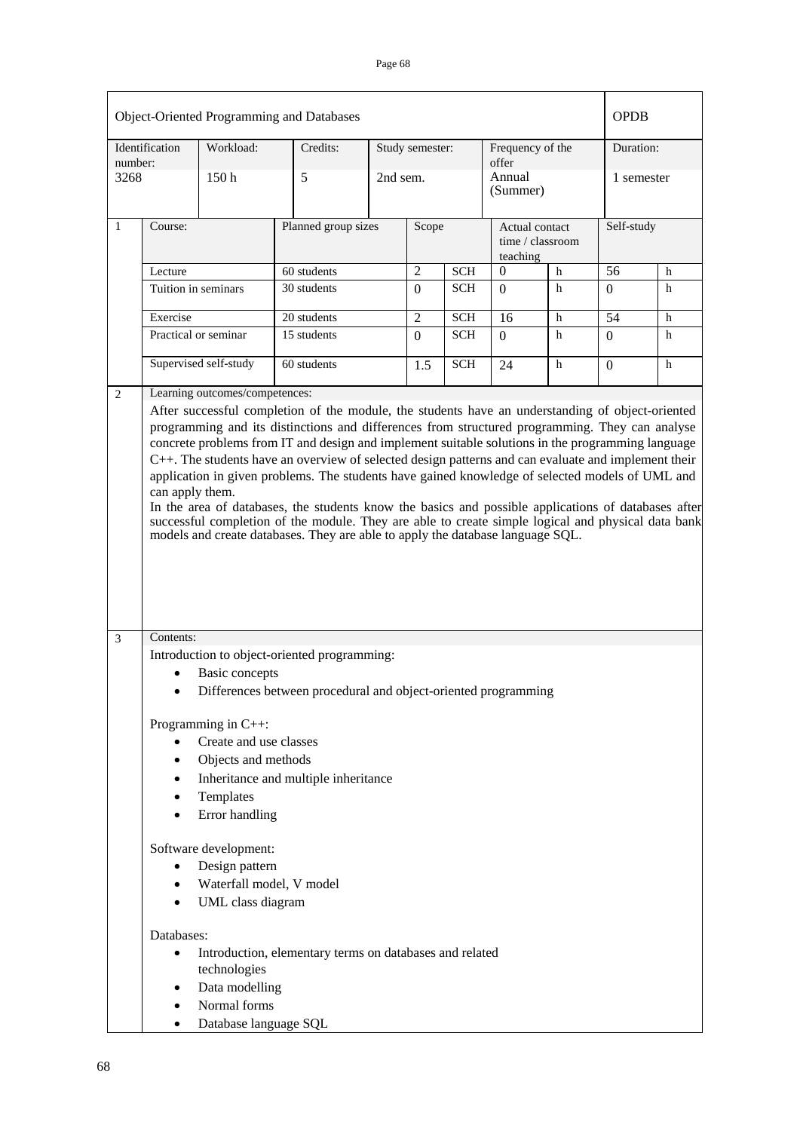|         |                        |                                                  | Object-Oriented Programming and Databases                                                                                                                                            |          |                 |            |                                                |             | <b>OPDB</b>    |   |
|---------|------------------------|--------------------------------------------------|--------------------------------------------------------------------------------------------------------------------------------------------------------------------------------------|----------|-----------------|------------|------------------------------------------------|-------------|----------------|---|
| number: | Identification         | Workload:                                        | Credits:                                                                                                                                                                             |          | Study semester: |            | Frequency of the<br>offer                      |             | Duration:      |   |
| 3268    |                        | 150 <sub>h</sub>                                 | 5                                                                                                                                                                                    | 2nd sem. |                 |            | Annual<br>(Summer)                             |             | 1 semester     |   |
| 1       | Course:                |                                                  | Planned group sizes                                                                                                                                                                  |          | Scope           |            | Actual contact<br>time / classroom<br>teaching |             | Self-study     |   |
|         | Lecture                |                                                  | 60 students                                                                                                                                                                          |          | $\overline{2}$  | <b>SCH</b> | h<br>$\theta$                                  |             | 56             | h |
|         |                        | Tuition in seminars                              | 30 students                                                                                                                                                                          |          | $\Omega$        | <b>SCH</b> | $\Omega$                                       | $\mathbf h$ | $\Omega$       | h |
|         | Exercise               |                                                  | 20 students                                                                                                                                                                          |          | $\overline{2}$  | <b>SCH</b> | 16                                             | h           | 54             | h |
|         |                        | Practical or seminar                             | 15 students                                                                                                                                                                          |          | $\Omega$        | <b>SCH</b> | $\Omega$                                       | h           | $\Omega$       | h |
|         |                        | Supervised self-study                            | 60 students                                                                                                                                                                          |          | 1.5             | <b>SCH</b> | 24                                             | h           | $\overline{0}$ | h |
| 2       |                        | Learning outcomes/competences:                   | After successful completion of the module, the students have an understanding of object-oriented                                                                                     |          |                 |            |                                                |             |                |   |
|         |                        |                                                  | successful completion of the module. They are able to create simple logical and physical data bank<br>models and create databases. They are able to apply the database language SQL. |          |                 |            |                                                |             |                |   |
| 3       | Contents:              |                                                  |                                                                                                                                                                                      |          |                 |            |                                                |             |                |   |
|         | $\bullet$              | <b>Basic concepts</b>                            | Introduction to object-oriented programming:                                                                                                                                         |          |                 |            |                                                |             |                |   |
|         |                        |                                                  | Differences between procedural and object-oriented programming                                                                                                                       |          |                 |            |                                                |             |                |   |
|         |                        | Programming in $C++$ :<br>Create and use classes |                                                                                                                                                                                      |          |                 |            |                                                |             |                |   |
|         | $\bullet$              | Objects and methods                              |                                                                                                                                                                                      |          |                 |            |                                                |             |                |   |
|         | $\bullet$              |                                                  | Inheritance and multiple inheritance                                                                                                                                                 |          |                 |            |                                                |             |                |   |
|         | $\bullet$<br>$\bullet$ | Templates<br>Error handling                      |                                                                                                                                                                                      |          |                 |            |                                                |             |                |   |
|         |                        | Software development:                            |                                                                                                                                                                                      |          |                 |            |                                                |             |                |   |
|         | $\bullet$              | Design pattern                                   |                                                                                                                                                                                      |          |                 |            |                                                |             |                |   |
|         | $\bullet$              | Waterfall model, V model<br>UML class diagram    |                                                                                                                                                                                      |          |                 |            |                                                |             |                |   |
|         | Databases:             |                                                  |                                                                                                                                                                                      |          |                 |            |                                                |             |                |   |
|         | ٠                      | technologies                                     | Introduction, elementary terms on databases and related                                                                                                                              |          |                 |            |                                                |             |                |   |
|         | ٠                      | Data modelling                                   |                                                                                                                                                                                      |          |                 |            |                                                |             |                |   |
|         | $\bullet$              | Normal forms                                     |                                                                                                                                                                                      |          |                 |            |                                                |             |                |   |
|         | $\bullet$              | Database language SQL                            |                                                                                                                                                                                      |          |                 |            |                                                |             |                |   |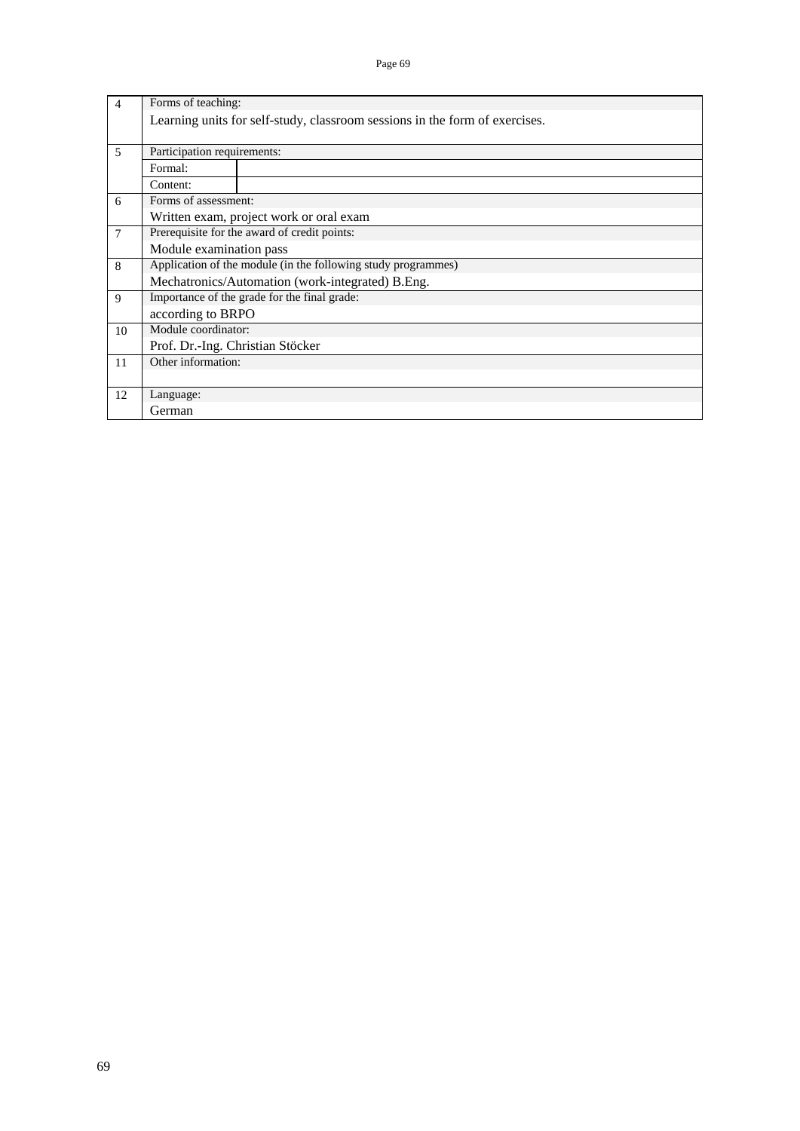| $\overline{4}$ | Forms of teaching:                                            |                                                                             |  |  |  |  |  |  |
|----------------|---------------------------------------------------------------|-----------------------------------------------------------------------------|--|--|--|--|--|--|
|                |                                                               | Learning units for self-study, classroom sessions in the form of exercises. |  |  |  |  |  |  |
|                |                                                               |                                                                             |  |  |  |  |  |  |
| 5              | Participation requirements:                                   |                                                                             |  |  |  |  |  |  |
|                | Formal:                                                       |                                                                             |  |  |  |  |  |  |
|                | Content:                                                      |                                                                             |  |  |  |  |  |  |
| 6              | Forms of assessment:                                          |                                                                             |  |  |  |  |  |  |
|                |                                                               | Written exam, project work or oral exam                                     |  |  |  |  |  |  |
| $\tau$         | Prerequisite for the award of credit points:                  |                                                                             |  |  |  |  |  |  |
|                | Module examination pass                                       |                                                                             |  |  |  |  |  |  |
| 8              | Application of the module (in the following study programmes) |                                                                             |  |  |  |  |  |  |
|                |                                                               | Mechatronics/Automation (work-integrated) B.Eng.                            |  |  |  |  |  |  |
| 9              |                                                               | Importance of the grade for the final grade:                                |  |  |  |  |  |  |
|                | according to BRPO                                             |                                                                             |  |  |  |  |  |  |
| 10             | Module coordinator:                                           |                                                                             |  |  |  |  |  |  |
|                | Prof. Dr.-Ing. Christian Stöcker                              |                                                                             |  |  |  |  |  |  |
| 11             | Other information:                                            |                                                                             |  |  |  |  |  |  |
|                |                                                               |                                                                             |  |  |  |  |  |  |
| 12             | Language:                                                     |                                                                             |  |  |  |  |  |  |
|                | German                                                        |                                                                             |  |  |  |  |  |  |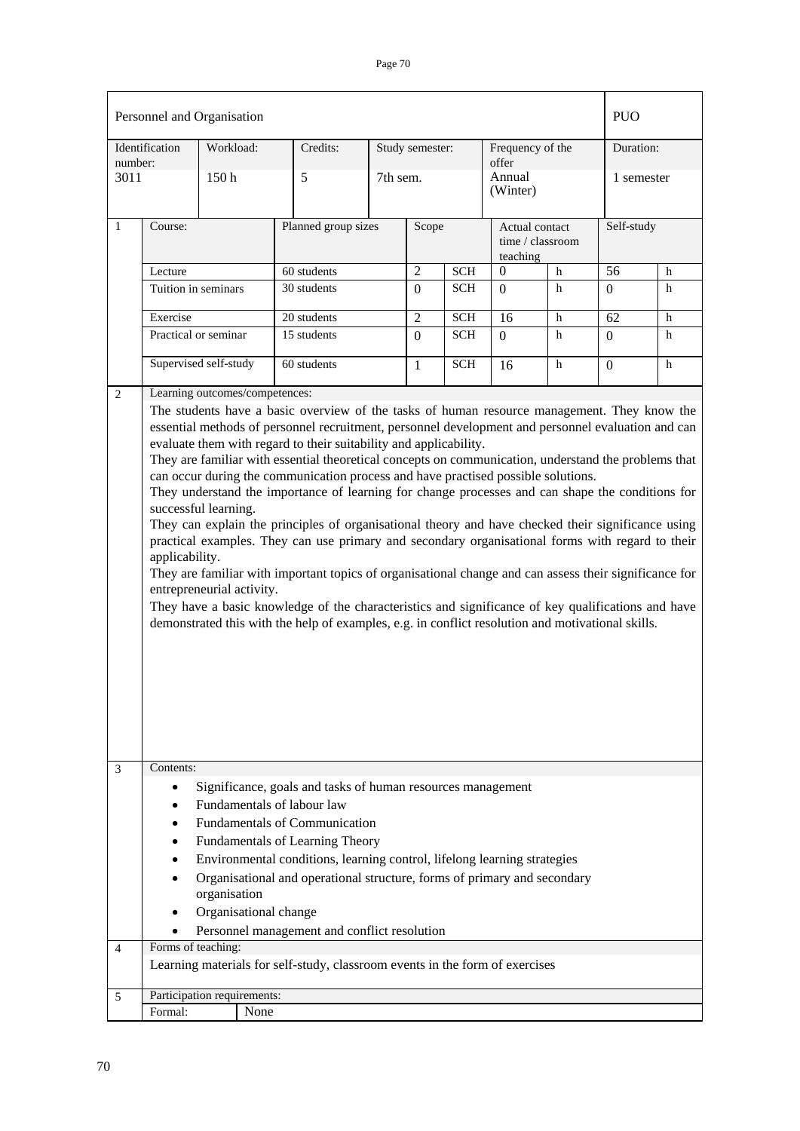|                                                                                                                                                                                                                                                                                                                                                                                                                                                                                                                                                                                                                                                                                                                                                                                                                                                                                                                                                                                                                                                                                                                                                                                                                                 |                        | Personnel and Organisation            |                                                                                                                                                                                                                                                                                                                                                                              |          |                            |            |                           |                                    | <b>PUO</b>     |             |  |
|---------------------------------------------------------------------------------------------------------------------------------------------------------------------------------------------------------------------------------------------------------------------------------------------------------------------------------------------------------------------------------------------------------------------------------------------------------------------------------------------------------------------------------------------------------------------------------------------------------------------------------------------------------------------------------------------------------------------------------------------------------------------------------------------------------------------------------------------------------------------------------------------------------------------------------------------------------------------------------------------------------------------------------------------------------------------------------------------------------------------------------------------------------------------------------------------------------------------------------|------------------------|---------------------------------------|------------------------------------------------------------------------------------------------------------------------------------------------------------------------------------------------------------------------------------------------------------------------------------------------------------------------------------------------------------------------------|----------|----------------------------|------------|---------------------------|------------------------------------|----------------|-------------|--|
| number:                                                                                                                                                                                                                                                                                                                                                                                                                                                                                                                                                                                                                                                                                                                                                                                                                                                                                                                                                                                                                                                                                                                                                                                                                         | Identification         | Workload:                             | Credits:                                                                                                                                                                                                                                                                                                                                                                     |          | Study semester:            |            | Frequency of the<br>offer |                                    | Duration:      |             |  |
| 3011                                                                                                                                                                                                                                                                                                                                                                                                                                                                                                                                                                                                                                                                                                                                                                                                                                                                                                                                                                                                                                                                                                                                                                                                                            |                        | 150 <sub>h</sub>                      | 5                                                                                                                                                                                                                                                                                                                                                                            | 7th sem. |                            |            | Annual<br>(Winter)        |                                    |                | 1 semester  |  |
| $\mathbf{1}$                                                                                                                                                                                                                                                                                                                                                                                                                                                                                                                                                                                                                                                                                                                                                                                                                                                                                                                                                                                                                                                                                                                                                                                                                    | Course:                |                                       | Planned group sizes                                                                                                                                                                                                                                                                                                                                                          |          | Scope                      |            | teaching                  | Actual contact<br>time / classroom |                | Self-study  |  |
|                                                                                                                                                                                                                                                                                                                                                                                                                                                                                                                                                                                                                                                                                                                                                                                                                                                                                                                                                                                                                                                                                                                                                                                                                                 | Lecture                |                                       | 60 students                                                                                                                                                                                                                                                                                                                                                                  |          |                            | <b>SCH</b> | $\Omega$                  | h                                  | 56             | h           |  |
|                                                                                                                                                                                                                                                                                                                                                                                                                                                                                                                                                                                                                                                                                                                                                                                                                                                                                                                                                                                                                                                                                                                                                                                                                                 |                        | Tuition in seminars                   | 30 students                                                                                                                                                                                                                                                                                                                                                                  |          | $\Omega$                   | <b>SCH</b> | $\Omega$                  | h                                  | $\Omega$       | $\mathbf h$ |  |
|                                                                                                                                                                                                                                                                                                                                                                                                                                                                                                                                                                                                                                                                                                                                                                                                                                                                                                                                                                                                                                                                                                                                                                                                                                 | Exercise               |                                       | 20 students                                                                                                                                                                                                                                                                                                                                                                  |          |                            | <b>SCH</b> | 16                        | h                                  | 62             | h           |  |
|                                                                                                                                                                                                                                                                                                                                                                                                                                                                                                                                                                                                                                                                                                                                                                                                                                                                                                                                                                                                                                                                                                                                                                                                                                 |                        | Practical or seminar                  | 15 students                                                                                                                                                                                                                                                                                                                                                                  |          | $\overline{2}$<br>$\Omega$ | <b>SCH</b> | $\Omega$                  | h                                  | $\Omega$       | h           |  |
|                                                                                                                                                                                                                                                                                                                                                                                                                                                                                                                                                                                                                                                                                                                                                                                                                                                                                                                                                                                                                                                                                                                                                                                                                                 |                        | Supervised self-study                 | 60 students                                                                                                                                                                                                                                                                                                                                                                  |          | $\mathbf{1}$               | <b>SCH</b> | 16                        | h                                  | $\overline{0}$ | h           |  |
| Learning outcomes/competences:<br>$\mathbf{2}$<br>The students have a basic overview of the tasks of human resource management. They know the<br>essential methods of personnel recruitment, personnel development and personnel evaluation and can<br>evaluate them with regard to their suitability and applicability.<br>They are familiar with essential theoretical concepts on communication, understand the problems that<br>can occur during the communication process and have practised possible solutions.<br>They understand the importance of learning for change processes and can shape the conditions for<br>successful learning.<br>They can explain the principles of organisational theory and have checked their significance using<br>practical examples. They can use primary and secondary organisational forms with regard to their<br>applicability.<br>They are familiar with important topics of organisational change and can assess their significance for<br>entrepreneurial activity.<br>They have a basic knowledge of the characteristics and significance of key qualifications and have<br>demonstrated this with the help of examples, e.g. in conflict resolution and motivational skills. |                        |                                       |                                                                                                                                                                                                                                                                                                                                                                              |          |                            |            |                           |                                    |                |             |  |
| 3                                                                                                                                                                                                                                                                                                                                                                                                                                                                                                                                                                                                                                                                                                                                                                                                                                                                                                                                                                                                                                                                                                                                                                                                                               | Contents:<br>$\bullet$ | organisation<br>Organisational change | Significance, goals and tasks of human resources management<br>Fundamentals of labour law<br><b>Fundamentals of Communication</b><br>Fundamentals of Learning Theory<br>Environmental conditions, learning control, lifelong learning strategies<br>Organisational and operational structure, forms of primary and secondary<br>Personnel management and conflict resolution |          |                            |            |                           |                                    |                |             |  |
| $\overline{4}$                                                                                                                                                                                                                                                                                                                                                                                                                                                                                                                                                                                                                                                                                                                                                                                                                                                                                                                                                                                                                                                                                                                                                                                                                  |                        | Forms of teaching:                    |                                                                                                                                                                                                                                                                                                                                                                              |          |                            |            |                           |                                    |                |             |  |
|                                                                                                                                                                                                                                                                                                                                                                                                                                                                                                                                                                                                                                                                                                                                                                                                                                                                                                                                                                                                                                                                                                                                                                                                                                 |                        |                                       | Learning materials for self-study, classroom events in the form of exercises                                                                                                                                                                                                                                                                                                 |          |                            |            |                           |                                    |                |             |  |
| 5                                                                                                                                                                                                                                                                                                                                                                                                                                                                                                                                                                                                                                                                                                                                                                                                                                                                                                                                                                                                                                                                                                                                                                                                                               |                        | Participation requirements:           |                                                                                                                                                                                                                                                                                                                                                                              |          |                            |            |                           |                                    |                |             |  |
|                                                                                                                                                                                                                                                                                                                                                                                                                                                                                                                                                                                                                                                                                                                                                                                                                                                                                                                                                                                                                                                                                                                                                                                                                                 | Formal:                | None                                  |                                                                                                                                                                                                                                                                                                                                                                              |          |                            |            |                           |                                    |                |             |  |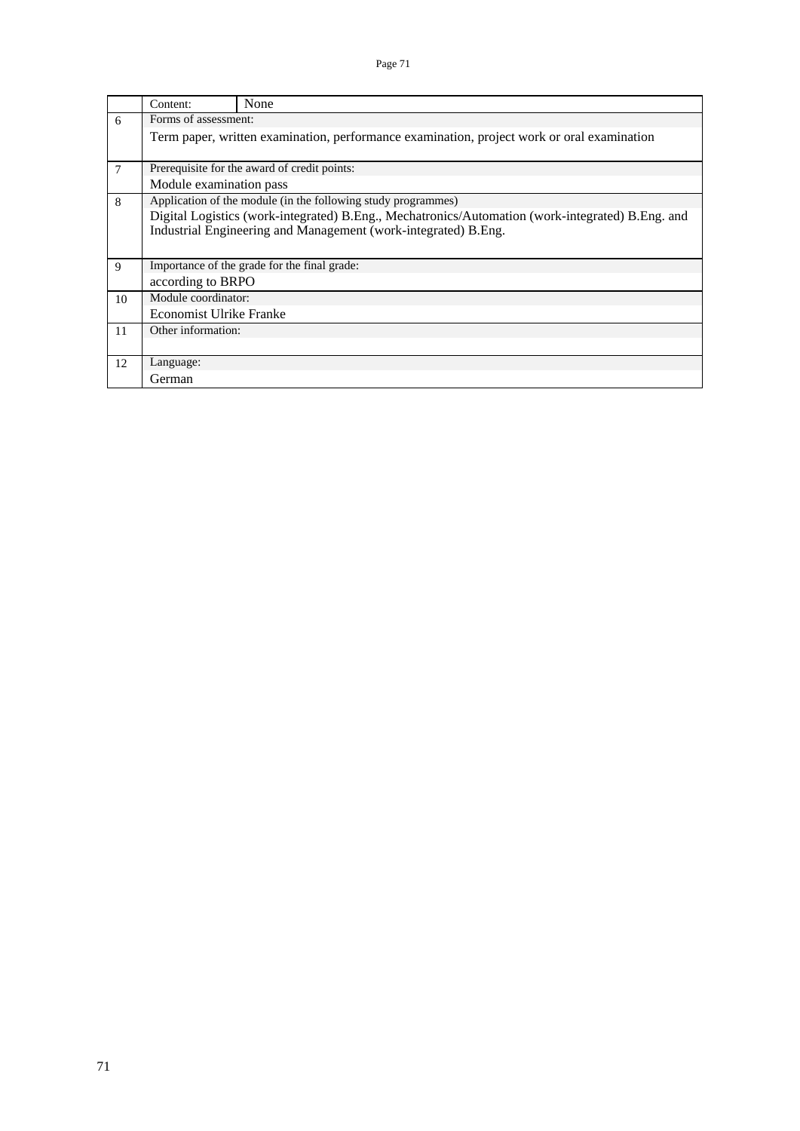|    | Content:                                                                                   | None                                                                                             |  |  |  |  |  |  |  |
|----|--------------------------------------------------------------------------------------------|--------------------------------------------------------------------------------------------------|--|--|--|--|--|--|--|
| 6  | Forms of assessment:                                                                       |                                                                                                  |  |  |  |  |  |  |  |
|    | Term paper, written examination, performance examination, project work or oral examination |                                                                                                  |  |  |  |  |  |  |  |
|    |                                                                                            | Prerequisite for the award of credit points:                                                     |  |  |  |  |  |  |  |
| 7  |                                                                                            |                                                                                                  |  |  |  |  |  |  |  |
|    | Module examination pass                                                                    |                                                                                                  |  |  |  |  |  |  |  |
| 8  |                                                                                            | Application of the module (in the following study programmes)                                    |  |  |  |  |  |  |  |
|    |                                                                                            | Digital Logistics (work-integrated) B.Eng., Mechatronics/Automation (work-integrated) B.Eng. and |  |  |  |  |  |  |  |
|    |                                                                                            | Industrial Engineering and Management (work-integrated) B.Eng.                                   |  |  |  |  |  |  |  |
|    |                                                                                            |                                                                                                  |  |  |  |  |  |  |  |
| 9  |                                                                                            | Importance of the grade for the final grade:                                                     |  |  |  |  |  |  |  |
|    | according to BRPO                                                                          |                                                                                                  |  |  |  |  |  |  |  |
| 10 | Module coordinator:                                                                        |                                                                                                  |  |  |  |  |  |  |  |
|    | <b>Economist Ulrike Franke</b>                                                             |                                                                                                  |  |  |  |  |  |  |  |
| 11 | Other information:                                                                         |                                                                                                  |  |  |  |  |  |  |  |
|    |                                                                                            |                                                                                                  |  |  |  |  |  |  |  |
| 12 | Language:                                                                                  |                                                                                                  |  |  |  |  |  |  |  |
|    | German                                                                                     |                                                                                                  |  |  |  |  |  |  |  |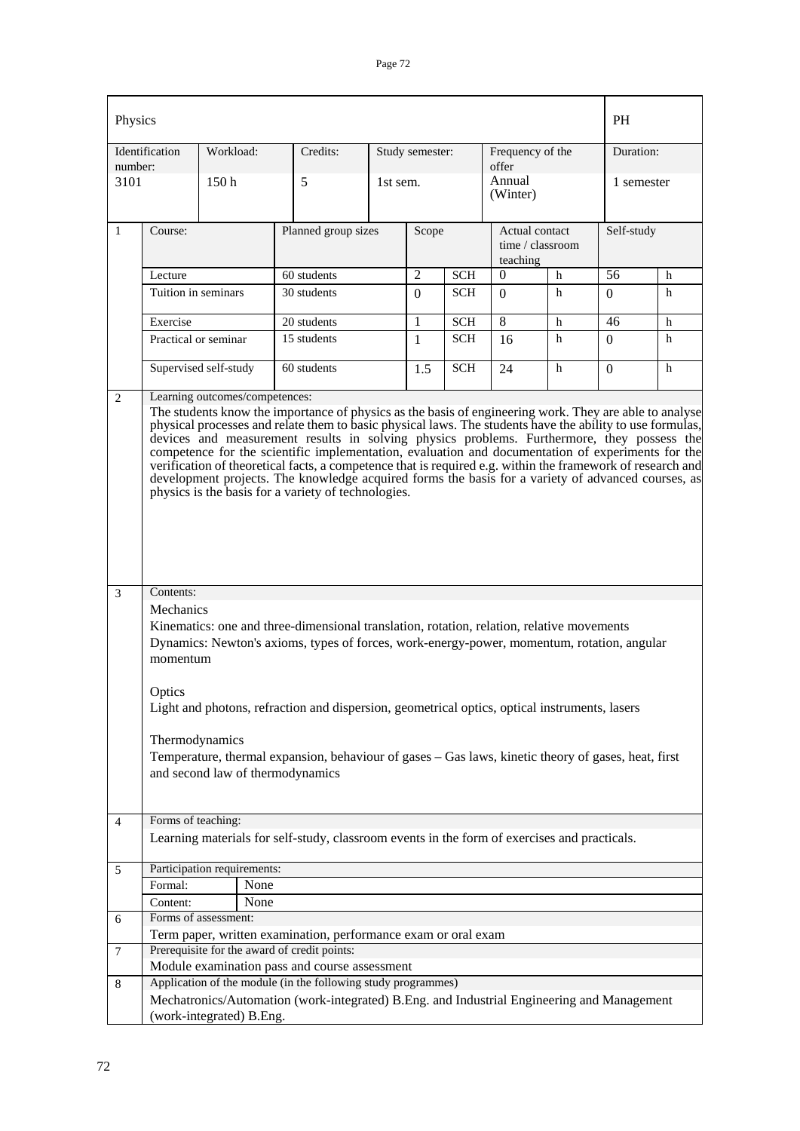| Identification<br>Frequency of the<br>Study semester:<br>offer<br>number:<br>Annual<br>3101<br>5<br>150 <sub>h</sub><br>1st sem.<br>(Winter)<br>$\mathbf{1}$<br>Course:<br>Planned group sizes<br>Actual contact<br>Self-study<br>Scope<br>time / $classroom$<br>teaching<br>56<br>$\overline{2}$<br><b>SCH</b><br>$h$<br>Lecture<br>60 students<br>$\theta$<br>Tuition in seminars<br>30 students<br><b>SCH</b><br>h<br>$\Omega$<br>$\Omega$<br>$\Omega$<br>8<br>Exercise<br>20 students<br>1<br>h<br><b>SCH</b><br>46<br>Practical or seminar<br>15 students<br><b>SCH</b><br>h<br>1<br>$\Omega$<br>16<br>Supervised self-study<br>60 students<br><b>SCH</b><br>h<br>1.5<br>24<br>$\Omega$<br>Learning outcomes/competences:<br>2<br>The students know the importance of physics as the basis of engineering work. They are able to analyse<br>physical processes and relate them to basic physical laws. The students have the ability to use formulas,<br>devices and measurement results in solving physics problems. Furthermore, they possess the<br>competence for the scientific implementation, evaluation and documentation of experiments for the<br>verification of theoretical facts, a competence that is required e.g. within the framework of research and<br>development projects. The knowledge acquired forms the basis for a variety of advanced courses, as<br>physics is the basis for a variety of technologies.<br>Contents:<br>3<br>Mechanics<br>Kinematics: one and three-dimensional translation, rotation, relation, relative movements<br>momentum<br>Optics<br>Light and photons, refraction and dispersion, geometrical optics, optical instruments, lasers<br>Thermodynamics<br>and second law of thermodynamics<br>Forms of teaching:<br>4<br>Learning materials for self-study, classroom events in the form of exercises and practicals.<br>Participation requirements:<br>5<br>Formal:<br>None<br>None<br>Content:<br>Forms of assessment:<br>6<br>Term paper, written examination, performance exam or oral exam<br>Prerequisite for the award of credit points:<br>7<br>Module examination pass and course assessment |  | Physics |                                                                                                     |          |  |  |  |  |  | <b>PH</b> |                         |  |
|--------------------------------------------------------------------------------------------------------------------------------------------------------------------------------------------------------------------------------------------------------------------------------------------------------------------------------------------------------------------------------------------------------------------------------------------------------------------------------------------------------------------------------------------------------------------------------------------------------------------------------------------------------------------------------------------------------------------------------------------------------------------------------------------------------------------------------------------------------------------------------------------------------------------------------------------------------------------------------------------------------------------------------------------------------------------------------------------------------------------------------------------------------------------------------------------------------------------------------------------------------------------------------------------------------------------------------------------------------------------------------------------------------------------------------------------------------------------------------------------------------------------------------------------------------------------------------------------------------------------------------------------------------------------------------------------------------------------------------------------------------------------------------------------------------------------------------------------------------------------------------------------------------------------------------------------------------------------------------------------------------------------------------------------------------------------------------------------------------------------------------------------------------------|--|---------|-----------------------------------------------------------------------------------------------------|----------|--|--|--|--|--|-----------|-------------------------|--|
|                                                                                                                                                                                                                                                                                                                                                                                                                                                                                                                                                                                                                                                                                                                                                                                                                                                                                                                                                                                                                                                                                                                                                                                                                                                                                                                                                                                                                                                                                                                                                                                                                                                                                                                                                                                                                                                                                                                                                                                                                                                                                                                                                              |  |         | Workload:                                                                                           | Credits: |  |  |  |  |  |           | Duration:<br>1 semester |  |
|                                                                                                                                                                                                                                                                                                                                                                                                                                                                                                                                                                                                                                                                                                                                                                                                                                                                                                                                                                                                                                                                                                                                                                                                                                                                                                                                                                                                                                                                                                                                                                                                                                                                                                                                                                                                                                                                                                                                                                                                                                                                                                                                                              |  |         |                                                                                                     |          |  |  |  |  |  |           |                         |  |
|                                                                                                                                                                                                                                                                                                                                                                                                                                                                                                                                                                                                                                                                                                                                                                                                                                                                                                                                                                                                                                                                                                                                                                                                                                                                                                                                                                                                                                                                                                                                                                                                                                                                                                                                                                                                                                                                                                                                                                                                                                                                                                                                                              |  |         |                                                                                                     |          |  |  |  |  |  |           |                         |  |
|                                                                                                                                                                                                                                                                                                                                                                                                                                                                                                                                                                                                                                                                                                                                                                                                                                                                                                                                                                                                                                                                                                                                                                                                                                                                                                                                                                                                                                                                                                                                                                                                                                                                                                                                                                                                                                                                                                                                                                                                                                                                                                                                                              |  |         |                                                                                                     |          |  |  |  |  |  |           | h                       |  |
|                                                                                                                                                                                                                                                                                                                                                                                                                                                                                                                                                                                                                                                                                                                                                                                                                                                                                                                                                                                                                                                                                                                                                                                                                                                                                                                                                                                                                                                                                                                                                                                                                                                                                                                                                                                                                                                                                                                                                                                                                                                                                                                                                              |  |         |                                                                                                     |          |  |  |  |  |  |           | h                       |  |
|                                                                                                                                                                                                                                                                                                                                                                                                                                                                                                                                                                                                                                                                                                                                                                                                                                                                                                                                                                                                                                                                                                                                                                                                                                                                                                                                                                                                                                                                                                                                                                                                                                                                                                                                                                                                                                                                                                                                                                                                                                                                                                                                                              |  |         |                                                                                                     |          |  |  |  |  |  |           | h                       |  |
|                                                                                                                                                                                                                                                                                                                                                                                                                                                                                                                                                                                                                                                                                                                                                                                                                                                                                                                                                                                                                                                                                                                                                                                                                                                                                                                                                                                                                                                                                                                                                                                                                                                                                                                                                                                                                                                                                                                                                                                                                                                                                                                                                              |  |         |                                                                                                     |          |  |  |  |  |  |           | h                       |  |
|                                                                                                                                                                                                                                                                                                                                                                                                                                                                                                                                                                                                                                                                                                                                                                                                                                                                                                                                                                                                                                                                                                                                                                                                                                                                                                                                                                                                                                                                                                                                                                                                                                                                                                                                                                                                                                                                                                                                                                                                                                                                                                                                                              |  |         |                                                                                                     |          |  |  |  |  |  |           | h                       |  |
|                                                                                                                                                                                                                                                                                                                                                                                                                                                                                                                                                                                                                                                                                                                                                                                                                                                                                                                                                                                                                                                                                                                                                                                                                                                                                                                                                                                                                                                                                                                                                                                                                                                                                                                                                                                                                                                                                                                                                                                                                                                                                                                                                              |  |         | Dynamics: Newton's axioms, types of forces, work-energy-power, momentum, rotation, angular          |          |  |  |  |  |  |           |                         |  |
|                                                                                                                                                                                                                                                                                                                                                                                                                                                                                                                                                                                                                                                                                                                                                                                                                                                                                                                                                                                                                                                                                                                                                                                                                                                                                                                                                                                                                                                                                                                                                                                                                                                                                                                                                                                                                                                                                                                                                                                                                                                                                                                                                              |  |         | Temperature, thermal expansion, behaviour of gases - Gas laws, kinetic theory of gases, heat, first |          |  |  |  |  |  |           |                         |  |
|                                                                                                                                                                                                                                                                                                                                                                                                                                                                                                                                                                                                                                                                                                                                                                                                                                                                                                                                                                                                                                                                                                                                                                                                                                                                                                                                                                                                                                                                                                                                                                                                                                                                                                                                                                                                                                                                                                                                                                                                                                                                                                                                                              |  |         |                                                                                                     |          |  |  |  |  |  |           |                         |  |
|                                                                                                                                                                                                                                                                                                                                                                                                                                                                                                                                                                                                                                                                                                                                                                                                                                                                                                                                                                                                                                                                                                                                                                                                                                                                                                                                                                                                                                                                                                                                                                                                                                                                                                                                                                                                                                                                                                                                                                                                                                                                                                                                                              |  |         |                                                                                                     |          |  |  |  |  |  |           |                         |  |
|                                                                                                                                                                                                                                                                                                                                                                                                                                                                                                                                                                                                                                                                                                                                                                                                                                                                                                                                                                                                                                                                                                                                                                                                                                                                                                                                                                                                                                                                                                                                                                                                                                                                                                                                                                                                                                                                                                                                                                                                                                                                                                                                                              |  |         |                                                                                                     |          |  |  |  |  |  |           |                         |  |
|                                                                                                                                                                                                                                                                                                                                                                                                                                                                                                                                                                                                                                                                                                                                                                                                                                                                                                                                                                                                                                                                                                                                                                                                                                                                                                                                                                                                                                                                                                                                                                                                                                                                                                                                                                                                                                                                                                                                                                                                                                                                                                                                                              |  |         |                                                                                                     |          |  |  |  |  |  |           |                         |  |
|                                                                                                                                                                                                                                                                                                                                                                                                                                                                                                                                                                                                                                                                                                                                                                                                                                                                                                                                                                                                                                                                                                                                                                                                                                                                                                                                                                                                                                                                                                                                                                                                                                                                                                                                                                                                                                                                                                                                                                                                                                                                                                                                                              |  |         |                                                                                                     |          |  |  |  |  |  |           |                         |  |
| Application of the module (in the following study programmes)<br>8<br>Mechatronics/Automation (work-integrated) B.Eng. and Industrial Engineering and Management                                                                                                                                                                                                                                                                                                                                                                                                                                                                                                                                                                                                                                                                                                                                                                                                                                                                                                                                                                                                                                                                                                                                                                                                                                                                                                                                                                                                                                                                                                                                                                                                                                                                                                                                                                                                                                                                                                                                                                                             |  |         |                                                                                                     |          |  |  |  |  |  |           |                         |  |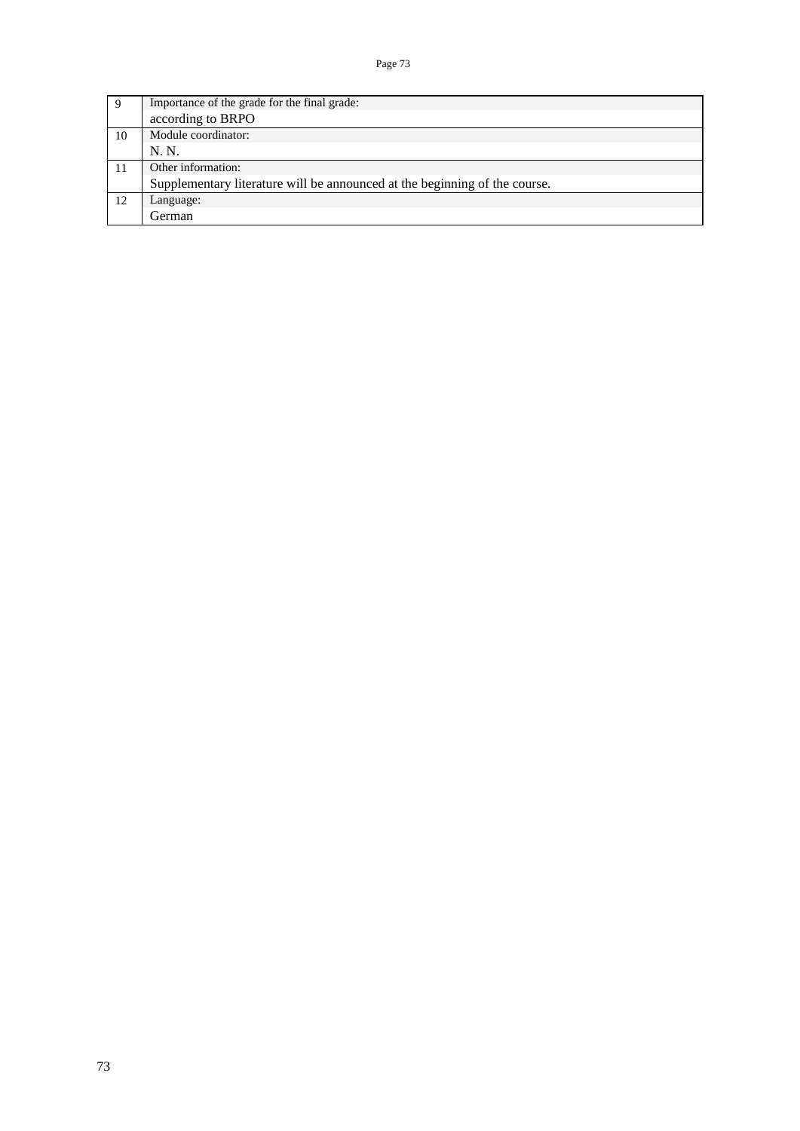|    | Importance of the grade for the final grade:                               |
|----|----------------------------------------------------------------------------|
|    | according to BRPO                                                          |
| 10 | Module coordinator:                                                        |
|    | N. N.                                                                      |
| 11 | Other information:                                                         |
|    | Supplementary literature will be announced at the beginning of the course. |
| 12 | Language:                                                                  |
|    | German                                                                     |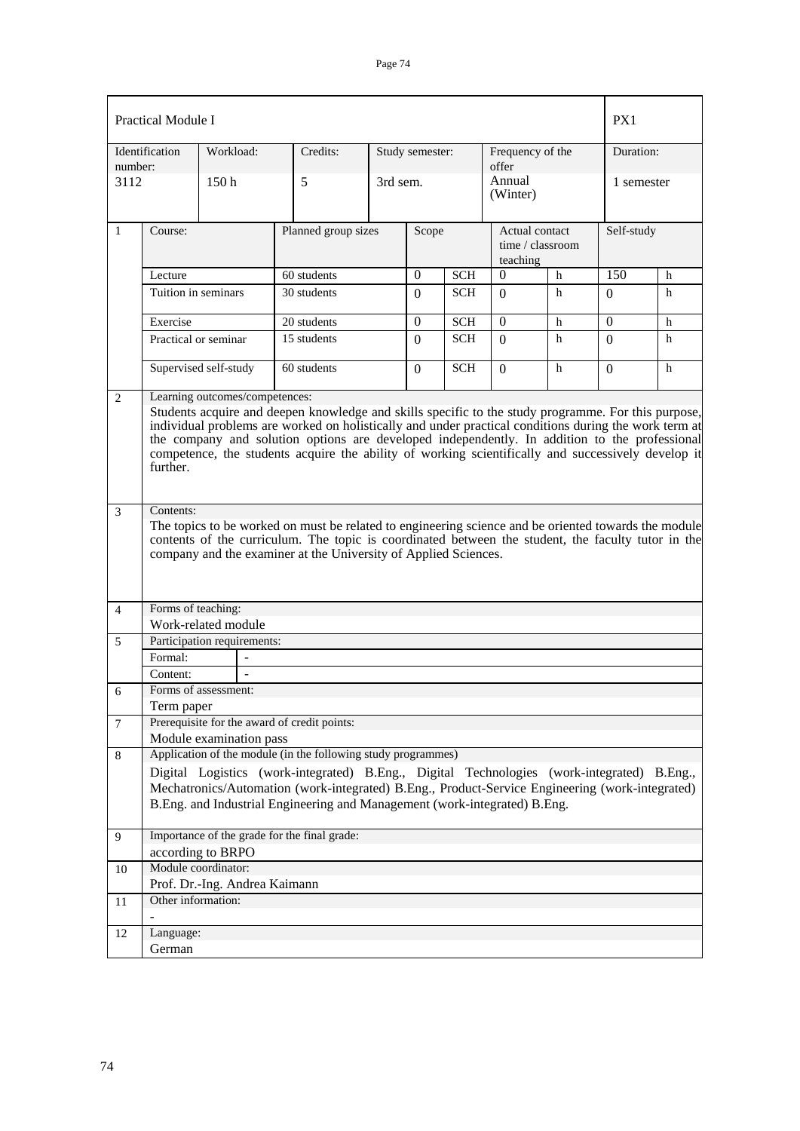|                | <b>Practical Module I</b>                                                                                                                                                                                                                                                                                                                                                                                                                                         |                               |                                                                                                                                                                                                                                                                               |                              |                        |            |                            |                  |            |   |
|----------------|-------------------------------------------------------------------------------------------------------------------------------------------------------------------------------------------------------------------------------------------------------------------------------------------------------------------------------------------------------------------------------------------------------------------------------------------------------------------|-------------------------------|-------------------------------------------------------------------------------------------------------------------------------------------------------------------------------------------------------------------------------------------------------------------------------|------------------------------|------------------------|------------|----------------------------|------------------|------------|---|
| number:        | Identification                                                                                                                                                                                                                                                                                                                                                                                                                                                    | Workload:                     | Credits:                                                                                                                                                                                                                                                                      |                              | Study semester:        |            | Frequency of the<br>offer  |                  | Duration:  |   |
| 3112           |                                                                                                                                                                                                                                                                                                                                                                                                                                                                   | 150h                          | 5                                                                                                                                                                                                                                                                             | 3rd sem.                     |                        |            | Annual<br>(Winter)         |                  | 1 semester |   |
| 1              | Course:                                                                                                                                                                                                                                                                                                                                                                                                                                                           |                               |                                                                                                                                                                                                                                                                               | Planned group sizes<br>Scope |                        |            | Actual contact<br>teaching | time / classroom | Self-study |   |
|                | Lecture                                                                                                                                                                                                                                                                                                                                                                                                                                                           |                               | 60 students                                                                                                                                                                                                                                                                   |                              | $\Omega$<br><b>SCH</b> |            | $\boldsymbol{0}$           | h                | 150        | h |
|                | Tuition in seminars                                                                                                                                                                                                                                                                                                                                                                                                                                               |                               | 30 students                                                                                                                                                                                                                                                                   |                              | $\Omega$               | <b>SCH</b> | $\Omega$                   | h                | $\Omega$   | h |
|                | Exercise                                                                                                                                                                                                                                                                                                                                                                                                                                                          |                               | 20 students                                                                                                                                                                                                                                                                   |                              | $\Omega$               | <b>SCH</b> | $\Omega$                   | h                | $\Omega$   | h |
|                | Practical or seminar                                                                                                                                                                                                                                                                                                                                                                                                                                              |                               | 15 students                                                                                                                                                                                                                                                                   |                              | $\Omega$               | <b>SCH</b> | $\Omega$                   | h                | $\Omega$   | h |
|                |                                                                                                                                                                                                                                                                                                                                                                                                                                                                   | Supervised self-study         | 60 students                                                                                                                                                                                                                                                                   |                              | $\Omega$               | <b>SCH</b> | $\Omega$                   | h                | $\Omega$   | h |
| $\overline{2}$ | Learning outcomes/competences:<br>Students acquire and deepen knowledge and skills specific to the study programme. For this purpose,<br>individual problems are worked on holistically and under practical conditions during the work term at<br>the company and solution options are developed independently. In addition to the professional<br>competence, the students acquire the ability of working scientifically and successively develop it<br>further. |                               |                                                                                                                                                                                                                                                                               |                              |                        |            |                            |                  |            |   |
| $\mathfrak{Z}$ | Contents:                                                                                                                                                                                                                                                                                                                                                                                                                                                         |                               | The topics to be worked on must be related to engineering science and be oriented towards the module<br>contents of the curriculum. The topic is coordinated between the student, the faculty tutor in the<br>company and the examiner at the University of Applied Sciences. |                              |                        |            |                            |                  |            |   |
| $\overline{4}$ | Forms of teaching:                                                                                                                                                                                                                                                                                                                                                                                                                                                |                               |                                                                                                                                                                                                                                                                               |                              |                        |            |                            |                  |            |   |
|                |                                                                                                                                                                                                                                                                                                                                                                                                                                                                   | Work-related module           |                                                                                                                                                                                                                                                                               |                              |                        |            |                            |                  |            |   |
| 5              |                                                                                                                                                                                                                                                                                                                                                                                                                                                                   | Participation requirements:   |                                                                                                                                                                                                                                                                               |                              |                        |            |                            |                  |            |   |
|                | Formal:                                                                                                                                                                                                                                                                                                                                                                                                                                                           |                               |                                                                                                                                                                                                                                                                               |                              |                        |            |                            |                  |            |   |
|                | Content:                                                                                                                                                                                                                                                                                                                                                                                                                                                          | Forms of assessment:          |                                                                                                                                                                                                                                                                               |                              |                        |            |                            |                  |            |   |
| 6              | Term paper                                                                                                                                                                                                                                                                                                                                                                                                                                                        |                               |                                                                                                                                                                                                                                                                               |                              |                        |            |                            |                  |            |   |
| $\tau$         |                                                                                                                                                                                                                                                                                                                                                                                                                                                                   |                               | Prerequisite for the award of credit points:                                                                                                                                                                                                                                  |                              |                        |            |                            |                  |            |   |
|                |                                                                                                                                                                                                                                                                                                                                                                                                                                                                   | Module examination pass       |                                                                                                                                                                                                                                                                               |                              |                        |            |                            |                  |            |   |
| 8              |                                                                                                                                                                                                                                                                                                                                                                                                                                                                   |                               | Application of the module (in the following study programmes)                                                                                                                                                                                                                 |                              |                        |            |                            |                  |            |   |
|                |                                                                                                                                                                                                                                                                                                                                                                                                                                                                   |                               | Digital Logistics (work-integrated) B.Eng., Digital Technologies (work-integrated) B.Eng.,                                                                                                                                                                                    |                              |                        |            |                            |                  |            |   |
|                |                                                                                                                                                                                                                                                                                                                                                                                                                                                                   |                               | Mechatronics/Automation (work-integrated) B.Eng., Product-Service Engineering (work-integrated)                                                                                                                                                                               |                              |                        |            |                            |                  |            |   |
|                |                                                                                                                                                                                                                                                                                                                                                                                                                                                                   |                               | B.Eng. and Industrial Engineering and Management (work-integrated) B.Eng.                                                                                                                                                                                                     |                              |                        |            |                            |                  |            |   |
| 9              |                                                                                                                                                                                                                                                                                                                                                                                                                                                                   | according to BRPO             | Importance of the grade for the final grade:                                                                                                                                                                                                                                  |                              |                        |            |                            |                  |            |   |
| 10             | Module coordinator:                                                                                                                                                                                                                                                                                                                                                                                                                                               |                               |                                                                                                                                                                                                                                                                               |                              |                        |            |                            |                  |            |   |
|                |                                                                                                                                                                                                                                                                                                                                                                                                                                                                   | Prof. Dr.-Ing. Andrea Kaimann |                                                                                                                                                                                                                                                                               |                              |                        |            |                            |                  |            |   |
| 11             | Other information:                                                                                                                                                                                                                                                                                                                                                                                                                                                |                               |                                                                                                                                                                                                                                                                               |                              |                        |            |                            |                  |            |   |
| 12             | Language:                                                                                                                                                                                                                                                                                                                                                                                                                                                         |                               |                                                                                                                                                                                                                                                                               |                              |                        |            |                            |                  |            |   |
|                | German                                                                                                                                                                                                                                                                                                                                                                                                                                                            |                               |                                                                                                                                                                                                                                                                               |                              |                        |            |                            |                  |            |   |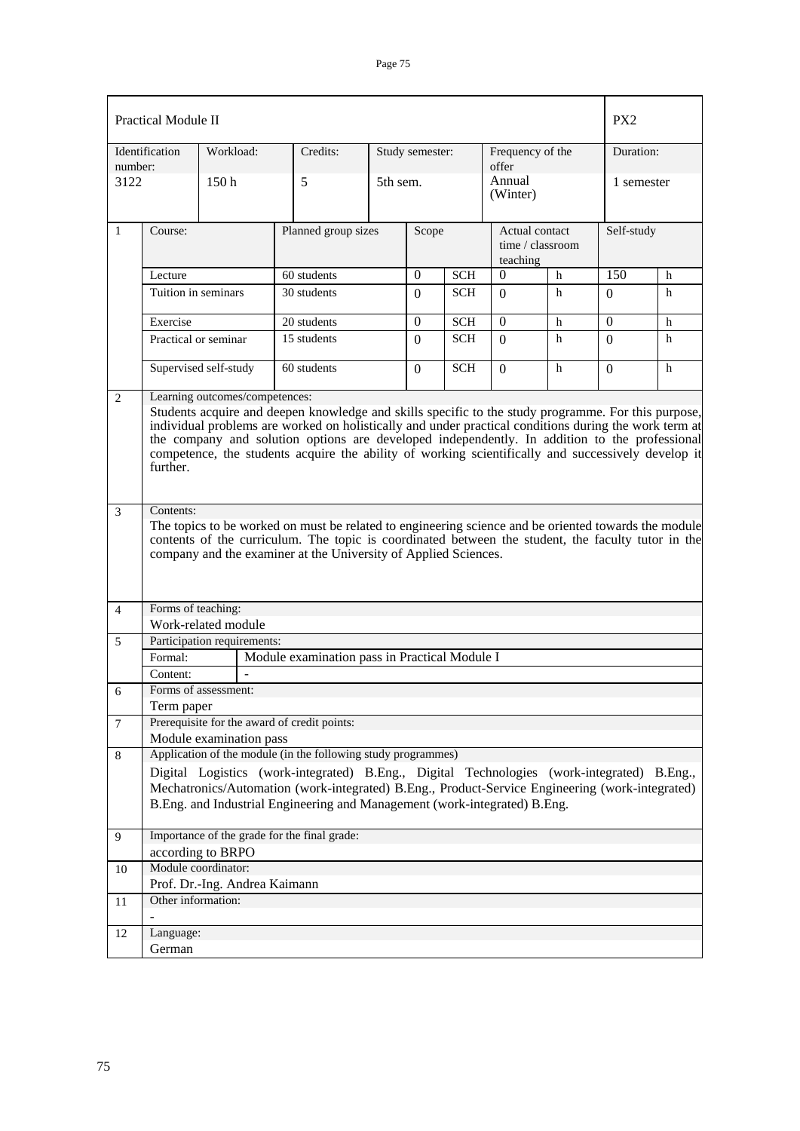|                  | <b>Practical Module II</b>                                                                                                                                                                                                                                                                                                                                                                                                                                        |                               |                                                                                                                                                                                                                                                                               |          |                  |            |                                                |   | PX <sub>2</sub> |   |  |
|------------------|-------------------------------------------------------------------------------------------------------------------------------------------------------------------------------------------------------------------------------------------------------------------------------------------------------------------------------------------------------------------------------------------------------------------------------------------------------------------|-------------------------------|-------------------------------------------------------------------------------------------------------------------------------------------------------------------------------------------------------------------------------------------------------------------------------|----------|------------------|------------|------------------------------------------------|---|-----------------|---|--|
| number:          | Identification                                                                                                                                                                                                                                                                                                                                                                                                                                                    | Workload:                     | Credits:                                                                                                                                                                                                                                                                      |          | Study semester:  |            | Frequency of the<br>offer                      |   | Duration:       |   |  |
| 3122             |                                                                                                                                                                                                                                                                                                                                                                                                                                                                   | 150h                          | 5                                                                                                                                                                                                                                                                             | 5th sem. |                  |            | Annual<br>(Winter)                             |   | 1 semester      |   |  |
| 1                | Course:                                                                                                                                                                                                                                                                                                                                                                                                                                                           |                               | Planned group sizes                                                                                                                                                                                                                                                           |          | Scope            |            | Actual contact<br>time / classroom<br>teaching |   | Self-study      |   |  |
|                  | Lecture                                                                                                                                                                                                                                                                                                                                                                                                                                                           |                               | 60 students                                                                                                                                                                                                                                                                   |          | $\boldsymbol{0}$ | <b>SCH</b> | $\theta$                                       | h | 150             | h |  |
|                  | Tuition in seminars                                                                                                                                                                                                                                                                                                                                                                                                                                               |                               | 30 students                                                                                                                                                                                                                                                                   |          | $\Omega$         | <b>SCH</b> | $\Omega$                                       | h | $\Omega$        | h |  |
|                  | Exercise                                                                                                                                                                                                                                                                                                                                                                                                                                                          |                               | 20 students                                                                                                                                                                                                                                                                   |          | $\Omega$         | <b>SCH</b> | $\Omega$                                       | h | $\Omega$        | h |  |
|                  | Practical or seminar                                                                                                                                                                                                                                                                                                                                                                                                                                              |                               | 15 students                                                                                                                                                                                                                                                                   |          | $\Omega$         | <b>SCH</b> | $\Omega$                                       | h | $\Omega$        | h |  |
|                  |                                                                                                                                                                                                                                                                                                                                                                                                                                                                   | Supervised self-study         | 60 students                                                                                                                                                                                                                                                                   |          | $\Omega$         | <b>SCH</b> | $\Omega$                                       | h | $\Omega$        | h |  |
| $\mathbf{2}$     | Learning outcomes/competences:<br>Students acquire and deepen knowledge and skills specific to the study programme. For this purpose,<br>individual problems are worked on holistically and under practical conditions during the work term at<br>the company and solution options are developed independently. In addition to the professional<br>competence, the students acquire the ability of working scientifically and successively develop it<br>further. |                               |                                                                                                                                                                                                                                                                               |          |                  |            |                                                |   |                 |   |  |
| 3                | Contents:                                                                                                                                                                                                                                                                                                                                                                                                                                                         |                               | The topics to be worked on must be related to engineering science and be oriented towards the module<br>contents of the curriculum. The topic is coordinated between the student, the faculty tutor in the<br>company and the examiner at the University of Applied Sciences. |          |                  |            |                                                |   |                 |   |  |
| $\overline{4}$   | Forms of teaching:                                                                                                                                                                                                                                                                                                                                                                                                                                                |                               |                                                                                                                                                                                                                                                                               |          |                  |            |                                                |   |                 |   |  |
|                  |                                                                                                                                                                                                                                                                                                                                                                                                                                                                   | Work-related module           |                                                                                                                                                                                                                                                                               |          |                  |            |                                                |   |                 |   |  |
| 5                |                                                                                                                                                                                                                                                                                                                                                                                                                                                                   | Participation requirements:   |                                                                                                                                                                                                                                                                               |          |                  |            |                                                |   |                 |   |  |
|                  | Formal:                                                                                                                                                                                                                                                                                                                                                                                                                                                           |                               | Module examination pass in Practical Module I                                                                                                                                                                                                                                 |          |                  |            |                                                |   |                 |   |  |
|                  | Content:                                                                                                                                                                                                                                                                                                                                                                                                                                                          |                               |                                                                                                                                                                                                                                                                               |          |                  |            |                                                |   |                 |   |  |
| 6                | Term paper                                                                                                                                                                                                                                                                                                                                                                                                                                                        | Forms of assessment:          |                                                                                                                                                                                                                                                                               |          |                  |            |                                                |   |                 |   |  |
| $\boldsymbol{7}$ |                                                                                                                                                                                                                                                                                                                                                                                                                                                                   |                               | Prerequisite for the award of credit points:                                                                                                                                                                                                                                  |          |                  |            |                                                |   |                 |   |  |
|                  |                                                                                                                                                                                                                                                                                                                                                                                                                                                                   | Module examination pass       |                                                                                                                                                                                                                                                                               |          |                  |            |                                                |   |                 |   |  |
| 8                |                                                                                                                                                                                                                                                                                                                                                                                                                                                                   |                               | Application of the module (in the following study programmes)                                                                                                                                                                                                                 |          |                  |            |                                                |   |                 |   |  |
|                  |                                                                                                                                                                                                                                                                                                                                                                                                                                                                   |                               | Digital Logistics (work-integrated) B.Eng., Digital Technologies (work-integrated) B.Eng.,                                                                                                                                                                                    |          |                  |            |                                                |   |                 |   |  |
|                  |                                                                                                                                                                                                                                                                                                                                                                                                                                                                   |                               | Mechatronics/Automation (work-integrated) B.Eng., Product-Service Engineering (work-integrated)                                                                                                                                                                               |          |                  |            |                                                |   |                 |   |  |
|                  |                                                                                                                                                                                                                                                                                                                                                                                                                                                                   |                               | B.Eng. and Industrial Engineering and Management (work-integrated) B.Eng.                                                                                                                                                                                                     |          |                  |            |                                                |   |                 |   |  |
| 9                |                                                                                                                                                                                                                                                                                                                                                                                                                                                                   |                               | Importance of the grade for the final grade:                                                                                                                                                                                                                                  |          |                  |            |                                                |   |                 |   |  |
|                  |                                                                                                                                                                                                                                                                                                                                                                                                                                                                   | according to BRPO             |                                                                                                                                                                                                                                                                               |          |                  |            |                                                |   |                 |   |  |
| 10               | Module coordinator:                                                                                                                                                                                                                                                                                                                                                                                                                                               | Prof. Dr.-Ing. Andrea Kaimann |                                                                                                                                                                                                                                                                               |          |                  |            |                                                |   |                 |   |  |
| 11               | Other information:                                                                                                                                                                                                                                                                                                                                                                                                                                                |                               |                                                                                                                                                                                                                                                                               |          |                  |            |                                                |   |                 |   |  |
|                  |                                                                                                                                                                                                                                                                                                                                                                                                                                                                   |                               |                                                                                                                                                                                                                                                                               |          |                  |            |                                                |   |                 |   |  |
| 12               | Language:                                                                                                                                                                                                                                                                                                                                                                                                                                                         |                               |                                                                                                                                                                                                                                                                               |          |                  |            |                                                |   |                 |   |  |
|                  | German                                                                                                                                                                                                                                                                                                                                                                                                                                                            |                               |                                                                                                                                                                                                                                                                               |          |                  |            |                                                |   |                 |   |  |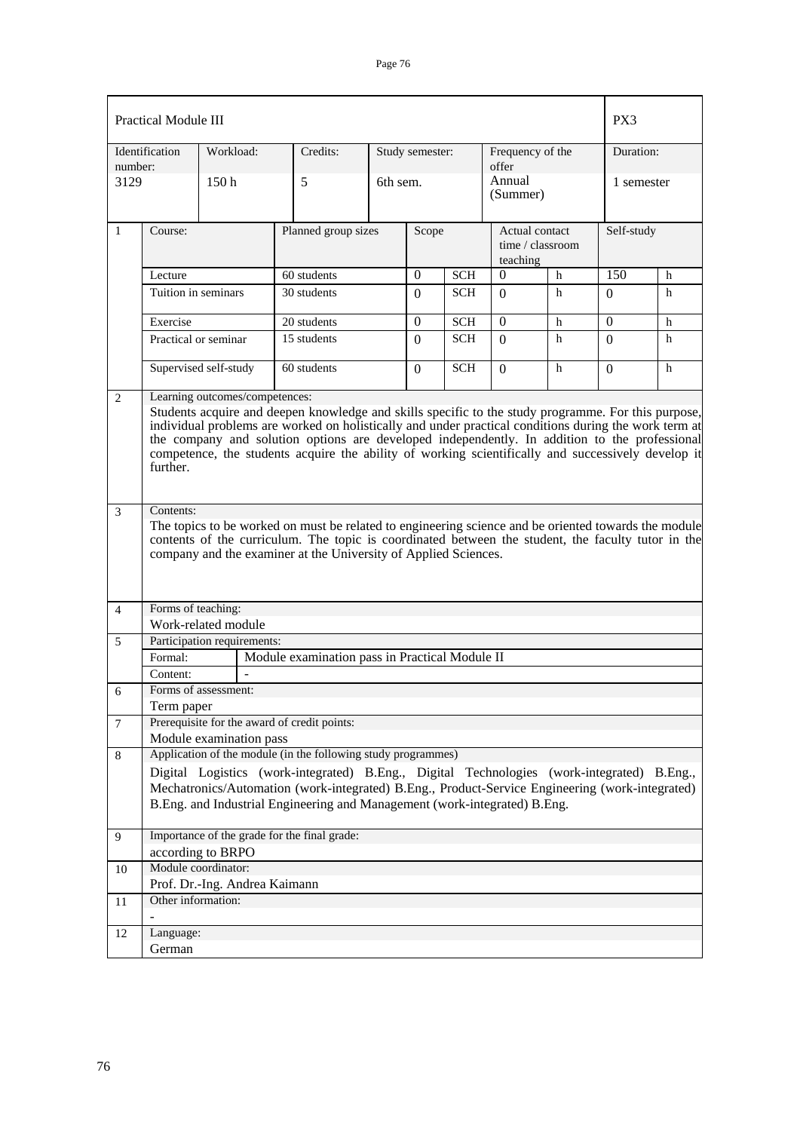|                | <b>Practical Module III</b><br>PX3                                                                                                                                                                                                                                                                                                                                                                                                                                |                                                      |                                                                                                                                                                                                                                                                               |          |                        |            |                                                |   |            |   |
|----------------|-------------------------------------------------------------------------------------------------------------------------------------------------------------------------------------------------------------------------------------------------------------------------------------------------------------------------------------------------------------------------------------------------------------------------------------------------------------------|------------------------------------------------------|-------------------------------------------------------------------------------------------------------------------------------------------------------------------------------------------------------------------------------------------------------------------------------|----------|------------------------|------------|------------------------------------------------|---|------------|---|
| number:        | Identification                                                                                                                                                                                                                                                                                                                                                                                                                                                    | Workload:                                            | Credits:                                                                                                                                                                                                                                                                      |          | Study semester:        |            | Frequency of the<br>offer                      |   | Duration:  |   |
| 3129           |                                                                                                                                                                                                                                                                                                                                                                                                                                                                   | 150 <sub>h</sub>                                     | 5                                                                                                                                                                                                                                                                             | 6th sem. |                        |            | Annual<br>(Summer)                             |   | 1 semester |   |
| 1              | Course:                                                                                                                                                                                                                                                                                                                                                                                                                                                           |                                                      | Planned group sizes                                                                                                                                                                                                                                                           |          | Scope                  |            | Actual contact<br>time / classroom<br>teaching |   | Self-study |   |
|                | Lecture                                                                                                                                                                                                                                                                                                                                                                                                                                                           |                                                      | 60 students                                                                                                                                                                                                                                                                   |          | $\theta$<br><b>SCH</b> |            | $\theta$<br>h                                  |   | 150        | h |
|                | Tuition in seminars                                                                                                                                                                                                                                                                                                                                                                                                                                               |                                                      | 30 students                                                                                                                                                                                                                                                                   |          | $\Omega$               | <b>SCH</b> | $\Omega$                                       | h | $\Omega$   | h |
|                | Exercise                                                                                                                                                                                                                                                                                                                                                                                                                                                          |                                                      | 20 students                                                                                                                                                                                                                                                                   |          | $\Omega$               | <b>SCH</b> | $\Omega$                                       | h | $\Omega$   | h |
|                | Practical or seminar                                                                                                                                                                                                                                                                                                                                                                                                                                              |                                                      | 15 students                                                                                                                                                                                                                                                                   |          | $\Omega$               | <b>SCH</b> | $\Omega$                                       | h | 0          | h |
|                |                                                                                                                                                                                                                                                                                                                                                                                                                                                                   | Supervised self-study                                | 60 students                                                                                                                                                                                                                                                                   |          | $\mathbf{0}$           | <b>SCH</b> | $\Omega$                                       | h | $\Omega$   | h |
| 2              | Learning outcomes/competences:<br>Students acquire and deepen knowledge and skills specific to the study programme. For this purpose,<br>individual problems are worked on holistically and under practical conditions during the work term at<br>the company and solution options are developed independently. In addition to the professional<br>competence, the students acquire the ability of working scientifically and successively develop it<br>further. |                                                      |                                                                                                                                                                                                                                                                               |          |                        |            |                                                |   |            |   |
| $\overline{3}$ | Contents:                                                                                                                                                                                                                                                                                                                                                                                                                                                         |                                                      | The topics to be worked on must be related to engineering science and be oriented towards the module<br>contents of the curriculum. The topic is coordinated between the student, the faculty tutor in the<br>company and the examiner at the University of Applied Sciences. |          |                        |            |                                                |   |            |   |
| 4              | Forms of teaching:                                                                                                                                                                                                                                                                                                                                                                                                                                                |                                                      |                                                                                                                                                                                                                                                                               |          |                        |            |                                                |   |            |   |
|                |                                                                                                                                                                                                                                                                                                                                                                                                                                                                   | Work-related module                                  |                                                                                                                                                                                                                                                                               |          |                        |            |                                                |   |            |   |
| 5              |                                                                                                                                                                                                                                                                                                                                                                                                                                                                   | Participation requirements:                          |                                                                                                                                                                                                                                                                               |          |                        |            |                                                |   |            |   |
|                | Formal:                                                                                                                                                                                                                                                                                                                                                                                                                                                           |                                                      | Module examination pass in Practical Module II                                                                                                                                                                                                                                |          |                        |            |                                                |   |            |   |
|                | Content:                                                                                                                                                                                                                                                                                                                                                                                                                                                          | $\overline{a}$                                       |                                                                                                                                                                                                                                                                               |          |                        |            |                                                |   |            |   |
| 6              |                                                                                                                                                                                                                                                                                                                                                                                                                                                                   | Forms of assessment:                                 |                                                                                                                                                                                                                                                                               |          |                        |            |                                                |   |            |   |
|                | Term paper                                                                                                                                                                                                                                                                                                                                                                                                                                                        |                                                      |                                                                                                                                                                                                                                                                               |          |                        |            |                                                |   |            |   |
| 7              |                                                                                                                                                                                                                                                                                                                                                                                                                                                                   | Module examination pass                              | Prerequisite for the award of credit points:                                                                                                                                                                                                                                  |          |                        |            |                                                |   |            |   |
| 8              |                                                                                                                                                                                                                                                                                                                                                                                                                                                                   |                                                      | Application of the module (in the following study programmes)                                                                                                                                                                                                                 |          |                        |            |                                                |   |            |   |
|                |                                                                                                                                                                                                                                                                                                                                                                                                                                                                   |                                                      | Digital Logistics (work-integrated) B.Eng., Digital Technologies (work-integrated) B.Eng.,                                                                                                                                                                                    |          |                        |            |                                                |   |            |   |
|                |                                                                                                                                                                                                                                                                                                                                                                                                                                                                   |                                                      | Mechatronics/Automation (work-integrated) B.Eng., Product-Service Engineering (work-integrated)                                                                                                                                                                               |          |                        |            |                                                |   |            |   |
|                |                                                                                                                                                                                                                                                                                                                                                                                                                                                                   |                                                      | B.Eng. and Industrial Engineering and Management (work-integrated) B.Eng.                                                                                                                                                                                                     |          |                        |            |                                                |   |            |   |
| 9              |                                                                                                                                                                                                                                                                                                                                                                                                                                                                   |                                                      | Importance of the grade for the final grade:                                                                                                                                                                                                                                  |          |                        |            |                                                |   |            |   |
|                |                                                                                                                                                                                                                                                                                                                                                                                                                                                                   | according to BRPO                                    |                                                                                                                                                                                                                                                                               |          |                        |            |                                                |   |            |   |
| 10             |                                                                                                                                                                                                                                                                                                                                                                                                                                                                   | Module coordinator:<br>Prof. Dr.-Ing. Andrea Kaimann |                                                                                                                                                                                                                                                                               |          |                        |            |                                                |   |            |   |
| 11             | Other information:                                                                                                                                                                                                                                                                                                                                                                                                                                                |                                                      |                                                                                                                                                                                                                                                                               |          |                        |            |                                                |   |            |   |
| 12             | Language:                                                                                                                                                                                                                                                                                                                                                                                                                                                         |                                                      |                                                                                                                                                                                                                                                                               |          |                        |            |                                                |   |            |   |
|                | German                                                                                                                                                                                                                                                                                                                                                                                                                                                            |                                                      |                                                                                                                                                                                                                                                                               |          |                        |            |                                                |   |            |   |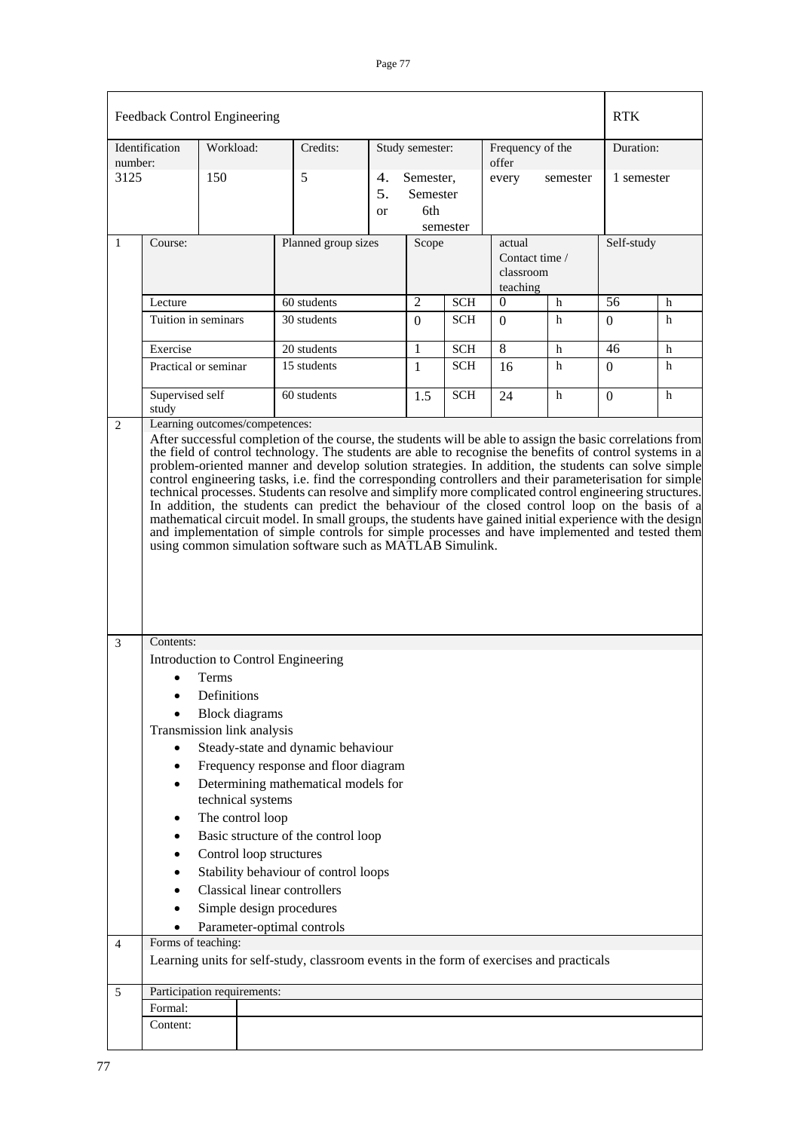|                | Feedback Control Engineering                                                                       |                      |                                                                                                                         |                                                                                                                                                                                                                                                                                                                                          |  |                                          |            |                                                   |   | <b>RTK</b> |   |
|----------------|----------------------------------------------------------------------------------------------------|----------------------|-------------------------------------------------------------------------------------------------------------------------|------------------------------------------------------------------------------------------------------------------------------------------------------------------------------------------------------------------------------------------------------------------------------------------------------------------------------------------|--|------------------------------------------|------------|---------------------------------------------------|---|------------|---|
| number:        | Workload:<br>Identification                                                                        |                      |                                                                                                                         | Credits:<br>Study semester:                                                                                                                                                                                                                                                                                                              |  |                                          |            | Frequency of the<br>offer                         |   | Duration:  |   |
| 3125           |                                                                                                    | 150                  |                                                                                                                         | 5<br>4.<br>5.<br>or                                                                                                                                                                                                                                                                                                                      |  | Semester,<br>Semester<br>6th<br>semester |            | every<br>semester                                 |   | 1 semester |   |
| $\mathbf{1}$   | Course:                                                                                            |                      |                                                                                                                         | Planned group sizes                                                                                                                                                                                                                                                                                                                      |  | Scope                                    |            | actual<br>Contact time /<br>classroom<br>teaching |   | Self-study |   |
|                | Lecture                                                                                            |                      |                                                                                                                         | 60 students                                                                                                                                                                                                                                                                                                                              |  | $\overline{2}$                           | <b>SCH</b> | $\mathbf{0}$                                      | h | 56         | h |
|                | Tuition in seminars                                                                                |                      |                                                                                                                         | 30 students                                                                                                                                                                                                                                                                                                                              |  | $\theta$                                 | <b>SCH</b> | $\Omega$                                          | h | $\Omega$   | h |
|                | Exercise                                                                                           |                      |                                                                                                                         | 20 students                                                                                                                                                                                                                                                                                                                              |  | 1                                        | <b>SCH</b> | 8                                                 | h | 46         | h |
|                | Practical or seminar                                                                               |                      |                                                                                                                         | 15 students                                                                                                                                                                                                                                                                                                                              |  | $\mathbf{1}$                             | <b>SCH</b> | 16                                                | h | $\Omega$   | h |
|                | Supervised self<br>study                                                                           |                      |                                                                                                                         | 60 students                                                                                                                                                                                                                                                                                                                              |  | 1.5                                      | <b>SCH</b> | 24                                                | h | $\Omega$   | h |
|                |                                                                                                    |                      |                                                                                                                         | technical processes. Students can resolve and simplify more complicated control engineering structures.<br>In addition, the students can predict the behaviour of the closed control loop on the basis of a<br>mathematical circuit model. In small groups, the students have gained initial experience with the design                  |  |                                          |            |                                                   |   |            |   |
| 3              | Contents:                                                                                          |                      |                                                                                                                         | and implementation of simple controls for simple processes and have implemented and tested them<br>using common simulation software such as MATLAB Simulink.                                                                                                                                                                             |  |                                          |            |                                                   |   |            |   |
| $\overline{4}$ | $\bullet$<br>$\bullet$<br>$\bullet$<br>٠<br>٠<br>$\bullet$<br>٠<br>$\bullet$<br>Forms of teaching: | Terms<br>Definitions | <b>Block</b> diagrams<br>Transmission link analysis<br>technical systems<br>The control loop<br>Control loop structures | Introduction to Control Engineering<br>Steady-state and dynamic behaviour<br>Frequency response and floor diagram<br>Determining mathematical models for<br>Basic structure of the control loop<br>Stability behaviour of control loops<br><b>Classical linear controllers</b><br>Simple design procedures<br>Parameter-optimal controls |  |                                          |            |                                                   |   |            |   |
|                |                                                                                                    |                      |                                                                                                                         | Learning units for self-study, classroom events in the form of exercises and practicals                                                                                                                                                                                                                                                  |  |                                          |            |                                                   |   |            |   |
| 5              | Participation requirements:<br>Formal:                                                             |                      |                                                                                                                         |                                                                                                                                                                                                                                                                                                                                          |  |                                          |            |                                                   |   |            |   |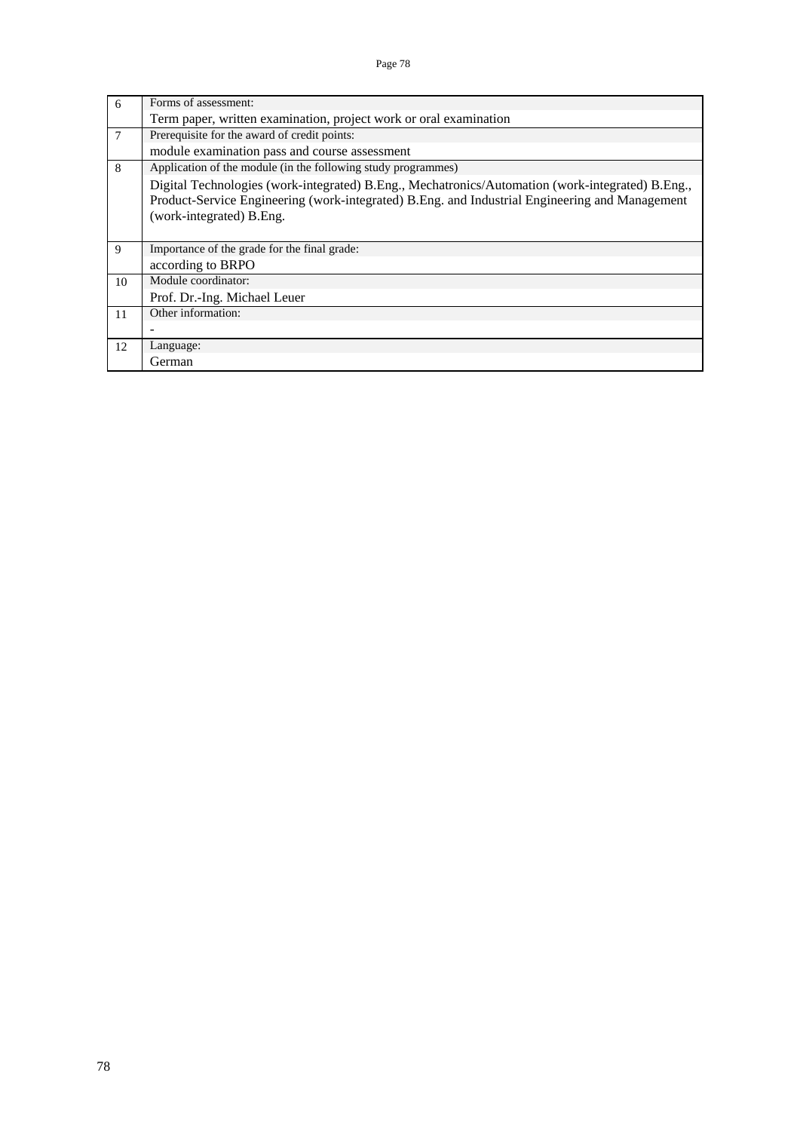| 6  | Forms of assessment:                                                                                                                                                                                                           |
|----|--------------------------------------------------------------------------------------------------------------------------------------------------------------------------------------------------------------------------------|
|    | Term paper, written examination, project work or oral examination                                                                                                                                                              |
| 7  | Prerequisite for the award of credit points:                                                                                                                                                                                   |
|    | module examination pass and course assessment                                                                                                                                                                                  |
| 8  | Application of the module (in the following study programmes)                                                                                                                                                                  |
|    | Digital Technologies (work-integrated) B.Eng., Mechatronics/Automation (work-integrated) B.Eng.,<br>Product-Service Engineering (work-integrated) B.Eng. and Industrial Engineering and Management<br>(work-integrated) B.Eng. |
| 9  | Importance of the grade for the final grade:                                                                                                                                                                                   |
|    | according to BRPO                                                                                                                                                                                                              |
| 10 | Module coordinator:                                                                                                                                                                                                            |
|    | Prof. Dr.-Ing. Michael Leuer                                                                                                                                                                                                   |
| 11 | Other information:                                                                                                                                                                                                             |
|    |                                                                                                                                                                                                                                |
| 12 | Language:                                                                                                                                                                                                                      |
|    | German                                                                                                                                                                                                                         |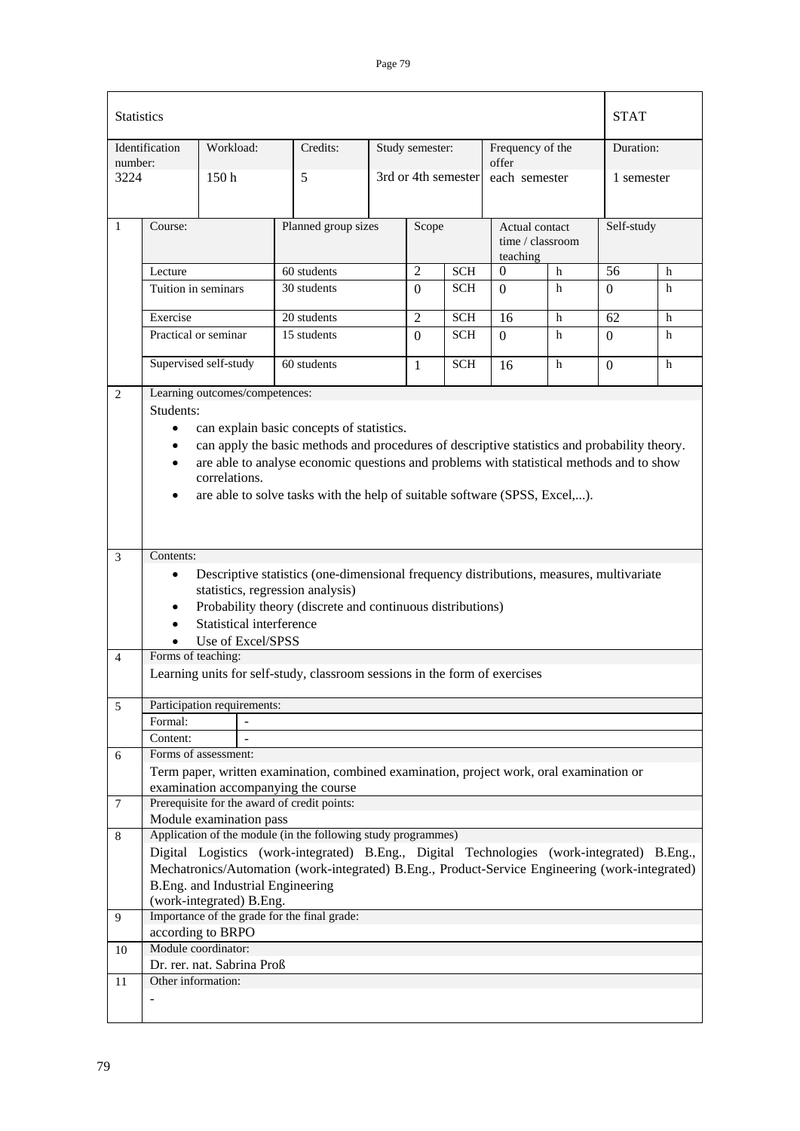| <b>Statistics</b> |                     |                                   |                                                                                                                                                                                               |  |                     |            |                                                |   | <b>STAT</b>     |            |  |
|-------------------|---------------------|-----------------------------------|-----------------------------------------------------------------------------------------------------------------------------------------------------------------------------------------------|--|---------------------|------------|------------------------------------------------|---|-----------------|------------|--|
|                   | Identification      | Workload:                         | Credits:                                                                                                                                                                                      |  | Study semester:     |            | Frequency of the                               |   | Duration:       |            |  |
| number:<br>3224   |                     | 150 <sub>h</sub>                  | 5                                                                                                                                                                                             |  | 3rd or 4th semester |            | offer<br>each semester                         |   |                 | 1 semester |  |
| $\mathbf{1}$      | Course:             |                                   | Planned group sizes                                                                                                                                                                           |  | Scope               |            | Actual contact<br>time / classroom<br>teaching |   | Self-study      |            |  |
|                   | Lecture             |                                   | 60 students                                                                                                                                                                                   |  | $\overline{2}$      | <b>SCH</b> | $\Omega$<br>h                                  |   | $\overline{56}$ | h          |  |
|                   | Tuition in seminars |                                   | 30 students                                                                                                                                                                                   |  | $\Omega$            | <b>SCH</b> | $\Omega$                                       | h | $\Omega$        | h          |  |
|                   | Exercise            |                                   | 20 students                                                                                                                                                                                   |  | $\overline{2}$      | <b>SCH</b> | 16                                             | h | 62              | h          |  |
|                   |                     | Practical or seminar              | 15 students                                                                                                                                                                                   |  | $\Omega$            | <b>SCH</b> | $\Omega$                                       | h | $\Omega$        | h          |  |
|                   |                     | Supervised self-study             | 60 students                                                                                                                                                                                   |  | $\mathbf{1}$        | <b>SCH</b> | 16                                             | h | $\Omega$        | h          |  |
| $\overline{2}$    |                     | Learning outcomes/competences:    |                                                                                                                                                                                               |  |                     |            |                                                |   |                 |            |  |
|                   | Students:           |                                   |                                                                                                                                                                                               |  |                     |            |                                                |   |                 |            |  |
|                   | $\bullet$           |                                   | can explain basic concepts of statistics.                                                                                                                                                     |  |                     |            |                                                |   |                 |            |  |
|                   | $\bullet$           |                                   | can apply the basic methods and procedures of descriptive statistics and probability theory.                                                                                                  |  |                     |            |                                                |   |                 |            |  |
|                   | $\bullet$           |                                   | are able to analyse economic questions and problems with statistical methods and to show                                                                                                      |  |                     |            |                                                |   |                 |            |  |
|                   |                     | correlations.                     |                                                                                                                                                                                               |  |                     |            |                                                |   |                 |            |  |
|                   | $\bullet$           |                                   | are able to solve tasks with the help of suitable software (SPSS, Excel,).                                                                                                                    |  |                     |            |                                                |   |                 |            |  |
|                   |                     |                                   |                                                                                                                                                                                               |  |                     |            |                                                |   |                 |            |  |
|                   |                     |                                   |                                                                                                                                                                                               |  |                     |            |                                                |   |                 |            |  |
| 3                 | Contents:           |                                   |                                                                                                                                                                                               |  |                     |            |                                                |   |                 |            |  |
|                   | $\bullet$           |                                   | Descriptive statistics (one-dimensional frequency distributions, measures, multivariate                                                                                                       |  |                     |            |                                                |   |                 |            |  |
|                   | $\bullet$           |                                   | statistics, regression analysis)<br>Probability theory (discrete and continuous distributions)                                                                                                |  |                     |            |                                                |   |                 |            |  |
|                   | $\bullet$           | Statistical interference          |                                                                                                                                                                                               |  |                     |            |                                                |   |                 |            |  |
|                   |                     | Use of Excel/SPSS                 |                                                                                                                                                                                               |  |                     |            |                                                |   |                 |            |  |
| $\overline{4}$    | Forms of teaching:  |                                   |                                                                                                                                                                                               |  |                     |            |                                                |   |                 |            |  |
|                   |                     |                                   | Learning units for self-study, classroom sessions in the form of exercises                                                                                                                    |  |                     |            |                                                |   |                 |            |  |
|                   |                     |                                   |                                                                                                                                                                                               |  |                     |            |                                                |   |                 |            |  |
| 5                 |                     | Participation requirements:       |                                                                                                                                                                                               |  |                     |            |                                                |   |                 |            |  |
|                   | Formal:             | $\overline{a}$                    |                                                                                                                                                                                               |  |                     |            |                                                |   |                 |            |  |
| 6                 | Content:            | Forms of assessment:              |                                                                                                                                                                                               |  |                     |            |                                                |   |                 |            |  |
|                   |                     |                                   | Term paper, written examination, combined examination, project work, oral examination or                                                                                                      |  |                     |            |                                                |   |                 |            |  |
|                   |                     |                                   | examination accompanying the course                                                                                                                                                           |  |                     |            |                                                |   |                 |            |  |
| $\tau$            |                     |                                   | Prerequisite for the award of credit points:                                                                                                                                                  |  |                     |            |                                                |   |                 |            |  |
|                   |                     | Module examination pass           |                                                                                                                                                                                               |  |                     |            |                                                |   |                 |            |  |
| 8                 |                     |                                   | Application of the module (in the following study programmes)                                                                                                                                 |  |                     |            |                                                |   |                 |            |  |
|                   |                     |                                   | Digital Logistics (work-integrated) B.Eng., Digital Technologies (work-integrated) B.Eng.,<br>Mechatronics/Automation (work-integrated) B.Eng., Product-Service Engineering (work-integrated) |  |                     |            |                                                |   |                 |            |  |
|                   |                     | B.Eng. and Industrial Engineering |                                                                                                                                                                                               |  |                     |            |                                                |   |                 |            |  |
|                   |                     | (work-integrated) B.Eng.          |                                                                                                                                                                                               |  |                     |            |                                                |   |                 |            |  |
| 9                 |                     |                                   | Importance of the grade for the final grade:                                                                                                                                                  |  |                     |            |                                                |   |                 |            |  |
|                   |                     | according to BRPO                 |                                                                                                                                                                                               |  |                     |            |                                                |   |                 |            |  |
| 10                |                     | Module coordinator:               |                                                                                                                                                                                               |  |                     |            |                                                |   |                 |            |  |
| 11                | Other information:  | Dr. rer. nat. Sabrina Proß        |                                                                                                                                                                                               |  |                     |            |                                                |   |                 |            |  |
|                   | ÷                   |                                   |                                                                                                                                                                                               |  |                     |            |                                                |   |                 |            |  |
|                   |                     |                                   |                                                                                                                                                                                               |  |                     |            |                                                |   |                 |            |  |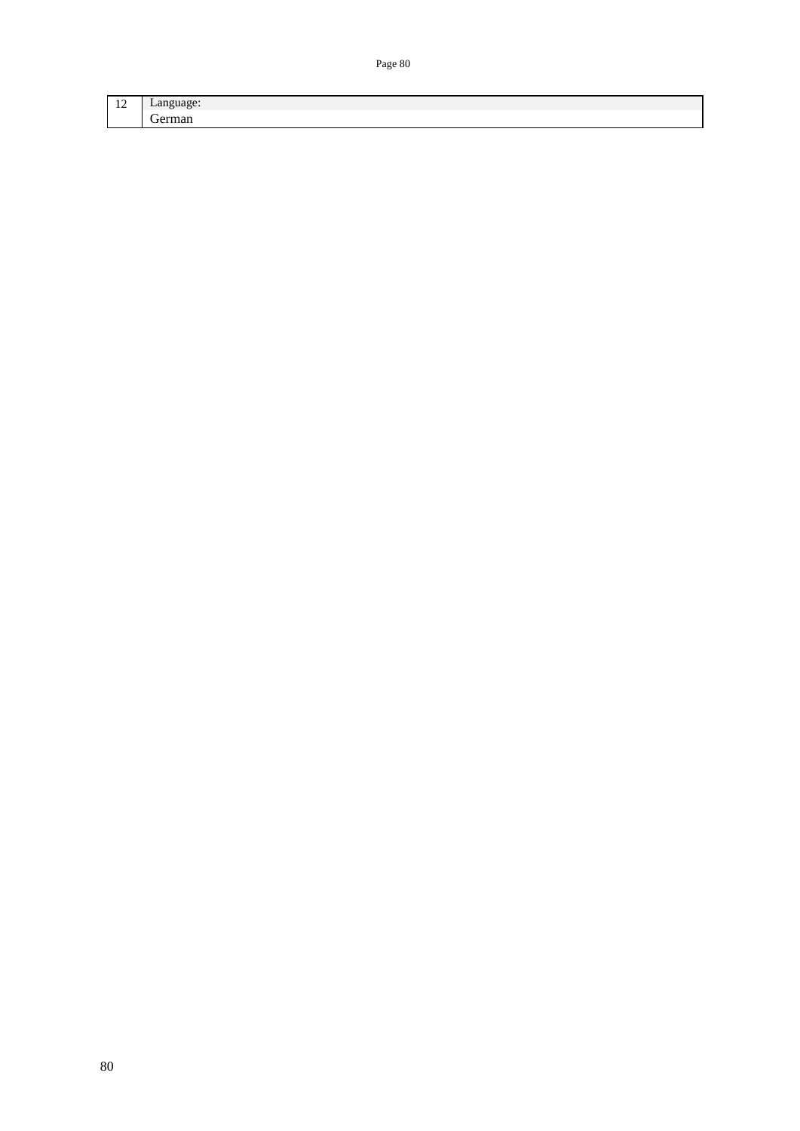| --<br>-- | Lv. |
|----------|-----|
| -        |     |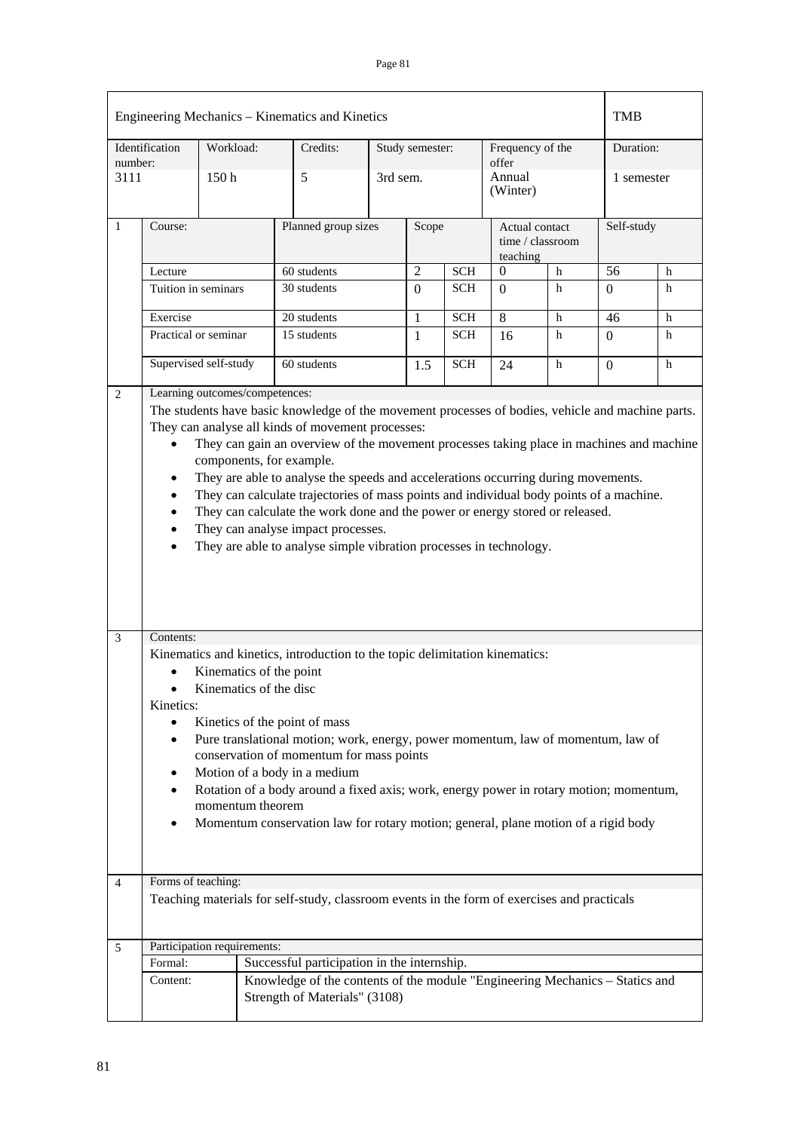|                | Engineering Mechanics – Kinematics and Kinetics                                                                                                                                                                                                                                                                                                                                                                                                                                                                                                                                                                                                                                                                                                                                                       |                  |  |                                                                                                               |          |                 |            |                           |                                    | <b>TMB</b>     |            |  |
|----------------|-------------------------------------------------------------------------------------------------------------------------------------------------------------------------------------------------------------------------------------------------------------------------------------------------------------------------------------------------------------------------------------------------------------------------------------------------------------------------------------------------------------------------------------------------------------------------------------------------------------------------------------------------------------------------------------------------------------------------------------------------------------------------------------------------------|------------------|--|---------------------------------------------------------------------------------------------------------------|----------|-----------------|------------|---------------------------|------------------------------------|----------------|------------|--|
| number:        | Identification                                                                                                                                                                                                                                                                                                                                                                                                                                                                                                                                                                                                                                                                                                                                                                                        | Workload:        |  | Credits:                                                                                                      |          | Study semester: |            | Frequency of the<br>offer |                                    |                | Duration:  |  |
| 3111           |                                                                                                                                                                                                                                                                                                                                                                                                                                                                                                                                                                                                                                                                                                                                                                                                       | 150 <sub>h</sub> |  | 5                                                                                                             | 3rd sem. |                 |            | Annual<br>(Winter)        |                                    | 1 semester     |            |  |
| $\mathbf{1}$   | Course:                                                                                                                                                                                                                                                                                                                                                                                                                                                                                                                                                                                                                                                                                                                                                                                               |                  |  | Planned group sizes                                                                                           |          |                 | Scope      | teaching                  | Actual contact<br>time / classroom |                | Self-study |  |
|                | Lecture                                                                                                                                                                                                                                                                                                                                                                                                                                                                                                                                                                                                                                                                                                                                                                                               |                  |  | 60 students                                                                                                   |          | $\overline{2}$  | <b>SCH</b> | $\boldsymbol{0}$<br>h     |                                    | 56             | h          |  |
|                | Tuition in seminars                                                                                                                                                                                                                                                                                                                                                                                                                                                                                                                                                                                                                                                                                                                                                                                   |                  |  | 30 students                                                                                                   |          | $\Omega$        | <b>SCH</b> | $\Omega$                  | h                                  | $\Omega$       | h          |  |
|                | Exercise                                                                                                                                                                                                                                                                                                                                                                                                                                                                                                                                                                                                                                                                                                                                                                                              |                  |  | 20 students                                                                                                   |          | $\mathbf{1}$    | <b>SCH</b> | 8                         | h                                  | 46             | h          |  |
|                | Practical or seminar                                                                                                                                                                                                                                                                                                                                                                                                                                                                                                                                                                                                                                                                                                                                                                                  |                  |  | 15 students                                                                                                   |          | $\mathbf{1}$    | <b>SCH</b> | 16                        | h                                  | $\Omega$       | h          |  |
|                | Supervised self-study                                                                                                                                                                                                                                                                                                                                                                                                                                                                                                                                                                                                                                                                                                                                                                                 |                  |  | 60 students                                                                                                   |          | 1.5             | <b>SCH</b> | 24                        | h                                  | $\overline{0}$ | h          |  |
| 3              | Learning outcomes/competences:<br>The students have basic knowledge of the movement processes of bodies, vehicle and machine parts.<br>They can analyse all kinds of movement processes:<br>They can gain an overview of the movement processes taking place in machines and machine<br>components, for example.<br>They are able to analyse the speeds and accelerations occurring during movements.<br>$\bullet$<br>They can calculate trajectories of mass points and individual body points of a machine.<br>They can calculate the work done and the power or energy stored or released.<br>They can analyse impact processes.<br>They are able to analyse simple vibration processes in technology.<br>Contents:<br>Kinematics and kinetics, introduction to the topic delimitation kinematics: |                  |  |                                                                                                               |          |                 |            |                           |                                    |                |            |  |
| $\overline{4}$ | Kinematics of the disc<br>Kinetics:<br>Kinetics of the point of mass<br>$\bullet$<br>Pure translational motion; work, energy, power momentum, law of momentum, law of<br>٠<br>conservation of momentum for mass points<br>Motion of a body in a medium<br>Rotation of a body around a fixed axis; work, energy power in rotary motion; momentum,<br>momentum theorem<br>Momentum conservation law for rotary motion; general, plane motion of a rigid body<br>Forms of teaching:<br>Teaching materials for self-study, classroom events in the form of exercises and practicals                                                                                                                                                                                                                       |                  |  |                                                                                                               |          |                 |            |                           |                                    |                |            |  |
| 5              | Participation requirements:                                                                                                                                                                                                                                                                                                                                                                                                                                                                                                                                                                                                                                                                                                                                                                           |                  |  |                                                                                                               |          |                 |            |                           |                                    |                |            |  |
|                | Formal:                                                                                                                                                                                                                                                                                                                                                                                                                                                                                                                                                                                                                                                                                                                                                                                               |                  |  | Successful participation in the internship.                                                                   |          |                 |            |                           |                                    |                |            |  |
|                | Content:                                                                                                                                                                                                                                                                                                                                                                                                                                                                                                                                                                                                                                                                                                                                                                                              |                  |  | Knowledge of the contents of the module "Engineering Mechanics - Statics and<br>Strength of Materials" (3108) |          |                 |            |                           |                                    |                |            |  |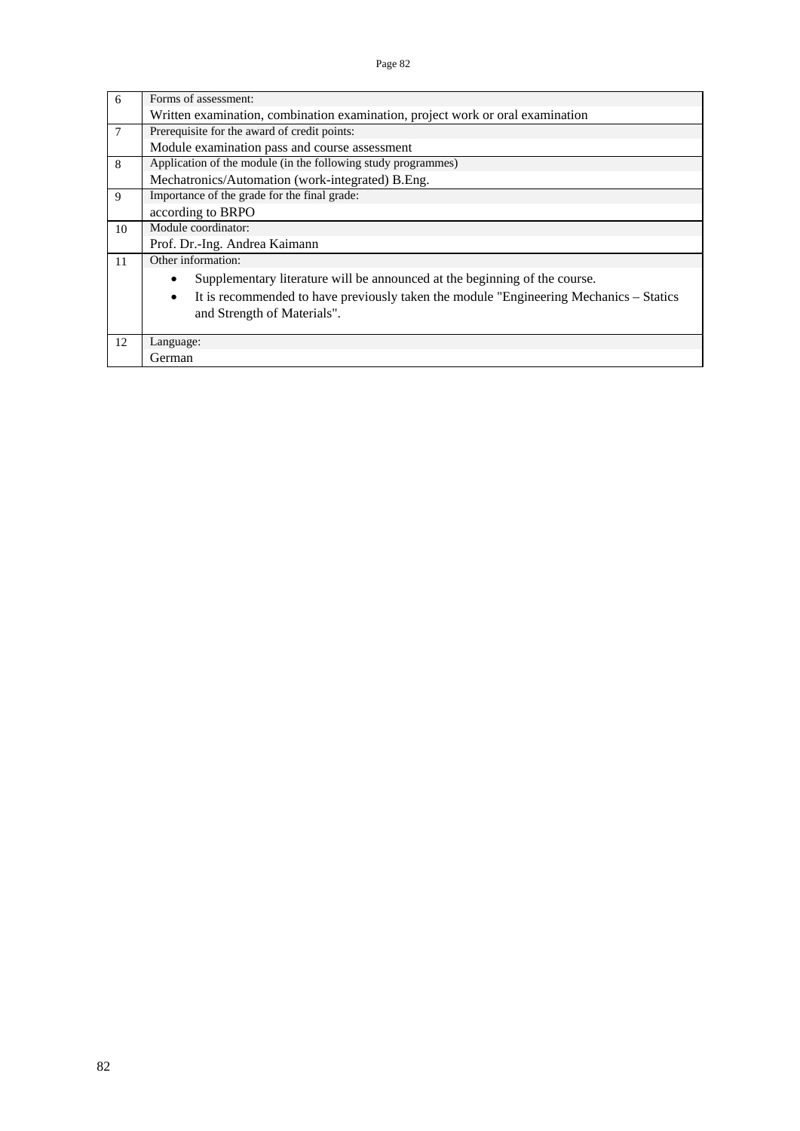| 6              | Forms of assessment:                                                                                |
|----------------|-----------------------------------------------------------------------------------------------------|
|                | Written examination, combination examination, project work or oral examination                      |
| $\overline{7}$ | Prerequisite for the award of credit points:                                                        |
|                | Module examination pass and course assessment                                                       |
| 8              | Application of the module (in the following study programmes)                                       |
|                | Mechatronics/Automation (work-integrated) B.Eng.                                                    |
| 9              | Importance of the grade for the final grade:                                                        |
|                | according to BRPO                                                                                   |
| 10             | Module coordinator:                                                                                 |
|                | Prof. Dr.-Ing. Andrea Kaimann                                                                       |
| 11             | Other information:                                                                                  |
|                | Supplementary literature will be announced at the beginning of the course.<br>$\bullet$             |
|                | It is recommended to have previously taken the module "Engineering Mechanics - Statics<br>$\bullet$ |
|                | and Strength of Materials".                                                                         |
|                |                                                                                                     |
| 12             | Language:                                                                                           |
|                | German                                                                                              |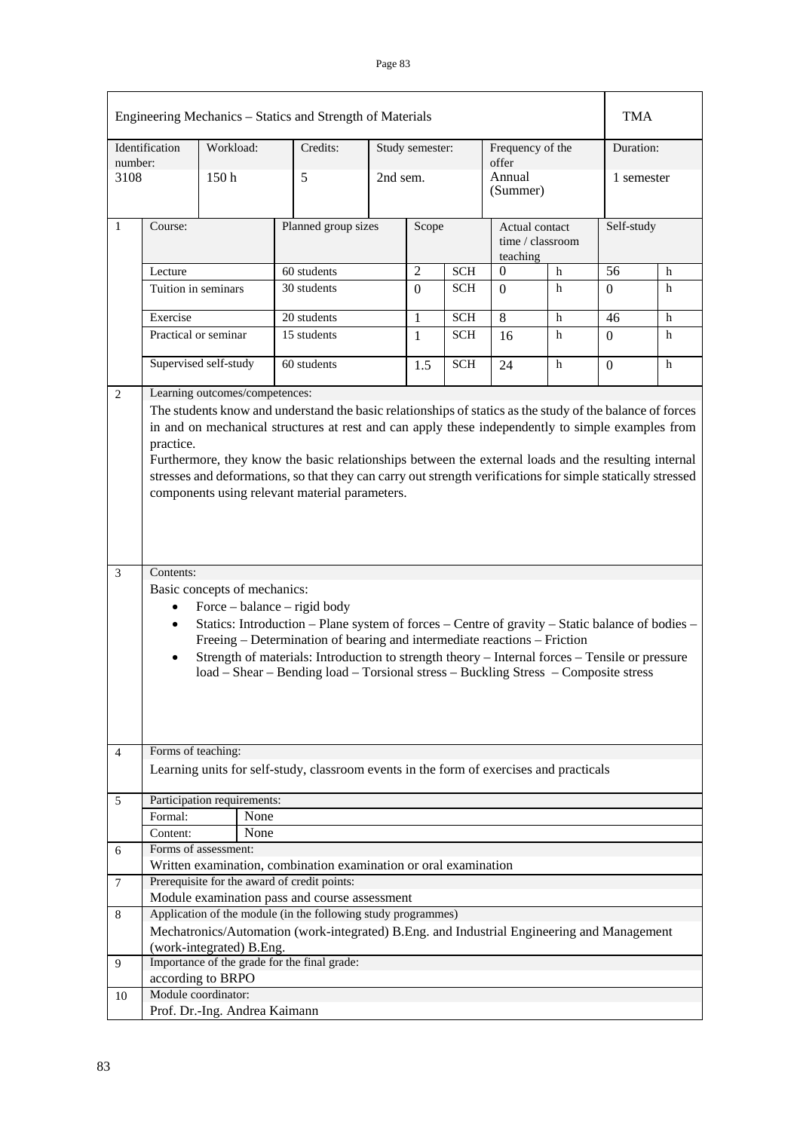| Engineering Mechanics - Statics and Strength of Materials |                                                                                                                                                                                                                                                                                                                                                                                                                                                                                                                                                                                                                                                                                                                                                                                                                                                                                                                                                                                                  |           |                          |                                                                                            |          |                 |            | TMA                                            |   |                 |   |
|-----------------------------------------------------------|--------------------------------------------------------------------------------------------------------------------------------------------------------------------------------------------------------------------------------------------------------------------------------------------------------------------------------------------------------------------------------------------------------------------------------------------------------------------------------------------------------------------------------------------------------------------------------------------------------------------------------------------------------------------------------------------------------------------------------------------------------------------------------------------------------------------------------------------------------------------------------------------------------------------------------------------------------------------------------------------------|-----------|--------------------------|--------------------------------------------------------------------------------------------|----------|-----------------|------------|------------------------------------------------|---|-----------------|---|
| Identification                                            |                                                                                                                                                                                                                                                                                                                                                                                                                                                                                                                                                                                                                                                                                                                                                                                                                                                                                                                                                                                                  | Workload: |                          | Credits:                                                                                   |          | Study semester: |            | Frequency of the<br>offer                      |   | Duration:       |   |
| number:<br>3108                                           |                                                                                                                                                                                                                                                                                                                                                                                                                                                                                                                                                                                                                                                                                                                                                                                                                                                                                                                                                                                                  | 150h      |                          | 5                                                                                          | 2nd sem. |                 |            | Annual<br>(Summer)                             |   | 1 semester      |   |
| 1                                                         | Course:                                                                                                                                                                                                                                                                                                                                                                                                                                                                                                                                                                                                                                                                                                                                                                                                                                                                                                                                                                                          |           |                          | Planned group sizes                                                                        |          | Scope           |            | Actual contact<br>time / classroom<br>teaching |   | Self-study      |   |
|                                                           | Lecture                                                                                                                                                                                                                                                                                                                                                                                                                                                                                                                                                                                                                                                                                                                                                                                                                                                                                                                                                                                          |           |                          | 60 students                                                                                |          | $\overline{2}$  | <b>SCH</b> | $\Omega$                                       | h | $\overline{56}$ | h |
|                                                           | Tuition in seminars                                                                                                                                                                                                                                                                                                                                                                                                                                                                                                                                                                                                                                                                                                                                                                                                                                                                                                                                                                              |           |                          | 30 students                                                                                |          | $\Omega$        | SCH        | 0                                              | h | 0               | h |
|                                                           | Exercise                                                                                                                                                                                                                                                                                                                                                                                                                                                                                                                                                                                                                                                                                                                                                                                                                                                                                                                                                                                         |           |                          | 20 students                                                                                |          | $\mathbf{1}$    | <b>SCH</b> | 8                                              | h | 46              | h |
|                                                           | Practical or seminar                                                                                                                                                                                                                                                                                                                                                                                                                                                                                                                                                                                                                                                                                                                                                                                                                                                                                                                                                                             |           |                          | 15 students                                                                                |          | 1               | <b>SCH</b> | 16                                             | h | 0               | h |
|                                                           | Supervised self-study                                                                                                                                                                                                                                                                                                                                                                                                                                                                                                                                                                                                                                                                                                                                                                                                                                                                                                                                                                            |           |                          | 60 students                                                                                |          | 1.5             | <b>SCH</b> | 24                                             | h | $\Omega$        | h |
| 2                                                         | Learning outcomes/competences:                                                                                                                                                                                                                                                                                                                                                                                                                                                                                                                                                                                                                                                                                                                                                                                                                                                                                                                                                                   |           |                          |                                                                                            |          |                 |            |                                                |   |                 |   |
| 3                                                         | The students know and understand the basic relationships of statics as the study of the balance of forces<br>in and on mechanical structures at rest and can apply these independently to simple examples from<br>practice.<br>Furthermore, they know the basic relationships between the external loads and the resulting internal<br>stresses and deformations, so that they can carry out strength verifications for simple statically stressed<br>components using relevant material parameters.<br>Contents:<br>Basic concepts of mechanics:<br>Force – balance – rigid body<br>$\bullet$<br>Statics: Introduction - Plane system of forces - Centre of gravity - Static balance of bodies -<br>$\bullet$<br>Freeing – Determination of bearing and intermediate reactions – Friction<br>Strength of materials: Introduction to strength theory – Internal forces – Tensile or pressure<br>$\bullet$<br>load – Shear – Bending load – Torsional stress – Buckling Stress – Composite stress |           |                          |                                                                                            |          |                 |            |                                                |   |                 |   |
| 4                                                         | Forms of teaching:                                                                                                                                                                                                                                                                                                                                                                                                                                                                                                                                                                                                                                                                                                                                                                                                                                                                                                                                                                               |           |                          |                                                                                            |          |                 |            |                                                |   |                 |   |
|                                                           |                                                                                                                                                                                                                                                                                                                                                                                                                                                                                                                                                                                                                                                                                                                                                                                                                                                                                                                                                                                                  |           |                          | Learning units for self-study, classroom events in the form of exercises and practicals    |          |                 |            |                                                |   |                 |   |
| 5                                                         | Participation requirements:                                                                                                                                                                                                                                                                                                                                                                                                                                                                                                                                                                                                                                                                                                                                                                                                                                                                                                                                                                      |           |                          |                                                                                            |          |                 |            |                                                |   |                 |   |
|                                                           | Formal:                                                                                                                                                                                                                                                                                                                                                                                                                                                                                                                                                                                                                                                                                                                                                                                                                                                                                                                                                                                          |           | None                     |                                                                                            |          |                 |            |                                                |   |                 |   |
|                                                           | Content:                                                                                                                                                                                                                                                                                                                                                                                                                                                                                                                                                                                                                                                                                                                                                                                                                                                                                                                                                                                         |           | None                     |                                                                                            |          |                 |            |                                                |   |                 |   |
| 6                                                         | Forms of assessment:                                                                                                                                                                                                                                                                                                                                                                                                                                                                                                                                                                                                                                                                                                                                                                                                                                                                                                                                                                             |           |                          |                                                                                            |          |                 |            |                                                |   |                 |   |
|                                                           |                                                                                                                                                                                                                                                                                                                                                                                                                                                                                                                                                                                                                                                                                                                                                                                                                                                                                                                                                                                                  |           |                          | Written examination, combination examination or oral examination                           |          |                 |            |                                                |   |                 |   |
| 7                                                         |                                                                                                                                                                                                                                                                                                                                                                                                                                                                                                                                                                                                                                                                                                                                                                                                                                                                                                                                                                                                  |           |                          | Prerequisite for the award of credit points:                                               |          |                 |            |                                                |   |                 |   |
|                                                           |                                                                                                                                                                                                                                                                                                                                                                                                                                                                                                                                                                                                                                                                                                                                                                                                                                                                                                                                                                                                  |           |                          | Module examination pass and course assessment                                              |          |                 |            |                                                |   |                 |   |
| 8                                                         |                                                                                                                                                                                                                                                                                                                                                                                                                                                                                                                                                                                                                                                                                                                                                                                                                                                                                                                                                                                                  |           |                          | Application of the module (in the following study programmes)                              |          |                 |            |                                                |   |                 |   |
|                                                           |                                                                                                                                                                                                                                                                                                                                                                                                                                                                                                                                                                                                                                                                                                                                                                                                                                                                                                                                                                                                  |           |                          | Mechatronics/Automation (work-integrated) B.Eng. and Industrial Engineering and Management |          |                 |            |                                                |   |                 |   |
|                                                           |                                                                                                                                                                                                                                                                                                                                                                                                                                                                                                                                                                                                                                                                                                                                                                                                                                                                                                                                                                                                  |           | (work-integrated) B.Eng. |                                                                                            |          |                 |            |                                                |   |                 |   |
| 9                                                         |                                                                                                                                                                                                                                                                                                                                                                                                                                                                                                                                                                                                                                                                                                                                                                                                                                                                                                                                                                                                  |           |                          | Importance of the grade for the final grade:                                               |          |                 |            |                                                |   |                 |   |
|                                                           | according to BRPO                                                                                                                                                                                                                                                                                                                                                                                                                                                                                                                                                                                                                                                                                                                                                                                                                                                                                                                                                                                |           |                          |                                                                                            |          |                 |            |                                                |   |                 |   |
| 10                                                        | Module coordinator:<br>Prof. Dr.-Ing. Andrea Kaimann                                                                                                                                                                                                                                                                                                                                                                                                                                                                                                                                                                                                                                                                                                                                                                                                                                                                                                                                             |           |                          |                                                                                            |          |                 |            |                                                |   |                 |   |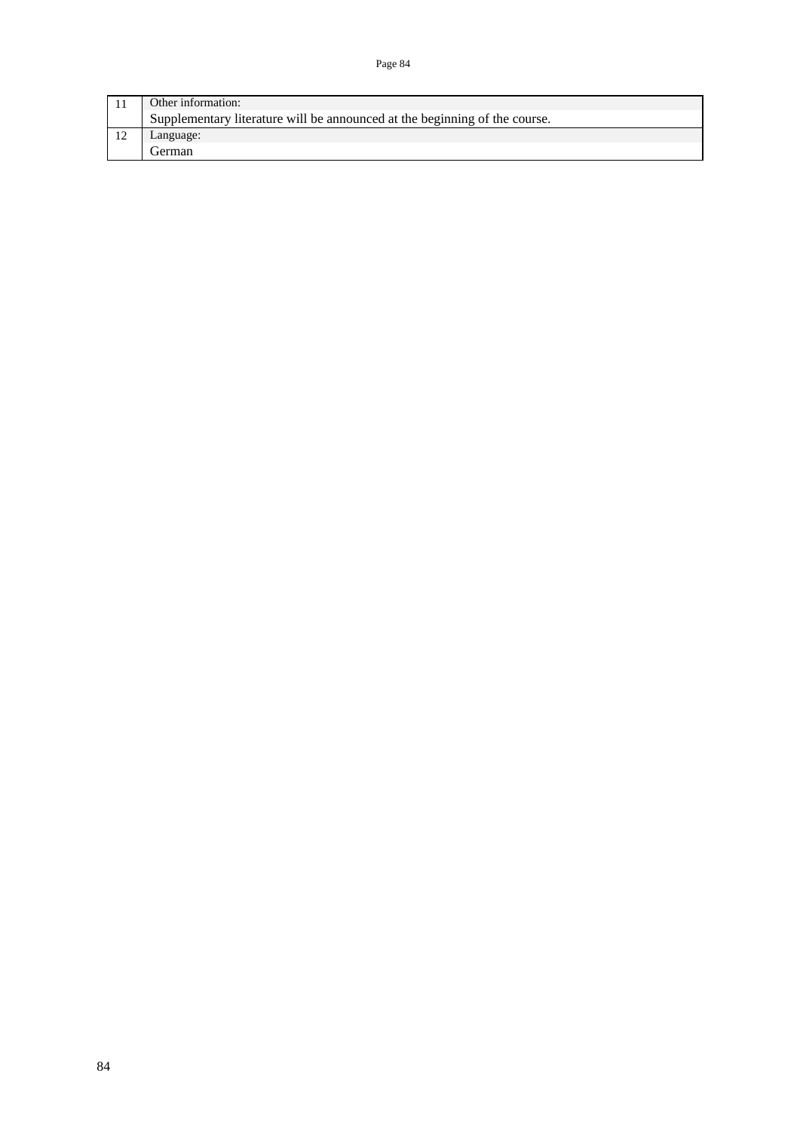Page 84

|                                                                            | Other information: |  |  |  |  |  |  |  |
|----------------------------------------------------------------------------|--------------------|--|--|--|--|--|--|--|
| Supplementary literature will be announced at the beginning of the course. |                    |  |  |  |  |  |  |  |
|                                                                            | Language:          |  |  |  |  |  |  |  |
|                                                                            | l ierman           |  |  |  |  |  |  |  |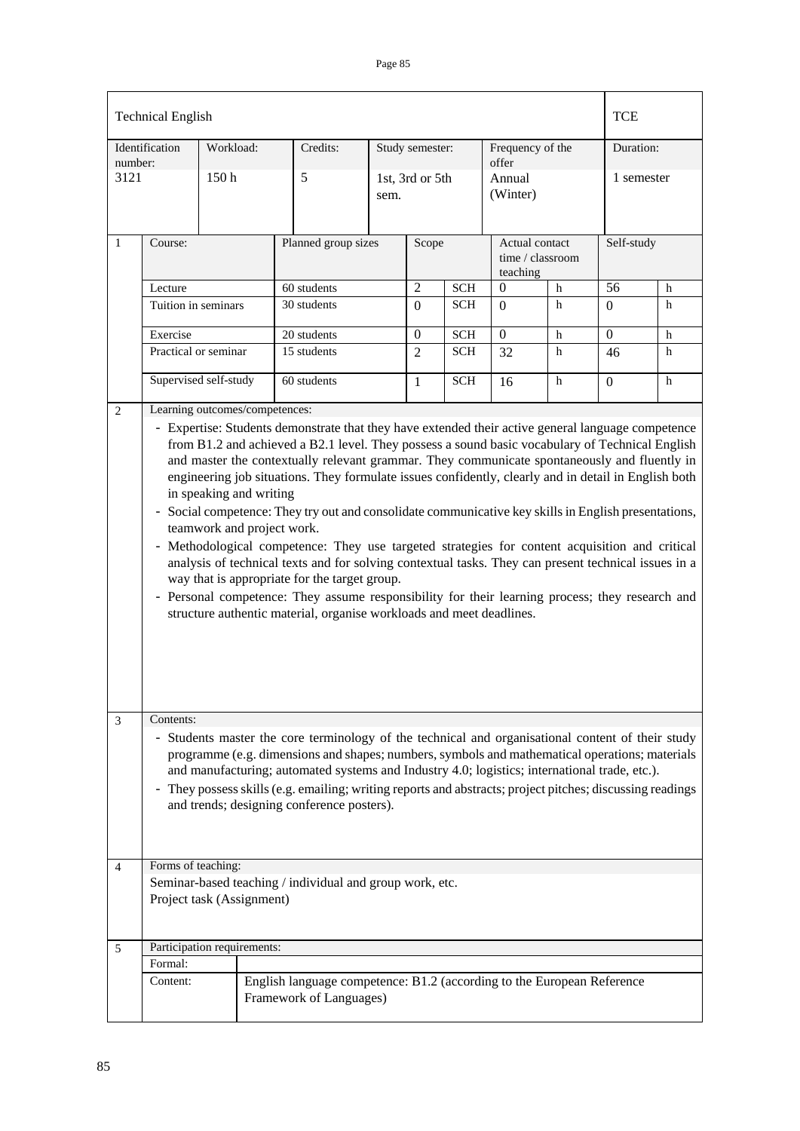## Page 85

|                                                                                                               | <b>Technical English</b>                                                                                                                                                                                                                                                                                                                                                                                                                                                                                                                                                                                                                                                                                                                                                                                                                                                                                                                                                                                                                               |                  |  |                     |                         |                              |                             |                                                |             | <b>TCE</b>     |           |  |
|---------------------------------------------------------------------------------------------------------------|--------------------------------------------------------------------------------------------------------------------------------------------------------------------------------------------------------------------------------------------------------------------------------------------------------------------------------------------------------------------------------------------------------------------------------------------------------------------------------------------------------------------------------------------------------------------------------------------------------------------------------------------------------------------------------------------------------------------------------------------------------------------------------------------------------------------------------------------------------------------------------------------------------------------------------------------------------------------------------------------------------------------------------------------------------|------------------|--|---------------------|-------------------------|------------------------------|-----------------------------|------------------------------------------------|-------------|----------------|-----------|--|
| Identification                                                                                                |                                                                                                                                                                                                                                                                                                                                                                                                                                                                                                                                                                                                                                                                                                                                                                                                                                                                                                                                                                                                                                                        | Workload:        |  | Credits:            |                         | Study semester:              |                             | Frequency of the                               |             |                | Duration: |  |
| number:<br>3121                                                                                               |                                                                                                                                                                                                                                                                                                                                                                                                                                                                                                                                                                                                                                                                                                                                                                                                                                                                                                                                                                                                                                                        | 150 <sub>h</sub> |  | 5                   | 1st, 3rd or 5th<br>sem. |                              | offer<br>Annual<br>(Winter) |                                                | 1 semester  |                |           |  |
| $\mathbf{1}$                                                                                                  | Course:                                                                                                                                                                                                                                                                                                                                                                                                                                                                                                                                                                                                                                                                                                                                                                                                                                                                                                                                                                                                                                                |                  |  | Planned group sizes |                         | Scope                        |                             | Actual contact<br>time / classroom<br>teaching |             | Self-study     |           |  |
|                                                                                                               | Lecture                                                                                                                                                                                                                                                                                                                                                                                                                                                                                                                                                                                                                                                                                                                                                                                                                                                                                                                                                                                                                                                |                  |  | 60 students         |                         | $\overline{2}$<br><b>SCH</b> |                             | $\Omega$                                       | $\mathbf h$ | 56             | h         |  |
|                                                                                                               | Tuition in seminars                                                                                                                                                                                                                                                                                                                                                                                                                                                                                                                                                                                                                                                                                                                                                                                                                                                                                                                                                                                                                                    |                  |  | 30 students         |                         | $\Omega$                     | <b>SCH</b>                  | $\Omega$                                       | h           | $\Omega$       | h         |  |
|                                                                                                               | Exercise                                                                                                                                                                                                                                                                                                                                                                                                                                                                                                                                                                                                                                                                                                                                                                                                                                                                                                                                                                                                                                               |                  |  | 20 students         |                         | $\boldsymbol{0}$             | <b>SCH</b>                  | $\boldsymbol{0}$                               | h           | $\overline{0}$ | h         |  |
|                                                                                                               | Practical or seminar                                                                                                                                                                                                                                                                                                                                                                                                                                                                                                                                                                                                                                                                                                                                                                                                                                                                                                                                                                                                                                   |                  |  | 15 students         |                         | $\overline{2}$               | <b>SCH</b>                  | 32                                             | h           | 46             | h         |  |
|                                                                                                               | Supervised self-study                                                                                                                                                                                                                                                                                                                                                                                                                                                                                                                                                                                                                                                                                                                                                                                                                                                                                                                                                                                                                                  |                  |  | 60 students         |                         | 1                            | <b>SCH</b>                  | 16                                             | h           | $\overline{0}$ | h         |  |
| $\overline{2}$                                                                                                | Learning outcomes/competences:<br>- Expertise: Students demonstrate that they have extended their active general language competence<br>from B1.2 and achieved a B2.1 level. They possess a sound basic vocabulary of Technical English<br>and master the contextually relevant grammar. They communicate spontaneously and fluently in<br>engineering job situations. They formulate issues confidently, clearly and in detail in English both<br>in speaking and writing<br>- Social competence: They try out and consolidate communicative key skills in English presentations,<br>teamwork and project work.<br>- Methodological competence: They use targeted strategies for content acquisition and critical<br>analysis of technical texts and for solving contextual tasks. They can present technical issues in a<br>way that is appropriate for the target group.<br>- Personal competence: They assume responsibility for their learning process; they research and<br>structure authentic material, organise workloads and meet deadlines. |                  |  |                     |                         |                              |                             |                                                |             |                |           |  |
| 3                                                                                                             | Contents:<br>- Students master the core terminology of the technical and organisational content of their study<br>programme (e.g. dimensions and shapes; numbers, symbols and mathematical operations; materials<br>and manufacturing; automated systems and Industry 4.0; logistics; international trade, etc.).<br>- They possess skills (e.g. emailing; writing reports and abstracts; project pitches; discussing readings<br>and trends; designing conference posters).                                                                                                                                                                                                                                                                                                                                                                                                                                                                                                                                                                           |                  |  |                     |                         |                              |                             |                                                |             |                |           |  |
| 4                                                                                                             | Forms of teaching:                                                                                                                                                                                                                                                                                                                                                                                                                                                                                                                                                                                                                                                                                                                                                                                                                                                                                                                                                                                                                                     |                  |  |                     |                         |                              |                             |                                                |             |                |           |  |
|                                                                                                               | Seminar-based teaching / individual and group work, etc.<br>Project task (Assignment)                                                                                                                                                                                                                                                                                                                                                                                                                                                                                                                                                                                                                                                                                                                                                                                                                                                                                                                                                                  |                  |  |                     |                         |                              |                             |                                                |             |                |           |  |
| 5                                                                                                             | Participation requirements:                                                                                                                                                                                                                                                                                                                                                                                                                                                                                                                                                                                                                                                                                                                                                                                                                                                                                                                                                                                                                            |                  |  |                     |                         |                              |                             |                                                |             |                |           |  |
|                                                                                                               | Formal:                                                                                                                                                                                                                                                                                                                                                                                                                                                                                                                                                                                                                                                                                                                                                                                                                                                                                                                                                                                                                                                |                  |  |                     |                         |                              |                             |                                                |             |                |           |  |
| Content:<br>English language competence: B1.2 (according to the European Reference<br>Framework of Languages) |                                                                                                                                                                                                                                                                                                                                                                                                                                                                                                                                                                                                                                                                                                                                                                                                                                                                                                                                                                                                                                                        |                  |  |                     |                         |                              |                             |                                                |             |                |           |  |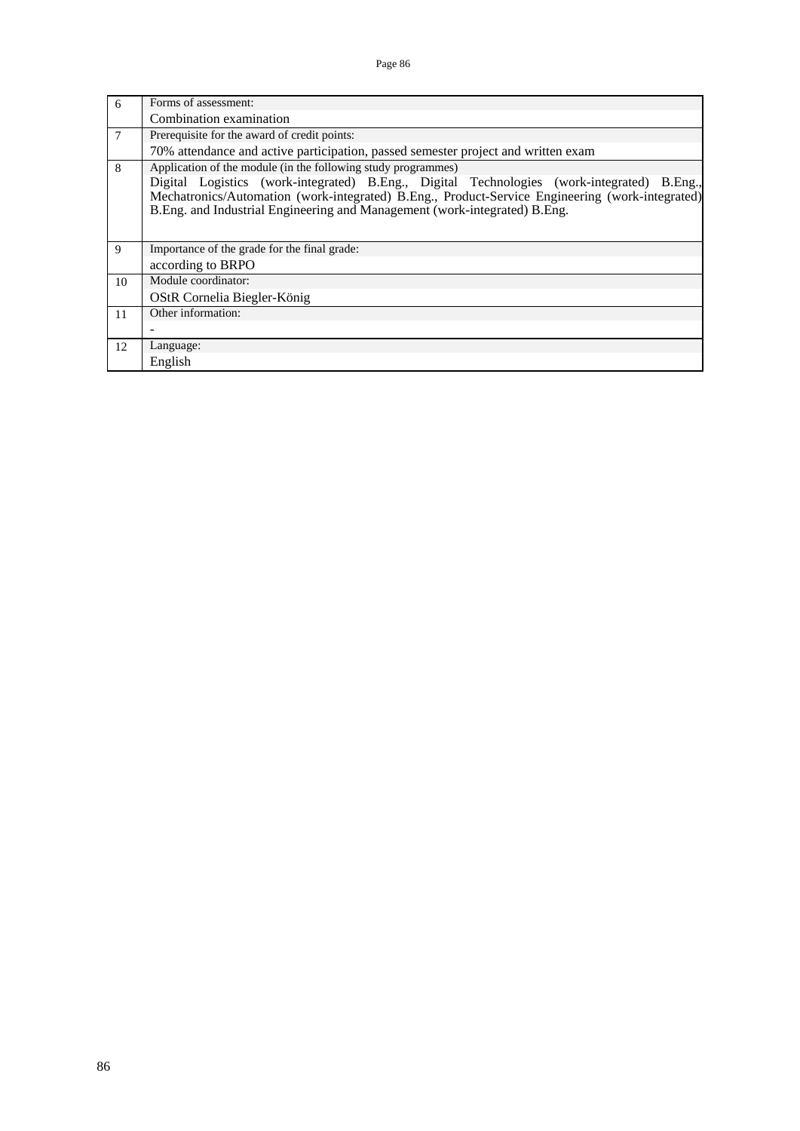| 6  | Forms of assessment:                                                                                                                                                                                                                                                       |  |  |  |  |  |  |  |  |  |
|----|----------------------------------------------------------------------------------------------------------------------------------------------------------------------------------------------------------------------------------------------------------------------------|--|--|--|--|--|--|--|--|--|
|    | Combination examination                                                                                                                                                                                                                                                    |  |  |  |  |  |  |  |  |  |
| 7  | Prerequisite for the award of credit points:                                                                                                                                                                                                                               |  |  |  |  |  |  |  |  |  |
|    | 70% attendance and active participation, passed semester project and written exam                                                                                                                                                                                          |  |  |  |  |  |  |  |  |  |
| 8  | Application of the module (in the following study programmes)                                                                                                                                                                                                              |  |  |  |  |  |  |  |  |  |
|    | Digital Logistics (work-integrated) B.Eng., Digital Technologies (work-integrated) B.Eng.,<br>Mechatronics/Automation (work-integrated) B.Eng., Product-Service Engineering (work-integrated)<br>B.Eng. and Industrial Engineering and Management (work-integrated) B.Eng. |  |  |  |  |  |  |  |  |  |
| 9  | Importance of the grade for the final grade:                                                                                                                                                                                                                               |  |  |  |  |  |  |  |  |  |
|    | according to BRPO                                                                                                                                                                                                                                                          |  |  |  |  |  |  |  |  |  |
| 10 | Module coordinator:                                                                                                                                                                                                                                                        |  |  |  |  |  |  |  |  |  |
|    | OStR Cornelia Biegler-König                                                                                                                                                                                                                                                |  |  |  |  |  |  |  |  |  |
| 11 | Other information:                                                                                                                                                                                                                                                         |  |  |  |  |  |  |  |  |  |
|    |                                                                                                                                                                                                                                                                            |  |  |  |  |  |  |  |  |  |
| 12 | Language:                                                                                                                                                                                                                                                                  |  |  |  |  |  |  |  |  |  |
|    | English                                                                                                                                                                                                                                                                    |  |  |  |  |  |  |  |  |  |